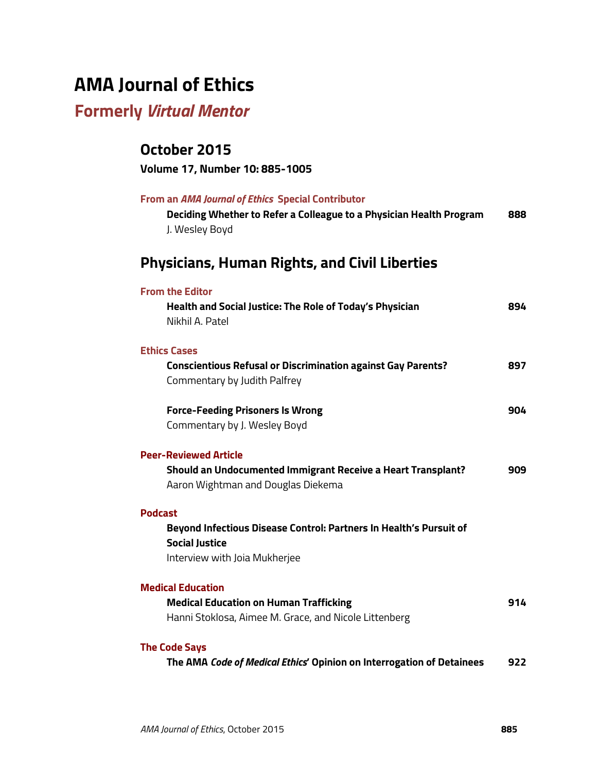# **AMA Journal of Ethics**

## **Formerly** *Virtual Mentor*

## **October 2015 Volume 17, Number 10: 885-1005**

# **From an** *AMA Journal of Ethics* **Special Contributor Deciding Whether to Refer a Colleague to a Physician Health Program 888** J. Wesley Boyd **Physicians, Human Rights, and Civil Liberties From the Editor Health and Social Justice: The Role of Today's Physician 894** Nikhil A. Patel **Ethics Cases Conscientious Refusal or Discrimination against Gay Parents? 897** Commentary by Judith Palfrey **Force-Feeding Prisoners Is Wrong 904** Commentary by J. Wesley Boyd **Peer-Reviewed Article Should an Undocumented Immigrant Receive a Heart Transplant? 909** Aaron Wightman and Douglas Diekema **Podcast Beyond Infectious Disease Control: Partners In Health's Pursuit of Social Justice** Interview with Joia Mukherjee **Medical Education Medical Education on Human Trafficking 914** Hanni Stoklosa, Aimee M. Grace, and Nicole Littenberg **The Code Says The AMA** *Code of Medical Ethics***' Opinion on Interrogation of Detainees 922**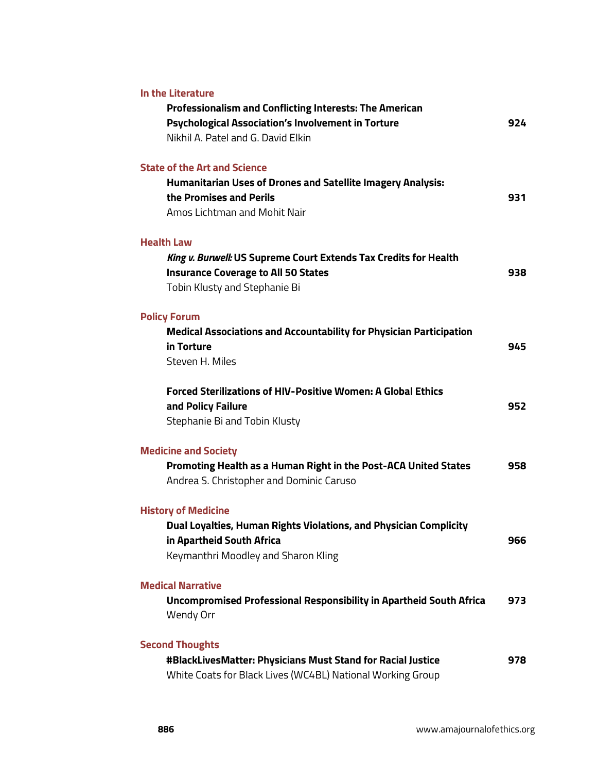| In the Literature                                                          |     |
|----------------------------------------------------------------------------|-----|
| <b>Professionalism and Conflicting Interests: The American</b>             |     |
| <b>Psychological Association's Involvement in Torture</b>                  | 924 |
| Nikhil A. Patel and G. David Elkin                                         |     |
| <b>State of the Art and Science</b>                                        |     |
| Humanitarian Uses of Drones and Satellite Imagery Analysis:                |     |
| the Promises and Perils                                                    | 931 |
| Amos Lichtman and Mohit Nair                                               |     |
| <b>Health Law</b>                                                          |     |
| King v. Burwell: US Supreme Court Extends Tax Credits for Health           |     |
| <b>Insurance Coverage to All 50 States</b>                                 | 938 |
| Tobin Klusty and Stephanie Bi                                              |     |
| <b>Policy Forum</b>                                                        |     |
| <b>Medical Associations and Accountability for Physician Participation</b> |     |
| in Torture                                                                 | 945 |
| Steven H. Miles                                                            |     |
| <b>Forced Sterilizations of HIV-Positive Women: A Global Ethics</b>        |     |
| and Policy Failure                                                         | 952 |
| Stephanie Bi and Tobin Klusty                                              |     |
| <b>Medicine and Society</b>                                                |     |
| Promoting Health as a Human Right in the Post-ACA United States            | 958 |
| Andrea S. Christopher and Dominic Caruso                                   |     |
| <b>History of Medicine</b>                                                 |     |
| Dual Loyalties, Human Rights Violations, and Physician Complicity          |     |
| in Apartheid South Africa                                                  | 966 |
| Keymanthri Moodley and Sharon Kling                                        |     |
| <b>Medical Narrative</b>                                                   |     |
| Uncompromised Professional Responsibility in Apartheid South Africa        | 973 |
| Wendy Orr                                                                  |     |
| <b>Second Thoughts</b>                                                     |     |
| #BlackLivesMatter: Physicians Must Stand for Racial Justice                | 978 |
| White Coats for Black Lives (WC4BL) National Working Group                 |     |
|                                                                            |     |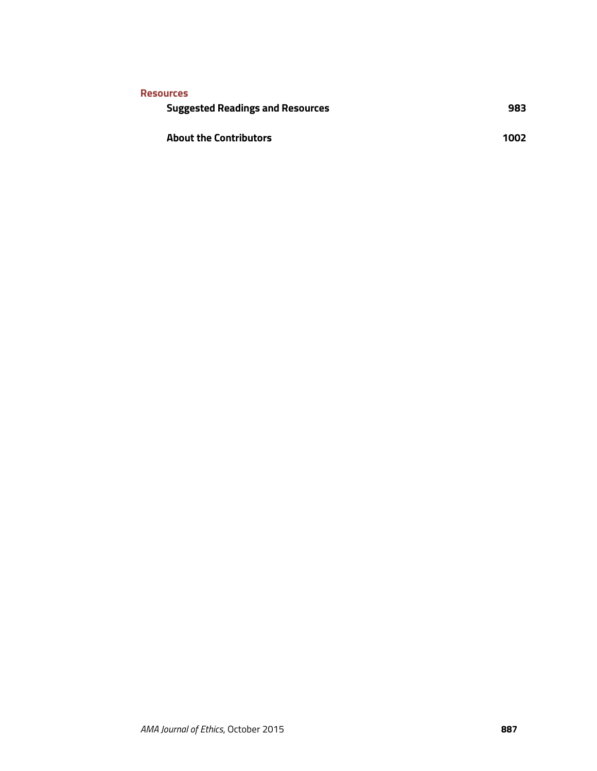#### **Resources**

| <b>Suggested Readings and Resources</b> | 983  |  |
|-----------------------------------------|------|--|
| <b>About the Contributors</b>           | 1002 |  |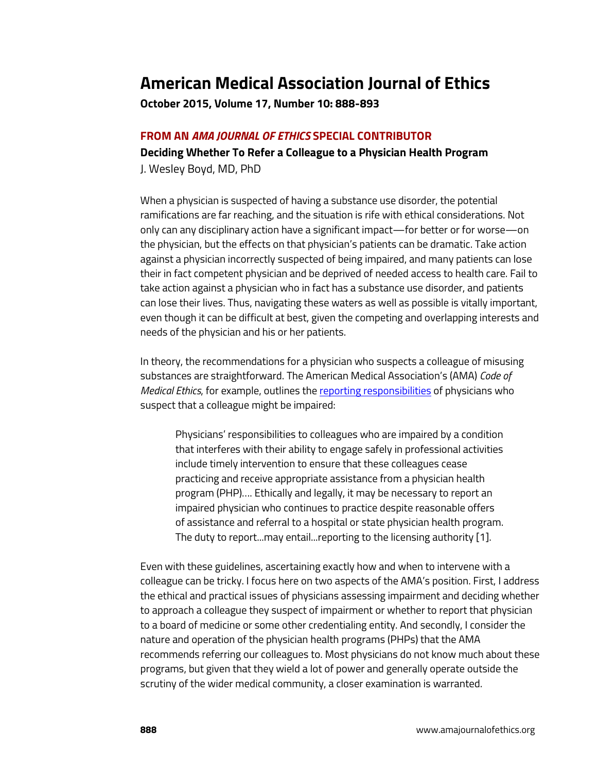## **American Medical Association Journal of Ethics**

**October 2015, Volume 17, Number 10: 888-893**

## **FROM AN** *AMA JOURNAL OF ETHICS* **SPECIAL CONTRIBUTOR**

**Deciding Whether To Refer a Colleague to a Physician Health Program** J. Wesley Boyd, MD, PhD

When a physician is suspected of having a substance use disorder, the potential ramifications are far reaching, and the situation is rife with ethical considerations. Not only can any disciplinary action have a significant impact—for better or for worse—on the physician, but the effects on that physician's patients can be dramatic. Take action against a physician incorrectly suspected of being impaired, and many patients can lose their in fact competent physician and be deprived of needed access to health care. Fail to take action against a physician who in fact has a substance use disorder, and patients can lose their lives. Thus, navigating these waters as well as possible is vitally important, even though it can be difficult at best, given the competing and overlapping interests and needs of the physician and his or her patients.

In theory, the recommendations for a physician who suspects a colleague of misusing substances are straightforward. The American Medical Association's (AMA) *Code of Medical Ethics*, for example, outlines the [reporting responsibilities](http://journalofethics.ama-assn.org/2011/10/coet1-1110.html) of physicians who suspect that a colleague might be impaired:

Physicians' responsibilities to colleagues who are impaired by a condition that interferes with their ability to engage safely in professional activities include timely intervention to ensure that these colleagues cease practicing and receive appropriate assistance from a physician health program (PHP)…. Ethically and legally, it may be necessary to report an impaired physician who continues to practice despite reasonable offers of assistance and referral to a hospital or state physician health program. The duty to report...may entail...reporting to the licensing authority [1].

Even with these guidelines, ascertaining exactly how and when to intervene with a colleague can be tricky. I focus here on two aspects of the AMA's position. First, I address the ethical and practical issues of physicians assessing impairment and deciding whether to approach a colleague they suspect of impairment or whether to report that physician to a board of medicine or some other credentialing entity. And secondly, I consider the nature and operation of the physician health programs (PHPs) that the AMA recommends referring our colleagues to. Most physicians do not know much about these programs, but given that they wield a lot of power and generally operate outside the scrutiny of the wider medical community, a closer examination is warranted.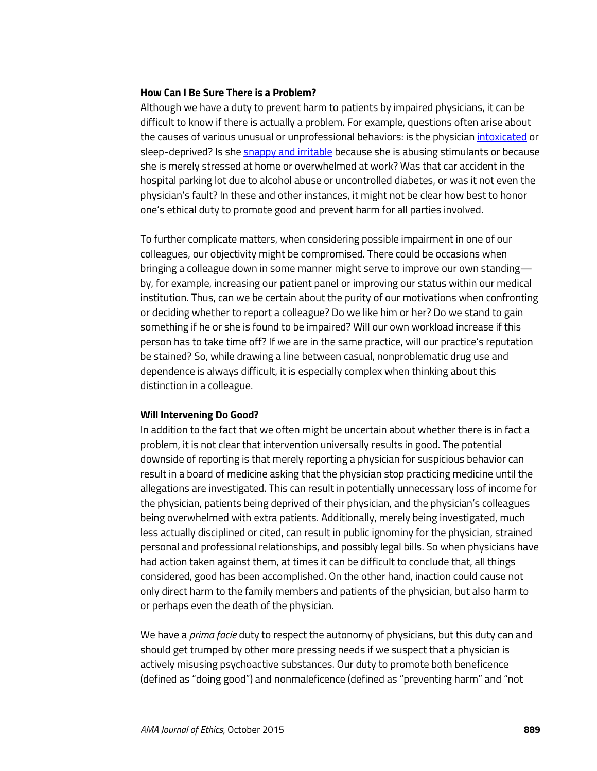## **How Can I Be Sure There is a Problem?**

Although we have a duty to prevent harm to patients by impaired physicians, it can be difficult to know if there is actually a problem. For example, questions often arise about the causes of various unusual or unprofessional behaviors: is the physicia[n intoxicated](http://journalofethics.ama-assn.org/2005/04/ccas2-0504.html) or sleep-deprived? Is she [snappy and irritable](http://journalofethics.ama-assn.org/2003/03/ccas2-0303.html) because she is abusing stimulants or because she is merely stressed at home or overwhelmed at work? Was that car accident in the hospital parking lot due to alcohol abuse or uncontrolled diabetes, or was it not even the physician's fault? In these and other instances, it might not be clear how best to honor one's ethical duty to promote good and prevent harm for all parties involved.

To further complicate matters, when considering possible impairment in one of our colleagues, our objectivity might be compromised. There could be occasions when bringing a colleague down in some manner might serve to improve our own standing by, for example, increasing our patient panel or improving our status within our medical institution. Thus, can we be certain about the purity of our motivations when confronting or deciding whether to report a colleague? Do we like him or her? Do we stand to gain something if he or she is found to be impaired? Will our own workload increase if this person has to take time off? If we are in the same practice, will our practice's reputation be stained? So, while drawing a line between casual, nonproblematic drug use and dependence is always difficult, it is especially complex when thinking about this distinction in a colleague.

## **Will Intervening Do Good?**

In addition to the fact that we often might be uncertain about whether there is in fact a problem, it is not clear that intervention universally results in good. The potential downside of reporting is that merely reporting a physician for suspicious behavior can result in a board of medicine asking that the physician stop practicing medicine until the allegations are investigated. This can result in potentially unnecessary loss of income for the physician, patients being deprived of their physician, and the physician's colleagues being overwhelmed with extra patients. Additionally, merely being investigated, much less actually disciplined or cited, can result in public ignominy for the physician, strained personal and professional relationships, and possibly legal bills. So when physicians have had action taken against them, at times it can be difficult to conclude that, all things considered, good has been accomplished. On the other hand, inaction could cause not only direct harm to the family members and patients of the physician, but also harm to or perhaps even the death of the physician.

We have a *prima facie* duty to respect the autonomy of physicians, but this duty can and should get trumped by other more pressing needs if we suspect that a physician is actively misusing psychoactive substances. Our duty to promote both beneficence (defined as "doing good") and nonmaleficence (defined as "preventing harm" and "not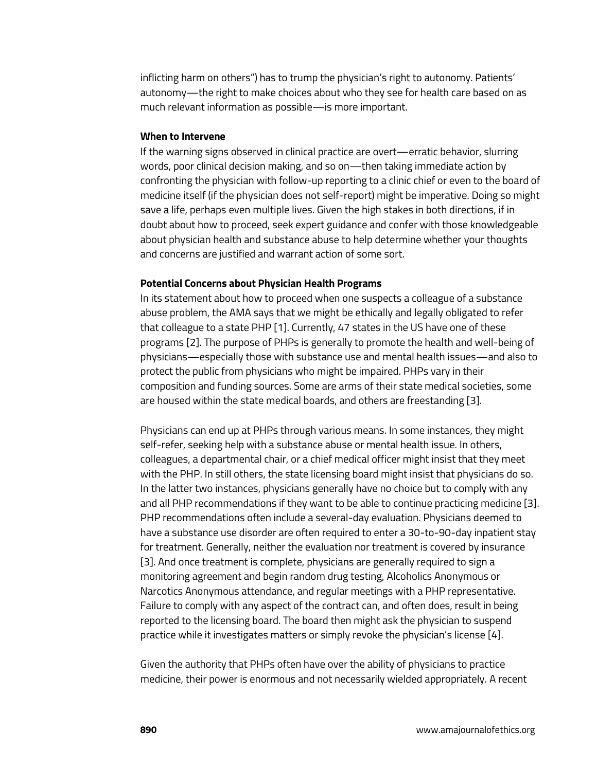inflicting harm on others") has to trump the physician's right to autonomy. Patients' autonomy—the right to make choices about who they see for health care based on as much relevant information as possible—is more important.

#### **When to Intervene**

If the warning signs observed in clinical practice are overt—erratic behavior, slurring words, poor clinical decision making, and so on—then taking immediate action by confronting the physician with follow-up reporting to a clinic chief or even to the board of medicine itself (if the physician does not self-report) might be imperative. Doing so might save a life, perhaps even multiple lives. Given the high stakes in both directions, if in doubt about how to proceed, seek expert guidance and confer with those knowledgeable about physician health and substance abuse to help determine whether your thoughts and concerns are justified and warrant action of some sort.

## **Potential Concerns about Physician Health Programs**

In its statement about how to proceed when one suspects a colleague of a substance abuse problem, the AMA says that we might be ethically and legally obligated to refer that colleague to a state PHP [1]. Currently, 47 states in the US have one of these programs [2]. The purpose of PHPs is generally to promote the health and well-being of physicians—especially those with substance use and mental health issues—and also to protect the public from physicians who might be impaired. PHPs vary in their composition and funding sources. Some are arms of their state medical societies, some are housed within the state medical boards, and others are freestanding [3].

Physicians can end up at PHPs through various means. In some instances, they might self-refer, seeking help with a substance abuse or mental health issue. In others, colleagues, a departmental chair, or a chief medical officer might insist that they meet with the PHP. In still others, the state licensing board might insist that physicians do so. In the latter two instances, physicians generally have no choice but to comply with any and all PHP recommendations if they want to be able to continue practicing medicine [3]. PHP recommendations often include a several-day evaluation. Physicians deemed to have a substance use disorder are often required to enter a 30-to-90-day inpatient stay for treatment. Generally, neither the evaluation nor treatment is covered by insurance [3]. And once treatment is complete, physicians are generally required to sign a monitoring agreement and begin random drug testing, Alcoholics Anonymous or Narcotics Anonymous attendance, and regular meetings with a PHP representative. Failure to comply with any aspect of the contract can, and often does, result in being reported to the licensing board. The board then might ask the physician to suspend practice while it investigates matters or simply revoke the physician's license [4].

Given the authority that PHPs often have over the ability of physicians to practice medicine, their power is enormous and not necessarily wielded appropriately. A recent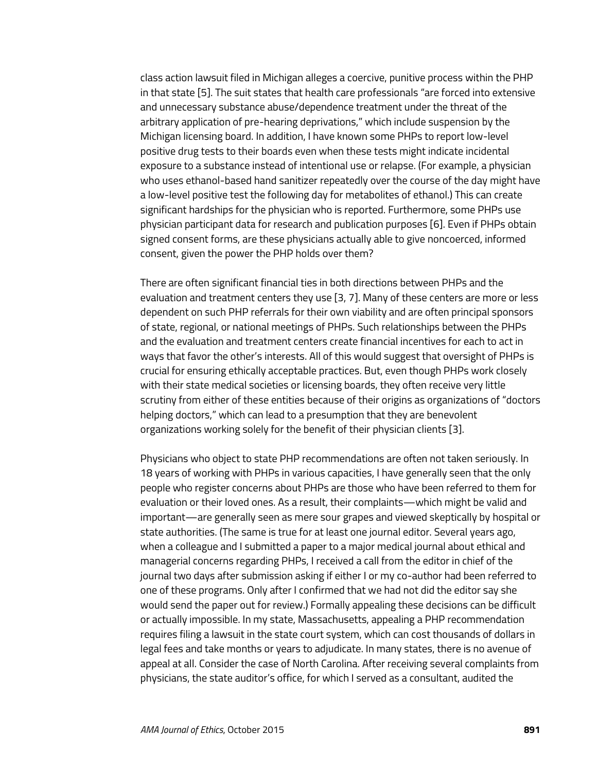class action lawsuit filed in Michigan alleges a coercive, punitive process within the PHP in that state [5]. The suit states that health care professionals "are forced into extensive and unnecessary substance abuse/dependence treatment under the threat of the arbitrary application of pre-hearing deprivations," which include suspension by the Michigan licensing board. In addition, I have known some PHPs to report low-level positive drug tests to their boards even when these tests might indicate incidental exposure to a substance instead of intentional use or relapse. (For example, a physician who uses ethanol-based hand sanitizer repeatedly over the course of the day might have a low-level positive test the following day for metabolites of ethanol.) This can create significant hardships for the physician who is reported. Furthermore, some PHPs use physician participant data for research and publication purposes [6]. Even if PHPs obtain signed consent forms, are these physicians actually able to give noncoerced, informed consent, given the power the PHP holds over them?

There are often significant financial ties in both directions between PHPs and the evaluation and treatment centers they use [3, 7]. Many of these centers are more or less dependent on such PHP referrals for their own viability and are often principal sponsors of state, regional, or national meetings of PHPs. Such relationships between the PHPs and the evaluation and treatment centers create financial incentives for each to act in ways that favor the other's interests. All of this would suggest that oversight of PHPs is crucial for ensuring ethically acceptable practices. But, even though PHPs work closely with their state medical societies or licensing boards, they often receive very little scrutiny from either of these entities because of their origins as organizations of "doctors helping doctors," which can lead to a presumption that they are benevolent organizations working solely for the benefit of their physician clients [3].

Physicians who object to state PHP recommendations are often not taken seriously. In 18 years of working with PHPs in various capacities, I have generally seen that the only people who register concerns about PHPs are those who have been referred to them for evaluation or their loved ones. As a result, their complaints—which might be valid and important—are generally seen as mere sour grapes and viewed skeptically by hospital or state authorities. (The same is true for at least one journal editor. Several years ago, when a colleague and I submitted a paper to a major medical journal about ethical and managerial concerns regarding PHPs, I received a call from the editor in chief of the journal two days after submission asking if either I or my co-author had been referred to one of these programs. Only after I confirmed that we had not did the editor say she would send the paper out for review.) Formally appealing these decisions can be difficult or actually impossible. In my state, Massachusetts, appealing a PHP recommendation requires filing a lawsuit in the state court system, which can cost thousands of dollars in legal fees and take months or years to adjudicate. In many states, there is no avenue of appeal at all. Consider the case of North Carolina. After receiving several complaints from physicians, the state auditor's office, for which I served as a consultant, audited the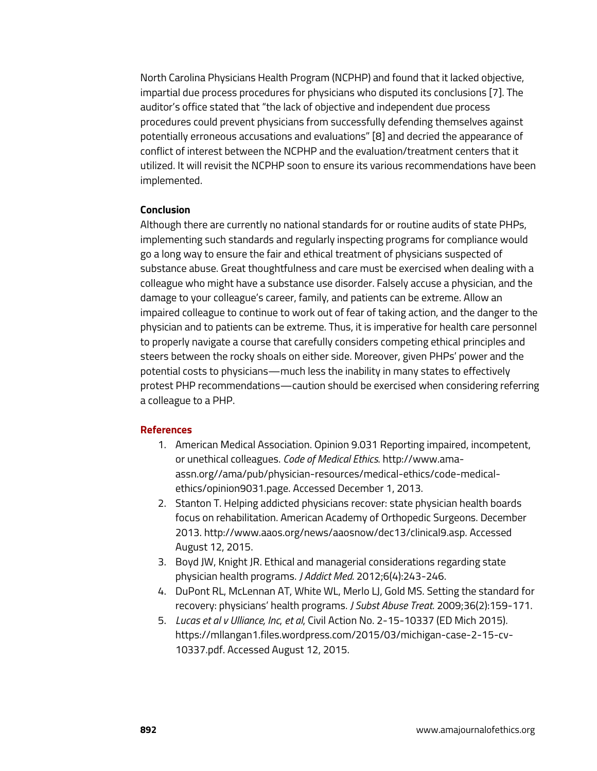North Carolina Physicians Health Program (NCPHP) and found that it lacked objective, impartial due process procedures for physicians who disputed its conclusions [7]. The auditor's office stated that "the lack of objective and independent due process procedures could prevent physicians from successfully defending themselves against potentially erroneous accusations and evaluations" [8] and decried the appearance of conflict of interest between the NCPHP and the evaluation/treatment centers that it utilized. It will revisit the NCPHP soon to ensure its various recommendations have been implemented.

#### **Conclusion**

Although there are currently no national standards for or routine audits of state PHPs, implementing such standards and regularly inspecting programs for compliance would go a long way to ensure the fair and ethical treatment of physicians suspected of substance abuse. Great thoughtfulness and care must be exercised when dealing with a colleague who might have a substance use disorder. Falsely accuse a physician, and the damage to your colleague's career, family, and patients can be extreme. Allow an impaired colleague to continue to work out of fear of taking action, and the danger to the physician and to patients can be extreme. Thus, it is imperative for health care personnel to properly navigate a course that carefully considers competing ethical principles and steers between the rocky shoals on either side. Moreover, given PHPs' power and the potential costs to physicians—much less the inability in many states to effectively protest PHP recommendations—caution should be exercised when considering referring a colleague to a PHP.

## **References**

- 1. American Medical Association. Opinion 9.031 Reporting impaired, incompetent, or unethical colleagues. *Code of Medical Ethics*[. http://www.ama](http://www.ama-assn.org/ama/pub/physician-resources/medical-ethics/code-medical-ethics/opinion9031.page)[assn.org//ama/pub/physician-resources/medical-ethics/code-medical](http://www.ama-assn.org/ama/pub/physician-resources/medical-ethics/code-medical-ethics/opinion9031.page)[ethics/opinion9031.page.](http://www.ama-assn.org/ama/pub/physician-resources/medical-ethics/code-medical-ethics/opinion9031.page) Accessed December 1, 2013.
- 2. Stanton T. Helping addicted physicians recover: state physician health boards focus on rehabilitation. American Academy of Orthopedic Surgeons. December 2013. http://www.aaos.org/news/aaosnow/dec13/clinical9.asp. Accessed August 12, 2015.
- 3. [Boyd JW,](http://www.ncbi.nlm.nih.gov/pubmed?term=Boyd%20JW%5BAuthor%5D&cauthor=true&cauthor_uid=23070127) [Knight JR.](http://www.ncbi.nlm.nih.gov/pubmed?term=Knight%20JR%5BAuthor%5D&cauthor=true&cauthor_uid=23070127) Ethical and managerial considerations regarding state physician health programs. *J Addict Med*. 2012;6(4):243-246.
- 4. DuPont RL, McLennan AT, White WL, Merlo LJ, Gold MS. Setting the standard for recovery: physicians' health programs. *J Subst Abuse Treat*. 2009;36(2):159-171.
- 5. *Lucas et al v Ulliance, Inc*, *et al*, Civil Action No. 2-15-10337 (ED Mich 2015). https://mllangan1.files.wordpress.com/2015/03/michigan-case-2-15-cv-10337.pdf. Accessed August 12, 2015.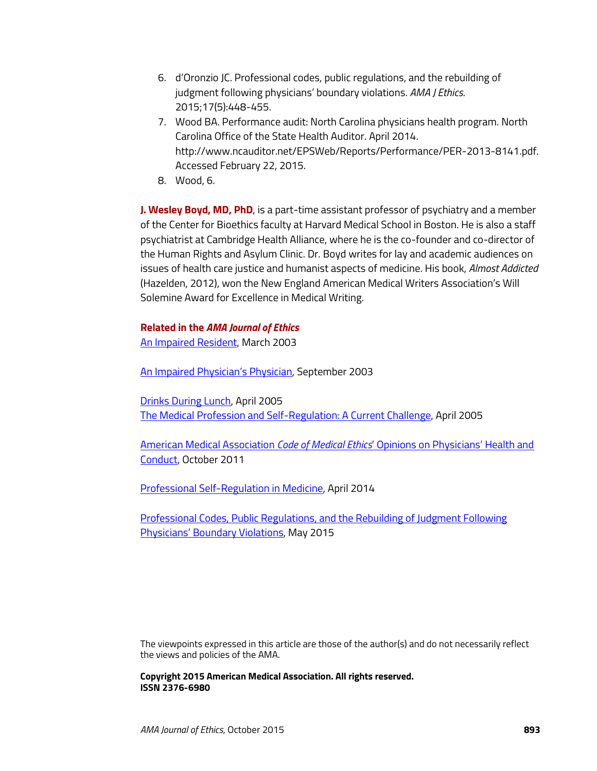- 6. d'Oronzio JC. Professional codes, public regulations, and the rebuilding of judgment following physicians' boundary violations. *AMA J Ethics*. 2015;17(5):448-455.
- 7. Wood BA. Performance audit: North Carolina physicians health program. North Carolina Office of the State Health Auditor. April 2014. http://www.ncauditor.net/EPSWeb/Reports/Performance/PER-2013-8141.pdf. Accessed February 22, 2015.
- 8. Wood, 6.

**J. Wesley Boyd, MD, PhD**, is a part-time assistant professor of psychiatry and a member of the Center for Bioethics faculty at Harvard Medical School in Boston. He is also a staff psychiatrist at Cambridge Health Alliance, where he is the co-founder and co-director of the Human Rights and Asylum Clinic. Dr. Boyd writes for lay and academic audiences on issues of health care justice and humanist aspects of medicine. His book, *Almost Addicted* (Hazelden, 2012), won the New England American Medical Writers Association's Will Solemine Award for Excellence in Medical Writing.

## **Related in the** *AMA Journal of Ethics*

[An Impaired Resident,](http://journalofethics.ama-assn.org/2003/03/ccas2-0303.html) March 2003

[An Impaired Physician's Physician,](http://journalofethics.ama-assn.org/2003/09/ccas1-0309.html) September 2003

[Drinks During Lunch,](http://journalofethics.ama-assn.org/2005/04/ccas2-0504.html) April 2005 [The Medical Profession and Self-Regulation: A Current Challenge,](http://journalofethics.ama-assn.org/2005/04/oped1-0504.html) April 2005

American Medical Association *Code of Medical Ethics*[' Opinions on Physicians' Health and](http://journalofethics.ama-assn.org/2011/10/coet1-1110.html)  [Conduct,](http://journalofethics.ama-assn.org/2011/10/coet1-1110.html) October 2011

[Professional Self-Regulation in Medicine,](http://journalofethics.ama-assn.org/2014/04/hlaw1-1404.html) April 2014

[Professional Codes, Public Regulations, and the Rebuilding of Judgment Following](http://journalofethics.ama-assn.org/2015/05/pfor1-1505.html)  [Physicians' Boundary Violations,](http://journalofethics.ama-assn.org/2015/05/pfor1-1505.html) May 2015

The viewpoints expressed in this article are those of the author(s) and do not necessarily reflect the views and policies of the AMA.

**Copyright 2015 American Medical Association. All rights reserved. ISSN 2376-6980**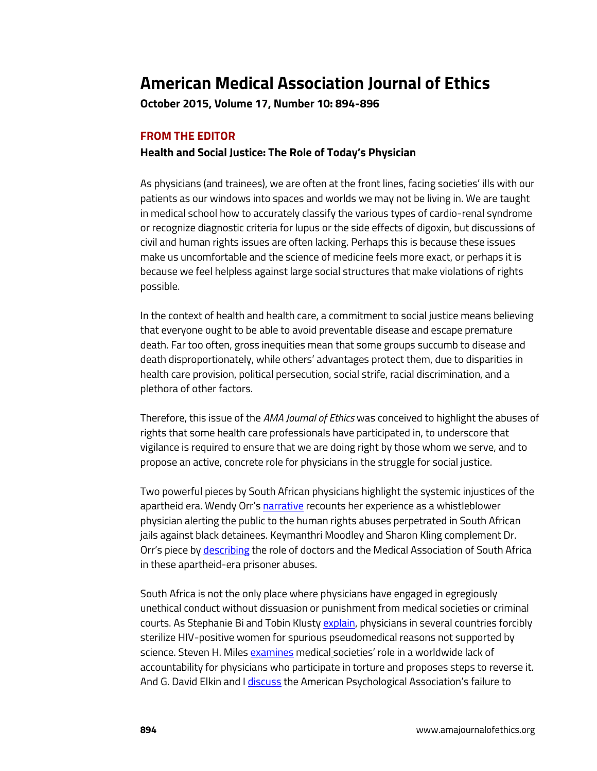# **American Medical Association Journal of Ethics**

**October 2015, Volume 17, Number 10: 894-896**

## **FROM THE EDITOR**

## **Health and Social Justice: The Role of Today's Physician**

As physicians (and trainees), we are often at the front lines, facing societies' ills with our patients as our windows into spaces and worlds we may not be living in. We are taught in medical school how to accurately classify the various types of cardio-renal syndrome or recognize diagnostic criteria for lupus or the side effects of digoxin, but discussions of civil and human rights issues are often lacking. Perhaps this is because these issues make us uncomfortable and the science of medicine feels more exact, or perhaps it is because we feel helpless against large social structures that make violations of rights possible.

In the context of health and health care, a commitment to social justice means believing that everyone ought to be able to avoid preventable disease and escape premature death. Far too often, gross inequities mean that some groups succumb to disease and death disproportionately, while others' advantages protect them, due to disparities in health care provision, political persecution, social strife, racial discrimination, and a plethora of other factors.

Therefore, this issue of the *AMA Journal of Ethics* was conceived to highlight the abuses of rights that some health care professionals have participated in, to underscore that vigilance is required to ensure that we are doing right by those whom we serve, and to propose an active, concrete role for physicians in the struggle for social justice.

Two powerful pieces by South African physicians highlight the systemic injustices of the apartheid era. Wendy Orr's [narrative](http://journalofethics.ama-assn.org/2015/10/mnar1-1510.html) recounts her experience as a whistleblower physician alerting the public to the human rights abuses perpetrated in South African jails against black detainees. Keymanthri Moodley and Sharon Kling complement Dr. Orr's piece by [describing](http://journalofethics.ama-assn.org/2015/10/mhst1-1510.html) the role of doctors and the Medical Association of South Africa in these apartheid-era prisoner abuses.

South Africa is not the only place where physicians have engaged in egregiously unethical conduct without dissuasion or punishment from medical societies or criminal courts. As Stephanie Bi and Tobin Klust[y explain,](http://journalofethics.ama-assn.org/2015/10/pfor2-1510.html) physicians in several countries forcibly sterilize HIV-positive women for spurious pseudomedical reasons not supported by science. Steven H. Miles [examines](http://journalofethics.ama-assn.org/2015/10/pfor1-1510.html) medical societies' role in a worldwide lack of accountability for physicians who participate in torture and proposes steps to reverse it. And G. David Elkin and I [discuss](http://journalofethics.ama-assn.org/2015/10/nlit1-1510.html) the American Psychological Association's failure to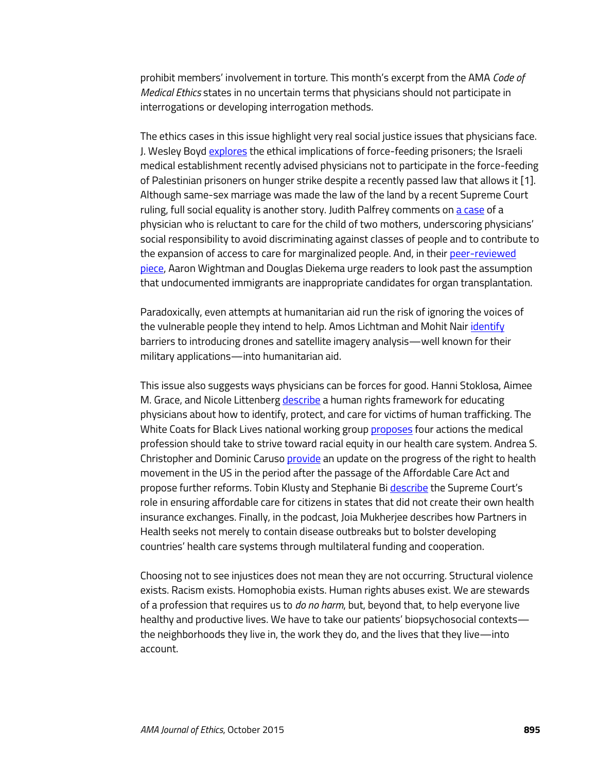prohibit members' involvement in torture. This month's excerpt from the AMA *Code of Medical Ethics* states in no uncertain terms that physicians should not participate in interrogations or developing interrogation methods.

The ethics cases in this issue highlight very real social justice issues that physicians face. J. Wesley Boyd [explores](http://journalofethics.ama-assn.org/2015/10/ecas2-1510.html) the ethical implications of force-feeding prisoners; the Israeli medical establishment recently advised physicians not to participate in the force-feeding of Palestinian prisoners on hunger strike despite a recently passed law that allows it [1]. Although same-sex marriage was made the law of the land by a recent Supreme Court ruling, full social equality is another story. Judith Palfrey comments on [a case](http://journalofethics.ama-assn.org/2015/10/ecas1-1510.html) of a physician who is reluctant to care for the child of two mothers, underscoring physicians' social responsibility to avoid discriminating against classes of people and to contribute to the expansion of access to care for marginalized people. And, in thei[r peer-reviewed](http://journalofethics.ama-assn.org/2015/10/peer1-1510.html)  [piece,](http://journalofethics.ama-assn.org/2015/10/peer1-1510.html) Aaron Wightman and Douglas Diekema urge readers to look past the assumption that undocumented immigrants are inappropriate candidates for organ transplantation.

Paradoxically, even attempts at humanitarian aid run the risk of ignoring the voices of the vulnerable people they intend to help. Amos Lichtman and Mohit Nair [identify](http://journalofethics.ana-assn.org/2015/10/stas1-1510.html) barriers to introducing drones and satellite imagery analysis—well known for their military applications—into humanitarian aid.

This issue also suggests ways physicians can be forces for good. Hanni Stoklosa, Aimee M. Grace, and Nicole Littenberg [describe](http://journalofethics.ama-assn.org/2015/10/medu1-1510.html) a human rights framework for educating physicians about how to identify, protect, and care for victims of human trafficking. The White Coats for Black Lives national working group **proposes** four actions the medical profession should take to strive toward racial equity in our health care system. Andrea S. Christopher and Dominic Carus[o provide](http://journalofethics.ama-assn.org/2015/10/msoc1-1510.html) an update on the progress of the right to health movement in the US in the period after the passage of the Affordable Care Act and propose further reforms. Tobin Klusty and Stephanie Bi [describe](http://journalofethics.ama-assn.org/2015/10/hlaw1-1510.html) the Supreme Court's role in ensuring affordable care for citizens in states that did not create their own health insurance exchanges. Finally, in the podcast, Joia Mukherjee describes how Partners in Health seeks not merely to contain disease outbreaks but to bolster developing countries' health care systems through multilateral funding and cooperation.

Choosing not to see injustices does not mean they are not occurring. Structural violence exists. Racism exists. Homophobia exists. Human rights abuses exist. We are stewards of a profession that requires us to *do no harm*, but, beyond that, to help everyone live healthy and productive lives. We have to take our patients' biopsychosocial contexts the neighborhoods they live in, the work they do, and the lives that they live—into account.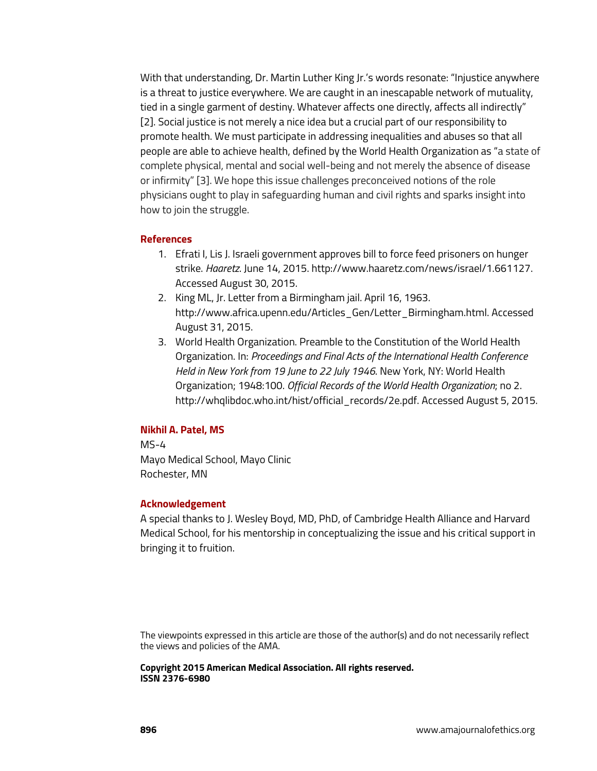With that understanding, Dr. Martin Luther King Jr.'s words resonate: "Injustice anywhere is a threat to justice everywhere. We are caught in an inescapable network of mutuality, tied in a single garment of destiny. Whatever affects one directly, affects all indirectly" [2]. Social justice is not merely a nice idea but a crucial part of our responsibility to promote health. We must participate in addressing inequalities and abuses so that all people are able to achieve health, defined by the World Health Organization as "a state of complete physical, mental and social well-being and not merely the absence of disease or infirmity" [3]. We hope this issue challenges preconceived notions of the role physicians ought to play in safeguarding human and civil rights and sparks insight into how to join the struggle.

#### **References**

- 1. Efrati I, Lis J. Israeli government approves bill to force feed prisoners on hunger strike. *Haaretz*. June 14, 2015. http://www.haaretz.com/news/israel/1.661127. Accessed August 30, 2015.
- 2. King ML, Jr. Letter from a Birmingham jail. April 16, 1963. http://www.africa.upenn.edu/Articles\_Gen/Letter\_Birmingham.html. Accessed August 31, 2015.
- 3. World Health Organization. Preamble to the Constitution of the World Health Organization. In: *Proceedings and Final Acts of the International Health Conference Held in New York from 19 June to 22 July 1946*. New York, NY: World Health Organization; 1948:100. *Official Records of the World Health Organization*; no 2. http://whqlibdoc.who.int/hist/official\_records/2e.pdf. Accessed August 5, 2015.

## **Nikhil A. Patel, MS**

MS-4 Mayo Medical School, Mayo Clinic Rochester, MN

#### **Acknowledgement**

A special thanks to J. Wesley Boyd, MD, PhD, of Cambridge Health Alliance and Harvard Medical School, for his mentorship in conceptualizing the issue and his critical support in bringing it to fruition.

The viewpoints expressed in this article are those of the author(s) and do not necessarily reflect the views and policies of the AMA.

**Copyright 2015 American Medical Association. All rights reserved. ISSN 2376-6980**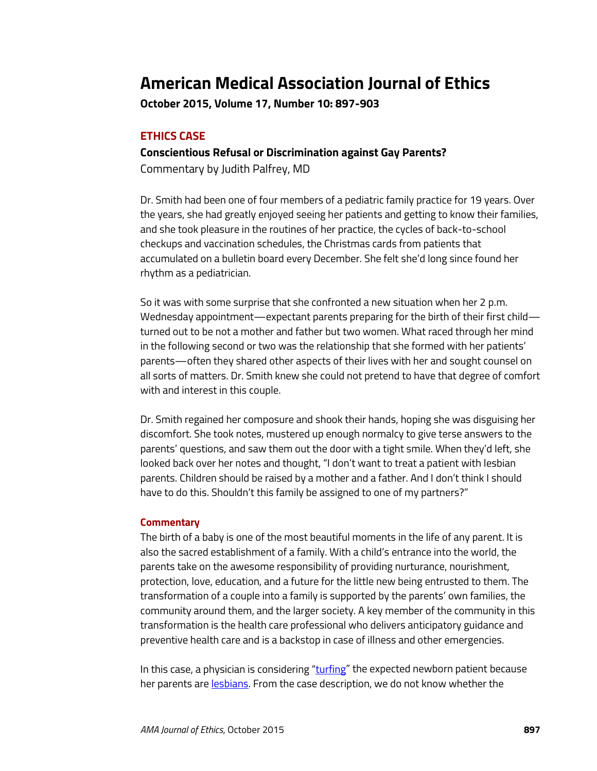# **American Medical Association Journal of Ethics**

**October 2015, Volume 17, Number 10: 897-903**

## **ETHICS CASE**

## **Conscientious Refusal or Discrimination against Gay Parents?**

Commentary by Judith Palfrey, MD

Dr. Smith had been one of four members of a pediatric family practice for 19 years. Over the years, she had greatly enjoyed seeing her patients and getting to know their families, and she took pleasure in the routines of her practice, the cycles of back-to-school checkups and vaccination schedules, the Christmas cards from patients that accumulated on a bulletin board every December. She felt she'd long since found her rhythm as a pediatrician.

So it was with some surprise that she confronted a new situation when her 2 p.m. Wednesday appointment—expectant parents preparing for the birth of their first child turned out to be not a mother and father but two women. What raced through her mind in the following second or two was the relationship that she formed with her patients' parents—often they shared other aspects of their lives with her and sought counsel on all sorts of matters. Dr. Smith knew she could not pretend to have that degree of comfort with and interest in this couple.

Dr. Smith regained her composure and shook their hands, hoping she was disguising her discomfort. She took notes, mustered up enough normalcy to give terse answers to the parents' questions, and saw them out the door with a tight smile. When they'd left, she looked back over her notes and thought, "I don't want to treat a patient with lesbian parents. Children should be raised by a mother and a father. And I don't think I should have to do this. Shouldn't this family be assigned to one of my partners?"

#### **Commentary**

The birth of a baby is one of the most beautiful moments in the life of any parent. It is also the sacred establishment of a family. With a child's entrance into the world, the parents take on the awesome responsibility of providing nurturance, nourishment, protection, love, education, and a future for the little new being entrusted to them. The transformation of a couple into a family is supported by the parents' own families, the community around them, and the larger society. A key member of the community in this transformation is the health care professional who delivers anticipatory guidance and preventive health care and is a backstop in case of illness and other emergencies.

In this case, a physician is considering ["turfing"](http://journalofethics.ama-assn.org/2012/05/medu2-1205.html) the expected newborn patient because her parents are [lesbians.](http://journalofethics.ama-assn.org/2013/09/ecas2-1309.html) From the case description, we do not know whether the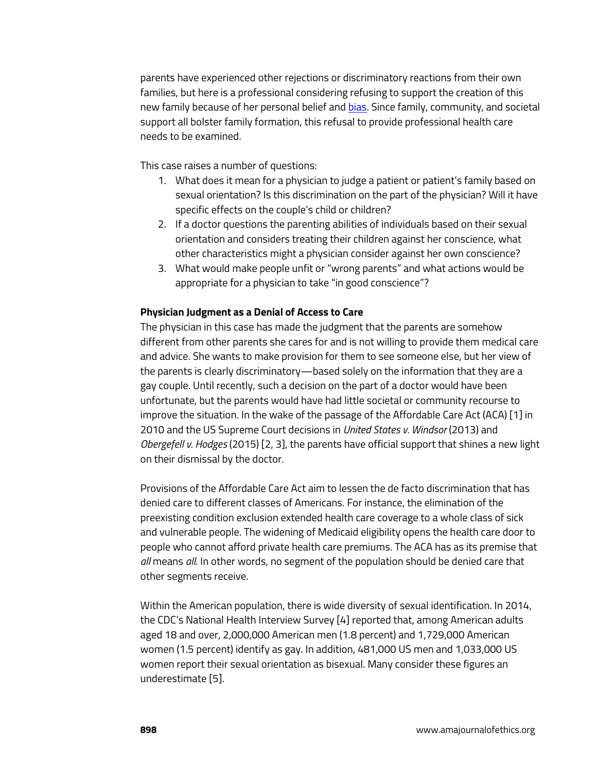parents have experienced other rejections or discriminatory reactions from their own families, but here is a professional considering refusing to support the creation of this new family because of her personal belief and **bias**. Since family, community, and societal support all bolster family formation, this refusal to provide professional health care needs to be examined.

This case raises a number of questions:

- 1. What does it mean for a physician to judge a patient or patient's family based on sexual orientation? Is this discrimination on the part of the physician? Will it have specific effects on the couple's child or children?
- 2. If a doctor questions the parenting abilities of individuals based on their sexual orientation and considers treating their children against her conscience, what other characteristics might a physician consider against her own conscience?
- 3. What would make people unfit or "wrong parents" and what actions would be appropriate for a physician to take "in good conscience"?

## **Physician Judgment as a Denial of Access to Care**

The physician in this case has made the judgment that the parents are somehow different from other parents she cares for and is not willing to provide them medical care and advice. She wants to make provision for them to see someone else, but her view of the parents is clearly discriminatory—based solely on the information that they are a gay couple. Until recently, such a decision on the part of a doctor would have been unfortunate, but the parents would have had little societal or community recourse to improve the situation. In the wake of the passage of the Affordable Care Act (ACA) [1] in 2010 and the US Supreme Court decisions in *United States v. Windsor* (2013) and *Obergefell v. Hodges* (2015) [2, 3], the parents have official support that shines a new light on their dismissal by the doctor.

Provisions of the Affordable Care Act aim to lessen the de facto discrimination that has denied care to different classes of Americans. For instance, the elimination of the preexisting condition exclusion extended health care coverage to a whole class of sick and vulnerable people. The widening of Medicaid eligibility opens the health care door to people who cannot afford private health care premiums. The ACA has as its premise that *all* means *all*. In other words, no segment of the population should be denied care that other segments receive.

Within the American population, there is wide diversity of sexual identification. In 2014, the CDC's National Health Interview Survey [4] reported that, among American adults aged 18 and over, 2,000,000 American men (1.8 percent) and 1,729,000 American women (1.5 percent) identify as gay. In addition, 481,000 US men and 1,033,000 US women report their sexual orientation as bisexual. Many consider these figures an underestimate [5].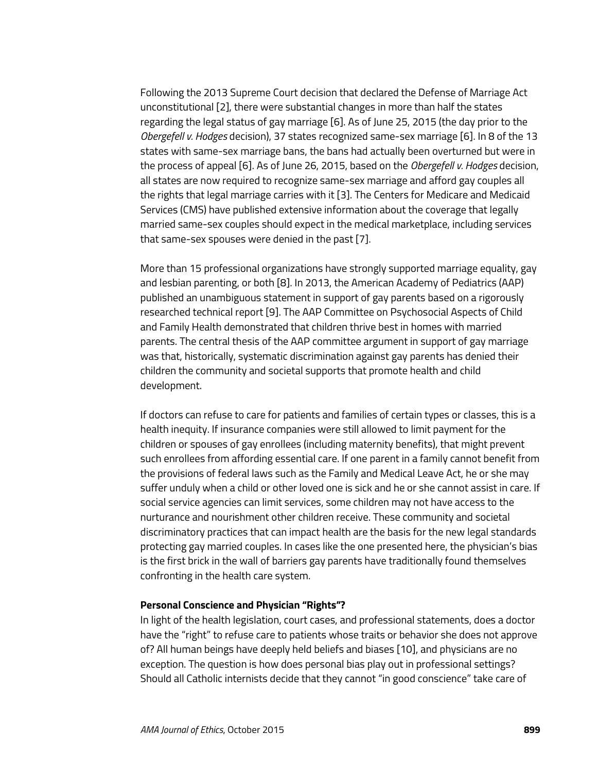Following the 2013 Supreme Court decision that declared the Defense of Marriage Act unconstitutional [2], there were substantial changes in more than half the states regarding the legal status of gay marriage [6]. As of June 25, 2015 (the day prior to the *Obergefell v. Hodges* decision), 37 states recognized same-sex marriage [6]. In 8 of the 13 states with same-sex marriage bans, the bans had actually been overturned but were in the process of appeal [6]. As of June 26, 2015, based on the *Obergefell v. Hodges* decision, all states are now required to recognize same-sex marriage and afford gay couples all the rights that legal marriage carries with it [3]. The Centers for Medicare and Medicaid Services (CMS) have published extensive information about the coverage that legally married same-sex couples should expect in the medical marketplace, including services that same-sex spouses were denied in the past [7].

More than 15 professional organizations have strongly supported marriage equality, gay and lesbian parenting, or both [8]. In 2013, the American Academy of Pediatrics (AAP) published an unambiguous statement in support of gay parents based on a rigorously researched technical report [9]. The AAP Committee on Psychosocial Aspects of Child and Family Health demonstrated that children thrive best in homes with married parents. The central thesis of the AAP committee argument in support of gay marriage was that, historically, systematic discrimination against gay parents has denied their children the community and societal supports that promote health and child development.

If doctors can refuse to care for patients and families of certain types or classes, this is a health inequity. If insurance companies were still allowed to limit payment for the children or spouses of gay enrollees (including maternity benefits), that might prevent such enrollees from affording essential care. If one parent in a family cannot benefit from the provisions of federal laws such as the Family and Medical Leave Act, he or she may suffer unduly when a child or other loved one is sick and he or she cannot assist in care. If social service agencies can limit services, some children may not have access to the nurturance and nourishment other children receive. These community and societal discriminatory practices that can impact health are the basis for the new legal standards protecting gay married couples. In cases like the one presented here, the physician's bias is the first brick in the wall of barriers gay parents have traditionally found themselves confronting in the health care system.

#### **Personal Conscience and Physician "Rights"?**

In light of the health legislation, court cases, and professional statements, does a doctor have the "right" to refuse care to patients whose traits or behavior she does not approve of? All human beings have deeply held beliefs and biases [10], and physicians are no exception. The question is how does personal bias play out in professional settings? Should all Catholic internists decide that they cannot "in good conscience" take care of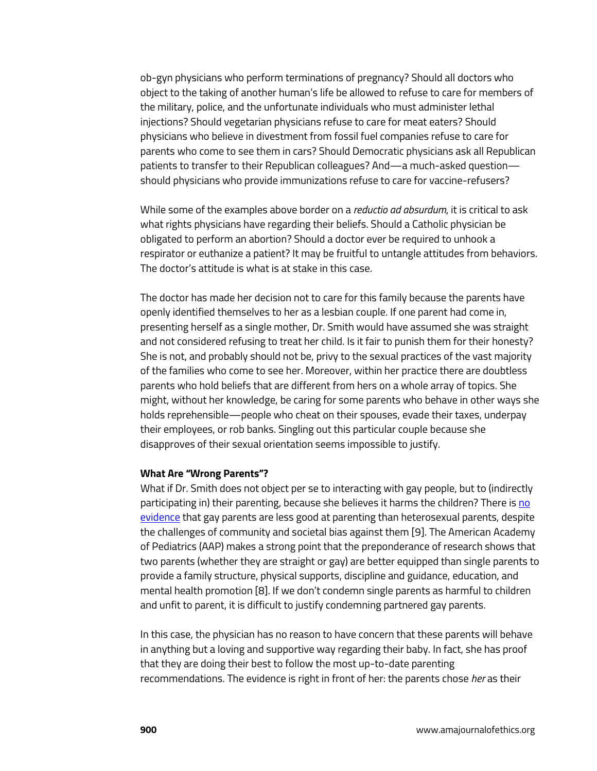ob-gyn physicians who perform terminations of pregnancy? Should all doctors who object to the taking of another human's life be allowed to refuse to care for members of the military, police, and the unfortunate individuals who must administer lethal injections? Should vegetarian physicians refuse to care for meat eaters? Should physicians who believe in divestment from fossil fuel companies refuse to care for parents who come to see them in cars? Should Democratic physicians ask all Republican patients to transfer to their Republican colleagues? And—a much-asked question should physicians who provide immunizations refuse to care for vaccine-refusers?

While some of the examples above border on a *reductio ad absurdum*, it is critical to ask what rights physicians have regarding their beliefs. Should a Catholic physician be obligated to perform an abortion? Should a doctor ever be required to unhook a respirator or euthanize a patient? It may be fruitful to untangle attitudes from behaviors. The doctor's attitude is what is at stake in this case.

The doctor has made her decision not to care for this family because the parents have openly identified themselves to her as a lesbian couple. If one parent had come in, presenting herself as a single mother, Dr. Smith would have assumed she was straight and not considered refusing to treat her child. Is it fair to punish them for their honesty? She is not, and probably should not be, privy to the sexual practices of the vast majority of the families who come to see her. Moreover, within her practice there are doubtless parents who hold beliefs that are different from hers on a whole array of topics. She might, without her knowledge, be caring for some parents who behave in other ways she holds reprehensible—people who cheat on their spouses, evade their taxes, underpay their employees, or rob banks. Singling out this particular couple because she disapproves of their sexual orientation seems impossible to justify.

#### **What Are "Wrong Parents"?**

What if Dr. Smith does not object per se to interacting with gay people, but to (indirectly participating in) their parenting, because she believes it harms the children? There is no [evidence](http://journalofethics.ama-assn.org/2014/01/jdsc1-1401.html) that gay parents are less good at parenting than heterosexual parents, despite the challenges of community and societal bias against them [9]. The American Academy of Pediatrics (AAP) makes a strong point that the preponderance of research shows that two parents (whether they are straight or gay) are better equipped than single parents to provide a family structure, physical supports, discipline and guidance, education, and mental health promotion [8]. If we don't condemn single parents as harmful to children and unfit to parent, it is difficult to justify condemning partnered gay parents.

In this case, the physician has no reason to have concern that these parents will behave in anything but a loving and supportive way regarding their baby. In fact, she has proof that they are doing their best to follow the most up-to-date parenting recommendations. The evidence is right in front of her: the parents chose *her* as their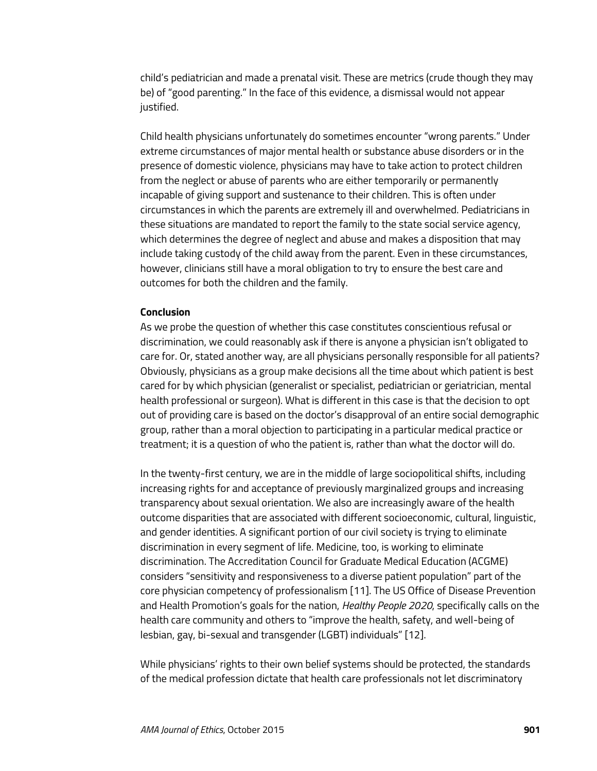child's pediatrician and made a prenatal visit. These are metrics (crude though they may be) of "good parenting." In the face of this evidence, a dismissal would not appear justified.

Child health physicians unfortunately do sometimes encounter "wrong parents." Under extreme circumstances of major mental health or substance abuse disorders or in the presence of domestic violence, physicians may have to take action to protect children from the neglect or abuse of parents who are either temporarily or permanently incapable of giving support and sustenance to their children. This is often under circumstances in which the parents are extremely ill and overwhelmed. Pediatricians in these situations are mandated to report the family to the state social service agency, which determines the degree of neglect and abuse and makes a disposition that may include taking custody of the child away from the parent. Even in these circumstances, however, clinicians still have a moral obligation to try to ensure the best care and outcomes for both the children and the family.

### **Conclusion**

As we probe the question of whether this case constitutes conscientious refusal or discrimination, we could reasonably ask if there is anyone a physician isn't obligated to care for. Or, stated another way, are all physicians personally responsible for all patients? Obviously, physicians as a group make decisions all the time about which patient is best cared for by which physician (generalist or specialist, pediatrician or geriatrician, mental health professional or surgeon). What is different in this case is that the decision to opt out of providing care is based on the doctor's disapproval of an entire social demographic group, rather than a moral objection to participating in a particular medical practice or treatment; it is a question of who the patient is, rather than what the doctor will do.

In the twenty-first century, we are in the middle of large sociopolitical shifts, including increasing rights for and acceptance of previously marginalized groups and increasing transparency about sexual orientation. We also are increasingly aware of the health outcome disparities that are associated with different socioeconomic, cultural, linguistic, and gender identities. A significant portion of our civil society is trying to eliminate discrimination in every segment of life. Medicine, too, is working to eliminate discrimination. The Accreditation Council for Graduate Medical Education (ACGME) considers "sensitivity and responsiveness to a diverse patient population" part of the core physician competency of professionalism [11]. The US Office of Disease Prevention and Health Promotion's goals for the nation, *Healthy People 2020*, specifically calls on the health care community and others to "improve the health, safety, and well-being of lesbian, gay, bi-sexual and transgender (LGBT) individuals" [12].

While physicians' rights to their own belief systems should be protected, the standards of the medical profession dictate that health care professionals not let discriminatory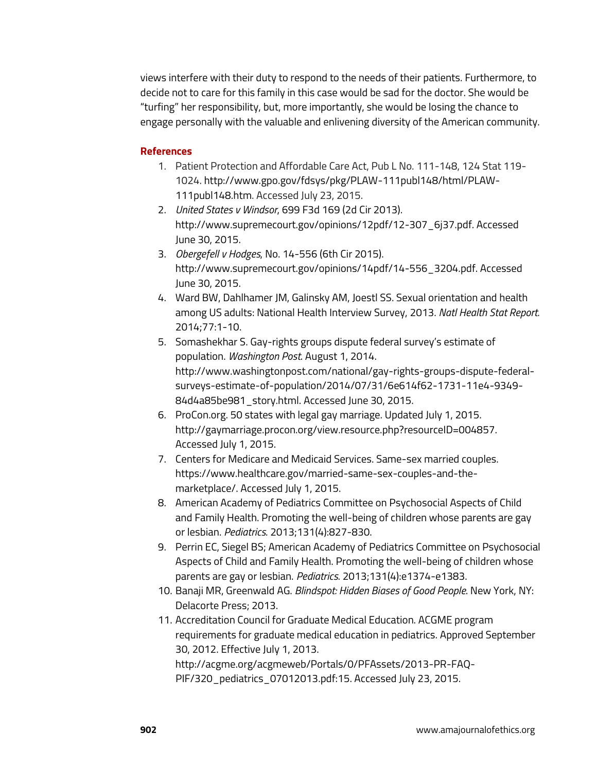views interfere with their duty to respond to the needs of their patients. Furthermore, to decide not to care for this family in this case would be sad for the doctor. She would be "turfing" her responsibility, but, more importantly, she would be losing the chance to engage personally with the valuable and enlivening diversity of the American community.

## **References**

- 1. Patient Protection and Affordable Care Act, Pub L No. 111-148, 124 Stat 119- 1024. http://www.gpo.gov/fdsys/pkg/PLAW-111publ148/html/PLAW-111publ148.htm. Accessed July 23, 2015.
- 2. *United States v Windsor*, 699 F3d 169 (2d Cir 2013). http://www.supremecourt.gov/opinions/12pdf/12-307\_6j37.pdf. Accessed June 30, 2015.
- 3. *Obergefell v Hodges*, No. 14-556 (6th Cir 2015). http://www.supremecourt.gov/opinions/14pdf/14-556\_3204.pdf. Accessed June 30, 2015.
- 4. Ward BW, Dahlhamer JM, Galinsky AM, Joestl SS. Sexual orientation and health among US adults: National Health Interview Survey, 2013. *Natl Health Stat Report*. 2014;77:1-10.
- 5. Somashekhar S. Gay-rights groups dispute federal survey's estimate of population. *Washington Post*. August 1, 2014. http://www.washingtonpost.com/national/gay-rights-groups-dispute-federalsurveys-estimate-of-population/2014/07/31/6e614f62-1731-11e4-9349- 84d4a85be981\_story.html. Accessed June 30, 2015.
- 6. ProCon.org. 50 states with legal gay marriage. Updated July 1, 2015. http://gaymarriage.procon.org/view.resource.php?resourceID=004857. Accessed July 1, 2015.
- 7. Centers for Medicare and Medicaid Services. Same-sex married couples. https://www.healthcare.gov/married-same-sex-couples-and-themarketplace/. Accessed July 1, 2015.
- 8. American Academy of Pediatrics Committee on Psychosocial Aspects of Child and Family Health. Promoting the well-being of children whose parents are gay or lesbian. *Pediatrics*. 2013;131(4):827-830.
- 9. Perrin EC, Siegel BS; American Academy of Pediatrics Committee on Psychosocial Aspects of Child and Family Health. Promoting the well-being of children whose parents are gay or lesbian. *Pediatrics*. 2013;131(4):e1374-e1383.
- 10. Banaji MR, Greenwald AG. *Blindspot: Hidden Biases of Good People*. New York, NY: Delacorte Press; 2013.
- 11. Accreditation Council for Graduate Medical Education. ACGME program requirements for graduate medical education in pediatrics. Approved September 30, 2012. Effective July 1, 2013. http://acgme.org/acgmeweb/Portals/0/PFAssets/2013-PR-FAQ-PIF/320\_pediatrics\_07012013.pdf:15. Accessed July 23, 2015.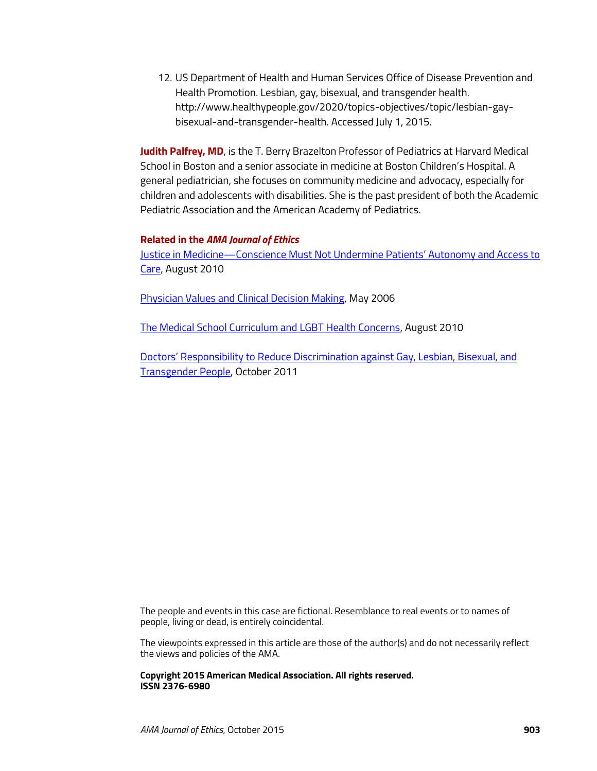12. US Department of Health and Human Services Office of Disease Prevention and Health Promotion. Lesbian, gay, bisexual, and transgender health. http://www.healthypeople.gov/2020/topics-objectives/topic/lesbian-gaybisexual-and-transgender-health. Accessed July 1, 2015.

**Judith Palfrey, MD**, is the T. Berry Brazelton Professor of Pediatrics at Harvard Medical School in Boston and a senior associate in medicine at Boston Children's Hospital. A general pediatrician, she focuses on community medicine and advocacy, especially for children and adolescents with disabilities. She is the past president of both the Academic Pediatric Association and the American Academy of Pediatrics.

#### **Related in the** *AMA Journal of Ethics*

[Justice in Medicine—Conscience Must Not Undermine Patients' Autonomy and Access to](http://journalofethics.ama-assn.org/2010/08/conl1-1008.html)  [Care,](http://journalofethics.ama-assn.org/2010/08/conl1-1008.html) August 2010

[Physician Values and Clinical Decision Making,](http://journalofethics.ama-assn.org/2006/05/ccas2-0605.html) May 2006

[The Medical School Curriculum and LGBT Health Concerns,](http://journalofethics.ama-assn.org/2010/08/medu1-1008.html) August 2010

[Doctors' Responsibility to Reduce Discrimination against Gay, Lesbian, Bisexual, and](http://journalofethics.ama-assn.org/2011/10/oped2-1110.html)  [Transgender People,](http://journalofethics.ama-assn.org/2011/10/oped2-1110.html) October 2011

The people and events in this case are fictional. Resemblance to real events or to names of people, living or dead, is entirely coincidental.

The viewpoints expressed in this article are those of the author(s) and do not necessarily reflect the views and policies of the AMA.

**Copyright 2015 American Medical Association. All rights reserved. ISSN 2376-6980**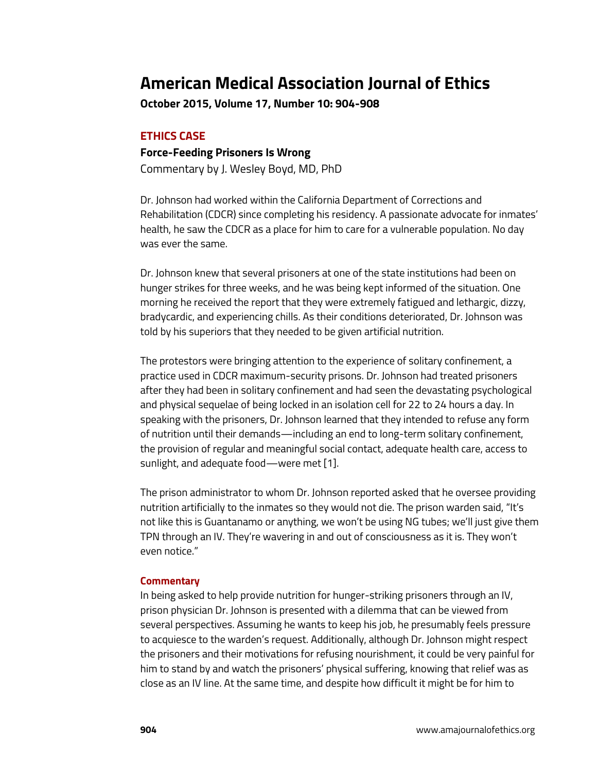## **American Medical Association Journal of Ethics**

**October 2015, Volume 17, Number 10: 904-908**

## **ETHICS CASE**

## **Force-Feeding Prisoners Is Wrong**

Commentary by J. Wesley Boyd, MD, PhD

Dr. Johnson had worked within the California Department of Corrections and Rehabilitation (CDCR) since completing his residency. A passionate advocate for inmates' health, he saw the CDCR as a place for him to care for a vulnerable population. No day was ever the same.

Dr. Johnson knew that several prisoners at one of the state institutions had been on hunger strikes for three weeks, and he was being kept informed of the situation. One morning he received the report that they were extremely fatigued and lethargic, dizzy, bradycardic, and experiencing chills. As their conditions deteriorated, Dr. Johnson was told by his superiors that they needed to be given artificial nutrition.

The protestors were bringing attention to the experience of solitary confinement, a practice used in CDCR maximum-security prisons. Dr. Johnson had treated prisoners after they had been in solitary confinement and had seen the devastating psychological and physical sequelae of being locked in an isolation cell for 22 to 24 hours a day. In speaking with the prisoners, Dr. Johnson learned that they intended to refuse any form of nutrition until their demands—including an end to long-term solitary confinement, the provision of regular and meaningful social contact, adequate health care, access to sunlight, and adequate food—were met [1].

The prison administrator to whom Dr. Johnson reported asked that he oversee providing nutrition artificially to the inmates so they would not die. The prison warden said, "It's not like this is Guantanamo or anything, we won't be using NG tubes; we'll just give them TPN through an IV. They're wavering in and out of consciousness as it is. They won't even notice."

#### **Commentary**

In being asked to help provide nutrition for hunger-striking prisoners through an IV, prison physician Dr. Johnson is presented with a dilemma that can be viewed from several perspectives. Assuming he wants to keep his job, he presumably feels pressure to acquiesce to the warden's request. Additionally, although Dr. Johnson might respect the prisoners and their motivations for refusing nourishment, it could be very painful for him to stand by and watch the prisoners' physical suffering, knowing that relief was as close as an IV line. At the same time, and despite how difficult it might be for him to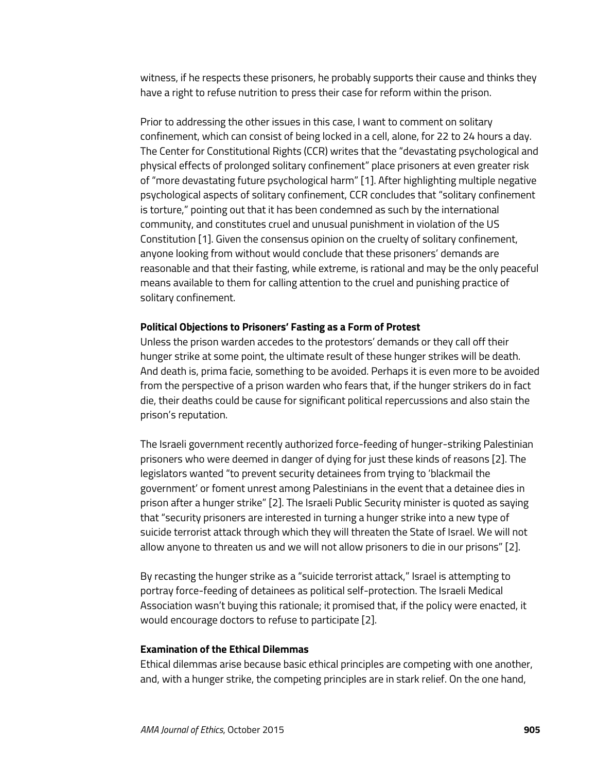witness, if he respects these prisoners, he probably supports their cause and thinks they have a right to refuse nutrition to press their case for reform within the prison.

Prior to addressing the other issues in this case, I want to comment on solitary confinement, which can consist of being locked in a cell, alone, for 22 to 24 hours a day. The Center for Constitutional Rights (CCR) writes that the "devastating psychological and physical effects of prolonged solitary confinement" place prisoners at even greater risk of "more devastating future psychological harm" [1]. After highlighting multiple negative psychological aspects of solitary confinement, CCR concludes that "solitary confinement is torture," pointing out that it has been condemned as such by the international community, and constitutes cruel and unusual punishment in violation of the US Constitution [1]. Given the consensus opinion on the cruelty of solitary confinement, anyone looking from without would conclude that these prisoners' demands are reasonable and that their fasting, while extreme, is rational and may be the only peaceful means available to them for calling attention to the cruel and punishing practice of solitary confinement.

### **Political Objections to Prisoners' Fasting as a Form of Protest**

Unless the prison warden accedes to the protestors' demands or they call off their hunger strike at some point, the ultimate result of these hunger strikes will be death. And death is, prima facie, something to be avoided. Perhaps it is even more to be avoided from the perspective of a prison warden who fears that, if the hunger strikers do in fact die, their deaths could be cause for significant political repercussions and also stain the prison's reputation.

The Israeli government recently authorized force-feeding of hunger-striking Palestinian prisoners who were deemed in danger of dying for just these kinds of reasons [2]. The legislators wanted "to prevent security detainees from trying to 'blackmail the government' or foment unrest among Palestinians in the event that a detainee dies in prison after a hunger strike" [2]. The Israeli Public Security minister is quoted as saying that "security prisoners are interested in turning a hunger strike into a new type of suicide terrorist attack through which they will threaten the State of Israel. We will not allow anyone to threaten us and we will not allow prisoners to die in our prisons" [2].

By recasting the hunger strike as a "suicide terrorist attack," Israel is attempting to portray force-feeding of detainees as political self-protection. The Israeli Medical Association wasn't buying this rationale; it promised that, if the policy were enacted, it would encourage doctors to refuse to participate [2].

#### **Examination of the Ethical Dilemmas**

Ethical dilemmas arise because basic ethical principles are competing with one another, and, with a hunger strike, the competing principles are in stark relief. On the one hand,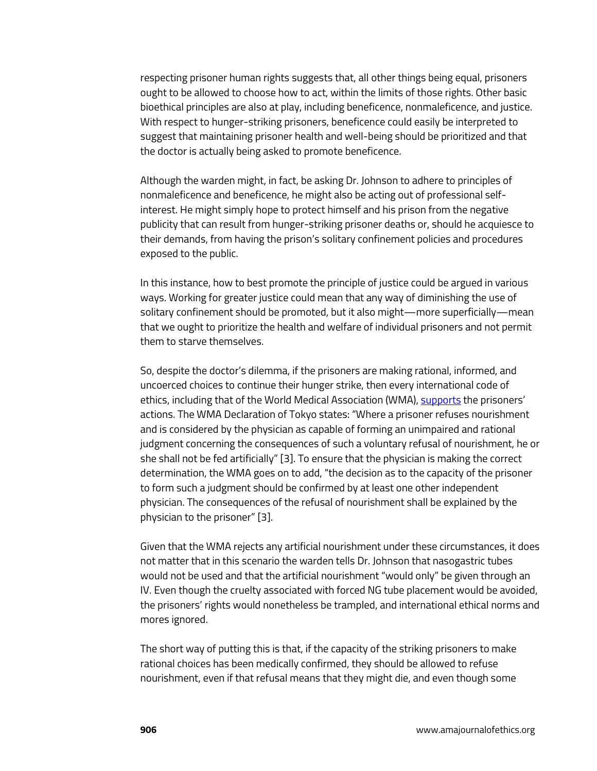respecting prisoner human rights suggests that, all other things being equal, prisoners ought to be allowed to choose how to act, within the limits of those rights. Other basic bioethical principles are also at play, including beneficence, nonmaleficence, and justice. With respect to hunger-striking prisoners, beneficence could easily be interpreted to suggest that maintaining prisoner health and well-being should be prioritized and that the doctor is actually being asked to promote beneficence.

Although the warden might, in fact, be asking Dr. Johnson to adhere to principles of nonmaleficence and beneficence, he might also be acting out of professional selfinterest. He might simply hope to protect himself and his prison from the negative publicity that can result from hunger-striking prisoner deaths or, should he acquiesce to their demands, from having the prison's solitary confinement policies and procedures exposed to the public.

In this instance, how to best promote the principle of justice could be argued in various ways. Working for greater justice could mean that any way of diminishing the use of solitary confinement should be promoted, but it also might—more superficially—mean that we ought to prioritize the health and welfare of individual prisoners and not permit them to starve themselves.

So, despite the doctor's dilemma, if the prisoners are making rational, informed, and uncoerced choices to continue their hunger strike, then every international code of ethics, including that of the World Medical Association (WMA), [supports](http://journalofethics.ama-assn.org/2007/10/pfor1-0710.html) the prisoners' actions. The WMA Declaration of Tokyo states: "Where a prisoner refuses nourishment and is considered by the physician as capable of forming an unimpaired and rational judgment concerning the consequences of such a voluntary refusal of nourishment, he or she shall not be fed artificially" [3]. To ensure that the physician is making the correct determination, the WMA goes on to add, "the decision as to the capacity of the prisoner to form such a judgment should be confirmed by at least one other independent physician. The consequences of the refusal of nourishment shall be explained by the physician to the prisoner" [3].

Given that the WMA rejects any artificial nourishment under these circumstances, it does not matter that in this scenario the warden tells Dr. Johnson that nasogastric tubes would not be used and that the artificial nourishment "would only" be given through an IV. Even though the cruelty associated with forced NG tube placement would be avoided, the prisoners' rights would nonetheless be trampled, and international ethical norms and mores ignored.

The short way of putting this is that, if the capacity of the striking prisoners to make rational choices has been medically confirmed, they should be allowed to refuse nourishment, even if that refusal means that they might die, and even though some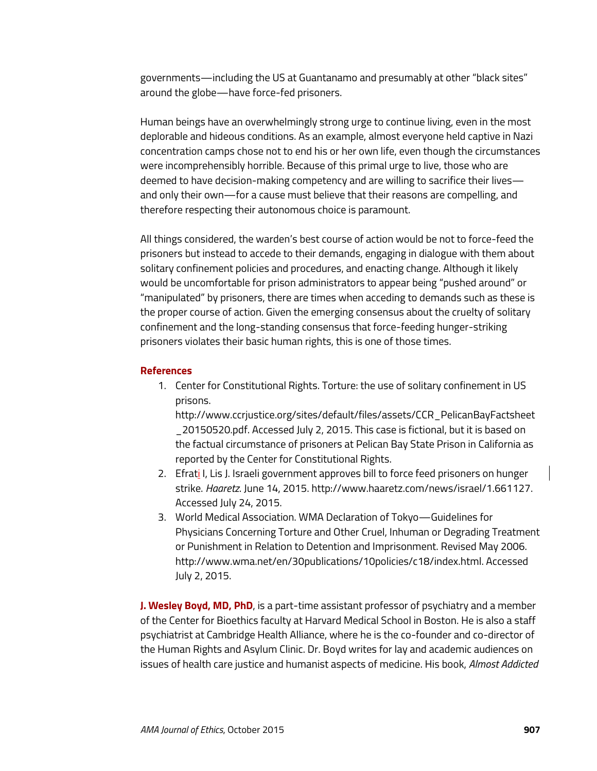governments—including the US at Guantanamo and presumably at other "black sites" around the globe—have force-fed prisoners.

Human beings have an overwhelmingly strong urge to continue living, even in the most deplorable and hideous conditions. As an example, almost everyone held captive in Nazi concentration camps chose not to end his or her own life, even though the circumstances were incomprehensibly horrible. Because of this primal urge to live, those who are deemed to have decision-making competency and are willing to sacrifice their lives and only their own—for a cause must believe that their reasons are compelling, and therefore respecting their autonomous choice is paramount.

All things considered, the warden's best course of action would be not to force-feed the prisoners but instead to accede to their demands, engaging in dialogue with them about solitary confinement policies and procedures, and enacting change. Although it likely would be uncomfortable for prison administrators to appear being "pushed around" or "manipulated" by prisoners, there are times when acceding to demands such as these is the proper course of action. Given the emerging consensus about the cruelty of solitary confinement and the long-standing consensus that force-feeding hunger-striking prisoners violates their basic human rights, this is one of those times.

## **References**

1. Center for Constitutional Rights. Torture: the use of solitary confinement in US prisons.

http://www.ccrjustice.org/sites/default/files/assets/CCR\_PelicanBayFactsheet \_20150520.pdf. Accessed July 2, 2015. This case is fictional, but it is based on the factual circumstance of prisoners at Pelican Bay State Prison in California as reported by the Center for Constitutional Rights.

- 2. Efrati I, Lis J. Israeli government approves bill to force feed prisoners on hunger strike. *Haaretz*. June 14, 2015. http://www.haaretz.com/news/israel/1.661127. Accessed July 24, 2015.
- 3. World Medical Association. WMA Declaration of Tokyo—Guidelines for Physicians Concerning Torture and Other Cruel, Inhuman or Degrading Treatment or Punishment in Relation to Detention and Imprisonment. Revised May 2006. http://www.wma.net/en/30publications/10policies/c18/index.html. Accessed July 2, 2015.

**J. Wesley Boyd, MD, PhD**, is a part-time assistant professor of psychiatry and a member of the Center for Bioethics faculty at Harvard Medical School in Boston. He is also a staff psychiatrist at Cambridge Health Alliance, where he is the co-founder and co-director of the Human Rights and Asylum Clinic. Dr. Boyd writes for lay and academic audiences on issues of health care justice and humanist aspects of medicine. His book, *Almost Addicted*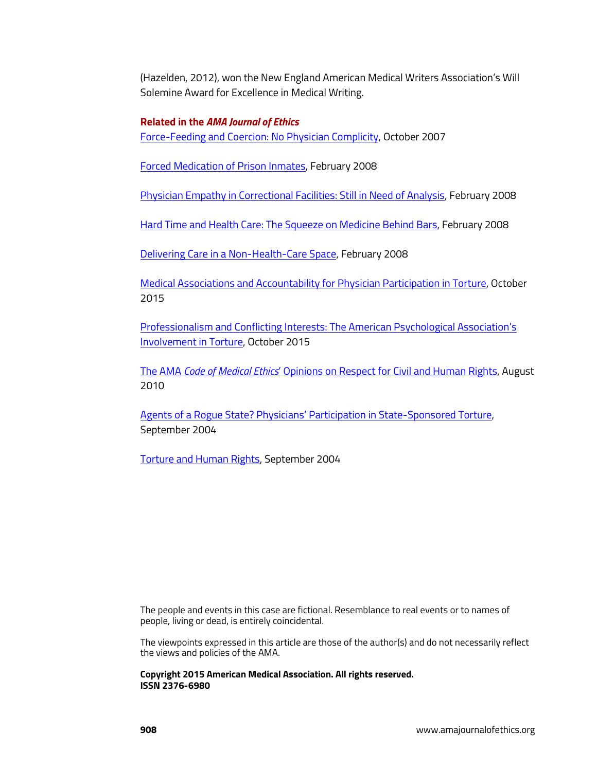(Hazelden, 2012), won the New England American Medical Writers Association's Will Solemine Award for Excellence in Medical Writing.

#### **Related in the** *AMA Journal of Ethics*

[Force-Feeding and Coercion: No Physician Complicity,](http://journalofethics.ama-assn.org/2007/10/pfor1-0710.html) October 2007

[Forced Medication of Prison Inmates,](http://journalofethics.ama-assn.org/2008/02/hlaw1-0802.html) February 2008

[Physician Empathy in Correctional Facilities: Still in Need of Analysis,](http://journalofethics.ama-assn.org/2008/02/jdsc1-0802.html) February 2008

[Hard Time and Health Care: The Squeeze on Medicine Behind Bars,](http://journalofethics.ama-assn.org/2008/02/msoc2-0802.html) February 2008

[Delivering Care in a Non-Health-Care Space,](http://journalofethics.ama-assn.org/2008/02/oped1-0802.html) February 2008

[Medical Associations and Accountability for Physician Participation in Torture,](http://journalofethics.ama-assn.org/2015/10/pfor1-1510.html) October 2015

[Professionalism and Conflicting Interests: The American Psychological Association's](http://journalofethics.ama-assn.org/2015/10/nlit1-1510.html)  [Involvement in Torture,](http://journalofethics.ama-assn.org/2015/10/nlit1-1510.html) October 2015

The AMA *Code of Medical Ethics*[' Opinions on Respect for Civil and Human Rights,](http://journalofethics.ama-assn.org/2010/08/coet1-1008.html) August 2010

[Agents of a Rogue State? Physicians' Participation in State-Sponsored Torture,](http://journalofethics.ama-assn.org/2004/09/jdsc1-0409.html) September 2004

[Torture and Human Rights,](http://journalofethics.ama-assn.org/2004/09/oped1-0409.html) September 2004

The people and events in this case are fictional. Resemblance to real events or to names of people, living or dead, is entirely coincidental.

The viewpoints expressed in this article are those of the author(s) and do not necessarily reflect the views and policies of the AMA.

**Copyright 2015 American Medical Association. All rights reserved. ISSN 2376-6980**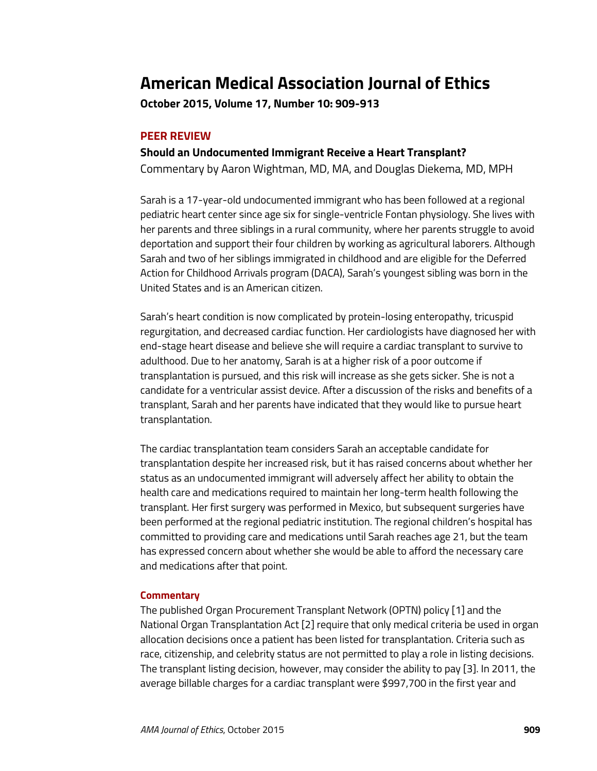# **American Medical Association Journal of Ethics**

**October 2015, Volume 17, Number 10: 909-913**

## **PEER REVIEW**

## **Should an Undocumented Immigrant Receive a Heart Transplant?**

Commentary by Aaron Wightman, MD, MA, and Douglas Diekema, MD, MPH

Sarah is a 17-year-old undocumented immigrant who has been followed at a regional pediatric heart center since age six for single-ventricle Fontan physiology. She lives with her parents and three siblings in a rural community, where her parents struggle to avoid deportation and support their four children by working as agricultural laborers. Although Sarah and two of her siblings immigrated in childhood and are eligible for the Deferred Action for Childhood Arrivals program (DACA), Sarah's youngest sibling was born in the United States and is an American citizen.

Sarah's heart condition is now complicated by protein-losing enteropathy, tricuspid regurgitation, and decreased cardiac function. Her cardiologists have diagnosed her with end-stage heart disease and believe she will require a cardiac transplant to survive to adulthood. Due to her anatomy, Sarah is at a higher risk of a poor outcome if transplantation is pursued, and this risk will increase as she gets sicker. She is not a candidate for a ventricular assist device. After a discussion of the risks and benefits of a transplant, Sarah and her parents have indicated that they would like to pursue heart transplantation.

The cardiac transplantation team considers Sarah an acceptable candidate for transplantation despite her increased risk, but it has raised concerns about whether her status as an undocumented immigrant will adversely affect her ability to obtain the health care and medications required to maintain her long-term health following the transplant. Her first surgery was performed in Mexico, but subsequent surgeries have been performed at the regional pediatric institution. The regional children's hospital has committed to providing care and medications until Sarah reaches age 21, but the team has expressed concern about whether she would be able to afford the necessary care and medications after that point.

#### **Commentary**

The published Organ Procurement Transplant Network (OPTN) policy [1] and the National Organ Transplantation Act [2] require that only medical criteria be used in organ allocation decisions once a patient has been listed for transplantation. Criteria such as race, citizenship, and celebrity status are not permitted to play a role in listing decisions. The transplant listing decision, however, may consider the ability to pay [3]. In 2011, the average billable charges for a cardiac transplant were \$997,700 in the first year and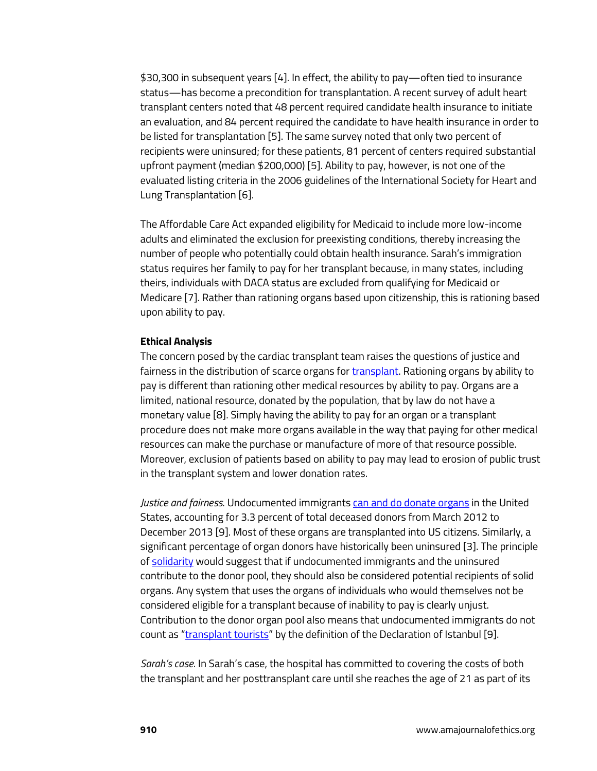\$30,300 in subsequent years [4]. In effect, the ability to pay—often tied to insurance status—has become a precondition for transplantation. A recent survey of adult heart transplant centers noted that 48 percent required candidate health insurance to initiate an evaluation, and 84 percent required the candidate to have health insurance in order to be listed for transplantation [5]. The same survey noted that only two percent of recipients were uninsured; for these patients, 81 percent of centers required substantial upfront payment (median \$200,000) [5]. Ability to pay, however, is not one of the evaluated listing criteria in the 2006 guidelines of the International Society for Heart and Lung Transplantation [6].

The Affordable Care Act expanded eligibility for Medicaid to include more low-income adults and eliminated the exclusion for preexisting conditions, thereby increasing the number of people who potentially could obtain health insurance. Sarah's immigration status requires her family to pay for her transplant because, in many states, including theirs, individuals with DACA status are excluded from qualifying for Medicaid or Medicare [7]. Rather than rationing organs based upon citizenship, this is rationing based upon ability to pay.

#### **Ethical Analysis**

The concern posed by the cardiac transplant team raises the questions of justice and fairness in the distribution of scarce organs for [transplant.](http://journalofethics.ama-assn.org/2012/03/mhst1-1203.html) Rationing organs by ability to pay is different than rationing other medical resources by ability to pay. Organs are a limited, national resource, donated by the population, that by law do not have a monetary value [8]. Simply having the ability to pay for an organ or a transplant procedure does not make more organs available in the way that paying for other medical resources can make the purchase or manufacture of more of that resource possible. Moreover, exclusion of patients based on ability to pay may lead to erosion of public trust in the transplant system and lower donation rates.

*Justice and fairness*. Undocumented immigrants [can and do donate organs](http://journalofethics.ama-assn.org/2008/04/msoc1-0804.html) in the United States, accounting for 3.3 percent of total deceased donors from March 2012 to December 2013 [9]. Most of these organs are transplanted into US citizens. Similarly, a significant percentage of organ donors have historically been uninsured [3]. The principle of [solidarity](http://journalofethics.ama-assn.org/2008/04/oped1-0804.html) would suggest that if undocumented immigrants and the uninsured contribute to the donor pool, they should also be considered potential recipients of solid organs. Any system that uses the organs of individuals who would themselves not be considered eligible for a transplant because of inability to pay is clearly unjust. Contribution to the donor organ pool also means that undocumented immigrants do not count as ["transplant tourists"](http://journalofethics.ama-assn.org/2008/05/ccas2-0805.html) by the definition of the Declaration of Istanbul [9].

*Sarah's case*. In Sarah's case, the hospital has committed to covering the costs of both the transplant and her posttransplant care until she reaches the age of 21 as part of its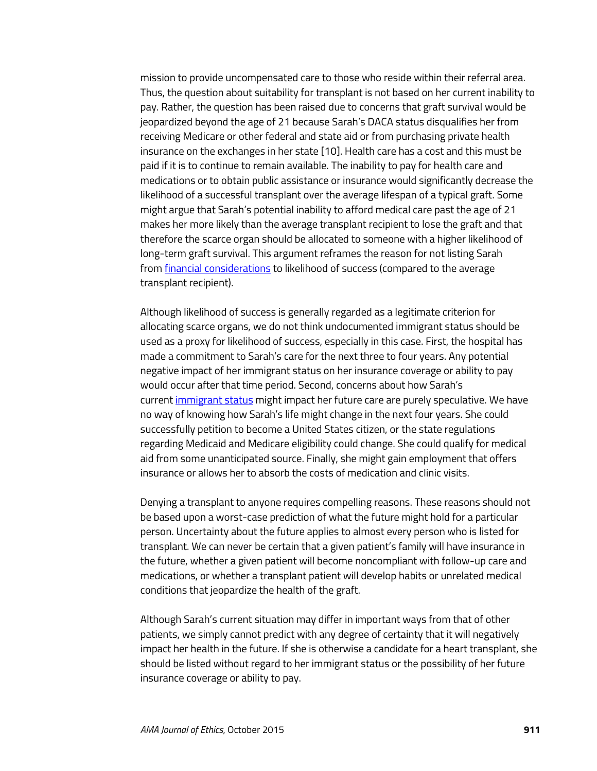mission to provide uncompensated care to those who reside within their referral area. Thus, the question about suitability for transplant is not based on her current inability to pay. Rather, the question has been raised due to concerns that graft survival would be jeopardized beyond the age of 21 because Sarah's DACA status disqualifies her from receiving Medicare or other federal and state aid or from purchasing private health insurance on the exchanges in her state [10]. Health care has a cost and this must be paid if it is to continue to remain available. The inability to pay for health care and medications or to obtain public assistance or insurance would significantly decrease the likelihood of a successful transplant over the average lifespan of a typical graft. Some might argue that Sarah's potential inability to afford medical care past the age of 21 makes her more likely than the average transplant recipient to lose the graft and that therefore the scarce organ should be allocated to someone with a higher likelihood of long-term graft survival. This argument reframes the reason for not listing Sarah from financial [considerations](http://journalofethics.ama-assn.org/2007/06/pfor1-0706.html) to likelihood of success (compared to the average transplant recipient).

Although likelihood of success is generally regarded as a legitimate criterion for allocating scarce organs, we do not think undocumented immigrant status should be used as a proxy for likelihood of success, especially in this case. First, the hospital has made a commitment to Sarah's care for the next three to four years. Any potential negative impact of her immigrant status on her insurance coverage or ability to pay would occur after that time period. Second, concerns about how Sarah's current [immigrant status](http://journalofethics.ama-assn.org/2012/04/stas1-1204.html) might impact her future care are purely speculative. We have no way of knowing how Sarah's life might change in the next four years. She could successfully petition to become a United States citizen, or the state regulations regarding Medicaid and Medicare eligibility could change. She could qualify for medical aid from some unanticipated source. Finally, she might gain employment that offers insurance or allows her to absorb the costs of medication and clinic visits.

Denying a transplant to anyone requires compelling reasons. These reasons should not be based upon a worst-case prediction of what the future might hold for a particular person. Uncertainty about the future applies to almost every person who is listed for transplant. We can never be certain that a given patient's family will have insurance in the future, whether a given patient will become noncompliant with follow-up care and medications, or whether a transplant patient will develop habits or unrelated medical conditions that jeopardize the health of the graft.

Although Sarah's current situation may differ in important ways from that of other patients, we simply cannot predict with any degree of certainty that it will negatively impact her health in the future. If she is otherwise a candidate for a heart transplant, she should be listed without regard to her immigrant status or the possibility of her future insurance coverage or ability to pay.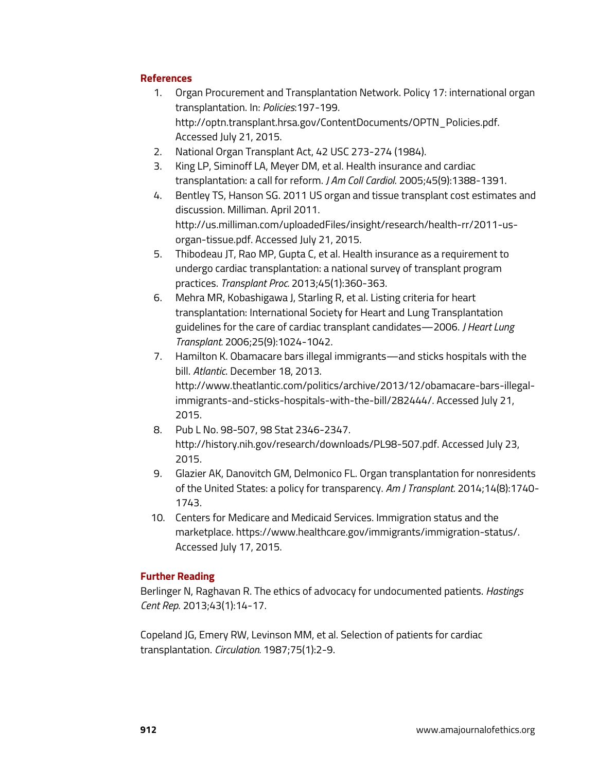## **References**

- 1. Organ Procurement and Transplantation Network. Policy 17: international organ transplantation. In: *Policies*:197-199. http://optn.transplant.hrsa.gov/ContentDocuments/OPTN\_Policies.pdf. Accessed July 21, 2015.
- 2. National Organ Transplant Act, 42 USC 273-274 (1984).
- 3. King LP, Siminoff LA, Meyer DM, et al. Health insurance and cardiac transplantation: a call for reform. *J Am Coll Cardiol*. 2005;45(9):1388-1391.
- 4. Bentley TS, Hanson SG. 2011 US organ and tissue transplant cost estimates and discussion. Milliman. April 2011. http://us.milliman.com/uploadedFiles/insight/research/health-rr/2011-usorgan-tissue.pdf. Accessed July 21, 2015.
- 5. Thibodeau JT, Rao MP, Gupta C, et al. Health insurance as a requirement to undergo cardiac transplantation: a national survey of transplant program practices. *Transplant Proc.* 2013;45(1):360-363.
- 6. Mehra MR, Kobashigawa J, Starling R, et al. Listing criteria for heart transplantation: International Society for Heart and Lung Transplantation guidelines for the care of cardiac transplant candidates—2006. *J Heart Lung Transplant.* 2006;25(9):1024-1042.
- 7. Hamilton K. Obamacare bars illegal immigrants—and sticks hospitals with the bill. *Atlantic*. December 18, 2013. http://www.theatlantic.com/politics/archive/2013/12/obamacare-bars-illegalimmigrants-and-sticks-hospitals-with-the-bill/282444/. Accessed July 21, 2015.
- 8. Pub L No. 98-507, 98 Stat 2346-2347. http://history.nih.gov/research/downloads/PL98-507.pdf. Accessed July 23, 2015.
- 9. Glazier AK, Danovitch GM, Delmonico FL. Organ transplantation for nonresidents of the United States: a policy for transparency. *Am J Transplant*. 2014;14(8):1740- 1743.
- 10. Centers for Medicare and Medicaid Services. Immigration status and the marketplace. https://www.healthcare.gov/immigrants/immigration-status/. Accessed July 17, 2015.

## **Further Reading**

Berlinger N, Raghavan R. The ethics of advocacy for undocumented patients. *Hastings Cent Rep*. 2013;43(1):14-17.

Copeland JG, Emery RW, Levinson MM, et al. Selection of patients for cardiac transplantation. *Circulation.* 1987;75(1):2-9.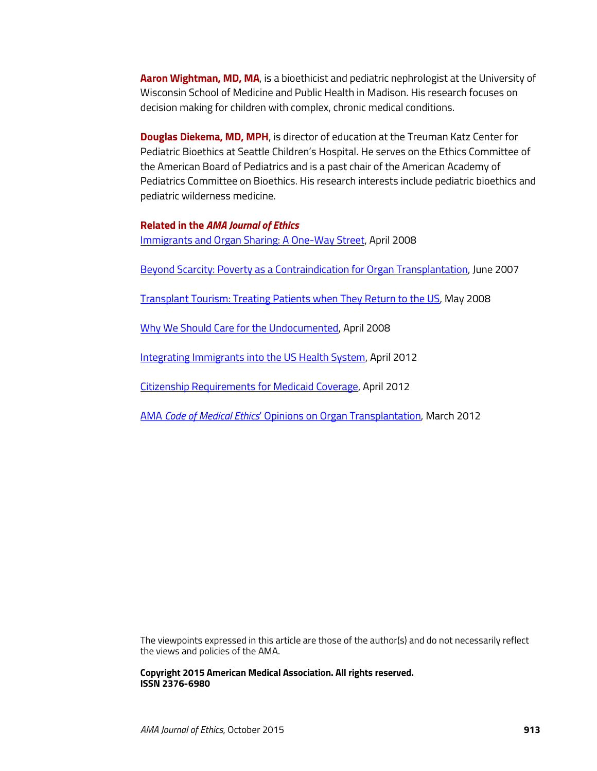**Aaron Wightman, MD, MA**, is a bioethicist and pediatric nephrologist at the University of Wisconsin School of Medicine and Public Health in Madison. His research focuses on decision making for children with complex, chronic medical conditions.

**Douglas Diekema, MD, MPH**, is director of education at the Treuman Katz Center for Pediatric Bioethics at Seattle Children's Hospital. He serves on the Ethics Committee of the American Board of Pediatrics and is a past chair of the American Academy of Pediatrics Committee on Bioethics. His research interests include pediatric bioethics and pediatric wilderness medicine.

#### **Related in the** *AMA Journal of Ethics*

[Immigrants and Organ Sharing: A One-Way Street,](http://journalofethics.ama-assn.org/2008/04/msoc1-0804.html) April 2008

[Beyond Scarcity: Poverty as a Contraindication for Organ Transplantation,](http://journalofethics.ama-assn.org/2007/06/pfor1-0706.html) June 2007

[Transplant Tourism: Treating Patients when They Return to the US,](http://journalofethics.ama-assn.org/2008/05/ccas2-0805.html) May 2008

[Why We Should Care for the Undocumented,](http://journalofethics.ama-assn.org/2008/04/oped1-0804.html) April 2008

[Integrating Immigrants into the US Health System,](http://journalofethics.ama-assn.org/2012/04/stas1-1204.html) April 2012

[Citizenship Requirements for Medicaid Coverage,](http://journalofethics.ama-assn.org/2012/04/hlaw1-1204.html) April 2012

AMA *Code of Medical Ethics*[' Opinions on Organ Transplantation,](http://journalofethics.ama-assn.org/2012/03/coet1-1203.html) March 2012

The viewpoints expressed in this article are those of the author(s) and do not necessarily reflect the views and policies of the AMA.

**Copyright 2015 American Medical Association. All rights reserved. ISSN 2376-6980**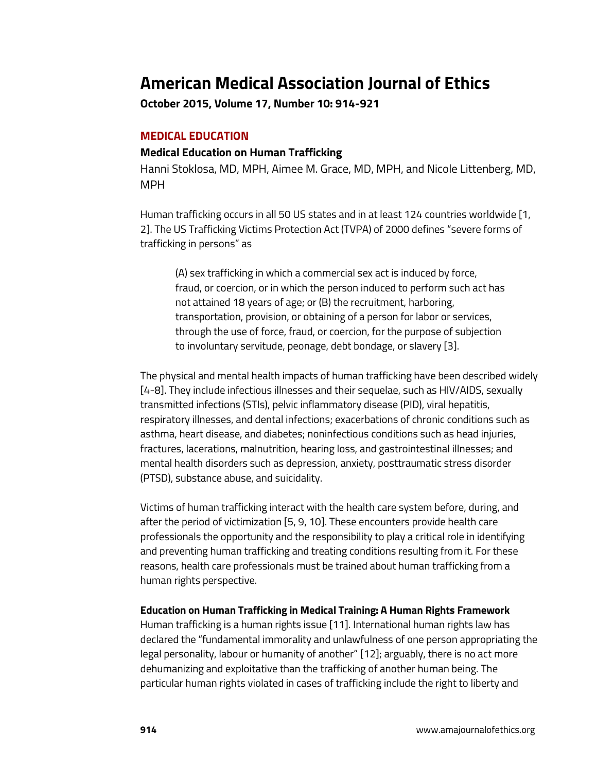# **American Medical Association Journal of Ethics**

**October 2015, Volume 17, Number 10: 914-921**

## **MEDICAL EDUCATION**

## **Medical Education on Human Trafficking**

Hanni Stoklosa, MD, MPH, Aimee M. Grace, MD, MPH, and Nicole Littenberg, MD, MPH

Human trafficking occurs in all 50 US states and in at least 124 countries worldwide [1, 2]. The US Trafficking Victims Protection Act (TVPA) of 2000 defines "severe forms of trafficking in persons" as

(A) sex trafficking in which a commercial sex act is induced by force, fraud, or coercion, or in which the person induced to perform such act has not attained 18 years of age; or (B) the recruitment, harboring, transportation, provision, or obtaining of a person for labor or services, through the use of force, fraud, or coercion, for the purpose of subjection to involuntary servitude, peonage, debt bondage, or slavery [3].

The physical and mental health impacts of human trafficking have been described widely [4-8]. They include infectious illnesses and their sequelae, such as HIV/AIDS, sexually transmitted infections (STIs), pelvic inflammatory disease (PID), viral hepatitis, respiratory illnesses, and dental infections; exacerbations of chronic conditions such as asthma, heart disease, and diabetes; noninfectious conditions such as head injuries, fractures, lacerations, malnutrition, hearing loss, and gastrointestinal illnesses; and mental health disorders such as depression, anxiety, posttraumatic stress disorder (PTSD), substance abuse, and suicidality.

Victims of human trafficking interact with the health care system before, during, and after the period of victimization [5, 9, 10]. These encounters provide health care professionals the opportunity and the responsibility to play a critical role in identifying and preventing human trafficking and treating conditions resulting from it. For these reasons, health care professionals must be trained about human trafficking from a human rights perspective.

## **Education on Human Trafficking in Medical Training: A Human Rights Framework**

Human trafficking is a human rights issue [11]. International human rights law has declared the "fundamental immorality and unlawfulness of one person appropriating the legal personality, labour or humanity of another" [12]; arguably, there is no act more dehumanizing and exploitative than the trafficking of another human being. The particular human rights violated in cases of trafficking include the right to liberty and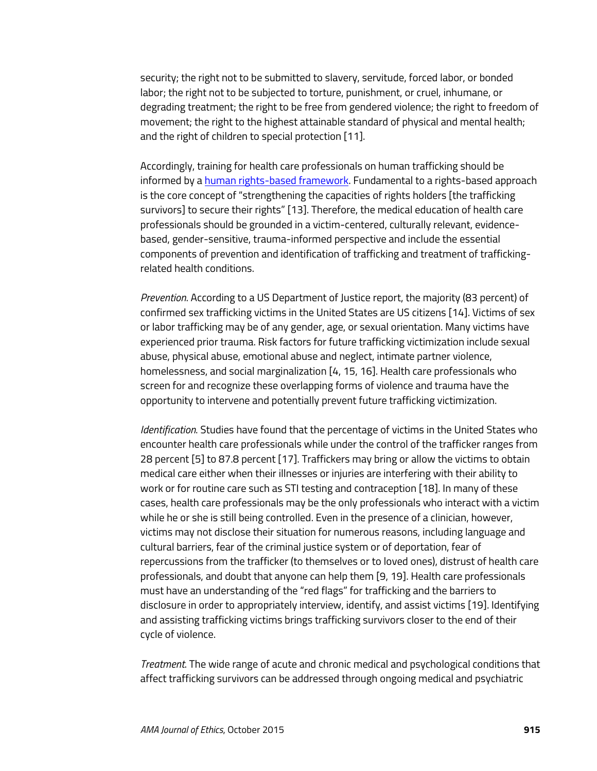security; the right not to be submitted to slavery, servitude, forced labor, or bonded labor; the right not to be subjected to torture, punishment, or cruel, inhumane, or degrading treatment; the right to be free from gendered violence; the right to freedom of movement; the right to the highest attainable standard of physical and mental health; and the right of children to special protection [11].

Accordingly, training for health care professionals on human trafficking should be informed by a [human rights-based framework.](http://journalofethics.ama-assn.org/2004/09/medu1-0409.html) Fundamental to a rights-based approach is the core concept of "strengthening the capacities of rights holders [the trafficking survivors] to secure their rights" [13]. Therefore, the medical education of health care professionals should be grounded in a victim-centered, culturally relevant, evidencebased, gender-sensitive, trauma-informed perspective and include the essential components of prevention and identification of trafficking and treatment of traffickingrelated health conditions.

*Prevention*. According to a US Department of Justice report, the majority (83 percent) of confirmed sex trafficking victims in the United States are US citizens [14]. Victims of sex or labor trafficking may be of any gender, age, or sexual orientation. Many victims have experienced prior trauma. Risk factors for future trafficking victimization include sexual abuse, physical abuse, emotional abuse and neglect, intimate partner violence, homelessness, and social marginalization [4, 15, 16]. Health care professionals who screen for and recognize these overlapping forms of violence and trauma have the opportunity to intervene and potentially prevent future trafficking victimization.

*Identification*. Studies have found that the percentage of victims in the United States who encounter health care professionals while under the control of the trafficker ranges from 28 percent [5] to 87.8 percent [17]. Traffickers may bring or allow the victims to obtain medical care either when their illnesses or injuries are interfering with their ability to work or for routine care such as STI testing and contraception [18]. In many of these cases, health care professionals may be the only professionals who interact with a victim while he or she is still being controlled. Even in the presence of a clinician, however, victims may not disclose their situation for numerous reasons, including language and cultural barriers, fear of the criminal justice system or of deportation, fear of repercussions from the trafficker (to themselves or to loved ones), distrust of health care professionals, and doubt that anyone can help them [9, 19]. Health care professionals must have an understanding of the "red flags" for trafficking and the barriers to disclosure in order to appropriately interview, identify, and assist victims [19]. Identifying and assisting trafficking victims brings trafficking survivors closer to the end of their cycle of violence.

*Treatment*. The wide range of acute and chronic medical and psychological conditions that affect trafficking survivors can be addressed through ongoing medical and psychiatric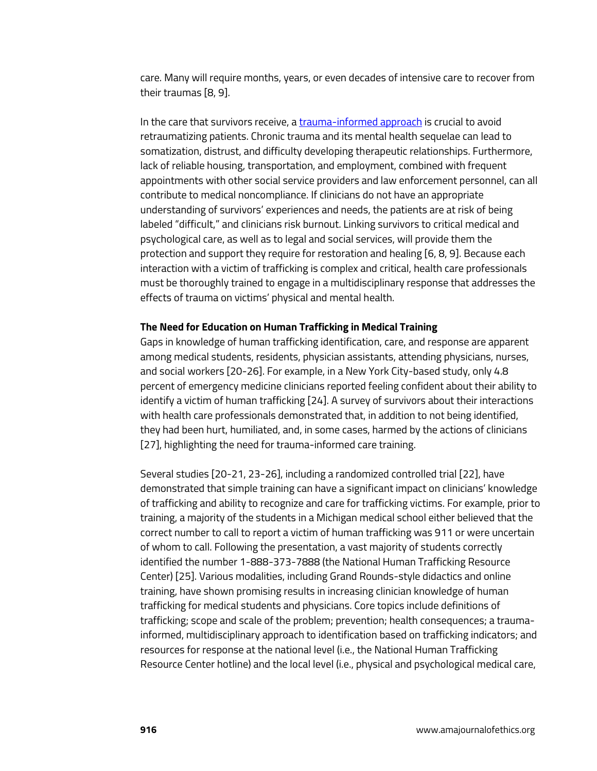care. Many will require months, years, or even decades of intensive care to recover from their traumas [8, 9].

In the care that survivors receive, a [trauma-informed approach](http://journalofethics.ama-assn.org/2009/07/cprl1-0907.html) is crucial to avoid retraumatizing patients. Chronic trauma and its mental health sequelae can lead to somatization, distrust, and difficulty developing therapeutic relationships. Furthermore, lack of reliable housing, transportation, and employment, combined with frequent appointments with other social service providers and law enforcement personnel, can all contribute to medical noncompliance. If clinicians do not have an appropriate understanding of survivors' experiences and needs, the patients are at risk of being labeled "difficult," and clinicians risk burnout. Linking survivors to critical medical and psychological care, as well as to legal and social services, will provide them the protection and support they require for restoration and healing [6, 8, 9]. Because each interaction with a victim of trafficking is complex and critical, health care professionals must be thoroughly trained to engage in a multidisciplinary response that addresses the effects of trauma on victims' physical and mental health.

## **The Need for Education on Human Trafficking in Medical Training**

Gaps in knowledge of human trafficking identification, care, and response are apparent among medical students, residents, physician assistants, attending physicians, nurses, and social workers [20-26]. For example, in a New York City-based study, only 4.8 percent of emergency medicine clinicians reported feeling confident about their ability to identify a victim of human trafficking [24]. A survey of survivors about their interactions with health care professionals demonstrated that, in addition to not being identified, they had been hurt, humiliated, and, in some cases, harmed by the actions of clinicians [27], highlighting the need for trauma-informed care training.

Several studies [20-21, 23-26], including a randomized controlled trial [22], have demonstrated that simple training can have a significant impact on clinicians' knowledge of trafficking and ability to recognize and care for trafficking victims. For example, prior to training, a majority of the students in a Michigan medical school either believed that the correct number to call to report a victim of human trafficking was 911 or were uncertain of whom to call. Following the presentation, a vast majority of students correctly identified the number 1-888-373-7888 (the National Human Trafficking Resource Center) [25]. Various modalities, including Grand Rounds-style didactics and online training, have shown promising results in increasing clinician knowledge of human trafficking for medical students and physicians. Core topics include definitions of trafficking; scope and scale of the problem; prevention; health consequences; a traumainformed, multidisciplinary approach to identification based on trafficking indicators; and resources for response at the national level (i.e., the National Human Trafficking Resource Center hotline) and the local level (i.e., physical and psychological medical care,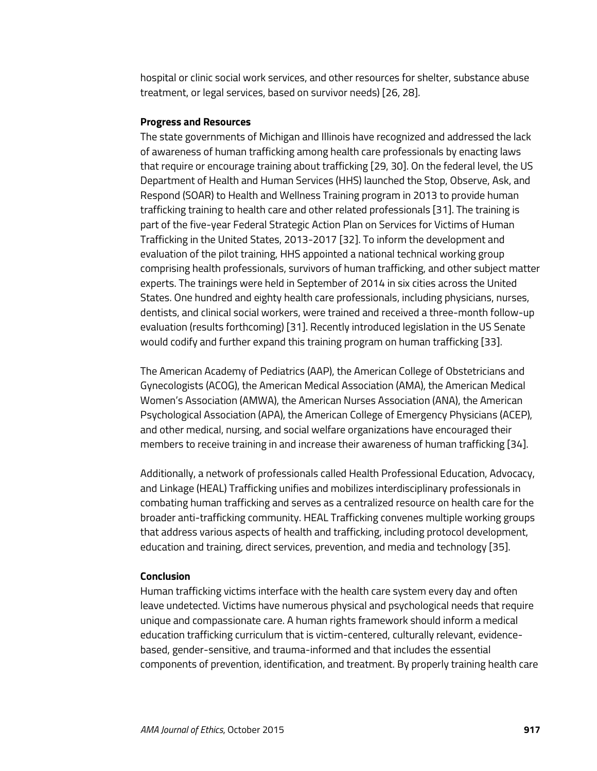hospital or clinic social work services, and other resources for shelter, substance abuse treatment, or legal services, based on survivor needs) [26, 28].

#### **Progress and Resources**

The state governments of Michigan and Illinois have recognized and addressed the lack of awareness of human trafficking among health care professionals by enacting laws that require or encourage training about trafficking [29, 30]. On the federal level, the US Department of Health and Human Services (HHS) launched the Stop, Observe, Ask, and Respond (SOAR) to Health and Wellness Training program in 2013 to provide human trafficking training to health care and other related professionals [31]. The training is part of the five-year Federal Strategic Action Plan on Services for Victims of Human Trafficking in the United States, 2013-2017 [32]. To inform the development and evaluation of the pilot training, HHS appointed a national technical working group comprising health professionals, survivors of human trafficking, and other subject matter experts. The trainings were held in September of 2014 in six cities across the United States. One hundred and eighty health care professionals, including physicians, nurses, dentists, and clinical social workers, were trained and received a three-month follow-up evaluation (results forthcoming) [31]. Recently introduced legislation in the US Senate would codify and further expand this training program on human trafficking [33].

The American Academy of Pediatrics (AAP), the American College of Obstetricians and Gynecologists (ACOG), the American Medical Association (AMA), the American Medical Women's Association (AMWA), the American Nurses Association (ANA), the American Psychological Association (APA), the American College of Emergency Physicians (ACEP), and other medical, nursing, and social welfare organizations have encouraged their members to receive training in and increase their awareness of human trafficking [34].

Additionally, a network of professionals called Health Professional Education, Advocacy, and Linkage (HEAL) Trafficking unifies and mobilizes interdisciplinary professionals in combating human trafficking and serves as a centralized resource on health care for the broader anti-trafficking community. HEAL Trafficking convenes multiple working groups that address various aspects of health and trafficking, including protocol development, education and training, direct services, prevention, and media and technology [35].

#### **Conclusion**

Human trafficking victims interface with the health care system every day and often leave undetected. Victims have numerous physical and psychological needs that require unique and compassionate care. A human rights framework should inform a medical education trafficking curriculum that is victim-centered, culturally relevant, evidencebased, gender-sensitive, and trauma-informed and that includes the essential components of prevention, identification, and treatment. By properly training health care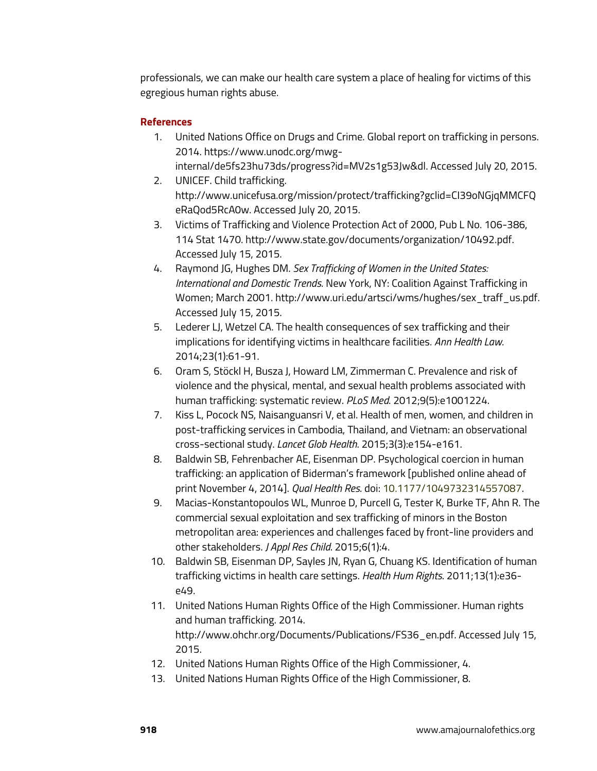professionals, we can make our health care system a place of healing for victims of this egregious human rights abuse.

## **References**

- 1. United Nations Office on Drugs and Crime. Global report on trafficking in persons. 2014. https://www.unodc.org/mwginternal/de5fs23hu73ds/progress?id=MV2s1g53Jw&dl. Accessed July 20, 2015.
- 2. UNICEF. Child trafficking. http://www.unicefusa.org/mission/protect/trafficking?gclid=CI39oNGjqMMCFQ eRaQod5RcA0w. Accessed July 20, 2015.
- 3. Victims of Trafficking and Violence Protection Act of 2000, Pub L No. 106-386, 114 Stat 1470. http://www.state.gov/documents/organization/10492.pdf. Accessed July 15, 2015.
- 4. Raymond JG, Hughes DM. *Sex Trafficking of Women in the United States: International and Domestic Trends*. New York, NY: Coalition Against Trafficking in Women; March 2001. http://www.uri.edu/artsci/wms/hughes/sex\_traff\_us.pdf. Accessed July 15, 2015.
- 5. Lederer LJ, Wetzel CA. The health consequences of sex trafficking and their implications for identifying victims in healthcare facilities. *Ann Health Law*. 2014;23(1):61-91.
- 6. Oram S, Stöckl H, Busza J, Howard LM, Zimmerman C. Prevalence and risk of violence and the physical, mental, and sexual health problems associated with human trafficking: systematic review. *PLoS Med*. 2012;9(5):e1001224.
- 7. Kiss L, Pocock NS, Naisanguansri V, et al. Health of men, women, and children in post-trafficking services in Cambodia, Thailand, and Vietnam: an observational cross-sectional study. *Lancet Glob Health*. 2015;3(3):e154-e161.
- 8. Baldwin SB, Fehrenbacher AE, Eisenman DP. Psychological coercion in human trafficking: an application of Biderman's framework [published online ahead of print November 4, 2014]. *Qual Health Res*. doi: 10.1177/1049732314557087.
- 9. Macias-Konstantopoulos WL, Munroe D, Purcell G, Tester K, Burke TF, Ahn R. The commercial sexual exploitation and sex trafficking of minors in the Boston metropolitan area: experiences and challenges faced by front-line providers and other stakeholders. *J Appl Res Child*. 2015;6(1):4.
- 10. Baldwin SB, Eisenman DP, Sayles JN, Ryan G, Chuang KS. Identification of human trafficking victims in health care settings. *Health Hum Rights*. 2011;13(1):e36 e49.
- 11. United Nations Human Rights Office of the High Commissioner. Human rights and human trafficking. 2014. http://www.ohchr.org/Documents/Publications/FS36\_en.pdf. Accessed July 15, 2015.
- 12. United Nations Human Rights Office of the High Commissioner, 4.
- 13. United Nations Human Rights Office of the High Commissioner, 8.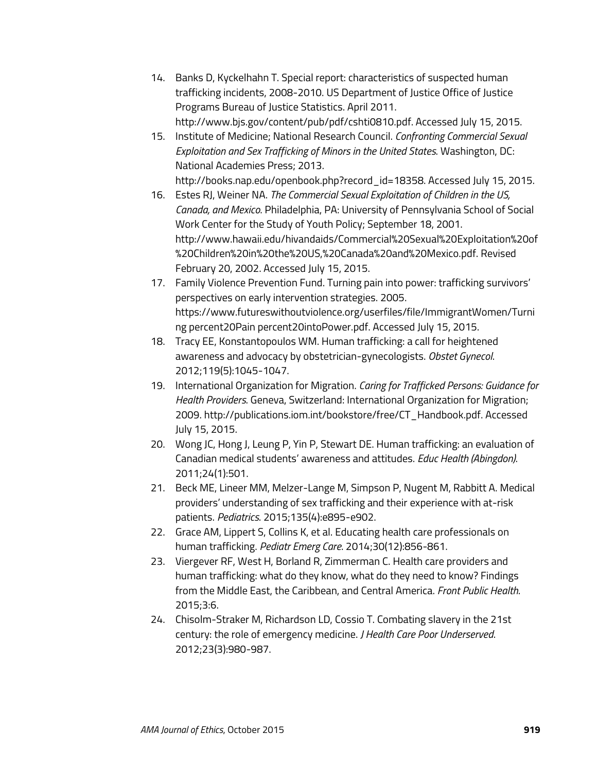- 14. Banks D, Kyckelhahn T. Special report: characteristics of suspected human trafficking incidents, 2008-2010. US Department of Justice Office of Justice Programs Bureau of Justice Statistics. April 2011. http://www.bjs.gov/content/pub/pdf/cshti0810.pdf. Accessed July 15, 2015.
- 15. Institute of Medicine; National Research Council. *Confronting Commercial Sexual Exploitation and Sex Trafficking of Minors in the United States*. Washington, DC: National Academies Press; 2013. http://books.nap.edu/openbook.php?record\_id=18358. Accessed July 15, 2015.
- 16. Estes RJ, Weiner NA. *The Commercial Sexual Exploitation of Children in the US, Canada, and Mexico*. Philadelphia, PA: University of Pennsylvania School of Social Work Center for the Study of Youth Policy; September 18, 2001. http://www.hawaii.edu/hivandaids/Commercial%20Sexual%20Exploitation%20of %20Children%20in%20the%20US,%20Canada%20and%20Mexico.pdf. Revised February 20, 2002. Accessed July 15, 2015.
- 17. Family Violence Prevention Fund. Turning pain into power: trafficking survivors' perspectives on early intervention strategies. 2005. https://www.futureswithoutviolence.org/userfiles/file/ImmigrantWomen/Turni ng percent20Pain percent20intoPower.pdf. Accessed July 15, 2015.
- 18. Tracy EE, Konstantopoulos WM. Human trafficking: a call for heightened awareness and advocacy by obstetrician-gynecologists. *Obstet Gynecol*. 2012;119(5):1045-1047.
- 19. International Organization for Migration. *Caring for Trafficked Persons: Guidance for Health Providers*. Geneva, Switzerland: International Organization for Migration; 2009. http://publications.iom.int/bookstore/free/CT\_Handbook.pdf. Accessed July 15, 2015.
- 20. Wong JC, Hong J, Leung P, Yin P, Stewart DE. Human trafficking: an evaluation of Canadian medical students' awareness and attitudes. *Educ Health (Abingdon)*. 2011;24(1):501.
- 21. Beck ME, Lineer MM, Melzer-Lange M, Simpson P, Nugent M, Rabbitt A. Medical providers' understanding of sex trafficking and their experience with at-risk patients. *Pediatrics*. 2015;135(4):e895-e902.
- 22. Grace AM, Lippert S, Collins K, et al. Educating health care professionals on human trafficking. *Pediatr Emerg Care*. 2014;30(12):856-861.
- 23. Viergever RF, West H, Borland R, Zimmerman C. Health care providers and human trafficking: what do they know, what do they need to know? Findings from the Middle East, the Caribbean, and Central America. *Front Public Health*. 2015;3:6.
- 24. Chisolm-Straker M, Richardson LD, Cossio T. Combating slavery in the 21st century: the role of emergency medicine. *J Health Care Poor Underserved*. 2012;23(3):980-987.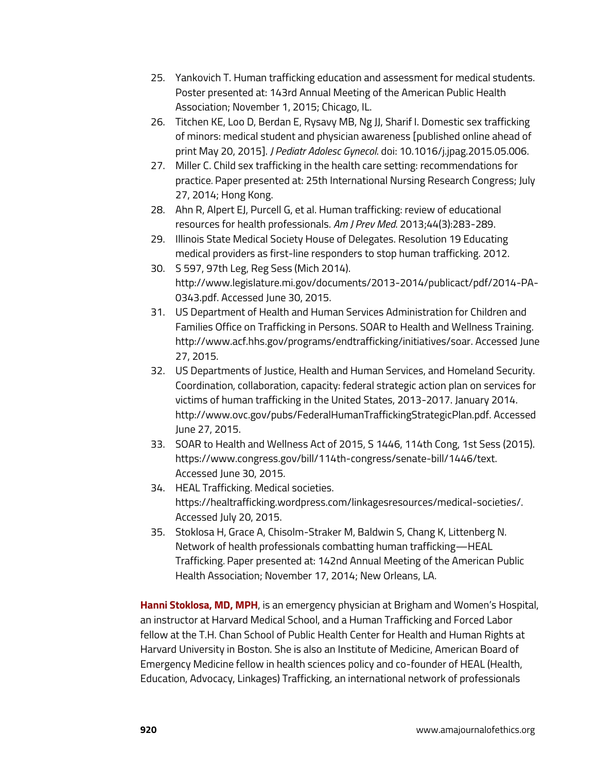- 25. Yankovich T. Human trafficking education and assessment for medical students. Poster presented at: 143rd Annual Meeting of the American Public Health Association; November 1, 2015; Chicago, IL.
- 26. Titchen KE, Loo D, Berdan E, Rysavy MB, Ng JJ, Sharif I. Domestic sex trafficking of minors: medical student and physician awareness [published online ahead of print May 20, 2015]. *J Pediatr Adolesc Gynecol*. doi: 10.1016/j.jpag.2015.05.006.
- 27. Miller C. Child sex trafficking in the health care setting: recommendations for practice*.* Paper presented at: 25th International Nursing Research Congress; July 27, 2014; Hong Kong.
- 28. Ahn R, Alpert EJ, Purcell G, et al. Human trafficking: review of educational resources for health professionals. *Am J Prev Med*. 2013;44(3):283-289.
- 29. Illinois State Medical Society House of Delegates. Resolution 19 Educating medical providers as first-line responders to stop human trafficking. 2012.
- 30. S 597, 97th Leg, Reg Sess (Mich 2014). http://www.legislature.mi.gov/documents/2013-2014/publicact/pdf/2014-PA-0343.pdf. Accessed June 30, 2015.
- 31. US Department of Health and Human Services Administration for Children and Families Office on Trafficking in Persons. SOAR to Health and Wellness Training. http://www.acf.hhs.gov/programs/endtrafficking/initiatives/soar. Accessed June 27, 2015.
- 32. US Departments of Justice, Health and Human Services, and Homeland Security. Coordination, collaboration, capacity: federal strategic action plan on services for victims of human trafficking in the United States, 2013-2017. January 2014. http://www.ovc.gov/pubs/FederalHumanTraffickingStrategicPlan.pdf. Accessed June 27, 2015.
- 33. SOAR to Health and Wellness Act of 2015, S 1446, 114th Cong, 1st Sess (2015). https://www.congress.gov/bill/114th-congress/senate-bill/1446/text. Accessed June 30, 2015.
- 34. HEAL Trafficking. Medical societies. https://healtrafficking.wordpress.com/linkagesresources/medical-societies/. Accessed July 20, 2015.
- 35. Stoklosa H, Grace A, Chisolm-Straker M, Baldwin S, Chang K, Littenberg N. Network of health professionals combatting human trafficking—HEAL Trafficking*.* Paper presented at: 142nd Annual Meeting of the American Public Health Association; November 17, 2014; New Orleans, LA.

**Hanni Stoklosa, MD, MPH**, is an emergency physician at Brigham and Women's Hospital, an instructor at Harvard Medical School, and a Human Trafficking and Forced Labor fellow at the T.H. Chan School of Public Health Center for Health and Human Rights at Harvard University in Boston. She is also an Institute of Medicine, American Board of Emergency Medicine fellow in health sciences policy and co-founder of HEAL (Health, Education, Advocacy, Linkages) Trafficking, an international network of professionals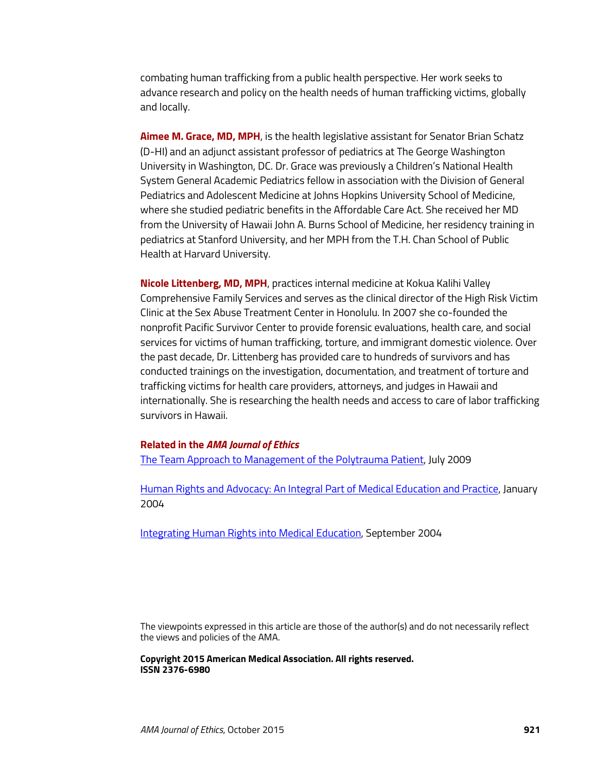combating human trafficking from a public health perspective. Her work seeks to advance research and policy on the health needs of human trafficking victims, globally and locally.

**Aimee M. Grace, MD, MPH**, is the health legislative assistant for Senator Brian Schatz (D-HI) and an adjunct assistant professor of pediatrics at The George Washington University in Washington, DC. Dr. Grace was previously a Children's National Health System General Academic Pediatrics fellow in association with the Division of General Pediatrics and Adolescent Medicine at Johns Hopkins University School of Medicine, where she studied pediatric benefits in the Affordable Care Act. She received her MD from the University of Hawaii John A. Burns School of Medicine, her residency training in pediatrics at Stanford University, and her MPH from the T.H. Chan School of Public Health at Harvard University.

**Nicole Littenberg, MD, MPH**, practices internal medicine at Kokua Kalihi Valley Comprehensive Family Services and serves as the clinical director of the High Risk Victim Clinic at the Sex Abuse Treatment Center in Honolulu. In 2007 she co-founded the nonprofit Pacific Survivor Center to provide forensic evaluations, health care, and social services for victims of human trafficking, torture, and immigrant domestic violence. Over the past decade, Dr. Littenberg has provided care to hundreds of survivors and has conducted trainings on the investigation, documentation, and treatment of torture and trafficking victims for health care providers, attorneys, and judges in Hawaii and internationally. She is researching the health needs and access to care of labor trafficking survivors in Hawaii.

#### **Related in the** *AMA Journal of Ethics*

[The Team Approach to Management of the Polytrauma Patient,](http://journalofethics.ama-assn.org/2009/07/cprl1-0907.html) July 2009

[Human Rights and Advocacy: An Integral Part of Medical Education and Practice,](http://journalofethics.ama-assn.org/2004/01/pfor2-0401.html) January 2004

[Integrating Human Rights into Medical Education,](http://journalofethics.ama-assn.org/2004/09/medu1-0409.html) September 2004

The viewpoints expressed in this article are those of the author(s) and do not necessarily reflect the views and policies of the AMA.

#### **Copyright 2015 American Medical Association. All rights reserved. ISSN 2376-6980**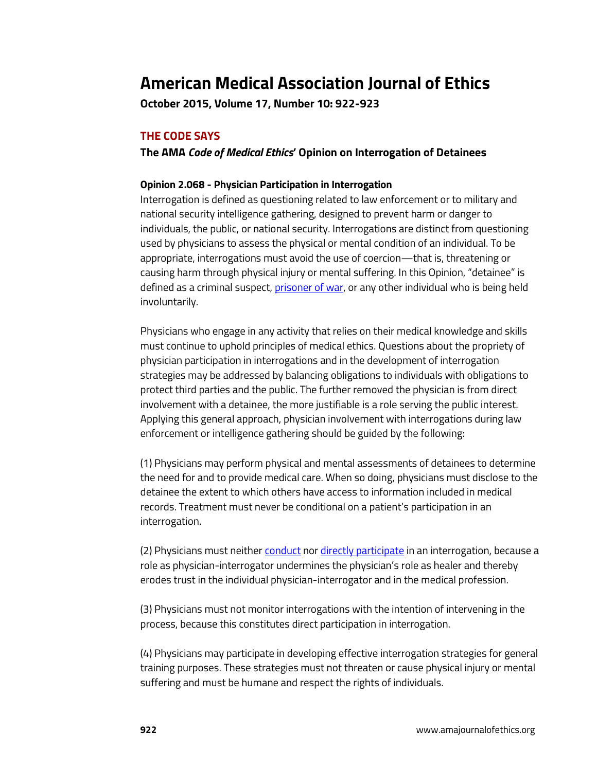# **American Medical Association Journal of Ethics**

**October 2015, Volume 17, Number 10: 922-923**

## **THE CODE SAYS**

## **The AMA** *Code of Medical Ethics***' Opinion on Interrogation of Detainees**

## **Opinion 2.068 - Physician Participation in Interrogation**

Interrogation is defined as questioning related to law enforcement or to military and national security intelligence gathering, designed to prevent harm or danger to individuals, the public, or national security. Interrogations are distinct from questioning used by physicians to assess the physical or mental condition of an individual. To be appropriate, interrogations must avoid the use of coercion—that is, threatening or causing harm through physical injury or mental suffering. In this Opinion, "detainee" is defined as a criminal suspect, [prisoner of war,](http://journalofethics.ama-assn.org/2007/10/ccas2-0710.html) or any other individual who is being held involuntarily.

Physicians who engage in any activity that relies on their medical knowledge and skills must continue to uphold principles of medical ethics. Questions about the propriety of physician participation in interrogations and in the development of interrogation strategies may be addressed by balancing obligations to individuals with obligations to protect third parties and the public. The further removed the physician is from direct involvement with a detainee, the more justifiable is a role serving the public interest. Applying this general approach, physician involvement with interrogations during law enforcement or intelligence gathering should be guided by the following:

(1) Physicians may perform physical and mental assessments of detainees to determine the need for and to provide medical care. When so doing, physicians must disclose to the detainee the extent to which others have access to information included in medical records. Treatment must never be conditional on a patient's participation in an interrogation.

(2) Physicians must neithe[r conduct](http://journalofethics.ama-assn.org/2004/09/jdsc1-0409.html) nor [directly participate](http://journalofethics.ama-assn.org/2015/10/pfor1-1510.html) in an interrogation, because a role as physician-interrogator undermines the physician's role as healer and thereby erodes trust in the individual physician-interrogator and in the medical profession.

(3) Physicians must not monitor interrogations with the intention of intervening in the process, because this constitutes direct participation in interrogation.

(4) Physicians may participate in developing effective interrogation strategies for general training purposes. These strategies must not threaten or cause physical injury or mental suffering and must be humane and respect the rights of individuals.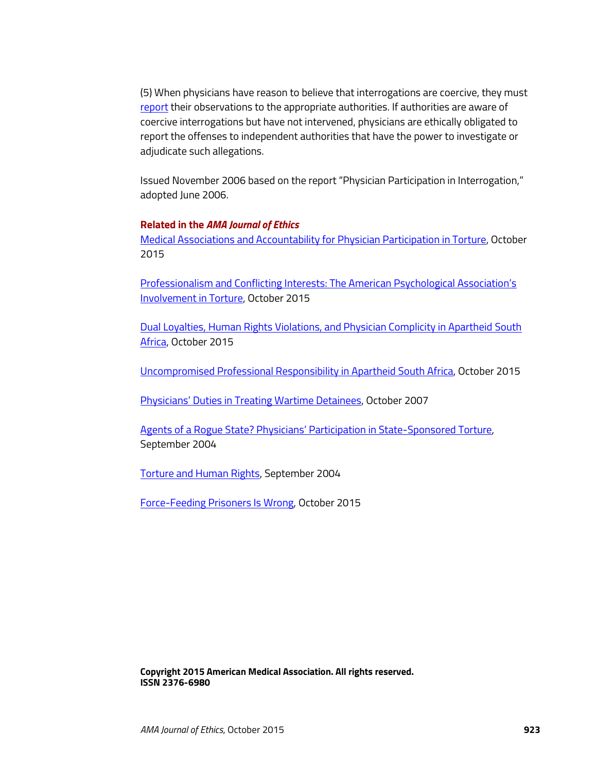(5) When physicians have reason to believe that interrogations are coercive, they must [report](http://journalofethics.ama-assn.org/2015/10/mnar1-1510.html) their observations to the appropriate authorities. If authorities are aware of coercive interrogations but have not intervened, physicians are ethically obligated to report the offenses to independent authorities that have the power to investigate or adjudicate such allegations.

Issued November 2006 based on the report "Physician Participation in Interrogation," adopted June 2006.

## **Related in the** *AMA Journal of Ethics*

[Medical Associations and Accountability for Physician Participation in Torture,](http://journalofethics.ama-assn.org/2015/10/pfor1-1510.html) October 2015

[Professionalism and Conflicting Interests: The American Psychological Association's](http://journalofethics.ama-assn.org/2015/10/nlit1-1510.html)  [Involvement in](http://journalofethics.ama-assn.org/2015/10/nlit1-1510.html) Torture, October 2015

[Dual Loyalties, Human Rights Violations, and Physician Complicity in Apartheid South](http://journalofethics.ama-assn.org/mhst1-1510.html)  [Africa,](http://journalofethics.ama-assn.org/mhst1-1510.html) October 2015

[Uncompromised Professional Responsibility in Apartheid South Africa,](http://journalofethics.ama-assn.org/mnar1-1510.html) October 2015

[Physicians' Duties in Treating Wartime Detainees,](http://journalofethics.ama-assn.org/2007/10/ccas2-0710.html) October 2007

[Agents of a Rogue State? Physicians' Participation in State-Sponsored Torture,](http://journalofethics.ama-assn.org/2004/09/jdsc1-0409.html) September 2004

[Torture and Human Rights,](http://journalofethics.ama-assn.org/2004/09/oped1-0409.html) September 2004

[Force-Feeding Prisoners Is Wrong,](http://journalofethics.ama-assn.org/2015/10/ecas2-1510.html) October 2015

**Copyright 2015 American Medical Association. All rights reserved. ISSN 2376-6980**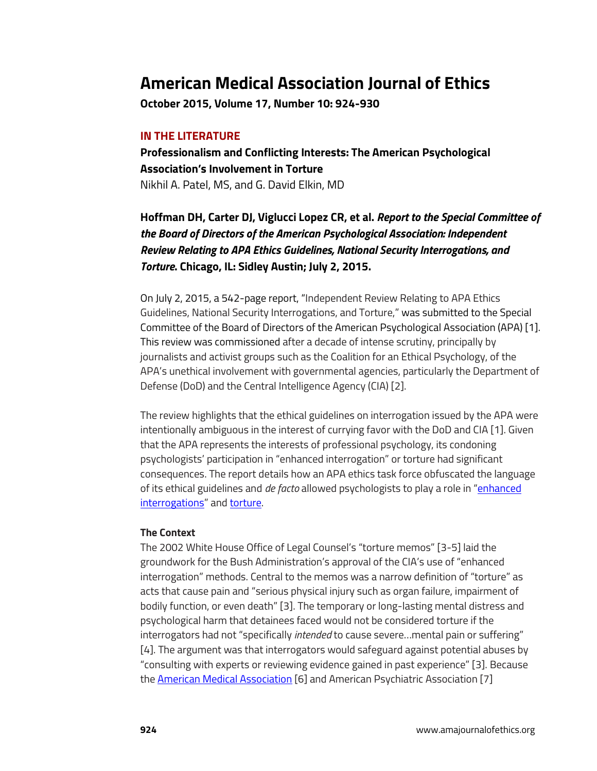## **American Medical Association Journal of Ethics**

**October 2015, Volume 17, Number 10: 924-930**

## **IN THE LITERATURE**

**Professionalism and Conflicting Interests: The American Psychological Association's Involvement in Torture** Nikhil A. Patel, MS, and G. David Elkin, MD

## **Hoffman DH, Carter DJ, Viglucci Lopez CR, et al.** *Report to the Special Committee of the Board of Directors of the American Psychological Association: Independent Review Relating to APA Ethics Guidelines, National Security Interrogations, and Torture***. Chicago, IL: Sidley Austin; July 2, 2015.**

On July 2, 2015, a 542-page report, "Independent Review Relating to APA Ethics Guidelines, National Security Interrogations, and Torture," was submitted to the Special Committee of the Board of Directors of the American Psychological Association (APA) [1]. This review was commissioned after a decade of intense scrutiny, principally by journalists and activist groups such as the Coalition for an Ethical Psychology, of the APA's unethical involvement with governmental agencies, particularly the Department of Defense (DoD) and the Central Intelligence Agency (CIA) [2].

The review highlights that the ethical guidelines on interrogation issued by the APA were intentionally ambiguous in the interest of currying favor with the DoD and CIA [1]. Given that the APA represents the interests of professional psychology, its condoning psychologists' participation in "enhanced interrogation" or torture had significant consequences. The report details how an APA ethics task force obfuscated the language of its ethical guidelines and *de facto* allowed psychologists to play a role in ["enhanced](http://journalofethics.ama-assn.org/2007/10/ccas2-0710.html)  [interrogations"](http://journalofethics.ama-assn.org/2007/10/ccas2-0710.html) an[d torture.](http://journalofethics.ama-assn.org/2004/09/jdsc1-0409.html)

## **The Context**

The 2002 White House Office of Legal Counsel's "torture memos" [3-5] laid the groundwork for the Bush Administration's approval of the CIA's use of "enhanced interrogation" methods. Central to the memos was a narrow definition of "torture" as acts that cause pain and "serious physical injury such as organ failure, impairment of bodily function, or even death" [3]. The temporary or long-lasting mental distress and psychological harm that detainees faced would not be considered torture if the interrogators had not "specifically *intended* to cause severe…mental pain or suffering" [4]. The argument was that interrogators would safeguard against potential abuses by "consulting with experts or reviewing evidence gained in past experience" [3]. Because the **American Medical Association** [6] and American Psychiatric Association [7]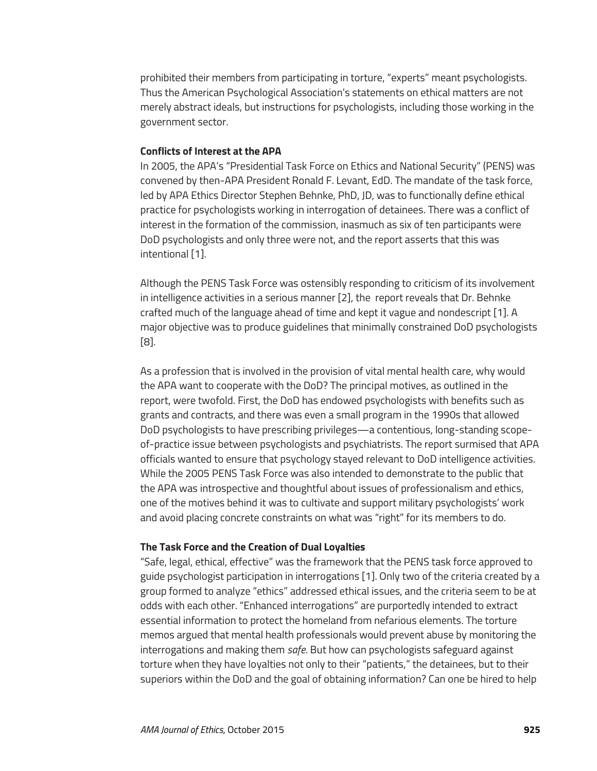prohibited their members from participating in torture, "experts" meant psychologists. Thus the American Psychological Association's statements on ethical matters are not merely abstract ideals, but instructions for psychologists, including those working in the government sector.

#### **Conflicts of Interest at the APA**

In 2005, the APA's "Presidential Task Force on Ethics and National Security" (PENS) was convened by then-APA President Ronald F. Levant, EdD. The mandate of the task force, led by APA Ethics Director Stephen Behnke, PhD, JD, was to functionally define ethical practice for psychologists working in interrogation of detainees. There was a conflict of interest in the formation of the commission, inasmuch as six of ten participants were DoD psychologists and only three were not, and the report asserts that this was intentional [1].

Although the PENS Task Force was ostensibly responding to criticism of its involvement in intelligence activities in a serious manner [2], the report reveals that Dr. Behnke crafted much of the language ahead of time and kept it vague and nondescript [1]. A major objective was to produce guidelines that minimally constrained DoD psychologists [8].

As a profession that is involved in the provision of vital mental health care, why would the APA want to cooperate with the DoD? The principal motives, as outlined in the report, were twofold. First, the DoD has endowed psychologists with benefits such as grants and contracts, and there was even a small program in the 1990s that allowed DoD psychologists to have prescribing privileges—a contentious, long-standing scopeof-practice issue between psychologists and psychiatrists. The report surmised that APA officials wanted to ensure that psychology stayed relevant to DoD intelligence activities. While the 2005 PENS Task Force was also intended to demonstrate to the public that the APA was introspective and thoughtful about issues of professionalism and ethics, one of the motives behind it was to cultivate and support military psychologists' work and avoid placing concrete constraints on what was "right" for its members to do.

## **The Task Force and the Creation of Dual Loyalties**

"Safe, legal, ethical, effective" was the framework that the PENS task force approved to guide psychologist participation in interrogations [1]. Only two of the criteria created by a group formed to analyze "ethics" addressed ethical issues, and the criteria seem to be at odds with each other. "Enhanced interrogations" are purportedly intended to extract essential information to protect the homeland from nefarious elements. The torture memos argued that mental health professionals would prevent abuse by monitoring the interrogations and making them *safe*. But how can psychologists safeguard against torture when they have loyalties not only to their "patients," the detainees, but to their superiors within the DoD and the goal of obtaining information? Can one be hired to help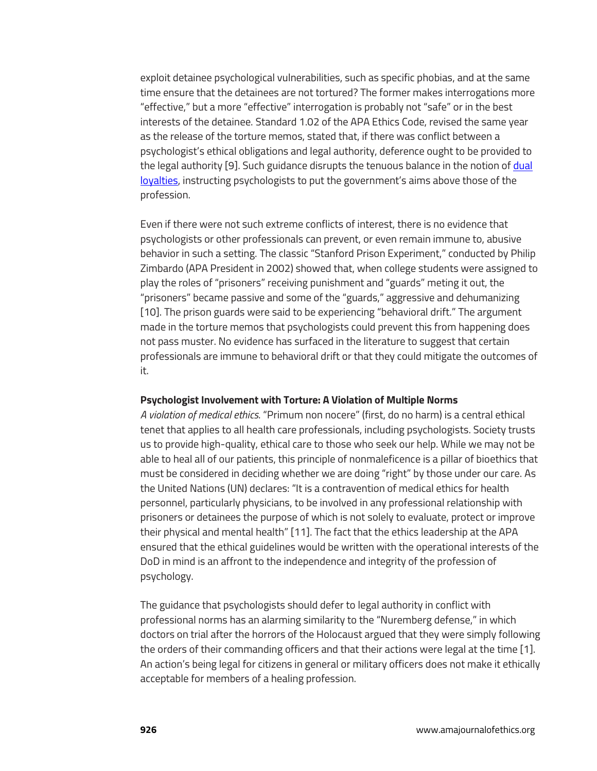exploit detainee psychological vulnerabilities, such as specific phobias, and at the same time ensure that the detainees are not tortured? The former makes interrogations more "effective," but a more "effective" interrogation is probably not "safe" or in the best interests of the detainee. Standard 1.02 of the APA Ethics Code, revised the same year as the release of the torture memos, stated that, if there was conflict between a psychologist's ethical obligations and legal authority, deference ought to be provided to the legal authority [9]. Such guidance disrupts the tenuous balance in the notion of dual [loyalties,](http://journalofethics.ama-assn.org/2015/10/ecas2-1510.html) instructing psychologists to put the government's aims above those of the profession.

Even if there were not such extreme conflicts of interest, there is no evidence that psychologists or other professionals can prevent, or even remain immune to, abusive behavior in such a setting. The classic "Stanford Prison Experiment," conducted by Philip Zimbardo (APA President in 2002) showed that, when college students were assigned to play the roles of "prisoners" receiving punishment and "guards" meting it out, the "prisoners" became passive and some of the "guards," aggressive and dehumanizing [10]. The prison guards were said to be experiencing "behavioral drift." The argument made in the torture memos that psychologists could prevent this from happening does not pass muster. No evidence has surfaced in the literature to suggest that certain professionals are immune to behavioral drift or that they could mitigate the outcomes of it.

#### **Psychologist Involvement with Torture: A Violation of Multiple Norms**

*A violation of medical ethics*. "Primum non nocere" (first, do no harm) is a central ethical tenet that applies to all health care professionals, including psychologists. Society trusts us to provide high-quality, ethical care to those who seek our help. While we may not be able to heal all of our patients, this principle of nonmaleficence is a pillar of bioethics that must be considered in deciding whether we are doing "right" by those under our care. As the United Nations (UN) declares: "It is a contravention of medical ethics for health personnel, particularly physicians, to be involved in any professional relationship with prisoners or detainees the purpose of which is not solely to evaluate, protect or improve their physical and mental health" [11]. The fact that the ethics leadership at the APA ensured that the ethical guidelines would be written with the operational interests of the DoD in mind is an affront to the independence and integrity of the profession of psychology.

The guidance that psychologists should defer to legal authority in conflict with professional norms has an alarming similarity to the "Nuremberg defense," in which doctors on trial after the horrors of the Holocaust argued that they were simply following the orders of their commanding officers and that their actions were legal at the time [1]. An action's being legal for citizens in general or military officers does not make it ethically acceptable for members of a healing profession.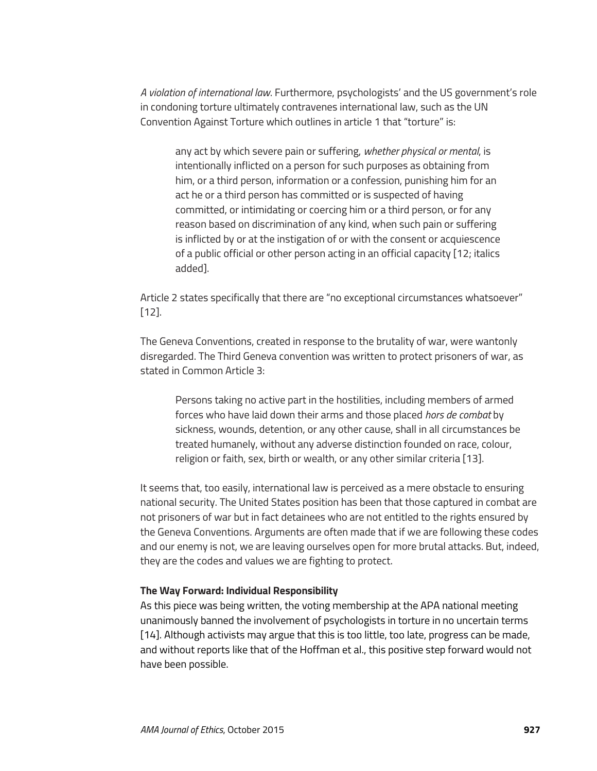*A violation of international law*. Furthermore, psychologists' and the US government's role in condoning torture ultimately contravenes international law, such as the UN Convention Against Torture which outlines in article 1 that "torture" is:

any act by which severe pain or suffering, *whether physical or mental*, is intentionally inflicted on a person for such purposes as obtaining from him, or a third person, information or a confession, punishing him for an act he or a third person has committed or is suspected of having committed, or intimidating or coercing him or a third person, or for any reason based on discrimination of any kind, when such pain or suffering is inflicted by or at the instigation of or with the consent or acquiescence of a public official or other person acting in an official capacity [12; italics added].

Article 2 states specifically that there are "no exceptional circumstances whatsoever" [12].

The Geneva Conventions, created in response to the brutality of war, were wantonly disregarded. The Third Geneva convention was written to protect prisoners of war, as stated in Common Article 3:

Persons taking no active part in the hostilities, including members of armed forces who have laid down their arms and those placed *hors de combat* by sickness, wounds, detention, or any other cause, shall in all circumstances be treated humanely, without any adverse distinction founded on race, colour, religion or faith, sex, birth or wealth, or any other similar criteria [13].

It seems that, too easily, international law is perceived as a mere obstacle to ensuring national security. The United States position has been that those captured in combat are not prisoners of war but in fact detainees who are not entitled to the rights ensured by the Geneva Conventions. Arguments are often made that if we are following these codes and our enemy is not, we are leaving ourselves open for more brutal attacks. But, indeed, they are the codes and values we are fighting to protect.

## **The Way Forward: Individual Responsibility**

As this piece was being written, the voting membership at the APA national meeting unanimously banned the involvement of psychologists in torture in no uncertain terms [14]. Although activists may argue that this is too little, too late, progress can be made, and without reports like that of the Hoffman et al., this positive step forward would not have been possible.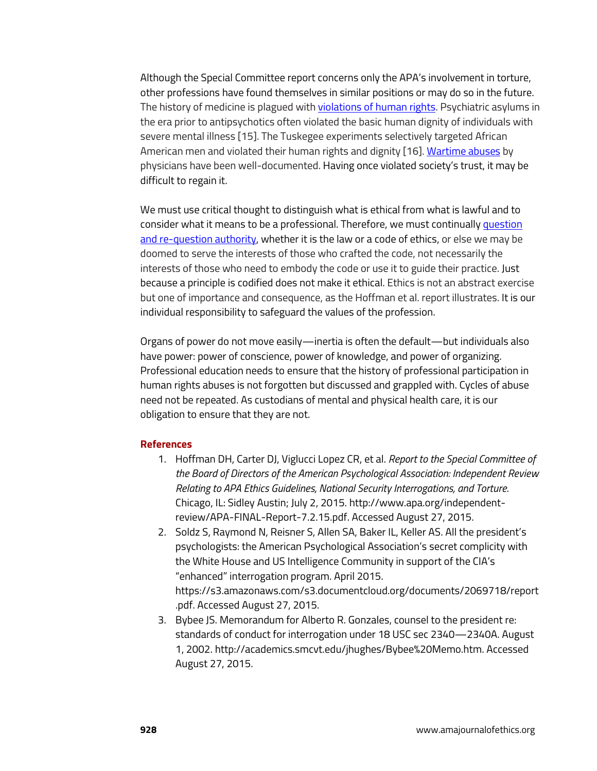Although the Special Committee report concerns only the APA's involvement in torture, other professions have found themselves in similar positions or may do so in the future. The history of medicine is plagued with [violations of human rights.](http://journalofethics.ama-assn.org/2015/10/mhst1-1510.html) Psychiatric asylums in the era prior to antipsychotics often violated the basic human dignity of individuals with severe mental illness [15]. The Tuskegee experiments selectively targeted African American men and violated their human rights and dignity [16]. [Wartime abuses](http://journalofethics.ama-assn.org/2015/10/pfor1-1510.html) by physicians have been well-documented. Having once violated society's trust, it may be difficult to regain it.

We must use critical thought to distinguish what is ethical from what is lawful and to consider what it means to be a professional. Therefore, we must continually question [and re-question authority,](http://journalofethics.ama-assn.org/2015/10/mnar1-1510.html) whether it is the law or a code of ethics, or else we may be doomed to serve the interests of those who crafted the code, not necessarily the interests of those who need to embody the code or use it to guide their practice. Just because a principle is codified does not make it ethical. Ethics is not an abstract exercise but one of importance and consequence, as the Hoffman et al. report illustrates. It is our individual responsibility to safeguard the values of the profession.

Organs of power do not move easily—inertia is often the default—but individuals also have power: power of conscience, power of knowledge, and power of organizing. Professional education needs to ensure that the history of professional participation in human rights abuses is not forgotten but discussed and grappled with. Cycles of abuse need not be repeated. As custodians of mental and physical health care, it is our obligation to ensure that they are not.

## **References**

- 1. Hoffman DH, Carter DJ, Viglucci Lopez CR, et al. *Report to the Special Committee of the Board of Directors of the American Psychological Association: Independent Review Relating to APA Ethics Guidelines, National Security Interrogations, and Torture*. Chicago, IL: Sidley Austin; July 2, 2015. http://www.apa.org/independentreview/APA-FINAL-Report-7.2.15.pdf. Accessed August 27, 2015.
- 2. Soldz S, Raymond N, Reisner S, Allen SA, Baker IL, Keller AS. All the president's psychologists: the American Psychological Association's secret complicity with the White House and US Intelligence Community in support of the CIA's "enhanced" interrogation program. April 2015. https://s3.amazonaws.com/s3.documentcloud.org/documents/2069718/report .pdf. Accessed August 27, 2015.
- 3. Bybee JS. Memorandum for Alberto R. Gonzales, counsel to the president re: standards of conduct for interrogation under 18 USC sec 2340—2340A. August 1, 2002. http://academics.smcvt.edu/jhughes/Bybee%20Memo.htm. Accessed August 27, 2015.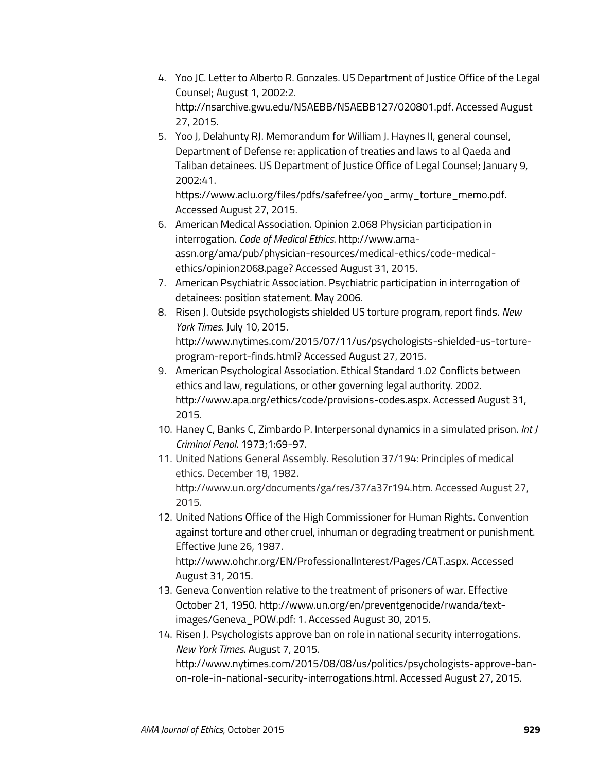- 4. Yoo JC. Letter to Alberto R. Gonzales. US Department of Justice Office of the Legal Counsel; August 1, 2002:2. http://nsarchive.gwu.edu/NSAEBB/NSAEBB127/020801.pdf. Accessed August 27, 2015.
- 5. Yoo J, Delahunty RJ. Memorandum for William J. Haynes II, general counsel, Department of Defense re: application of treaties and laws to al Qaeda and Taliban detainees. US Department of Justice Office of Legal Counsel; January 9, 2002:41.

https://www.aclu.org/files/pdfs/safefree/yoo\_army\_torture\_memo.pdf. Accessed August 27, 2015.

- 6. American Medical Association. Opinion 2.068 Physician participation in interrogation. *Code of Medical Ethics*. http://www.amaassn.org/ama/pub/physician-resources/medical-ethics/code-medicalethics/opinion2068.page? Accessed August 31, 2015.
- 7. American Psychiatric Association. Psychiatric participation in interrogation of detainees: position statement. May 2006.
- 8. Risen J. Outside psychologists shielded US torture program, report finds. *New York Times*. July 10, 2015. http://www.nytimes.com/2015/07/11/us/psychologists-shielded-us-tortureprogram-report-finds.html? Accessed August 27, 2015.
- 9. American Psychological Association. Ethical Standard 1.02 Conflicts between ethics and law, regulations, or other governing legal authority. 2002. http://www.apa.org/ethics/code/provisions-codes.aspx. Accessed August 31, 2015.
- 10. Haney C, Banks C, Zimbardo P. Interpersonal dynamics in a simulated prison. *Int J Criminol Penol*. 1973;1:69-97.
- 11. United Nations General Assembly. Resolution 37/194: Principles of medical ethics. December 18, 1982. http://www.un.org/documents/ga/res/37/a37r194.htm. Accessed August 27, 2015.
- 12. United Nations Office of the High Commissioner for Human Rights. Convention against torture and other cruel, inhuman or degrading treatment or punishment. Effective June 26, 1987.

http://www.ohchr.org/EN/ProfessionalInterest/Pages/CAT.aspx. Accessed August 31, 2015.

- 13. Geneva Convention relative to the treatment of prisoners of war. Effective October 21, 1950. [http://www.un.org/en/preventgenocide/rwanda/text](http://www.un.org/en/preventgenocide/rwanda/text-images/Geneva_POW.pdf)[images/Geneva\\_POW.pdf:](http://www.un.org/en/preventgenocide/rwanda/text-images/Geneva_POW.pdf) 1. Accessed August 30, 2015.
- 14. Risen J. Psychologists approve ban on role in national security interrogations. *New York Times*. August 7, 2015. http://www.nytimes.com/2015/08/08/us/politics/psychologists-approve-banon-role-in-national-security-interrogations.html. Accessed August 27, 2015.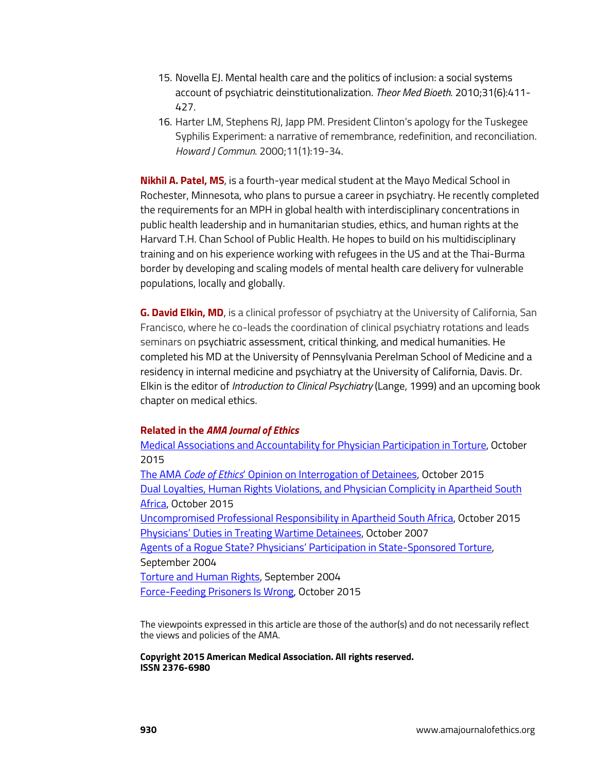- 15. Novella EJ. Mental health care and the politics of inclusion: a social systems account of psychiatric deinstitutionalization. *Theor Med Bioeth*. 2010;31(6):411- 427.
- 16. Harter LM, Stephens RJ, Japp PM. President Clinton's apology for the Tuskegee Syphilis Experiment: a narrative of remembrance, redefinition, and reconciliation. *Howard J Commun*. 2000;11(1):19-34.

**Nikhil A. Patel, MS**, is a fourth-year medical student at the Mayo Medical School in Rochester, Minnesota, who plans to pursue a career in psychiatry. He recently completed the requirements for an MPH in global health with interdisciplinary concentrations in public health leadership and in humanitarian studies, ethics, and human rights at the Harvard T.H. Chan School of Public Health. He hopes to build on his multidisciplinary training and on his experience working with refugees in the US and at the Thai-Burma border by developing and scaling models of mental health care delivery for vulnerable populations, locally and globally.

**G. David Elkin, MD**, is a clinical professor of psychiatry at the University of California, San Francisco, where he co-leads the coordination of clinical psychiatry rotations and leads seminars on psychiatric assessment, critical thinking, and medical humanities. He completed his MD at the University of Pennsylvania Perelman School of Medicine and a residency in internal medicine and psychiatry at the University of California, Davis. Dr. Elkin is the editor of *Introduction to Clinical Psychiatry* (Lange, 1999) and an upcoming book chapter on medical ethics.

#### **Related in the** *AMA Journal of Ethics*

[Medical Associations and Accountability for Physician Participation in Torture,](http://journalofethics.ama-assn.org/2015/10/pfor1-1510.html) October 2015 The AMA *Code of Ethics*[' Opinion on Interrogation of Detainees,](http://journalofethics.ama-assn.org/2015/10/coet1-1510.html) October 2015 [Dual Loyalties, Human Rights Violations, and Physician Complicity in Apartheid South](http://journalofethics.ama-assn.org/2015/10/mhst1-1510.html)  [Africa,](http://journalofethics.ama-assn.org/2015/10/mhst1-1510.html) October 2015 [Uncompromised Professional Responsibility in Apartheid South Africa,](http://journalofethics.ama-assn.org/2015/10/mnar1-1510.html) October 2015 [Physicians' Duties in Treating Wartime Detainees,](http://journalofethics.ama-assn.org/2007/10/ccas2-0710.html) October 2007 [Agents of a Rogue State? Physicians' Participation in State-Sponsored Torture,](http://journalofethics.ama-assn.org/2004/09/jdsc1-0409.html) September 2004 [Torture and Human Rights,](http://journalofethics.ama-assn.org/2004/09/oped1-0409.html) September 2004 [Force-Feeding Prisoners Is Wrong,](http://journalofethics.ama-assn.org/2015/10/ecas2-1510.html) October 2015

The viewpoints expressed in this article are those of the author(s) and do not necessarily reflect the views and policies of the AMA.

**Copyright 2015 American Medical Association. All rights reserved. ISSN 2376-6980**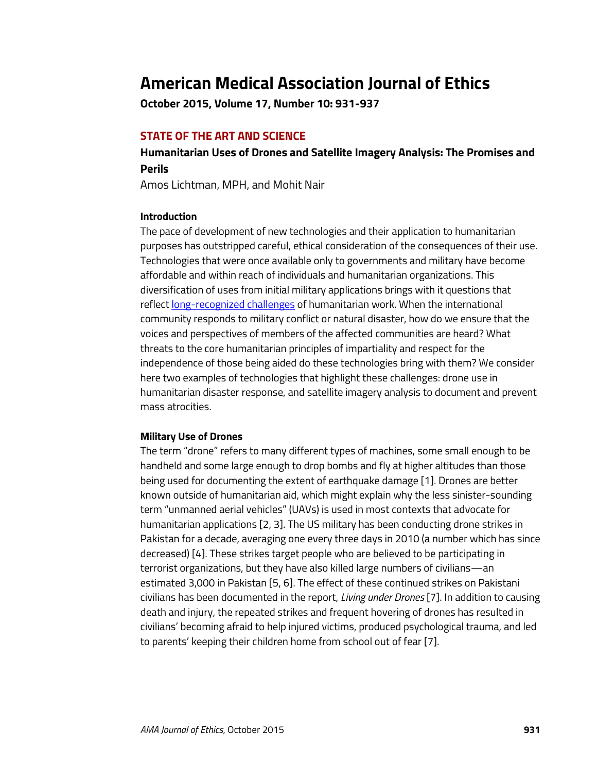## **American Medical Association Journal of Ethics**

**October 2015, Volume 17, Number 10: 931-937**

## **STATE OF THE ART AND SCIENCE**

## **Humanitarian Uses of Drones and Satellite Imagery Analysis: The Promises and Perils**

Amos Lichtman, MPH, and Mohit Nair

## **Introduction**

The pace of development of new technologies and their application to humanitarian purposes has outstripped careful, ethical consideration of the consequences of their use. Technologies that were once available only to governments and military have become affordable and within reach of individuals and humanitarian organizations. This diversification of uses from initial military applications brings with it questions that reflect [long-recognized challenges](http://journalofethics.ama-assn.org/2015/05/pfor2-1505.html) of humanitarian work. When the international community responds to military conflict or natural disaster, how do we ensure that the voices and perspectives of members of the affected communities are heard? What threats to the core humanitarian principles of impartiality and respect for the independence of those being aided do these technologies bring with them? We consider here two examples of technologies that highlight these challenges: drone use in humanitarian disaster response, and satellite imagery analysis to document and prevent mass atrocities.

#### **Military Use of Drones**

The term "drone" refers to many different types of machines, some small enough to be handheld and some large enough to drop bombs and fly at higher altitudes than those being used for documenting the extent of earthquake damage [1]. Drones are better known outside of humanitarian aid, which might explain why the less sinister-sounding term "unmanned aerial vehicles" (UAVs) is used in most contexts that advocate for humanitarian applications [2, 3]. The US military has been conducting drone strikes in Pakistan for a decade, averaging one every three days in 2010 (a number which has since decreased) [4]. These strikes target people who are believed to be participating in terrorist organizations, but they have also killed large numbers of civilians—an estimated 3,000 in Pakistan [5, 6]. The effect of these continued strikes on Pakistani civilians has been documented in the report, *Living under Drones* [7]. In addition to causing death and injury, the repeated strikes and frequent hovering of drones has resulted in civilians' becoming afraid to help injured victims, produced psychological trauma, and led to parents' keeping their children home from school out of fear [7].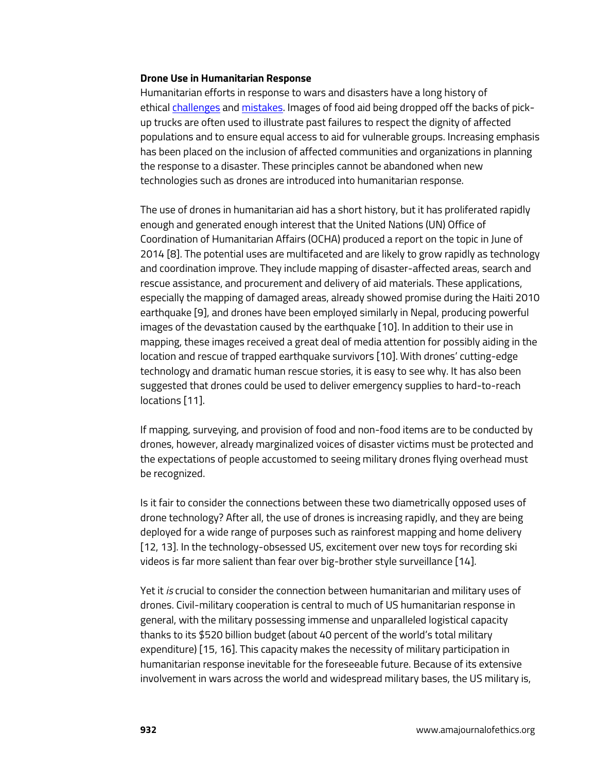#### **Drone Use in Humanitarian Response**

Humanitarian efforts in response to wars and disasters have a long history of ethical [challenges](http://journalofethics.ama-assn.org/2015/01/pfor1-1501.html) and [mistakes.](http://journalofethics.ama-assn.org/2010/06/oped1-1006.html) Images of food aid being dropped off the backs of pickup trucks are often used to illustrate past failures to respect the dignity of affected populations and to ensure equal access to aid for vulnerable groups. Increasing emphasis has been placed on the inclusion of affected communities and organizations in planning the response to a disaster. These principles cannot be abandoned when new technologies such as drones are introduced into humanitarian response.

The use of drones in humanitarian aid has a short history, but it has proliferated rapidly enough and generated enough interest that the United Nations (UN) Office of Coordination of Humanitarian Affairs (OCHA) produced a report on the topic in June of 2014 [8]. The potential uses are multifaceted and are likely to grow rapidly as technology and coordination improve. They include mapping of disaster-affected areas, search and rescue assistance, and procurement and delivery of aid materials. These applications, especially the mapping of damaged areas, already showed promise during the Haiti 2010 earthquake [9], and drones have been employed similarly in Nepal, producing powerful images of the devastation caused by the earthquake [10]. In addition to their use in mapping, these images received a great deal of media attention for possibly aiding in the location and rescue of trapped earthquake survivors [10]. With drones' cutting-edge technology and dramatic human rescue stories, it is easy to see why. It has also been suggested that drones could be used to deliver emergency supplies to hard-to-reach locations [11].

If mapping, surveying, and provision of food and non-food items are to be conducted by drones, however, already marginalized voices of disaster victims must be protected and the expectations of people accustomed to seeing military drones flying overhead must be recognized.

Is it fair to consider the connections between these two diametrically opposed uses of drone technology? After all, the use of drones is increasing rapidly, and they are being deployed for a wide range of purposes such as rainforest mapping and home delivery [12, 13]. In the technology-obsessed US, excitement over new toys for recording ski videos is far more salient than fear over big-brother style surveillance [14].

Yet it *is* crucial to consider the connection between humanitarian and military uses of drones. Civil-military cooperation is central to much of US humanitarian response in general, with the military possessing immense and unparalleled logistical capacity thanks to its \$520 billion budget (about 40 percent of the world's total military expenditure) [15, 16]. This capacity makes the necessity of military participation in humanitarian response inevitable for the foreseeable future. Because of its extensive involvement in wars across the world and widespread military bases, the US military is,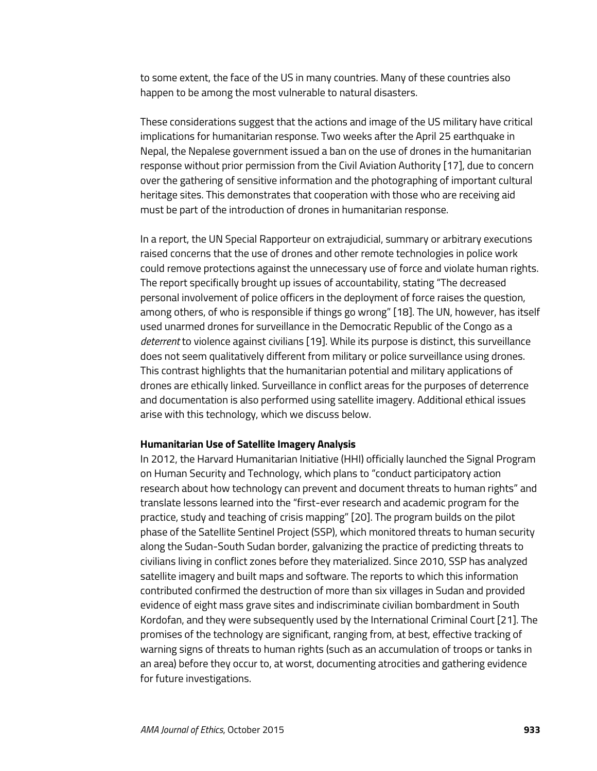to some extent, the face of the US in many countries. Many of these countries also happen to be among the most vulnerable to natural disasters.

These considerations suggest that the actions and image of the US military have critical implications for humanitarian response. Two weeks after the April 25 earthquake in Nepal, the Nepalese government issued a ban on the use of drones in the humanitarian response without prior permission from the Civil Aviation Authority [17], due to concern over the gathering of sensitive information and the photographing of important cultural heritage sites. This demonstrates that cooperation with those who are receiving aid must be part of the introduction of drones in humanitarian response.

In a report, the UN Special Rapporteur o[n extrajudicial, summary or arbitrary executions](http://www.ohchr.org/EN/Issues/Executions/Pages/SRExecutionsIndex.aspx) raised concerns that the use of drones and other remote technologies in police work could remove protections against the unnecessary use of force and violate human rights. The report specifically brought up issues of accountability, stating "The decreased personal involvement of police officers in the deployment of force raises the question, among others, of who is responsible if things go wrong" [18]. The UN, however, has itself used unarmed drones for surveillance in the Democratic Republic of the Congo as a *deterrent* to violence against civilians [19]. While its purpose is distinct, this surveillance does not seem qualitatively different from military or police surveillance using drones. This contrast highlights that the humanitarian potential and military applications of drones are ethically linked. Surveillance in conflict areas for the purposes of deterrence and documentation is also performed using satellite imagery. Additional ethical issues arise with this technology, which we discuss below.

### **Humanitarian Use of Satellite Imagery Analysis**

In 2012, the Harvard Humanitarian Initiative (HHI) officially launched the Signal Program on Human Security and Technology, which plans to "conduct participatory action research about how technology can prevent and document threats to human rights" and translate lessons learned into the "first-ever research and academic program for the practice, study and teaching of crisis mapping" [20]. The program builds on the pilot phase of the Satellite Sentinel Project (SSP), which monitored threats to human security along the Sudan-South Sudan border, galvanizing the practice of predicting threats to civilians living in conflict zones before they materialized. Since 2010, SSP has analyzed satellite imagery and built maps and software. The reports to which this information contributed confirmed the destruction of more than six villages in Sudan and provided evidence of eight mass grave sites and indiscriminate civilian bombardment in South Kordofan, and they were subsequently used by the International Criminal Court [21]. The promises of the technology are significant, ranging from, at best, effective tracking of warning signs of threats to human rights (such as an accumulation of troops or tanks in an area) before they occur to, at worst, documenting atrocities and gathering evidence for future investigations.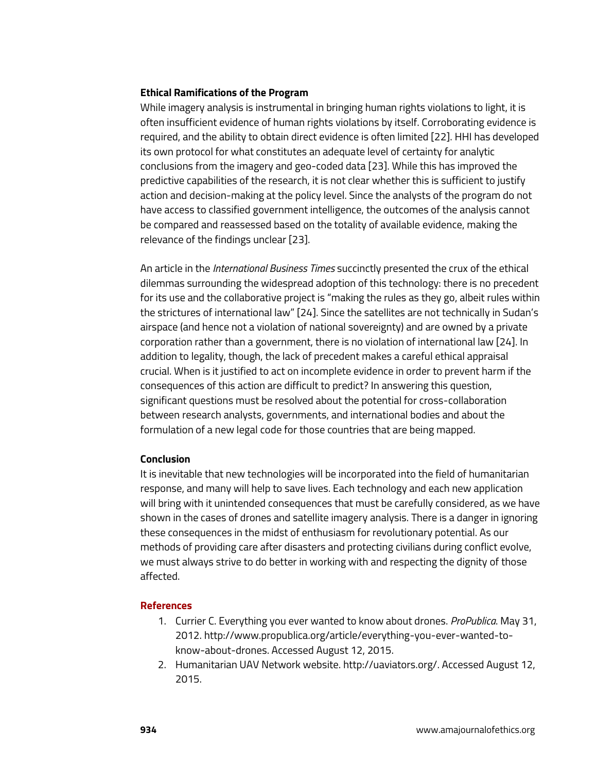## **Ethical Ramifications of the Program**

While imagery analysis is instrumental in bringing human rights violations to light, it is often insufficient evidence of human rights violations by itself. Corroborating evidence is required, and the ability to obtain direct evidence is often limited [22]. HHI has developed its own protocol for what constitutes an adequate level of certainty for analytic conclusions from the imagery and geo-coded data [23]. While this has improved the predictive capabilities of the research, it is not clear whether this is sufficient to justify action and decision-making at the policy level. Since the analysts of the program do not have access to classified government intelligence, the outcomes of the analysis cannot be compared and reassessed based on the totality of available evidence, making the relevance of the findings unclear [23].

An article in the *International Business Times* succinctly presented the crux of the ethical dilemmas surrounding the widespread adoption of this technology: there is no precedent for its use and the collaborative project is "making the rules as they go, albeit rules within the strictures of international law" [24]. Since the satellites are not technically in Sudan's airspace (and hence not a violation of national sovereignty) and are owned by a private corporation rather than a government, there is no violation of international law [24]. In addition to legality, though, the lack of precedent makes a careful ethical appraisal crucial. When is it justified to act on incomplete evidence in order to prevent harm if the consequences of this action are difficult to predict? In answering this question, significant questions must be resolved about the potential for cross-collaboration between research analysts, governments, and international bodies and about the formulation of a new legal code for those countries that are being mapped.

## **Conclusion**

It is inevitable that new technologies will be incorporated into the field of humanitarian response, and many will help to save lives. Each technology and each new application will bring with it unintended consequences that must be carefully considered, as we have shown in the cases of drones and satellite imagery analysis. There is a danger in ignoring these consequences in the midst of enthusiasm for revolutionary potential. As our methods of providing care after disasters and protecting civilians during conflict evolve, we must always strive to do better in working with and respecting the dignity of those affected.

## **References**

- 1. Currier C. Everything you ever wanted to know about drones. *ProPublica*. May 31, 2012. http://www.propublica.org/article/everything-you-ever-wanted-toknow-about-drones. Accessed August 12, 2015.
- 2. Humanitarian UAV Network website. http://uaviators.org/. Accessed August 12, 2015.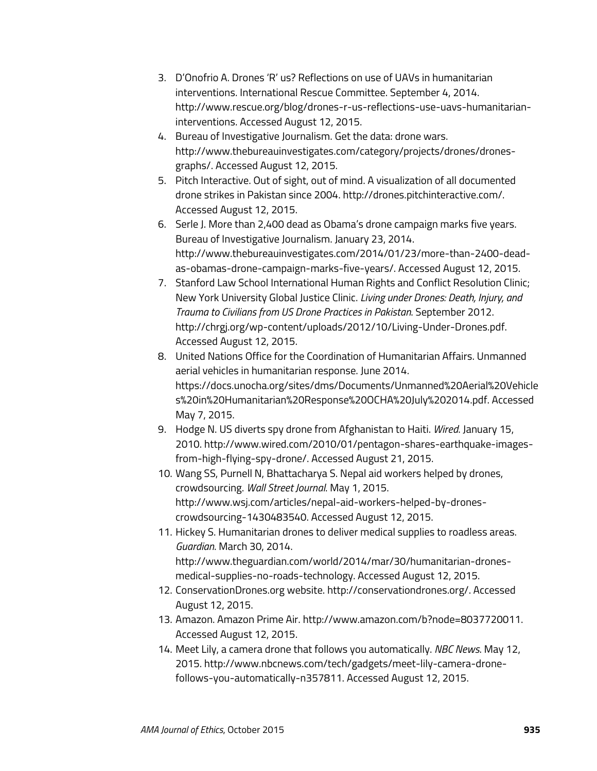- 3. D'Onofrio A. Drones 'R' us? Reflections on use of UAVs in humanitarian interventions. International Rescue Committee. September 4, 2014. http://www.rescue.org/blog/drones-r-us-reflections-use-uavs-humanitarianinterventions. Accessed August 12, 2015.
- 4. Bureau of Investigative Journalism. Get the data: drone wars. http://www.thebureauinvestigates.com/category/projects/drones/dronesgraphs/. Accessed August 12, 2015.
- 5. Pitch Interactive. Out of sight, out of mind. A visualization of all documented drone strikes in Pakistan since 2004. http://drones.pitchinteractive.com/. Accessed August 12, 2015.
- 6. Serle J. More than 2,400 dead as Obama's drone campaign marks five years. Bureau of Investigative Journalism. January 23, 2014. http://www.thebureauinvestigates.com/2014/01/23/more-than-2400-deadas-obamas-drone-campaign-marks-five-years/. Accessed August 12, 2015.
- 7. Stanford Law School International Human Rights and Conflict Resolution Clinic; New York University Global Justice Clinic. *Living under Drones: Death, Injury, and Trauma to Civilians from US Drone Practices in Pakistan*. September 2012. http://chrgj.org/wp-content/uploads/2012/10/Living-Under-Drones.pdf. Accessed August 12, 2015.
- 8. United Nations Office for the Coordination of Humanitarian Affairs. Unmanned aerial vehicles in humanitarian response. June 2014. https://docs.unocha.org/sites/dms/Documents/Unmanned%20Aerial%20Vehicle s%20in%20Humanitarian%20Response%20OCHA%20July%202014.pdf. Accessed May 7, 2015.
- 9. Hodge N. US diverts spy drone from Afghanistan to Haiti. *Wired*. January 15, 2010. http://www.wired.com/2010/01/pentagon-shares-earthquake-imagesfrom-high-flying-spy-drone/. Accessed August 21, 2015.
- 10. Wang SS, Purnell N, Bhattacharya S. Nepal aid workers helped by drones, crowdsourcing. *Wall Street Journal*. May 1, 2015. http://www.wsj.com/articles/nepal-aid-workers-helped-by-dronescrowdsourcing-1430483540. Accessed August 12, 2015.
- 11. Hickey S. Humanitarian drones to deliver medical supplies to roadless areas. *Guardian*. March 30, 2014. http://www.theguardian.com/world/2014/mar/30/humanitarian-dronesmedical-supplies-no-roads-technology. Accessed August 12, 2015.
- 12. ConservationDrones.org website. http://conservationdrones.org/. Accessed August 12, 2015.
- 13. Amazon. Amazon Prime Air. http://www.amazon.com/b?node=8037720011. Accessed August 12, 2015.
- 14. Meet Lily, a camera drone that follows you automatically. *NBC News*. May 12, 2015. http://www.nbcnews.com/tech/gadgets/meet-lily-camera-dronefollows-you-automatically-n357811. Accessed August 12, 2015.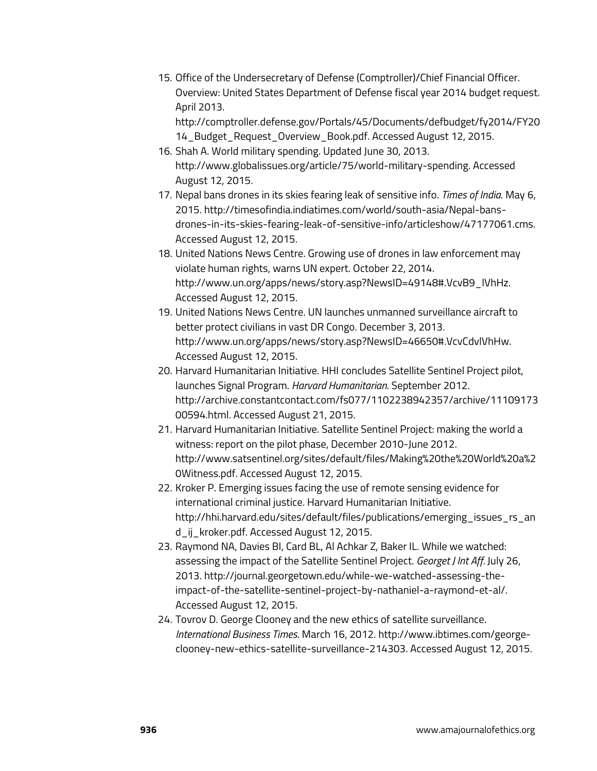15. Office of the Undersecretary of Defense (Comptroller)/Chief Financial Officer. Overview: United States Department of Defense fiscal year 2014 budget request. April 2013.

http://comptroller.defense.gov/Portals/45/Documents/defbudget/fy2014/FY20 14\_Budget\_Request\_Overview\_Book.pdf. Accessed August 12, 2015.

- 16. Shah A. World military spending. Updated June 30, 2013. http://www.globalissues.org/article/75/world-military-spending. Accessed August 12, 2015.
- 17. Nepal bans drones in its skies fearing leak of sensitive info. *Times of India*. May 6, 2015. http://timesofindia.indiatimes.com/world/south-asia/Nepal-bansdrones-in-its-skies-fearing-leak-of-sensitive-info/articleshow/47177061.cms. Accessed August 12, 2015.
- 18. United Nations News Centre. Growing use of drones in law enforcement may violate human rights, warns UN expert. October 22, 2014. http://www.un.org/apps/news/story.asp?NewsID=49148#.VcvB9\_lVhHz. Accessed August 12, 2015.
- 19. United Nations News Centre. UN launches unmanned surveillance aircraft to better protect civilians in vast DR Congo. December 3, 2013. http://www.un.org/apps/news/story.asp?NewsID=46650#.VcvCdvlVhHw. Accessed August 12, 2015.
- 20. Harvard Humanitarian Initiative. HHI concludes Satellite Sentinel Project pilot, launches Signal Program. *Harvard Humanitarian*. September 2012. http://archive.constantcontact.com/fs077/1102238942357/archive/11109173 00594.html. Accessed August 21, 2015.
- 21. Harvard Humanitarian Initiative. Satellite Sentinel Project: making the world a witness: report on the pilot phase, December 2010-June 2012. http://www.satsentinel.org/sites/default/files/Making%20the%20World%20a%2 0Witness.pdf. Accessed August 12, 2015.
- 22. Kroker P. Emerging issues facing the use of remote sensing evidence for international criminal justice. Harvard Humanitarian Initiative. http://hhi.harvard.edu/sites/default/files/publications/emerging\_issues\_rs\_an d\_ij\_kroker.pdf. Accessed August 12, 2015.
- 23. Raymond NA, Davies BI, Card BL, Al Achkar Z, Baker IL. While we watched: assessing the impact of the Satellite Sentinel Project. *Georget J Int Aff.* July 26, 2013. http://journal.georgetown.edu/while-we-watched-assessing-theimpact-of-the-satellite-sentinel-project-by-nathaniel-a-raymond-et-al/. Accessed August 12, 2015.
- 24. Tovrov D. George Clooney and the new ethics of satellite surveillance. *International Business Times*. March 16, 2012. http://www.ibtimes.com/georgeclooney-new-ethics-satellite-surveillance-214303. Accessed August 12, 2015.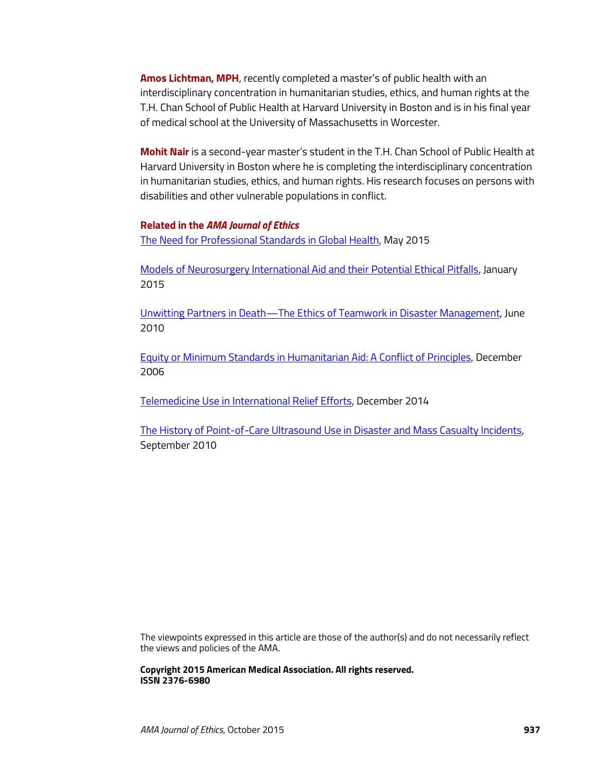**Amos Lichtman, MPH**, recently completed a master's of public health with an interdisciplinary concentration in humanitarian studies, ethics, and human rights at the T.H. Chan School of Public Health at Harvard University in Boston and is in his final year of medical school at the University of Massachusetts in Worcester.

**Mohit Nair** is a second-year master's student in the T.H. Chan School of Public Health at Harvard University in Boston where he is completing the interdisciplinary concentration in humanitarian studies, ethics, and human rights. His research focuses on persons with disabilities and other vulnerable populations in conflict.

#### **Related in the** *AMA Journal of Ethics*

[The Need for Professional Standards in Global Health,](http://journalofethics.ama-assn.org/2015/05/pfor2-1505.html) May 2015

[Models of Neurosurgery International Aid and their Potential](http://journalofethics.ama-assn.org/2015/01/pfor1-1501.html) Ethical Pitfalls, January 2015

[Unwitting Partners in Death—The Ethics of Teamwork in](http://journalofethics.ama-assn.org/2010/06/oped1-1006.html) Disaster Management, June 2010

[Equity or Minimum Standards in Humanitarian Aid: A Conflict of Principles,](http://journalofethics.ama-assn.org/2006/12/pfor2-0612.html) December 2006

[Telemedicine Use in International Relief Efforts,](http://journalofethics.ama-assn.org/2014/12/stas2-1412.html) December 2014

[The History of Point-of-Care Ultrasound Use in Disaster and Mass Casualty Incidents,](http://journalofethics.ama-assn.org/2010/09/mhst1-1009.html)  September 2010

The viewpoints expressed in this article are those of the author(s) and do not necessarily reflect the views and policies of the AMA.

**Copyright 2015 American Medical Association. All rights reserved. ISSN 2376-6980**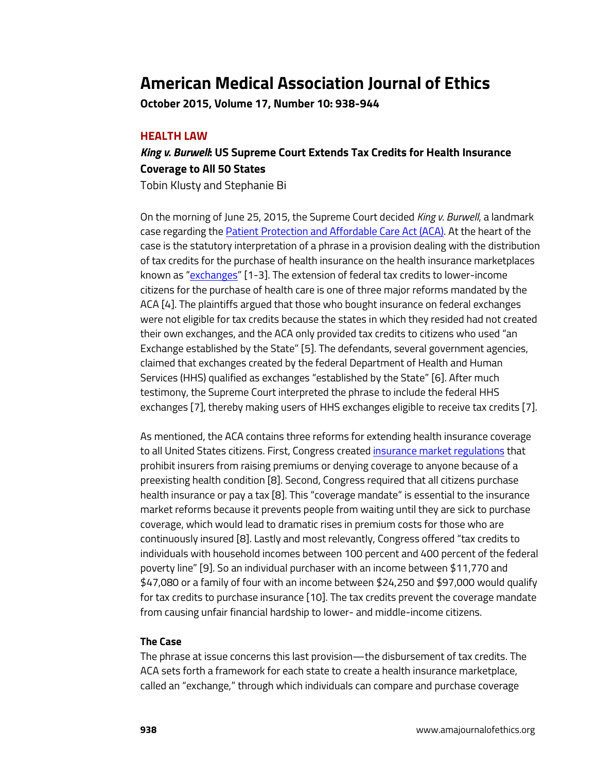## **American Medical Association Journal of Ethics**

**October 2015, Volume 17, Number 10: 938-944**

## **HEALTH LAW**

## *King v. Burwell***: US Supreme Court Extends Tax Credits for Health Insurance Coverage to All 50 States**

Tobin Klusty and Stephanie Bi

On the morning of June 25, 2015, the Supreme Court decided *King v. Burwell*, a landmark case regarding th[e Patient Protection and Affordable Care Act \(ACA\).](http://journalofethics.ama-assn.org/2011/11/oped1-1111.html) At the heart of the case is the statutory interpretation of a phrase in a provision dealing with the distribution of tax credits for the purchase of health insurance on the health insurance marketplaces known as ["exchanges"](http://journalofethics.ama-assn.org/2013/07/hlaw1-1307.html) [1-3]. The extension of federal tax credits to lower-income citizens for the purchase of health care is one of three major reforms mandated by the ACA [4]. The plaintiffs argued that those who bought insurance on federal exchanges were not eligible for tax credits because the states in which they resided had not created their own exchanges, and the ACA only provided tax credits to citizens who used "an Exchange established by the State" [5]. The defendants, several government agencies, claimed that exchanges created by the federal Department of Health and Human Services (HHS) qualified as exchanges "established by the State" [6]. After much testimony, the Supreme Court interpreted the phrase to include the federal HHS exchanges [7], thereby making users of HHS exchanges eligible to receive tax credits [7].

As mentioned, the ACA contains three reforms for extending health insurance coverage to all United States citizens. First, Congress created [insurance market regulations](http://journalofethics.ama-assn.org/2015/08/hlaw1-1508.html) that prohibit insurers from raising premiums or denying coverage to anyone because of a preexisting health condition [8]. Second, Congress required that all citizens purchase health insurance or pay a tax [8]. This "coverage mandate" is essential to the insurance market reforms because it prevents people from waiting until they are sick to purchase coverage, which would lead to dramatic rises in premium costs for those who are continuously insured [8]. Lastly and most relevantly, Congress offered "tax credits to individuals with household incomes between 100 percent and 400 percent of the federal poverty line" [9]. So an individual purchaser with an income between \$11,770 and \$47,080 or a family of four with an income between \$24,250 and \$97,000 would qualify for tax credits to purchase insurance [10]. The tax credits prevent the coverage mandate from causing unfair financial hardship to lower- and middle-income citizens.

## **The Case**

The phrase at issue concerns this last provision—the disbursement of tax credits. The ACA sets forth a framework for each state to create a health insurance marketplace, called an "exchange," through which individuals can compare and purchase coverage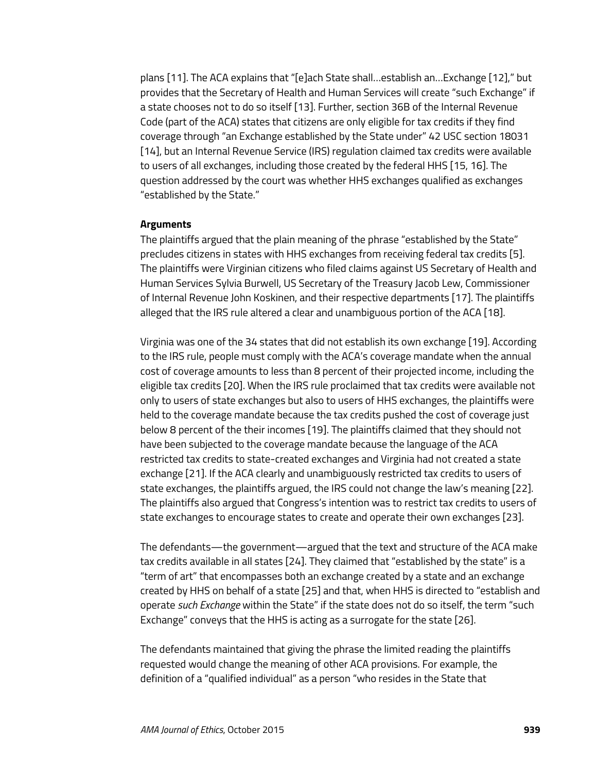plans [11]. The ACA explains that "[e]ach State shall…establish an…Exchange [12]," but provides that the Secretary of Health and Human Services will create "such Exchange" if a state chooses not to do so itself [13]. Further, section 36B of the Internal Revenue Code (part of the ACA) states that citizens are only eligible for tax credits if they find coverage through "an Exchange established by the State under" 42 USC section 18031 [14], but an Internal Revenue Service (IRS) regulation claimed tax credits were available to users of all exchanges, including those created by the federal HHS [15, 16]. The question addressed by the court was whether HHS exchanges qualified as exchanges "established by the State."

## **Arguments**

The plaintiffs argued that the plain meaning of the phrase "established by the State" precludes citizens in states with HHS exchanges from receiving federal tax credits [5]. The plaintiffs were Virginian citizens who filed claims against US Secretary of Health and Human Services Sylvia Burwell, US Secretary of the Treasury Jacob Lew, Commissioner of Internal Revenue John Koskinen, and their respective departments [17]. The plaintiffs alleged that the IRS rule altered a clear and unambiguous portion of the ACA [18].

Virginia was one of the 34 states that did not establish its own exchange [19]. According to the IRS rule, people must comply with the ACA's coverage mandate when the annual cost of coverage amounts to less than 8 percent of their projected income, including the eligible tax credits [20]. When the IRS rule proclaimed that tax credits were available not only to users of state exchanges but also to users of HHS exchanges, the plaintiffs were held to the coverage mandate because the tax credits pushed the cost of coverage just below 8 percent of the their incomes [19]. The plaintiffs claimed that they should not have been subjected to the coverage mandate because the language of the ACA restricted tax credits to state-created exchanges and Virginia had not created a state exchange [21]. If the ACA clearly and unambiguously restricted tax credits to users of state exchanges, the plaintiffs argued, the IRS could not change the law's meaning [22]. The plaintiffs also argued that Congress's intention was to restrict tax credits to users of state exchanges to encourage states to create and operate their own exchanges [23].

The defendants—the government—argued that the text and structure of the ACA make tax credits available in all states [24]. They claimed that "established by the state" is a "term of art" that encompasses both an exchange created by a state and an exchange created by HHS on behalf of a state [25] and that, when HHS is directed to "establish and operate *such Exchange* within the State" if the state does not do so itself, the term "such Exchange" conveys that the HHS is acting as a surrogate for the state [26].

The defendants maintained that giving the phrase the limited reading the plaintiffs requested would change the meaning of other ACA provisions. For example, the definition of a "qualified individual" as a person "who resides in the State that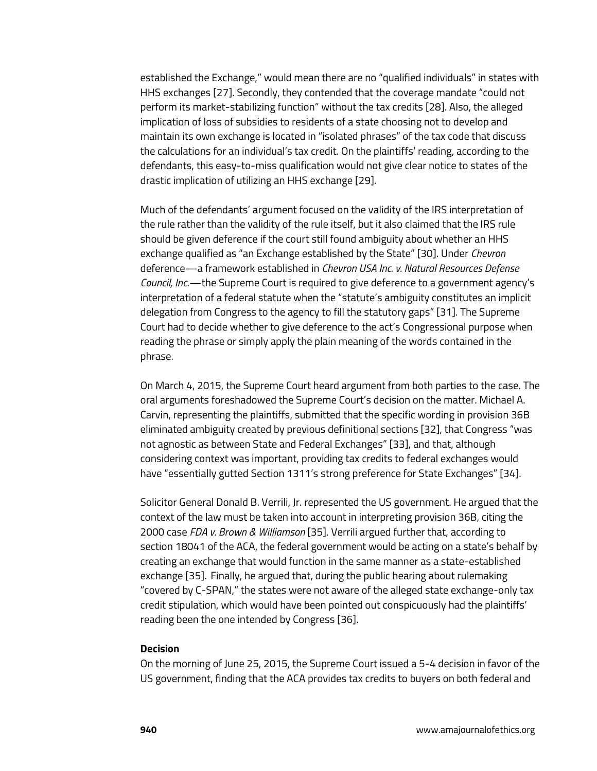established the Exchange," would mean there are no "qualified individuals" in states with HHS exchanges [27]. Secondly, they contended that the coverage mandate "could not perform its market-stabilizing function" without the tax credits [28]. Also, the alleged implication of loss of subsidies to residents of a state choosing not to develop and maintain its own exchange is located in "isolated phrases" of the tax code that discuss the calculations for an individual's tax credit. On the plaintiffs' reading, according to the defendants, this easy-to-miss qualification would not give clear notice to states of the drastic implication of utilizing an HHS exchange [29].

Much of the defendants' argument focused on the validity of the IRS interpretation of the rule rather than the validity of the rule itself, but it also claimed that the IRS rule should be given deference if the court still found ambiguity about whether an HHS exchange qualified as "an Exchange established by the State" [30]. Under *Chevron* deference—a framework established in *Chevron USA Inc. v. Natural Resources Defense Council, Inc*.—the Supreme Court is required to give deference to a government agency's interpretation of a federal statute when the "statute's ambiguity constitutes an implicit delegation from Congress to the agency to fill the statutory gaps" [31]. The Supreme Court had to decide whether to give deference to the act's Congressional purpose when reading the phrase or simply apply the plain meaning of the words contained in the phrase.

On March 4, 2015, the Supreme Court heard argument from both parties to the case. The oral arguments foreshadowed the Supreme Court's decision on the matter. Michael A. Carvin, representing the plaintiffs, submitted that the specific wording in provision 36B eliminated ambiguity created by previous definitional sections [32], that Congress "was not agnostic as between State and Federal Exchanges" [33], and that, although considering context was important, providing tax credits to federal exchanges would have "essentially gutted Section 1311's strong preference for State Exchanges" [34].

Solicitor General Donald B. Verrili, Jr. represented the US government. He argued that the context of the law must be taken into account in interpreting provision 36B, citing the 2000 case *FDA v. Brown & Williamson* [35]. Verrili argued further that, according to section 18041 of the ACA, the federal government would be acting on a state's behalf by creating an exchange that would function in the same manner as a state-established exchange [35]. Finally, he argued that, during the public hearing about rulemaking "covered by C-SPAN," the states were not aware of the alleged state exchange-only tax credit stipulation, which would have been pointed out conspicuously had the plaintiffs' reading been the one intended by Congress [36].

### **Decision**

On the morning of June 25, 2015, the Supreme Court issued a 5-4 decision in favor of the US government, finding that the ACA provides tax credits to buyers on both federal and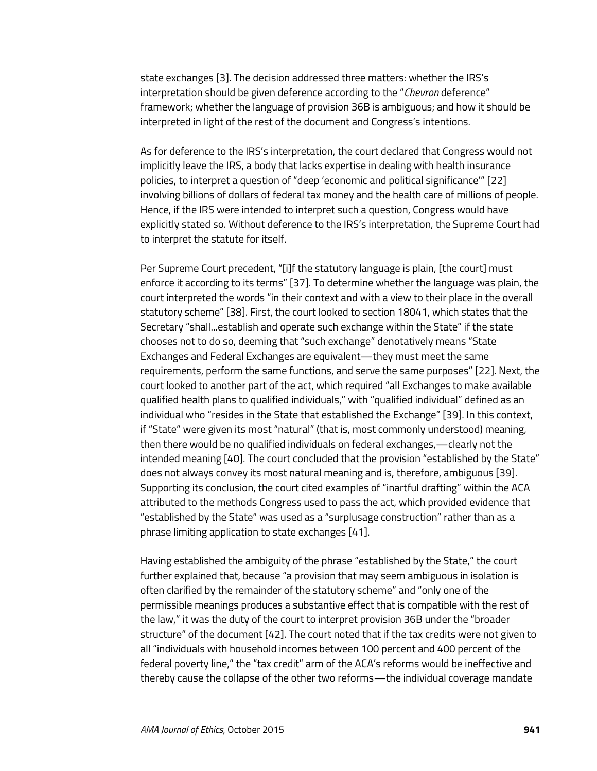state exchanges [3]. The decision addressed three matters: whether the IRS's interpretation should be given deference according to the "*Chevron* deference" framework; whether the language of provision 36B is ambiguous; and how it should be interpreted in light of the rest of the document and Congress's intentions.

As for deference to the IRS's interpretation, the court declared that Congress would not implicitly leave the IRS, a body that lacks expertise in dealing with health insurance policies, to interpret a question of "deep 'economic and political significance'" [22] involving billions of dollars of federal tax money and the health care of millions of people. Hence, if the IRS were intended to interpret such a question, Congress would have explicitly stated so. Without deference to the IRS's interpretation, the Supreme Court had to interpret the statute for itself.

Per Supreme Court precedent, "[i]f the statutory language is plain, [the court] must enforce it according to its terms" [37]. To determine whether the language was plain, the court interpreted the words "in their context and with a view to their place in the overall statutory scheme" [38]. First, the court looked to section 18041, which states that the Secretary "shall...establish and operate such exchange within the State" if the state chooses not to do so, deeming that "such exchange" denotatively means "State Exchanges and Federal Exchanges are equivalent—they must meet the same requirements, perform the same functions, and serve the same purposes" [22]. Next, the court looked to another part of the act, which required "all Exchanges to make available qualified health plans to qualified individuals," with "qualified individual" defined as an individual who "resides in the State that established the Exchange" [39]. In this context, if "State" were given its most "natural" (that is, most commonly understood) meaning, then there would be no qualified individuals on federal exchanges,—clearly not the intended meaning [40]. The court concluded that the provision "established by the State" does not always convey its most natural meaning and is, therefore, ambiguous [39]. Supporting its conclusion, the court cited examples of "inartful drafting" within the ACA attributed to the methods Congress used to pass the act, which provided evidence that "established by the State" was used as a "surplusage construction" rather than as a phrase limiting application to state exchanges [41].

Having established the ambiguity of the phrase "established by the State," the court further explained that, because "a provision that may seem ambiguous in isolation is often clarified by the remainder of the statutory scheme" and "only one of the permissible meanings produces a substantive effect that is compatible with the rest of the law," it was the duty of the court to interpret provision 36B under the "broader structure" of the document [42]. The court noted that if the tax credits were not given to all "individuals with household incomes between 100 percent and 400 percent of the federal poverty line," the "tax credit" arm of the ACA's reforms would be ineffective and thereby cause the collapse of the other two reforms—the individual coverage mandate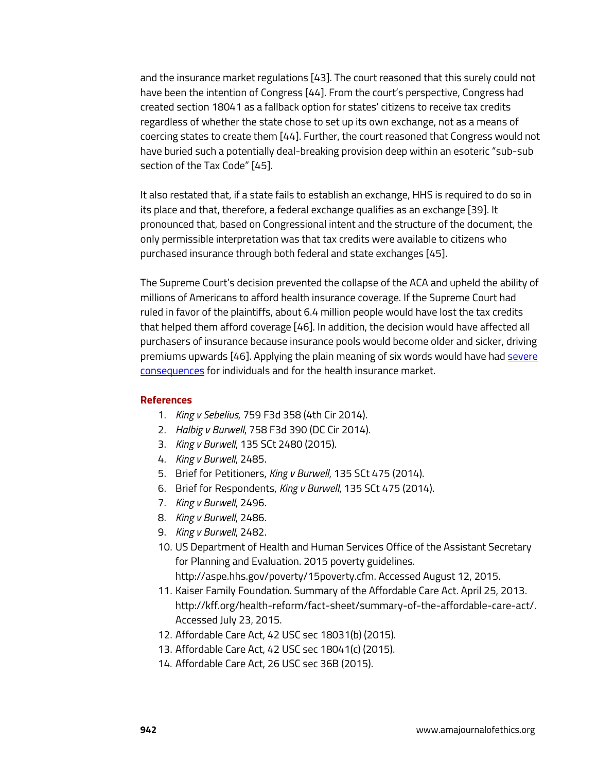and the insurance market regulations [43]. The court reasoned that this surely could not have been the intention of Congress [44]. From the court's perspective, Congress had created section 18041 as a fallback option for states' citizens to receive tax credits regardless of whether the state chose to set up its own exchange, not as a means of coercing states to create them [44]. Further, the court reasoned that Congress would not have buried such a potentially deal-breaking provision deep within an esoteric "sub-sub section of the Tax Code" [45].

It also restated that, if a state fails to establish an exchange, HHS is required to do so in its place and that, therefore, a federal exchange qualifies as an exchange [39]. It pronounced that, based on Congressional intent and the structure of the document, the only permissible interpretation was that tax credits were available to citizens who purchased insurance through both federal and state exchanges [45].

The Supreme Court's decision prevented the collapse of the ACA and upheld the ability of millions of Americans to afford health insurance coverage. If the Supreme Court had ruled in favor of the plaintiffs, about 6.4 million people would have lost the tax credits that helped them afford coverage [46]. In addition, the decision would have affected all purchasers of insurance because insurance pools would become older and sicker, driving premiums upwards [46]. Applying the plain meaning of six words would have had [severe](http://journalofethics.ama-assn.org/2015/10/msoc1-1510.html)  [consequences](http://journalofethics.ama-assn.org/2015/10/msoc1-1510.html) for individuals and for the health insurance market.

## **References**

- 1. *King v Sebelius*, 759 F3d 358 (4th Cir 2014).
- 2. *Halbig v Burwell*, 758 F3d 390 (DC Cir 2014).
- 3. *King v Burwell*, 135 SCt 2480 (2015).
- 4. *King v Burwell*, 2485.
- 5. Brief for Petitioners, *King v Burwell*, 135 SCt 475 (2014).
- 6. Brief for Respondents, *King v Burwell*, 135 SCt 475 (2014).
- 7. *King v Burwell*, 2496.
- 8. *King v Burwell*, 2486.
- 9. *King v Burwell*, 2482.
- 10. US Department of Health and Human Services Office of the Assistant Secretary for Planning and Evaluation. 2015 poverty guidelines. http://aspe.hhs.gov/poverty/15poverty.cfm. Accessed August 12, 2015.
- 11. Kaiser Family Foundation. Summary of the Affordable Care Act. April 25, 2013. http://kff.org/health-reform/fact-sheet/summary-of-the-affordable-care-act/. Accessed July 23, 2015.
- 12. Affordable Care Act, 42 USC sec 18031(b) (2015).
- 13. Affordable Care Act, 42 USC sec 18041(c) (2015).
- 14. Affordable Care Act, 26 USC sec 36B (2015).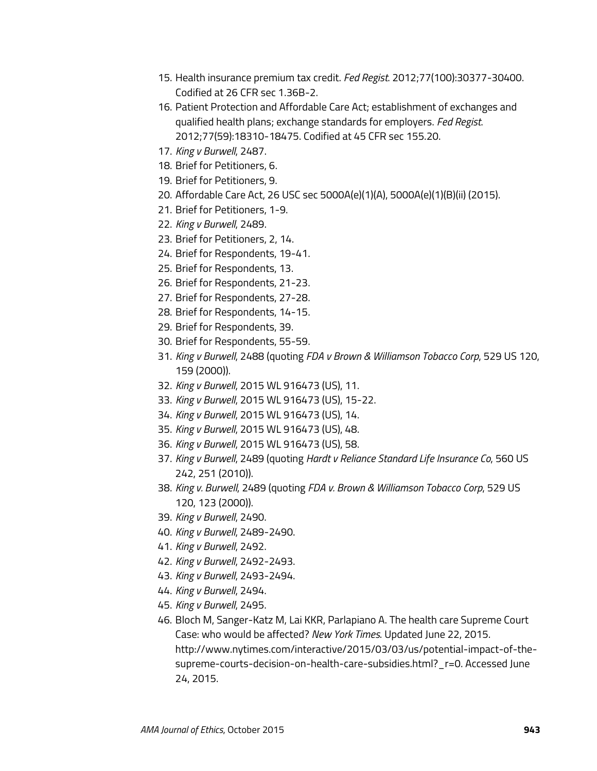- 15. Health insurance premium tax credit. *Fed Regist*. 2012;77(100):30377-30400. Codified at 26 CFR sec 1.36B-2.
- 16. Patient Protection and Affordable Care Act; establishment of exchanges and qualified health plans; exchange standards for employers. *Fed Regist*. 2012;77(59):18310-18475. Codified at 45 CFR sec 155.20.
- 17. *King v Burwell*, 2487.
- 18. Brief for Petitioners, 6.
- 19. Brief for Petitioners, 9.
- 20. Affordable Care Act, 26 USC sec 5000A(e)(1)(A), 5000A(e)(1)(B)(ii) (2015).
- 21. Brief for Petitioners, 1-9.
- 22. *King v Burwell*, 2489.
- 23. Brief for Petitioners, 2, 14.
- 24. Brief for Respondents, 19-41.
- 25. Brief for Respondents, 13.
- 26. Brief for Respondents, 21-23.
- 27. Brief for Respondents, 27-28.
- 28. Brief for Respondents, 14-15.
- 29. Brief for Respondents, 39.
- 30. Brief for Respondents, 55-59.
- 31. *King v Burwell*, 2488 (quoting *FDA v Brown & Williamson Tobacco Corp*, 529 US 120, 159 (2000)).
- 32. *King v Burwell*, 2015 WL 916473 (US), 11.
- 33. *King v Burwell*, 2015 WL 916473 (US), 15-22.
- 34. *King v Burwell*, 2015 WL 916473 (US), 14.
- 35. *King v Burwell*, 2015 WL 916473 (US), 48.
- 36. *King v Burwell*, 2015 WL 916473 (US), 58.
- 37. *King v Burwell*, 2489 (quoting *Hardt v Reliance Standard Life Insurance Co*, 560 US 242, 251 (2010)).
- 38. *King v. Burwell*, 2489 (quoting *FDA v. Brown & Williamson Tobacco Corp*, 529 US 120, 123 (2000)).
- 39. *King v Burwell*, 2490.
- 40. *King v Burwell*, 2489-2490.
- 41. *King v Burwell*, 2492.
- 42. *King v Burwell*, 2492-2493.
- 43. *King v Burwell*, 2493-2494.
- 44. *King v Burwell*, 2494.
- 45. *King v Burwell*, 2495.
- 46. Bloch M, Sanger-Katz M, Lai KKR, Parlapiano A. The health care Supreme Court Case: who would be affected? *New York Times*. Updated June 22, 2015. http://www.nytimes.com/interactive/2015/03/03/us/potential-impact-of-thesupreme-courts-decision-on-health-care-subsidies.html?\_r=0. Accessed June 24, 2015.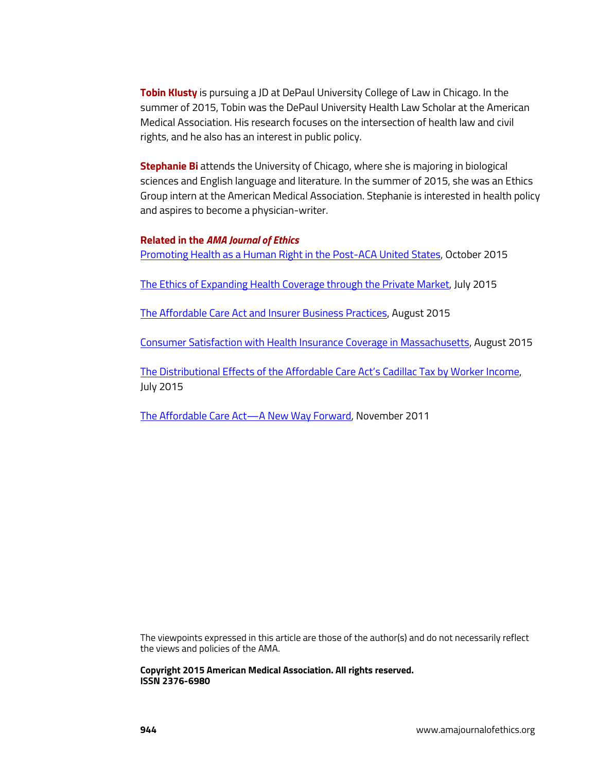**Tobin Klusty** is pursuing a JD at DePaul University College of Law in Chicago. In the summer of 2015, Tobin was the DePaul University Health Law Scholar at the American Medical Association. His research focuses on the intersection of health law and civil rights, and he also has an interest in public policy.

**Stephanie Bi** attends the University of Chicago, where she is majoring in biological sciences and English language and literature. In the summer of 2015, she was an Ethics Group intern at the American Medical Association. Stephanie is interested in health policy and aspires to become a physician-writer.

## **Related in the** *AMA Journal of Ethics*

[Promoting Health as a Human Right in the Post-ACA United States,](http://journalofethics.ama-assn.org/2015/10/msoc1-1510.html) October 2015

[The Ethics of Expanding Health Coverage through the Private Market,](http://journalofethics.ama-assn.org/2015/07/msoc1-1507.html) July 2015

[The Affordable Care Act and Insurer Business Practices,](http://journalofethics.ama-assn.org/2015/08/hlaw1-1508.html) August 2015

[Consumer Satisfaction with Health Insurance Coverage](http://journalofethics.ama-assn.org/2015/07/pfor2-1507.html) in Massachusetts, August 2015

[The Distributional Effects of the Affordable Care Act's Cadillac Tax by Worker Income,](http://journalofethics.ama-assn.org/2015/07/sect1-1507.html) July 2015

[The Affordable Care Act—A](http://journalofethics.ama-assn.org/2011/11/oped1-1111.html) New Way Forward, November 2011

The viewpoints expressed in this article are those of the author(s) and do not necessarily reflect the views and policies of the AMA.

**Copyright 2015 American Medical Association. All rights reserved. ISSN 2376-6980**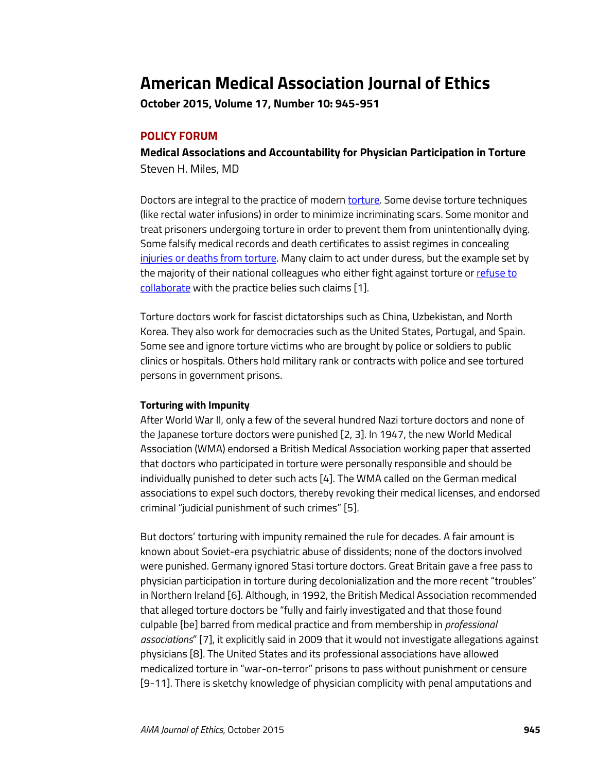# **American Medical Association Journal of Ethics**

**October 2015, Volume 17, Number 10: 945-951**

## **POLICY FORUM**

**Medical Associations and Accountability for Physician Participation in Torture** Steven H. Miles, MD

Doctors are integral to the practice of modern [torture.](http://journalofethics.ama-assn.org/2004/09/jdsc1-0409.html) Some devise torture techniques (like rectal water infusions) in order to minimize incriminating scars. Some monitor and treat prisoners undergoing torture in order to prevent them from unintentionally dying. Some falsify medical records and death certificates to assist regimes in concealing [injuries or deaths from torture.](http://journalofethics.ama-assn.org/2015/10/mhst1-1510.html) Many claim to act under duress, but the example set by the majority of their national colleagues who either fight against torture or refuse to [collaborate](http://journalofethics.ama-assn.org/2015/10/mnar1-1510.html) with the practice belies such claims [1].

Torture doctors work for fascist dictatorships such as China, Uzbekistan, and North Korea. They also work for democracies such as the United States, Portugal, and Spain. Some see and ignore torture victims who are brought by police or soldiers to public clinics or hospitals. Others hold military rank or contracts with police and see tortured persons in government prisons.

## **Torturing with Impunity**

After World War II, only a few of the several hundred Nazi torture doctors and none of the Japanese torture doctors were punished [2, 3]. In 1947, the new World Medical Association (WMA) endorsed a British Medical Association working paper that asserted that doctors who participated in torture were personally responsible and should be individually punished to deter such acts [4]. The WMA called on the German medical associations to expel such doctors, thereby revoking their medical licenses, and endorsed criminal "judicial punishment of such crimes" [5].

But doctors' torturing with impunity remained the rule for decades. A fair amount is known about Soviet-era psychiatric abuse of dissidents; none of the doctors involved were punished. Germany ignored Stasi torture doctors. Great Britain gave a free pass to physician participation in torture during decolonialization and the more recent "troubles" in Northern Ireland [6]. Although, in 1992, the British Medical Association recommended that alleged torture doctors be "fully and fairly investigated and that those found culpable [be] barred from medical practice and from membership in *professional associations*" [7], it explicitly said in 2009 that it would not investigate allegations against physicians [8]. The United States and its professional associations have allowed medicalized torture in "war-on-terror" prisons to pass without punishment or censure [9-11]. There is sketchy knowledge of physician complicity with penal amputations and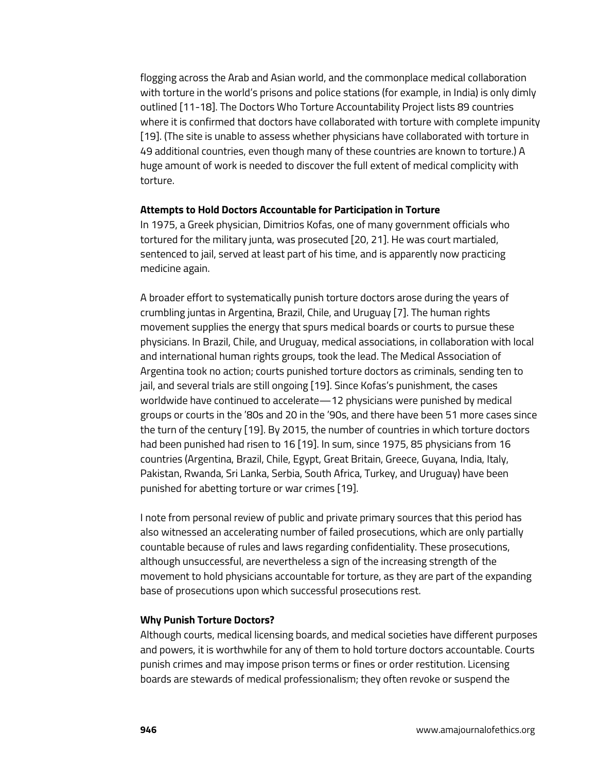flogging across the Arab and Asian world, and the commonplace medical collaboration with torture in the world's prisons and police stations (for example, in India) is only dimly outlined [11-18]. The Doctors Who Torture Accountability Project lists 89 countries where it is confirmed that doctors have collaborated with torture with complete impunity [19]. (The site is unable to assess whether physicians have collaborated with torture in 49 additional countries, even though many of these countries are known to torture.) A huge amount of work is needed to discover the full extent of medical complicity with torture.

#### **Attempts to Hold Doctors Accountable for Participation in Torture**

In 1975, a Greek physician, Dimitrios Kofas, one of many government officials who tortured for the military junta, was prosecuted [20, 21]. He was court martialed, sentenced to jail, served at least part of his time, and is apparently now practicing medicine again.

A broader effort to systematically punish torture doctors arose during the years of crumbling juntas in Argentina, Brazil, Chile, and Uruguay [7]. The human rights movement supplies the energy that spurs medical boards or courts to pursue these physicians. In Brazil, Chile, and Uruguay, medical associations, in collaboration with local and international human rights groups, took the lead. The Medical Association of Argentina took no action; courts punished torture doctors as criminals, sending ten to jail, and several trials are still ongoing [19]. Since Kofas's punishment, the cases worldwide have continued to accelerate—12 physicians were punished by medical groups or courts in the '80s and 20 in the '90s, and there have been 51 more cases since the turn of the century [19]. By 2015, the number of countries in which torture doctors had been punished had risen to 16 [19]. In sum, since 1975, 85 physicians from 16 countries (Argentina, Brazil, Chile, Egypt, Great Britain, Greece, Guyana, India, Italy, Pakistan, Rwanda, Sri Lanka, Serbia, South Africa, Turkey, and Uruguay) have been punished for abetting torture or war crimes [19].

I note from personal review of public and private primary sources that this period has also witnessed an accelerating number of failed prosecutions, which are only partially countable because of rules and laws regarding confidentiality. These prosecutions, although unsuccessful, are nevertheless a sign of the increasing strength of the movement to hold physicians accountable for torture, as they are part of the expanding base of prosecutions upon which successful prosecutions rest.

## **Why Punish Torture Doctors?**

Although courts, medical licensing boards, and medical societies have different purposes and powers, it is worthwhile for any of them to hold torture doctors accountable. Courts punish crimes and may impose prison terms or fines or order restitution. Licensing boards are stewards of medical professionalism; they often revoke or suspend the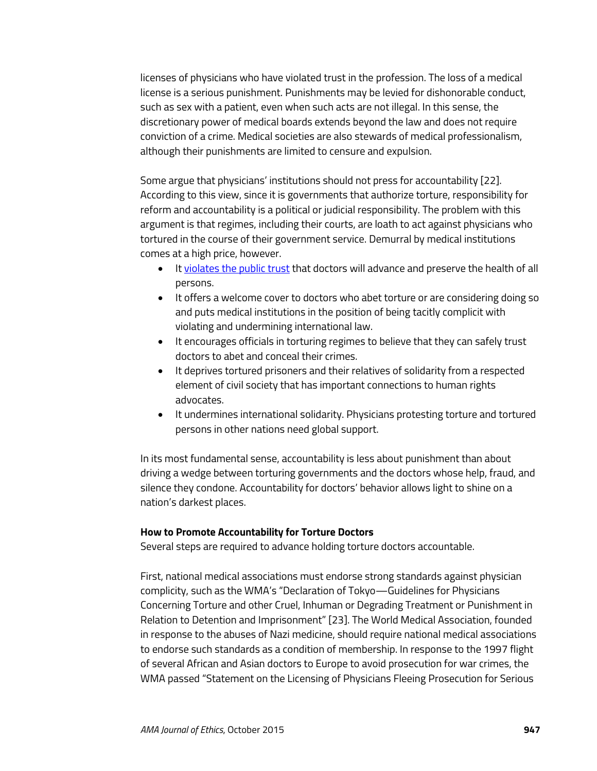licenses of physicians who have violated trust in the profession. The loss of a medical license is a serious punishment. Punishments may be levied for dishonorable conduct, such as sex with a patient, even when such acts are not illegal. In this sense, the discretionary power of medical boards extends beyond the law and does not require conviction of a crime. Medical societies are also stewards of medical professionalism, although their punishments are limited to censure and expulsion.

Some argue that physicians' institutions should not press for accountability [22]. According to this view, since it is governments that authorize torture, responsibility for reform and accountability is a political or judicial responsibility. The problem with this argument is that regimes, including their courts, are loath to act against physicians who tortured in the course of their government service. Demurral by medical institutions comes at a high price, however.

- It [violates the public trust](http://journalofethics.ama-assn.org/2004/09/oped1-0409.html) that doctors will advance and preserve the health of all persons.
- It offers a welcome cover to doctors who abet torture or are considering doing so and puts medical institutions in the position of being tacitly complicit with violating and undermining international law.
- It encourages officials in torturing regimes to believe that they can safely trust doctors to abet and conceal their crimes.
- It deprives tortured prisoners and their relatives of solidarity from a respected element of civil society that has important connections to human rights advocates.
- It undermines international solidarity. Physicians protesting torture and tortured persons in other nations need global support.

In its most fundamental sense, accountability is less about punishment than about driving a wedge between torturing governments and the doctors whose help, fraud, and silence they condone. Accountability for doctors' behavior allows light to shine on a nation's darkest places.

## **How to Promote Accountability for Torture Doctors**

Several steps are required to advance holding torture doctors accountable.

First, national medical associations must endorse strong standards against physician complicity, such as the WMA's "Declaration of Tokyo—Guidelines for Physicians Concerning Torture and other Cruel, Inhuman or Degrading Treatment or Punishment in Relation to Detention and Imprisonment" [23]. The World Medical Association, founded in response to the abuses of Nazi medicine, should require national medical associations to endorse such standards as a condition of membership. In response to the 1997 flight of several African and Asian doctors to Europe to avoid prosecution for war crimes, the WMA passed "Statement on the Licensing of Physicians Fleeing Prosecution for Serious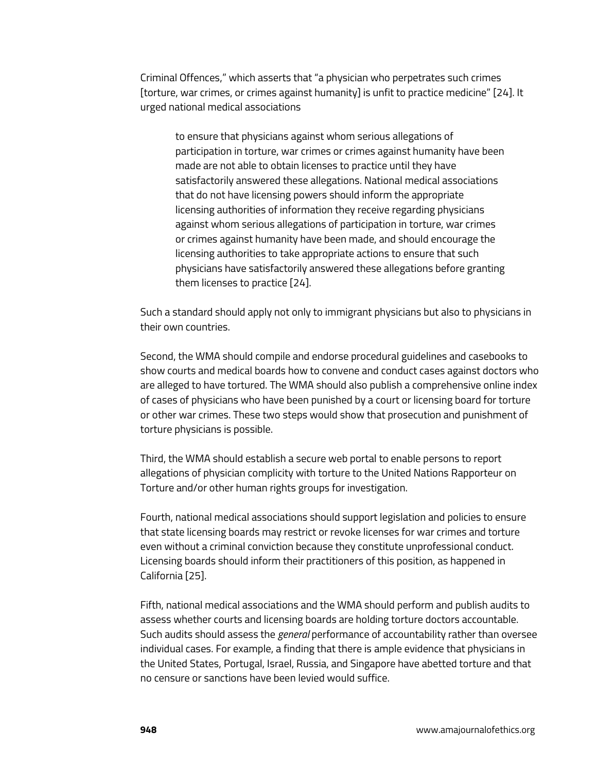Criminal Offences," which asserts that "a physician who perpetrates such crimes [torture, war crimes, or crimes against humanity] is unfit to practice medicine" [24]. It urged national medical associations

to ensure that physicians against whom serious allegations of participation in torture, war crimes or crimes against humanity have been made are not able to obtain licenses to practice until they have satisfactorily answered these allegations. National medical associations that do not have licensing powers should inform the appropriate licensing authorities of information they receive regarding physicians against whom serious allegations of participation in torture, war crimes or crimes against humanity have been made, and should encourage the licensing authorities to take appropriate actions to ensure that such physicians have satisfactorily answered these allegations before granting them licenses to practice [24].

Such a standard should apply not only to immigrant physicians but also to physicians in their own countries.

Second, the WMA should compile and endorse procedural guidelines and casebooks to show courts and medical boards how to convene and conduct cases against doctors who are alleged to have tortured. The WMA should also publish a comprehensive online index of cases of physicians who have been punished by a court or licensing board for torture or other war crimes. These two steps would show that prosecution and punishment of torture physicians is possible.

Third, the WMA should establish a secure web portal to enable persons to report allegations of physician complicity with torture to the United Nations Rapporteur on Torture and/or other human rights groups for investigation.

Fourth, national medical associations should support legislation and policies to ensure that state licensing boards may restrict or revoke licenses for war crimes and torture even without a criminal conviction because they constitute unprofessional conduct. Licensing boards should inform their practitioners of this position, as happened in California [25].

Fifth, national medical associations and the WMA should perform and publish audits to assess whether courts and licensing boards are holding torture doctors accountable. Such audits should assess the *general* performance of accountability rather than oversee individual cases. For example, a finding that there is ample evidence that physicians in the United States, Portugal, Israel, Russia, and Singapore have abetted torture and that no censure or sanctions have been levied would suffice.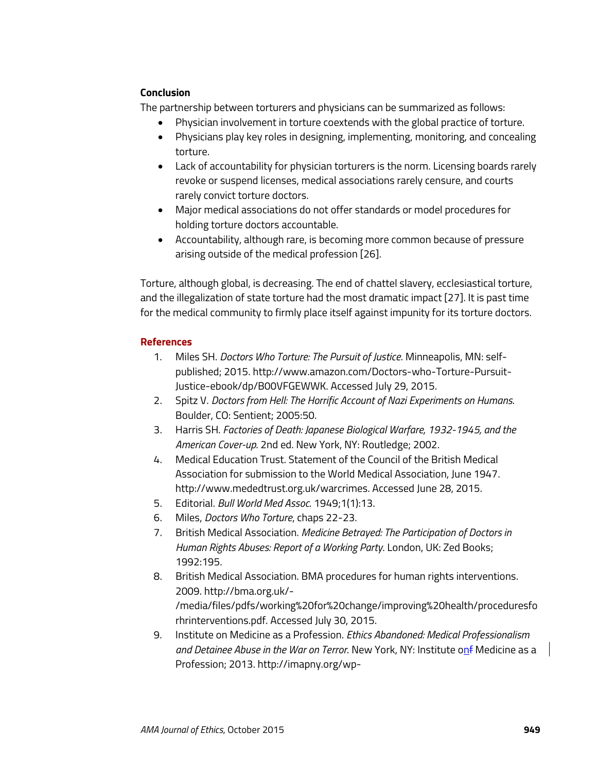## **Conclusion**

The partnership between torturers and physicians can be summarized as follows:

- Physician involvement in torture coextends with the global practice of torture.
- Physicians play key roles in designing, implementing, monitoring, and concealing torture.
- Lack of accountability for physician torturers is the norm. Licensing boards rarely revoke or suspend licenses, medical associations rarely censure, and courts rarely convict torture doctors.
- Major medical associations do not offer standards or model procedures for holding torture doctors accountable.
- Accountability, although rare, is becoming more common because of pressure arising outside of the medical profession [26].

Torture, although global, is decreasing. The end of chattel slavery, ecclesiastical torture, and the illegalization of state torture had the most dramatic impact [27]. It is past time for the medical community to firmly place itself against impunity for its torture doctors.

## **References**

- 1. Miles SH. *Doctors Who Torture: The Pursuit of Justice*. Minneapolis, MN: selfpublished; 2015. http://www.amazon.com/Doctors-who-Torture-Pursuit-Justice-ebook/dp/B00VFGEWWK. Accessed July 29, 2015.
- 2. Spitz V. *Doctors from Hell: The Horrific Account of Nazi Experiments on Humans*. Boulder, CO: Sentient; 2005:50.
- 3. Harris SH. *Factories of Death: Japanese Biological Warfare, 1932-1945, and the American Cover-up*. 2nd ed. New York, NY: Routledge; 2002.
- 4. Medical Education Trust. Statement of the Council of the British Medical Association for submission to the World Medical Association, June 1947. http://www.mededtrust.org.uk/warcrimes. Accessed June 28, 2015.
- 5. Editorial. *Bull World Med Assoc*. 1949;1(1):13.
- 6. Miles, *Doctors Who Torture*, chaps 22-23.
- 7. British Medical Association. *Medicine Betrayed: The Participation of Doctors in Human Rights Abuses: Report of a Working Party*. London, UK: Zed Books; 1992:195.
- 8. British Medical Association. BMA procedures for human rights interventions. 2009. http://bma.org.uk/- /media/files/pdfs/working%20for%20change/improving%20health/proceduresfo rhrinterventions.pdf. Accessed July 30, 2015.
- 9. Institute on Medicine as a Profession. *Ethics Abandoned: Medical Professionalism and Detainee Abuse in the War on Terror*. New York, NY: Institute onf Medicine as a Profession; 2013. http://imapny.org/wp-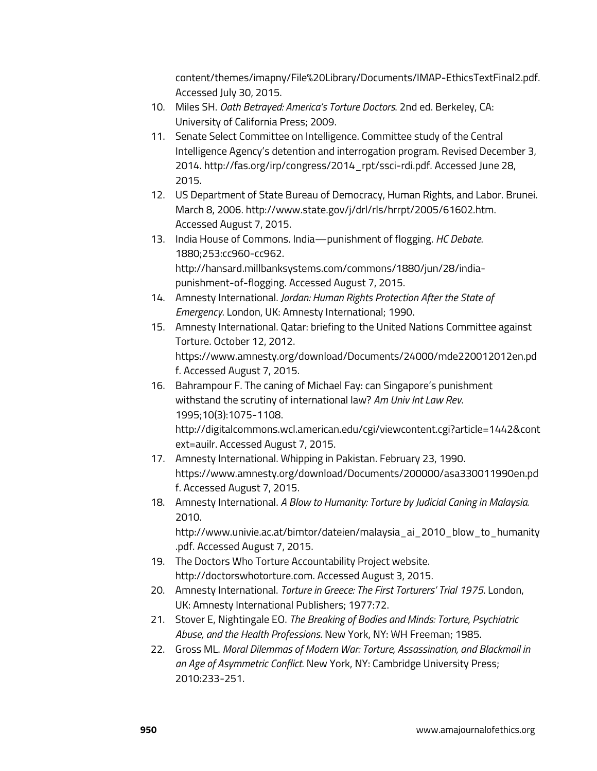content/themes/imapny/File%20Library/Documents/IMAP-EthicsTextFinal2.pdf. Accessed July 30, 2015.

- 10. Miles SH. *Oath Betrayed: America's Torture Doctors*. 2nd ed. Berkeley, CA: University of California Press; 2009.
- 11. Senate Select Committee on Intelligence. Committee study of the Central Intelligence Agency's detention and interrogation program. Revised December 3, 2014. http://fas.org/irp/congress/2014\_rpt/ssci-rdi.pdf. Accessed June 28, 2015.
- 12. US Department of State Bureau of Democracy, Human Rights, and Labor. Brunei. March 8, 2006. http://www.state.gov/j/drl/rls/hrrpt/2005/61602.htm. Accessed August 7, 2015.
- 13. India House of Commons. India—punishment of flogging. *HC Debate*. 1880;253:cc960-cc962. http://hansard.millbanksystems.com/commons/1880/jun/28/indiapunishment-of-flogging. Accessed August 7, 2015.
- 14. Amnesty International. *Jordan: Human Rights Protection After the State of Emergency*. London, UK: Amnesty International; 1990.
- 15. Amnesty International. Qatar: briefing to the United Nations Committee against Torture. October 12, 2012. https://www.amnesty.org/download/Documents/24000/mde220012012en.pd f. Accessed August 7, 2015.
- 16. Bahrampour F. The caning of Michael Fay: can Singapore's punishment withstand the scrutiny of international law? *Am Univ Int Law Rev*. 1995;10(3):1075-1108. http://digitalcommons.wcl.american.edu/cgi/viewcontent.cgi?article=1442&cont ext=auilr. Accessed August 7, 2015.
- 17. Amnesty International. Whipping in Pakistan. February 23, 1990. https://www.amnesty.org/download/Documents/200000/asa330011990en.pd f. Accessed August 7, 2015.
- 18. Amnesty International. *A Blow to Humanity: Torture by Judicial Caning in Malaysia.* 2010.

http://www.univie.ac.at/bimtor/dateien/malaysia\_ai\_2010\_blow\_to\_humanity .pdf. Accessed August 7, 2015.

- 19. The Doctors Who Torture Accountability Project website. http://doctorswhotorture.com. Accessed August 3, 2015.
- 20. Amnesty International. *Torture in Greece: The First Torturers' Trial 1975*. London, UK: Amnesty International Publishers; 1977:72.
- 21. Stover E, Nightingale EO. *The Breaking of Bodies and Minds: Torture, Psychiatric Abuse, and the Health Professions*. New York, NY: WH Freeman; 1985.
- 22. Gross ML. *Moral Dilemmas of Modern War: Torture, Assassination, and Blackmail in an Age of Asymmetric Conflict*. New York, NY: Cambridge University Press; 2010:233-251.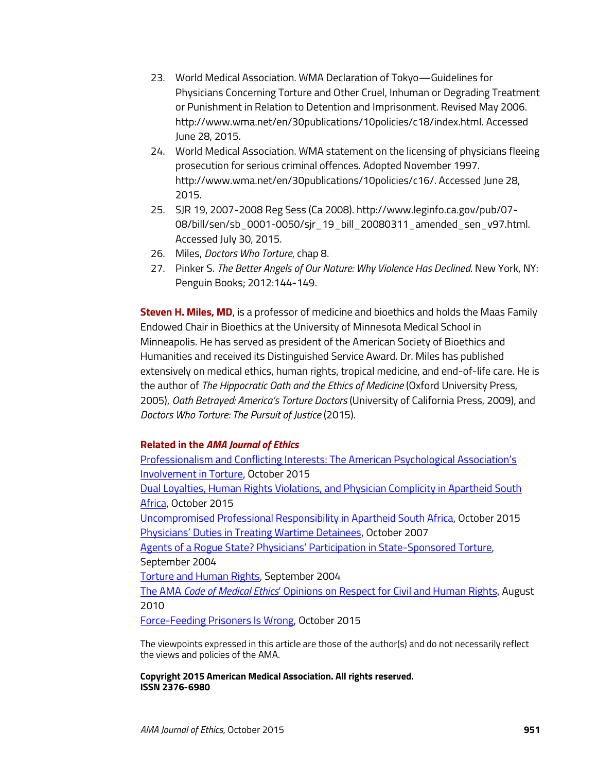- 23. World Medical Association. WMA Declaration of Tokyo—Guidelines for Physicians Concerning Torture and Other Cruel, Inhuman or Degrading Treatment or Punishment in Relation to Detention and Imprisonment. Revised May 2006. http://www.wma.net/en/30publications/10policies/c18/index.html. Accessed June 28, 2015.
- 24. World Medical Association. WMA statement on the licensing of physicians fleeing prosecution for serious criminal offences. Adopted November 1997. http://www.wma.net/en/30publications/10policies/c16/. Accessed June 28, 2015.
- 25. SJR 19, 2007-2008 Reg Sess (Ca 2008). http://www.leginfo.ca.gov/pub/07- 08/bill/sen/sb\_0001-0050/sjr\_19\_bill\_20080311\_amended\_sen\_v97.html. Accessed July 30, 2015.
- 26. Miles, *Doctors Who Torture*, chap 8.
- 27. Pinker S. *The Better Angels of Our Nature: Why Violence Has Declined*. New York, NY: Penguin Books; 2012:144-149.

**Steven H. Miles, MD**, is a professor of medicine and bioethics and holds the Maas Family Endowed Chair in Bioethics at the University of Minnesota Medical School in Minneapolis. He has served as president of the American Society of Bioethics and Humanities and received its Distinguished Service Award. Dr. Miles has published extensively on medical ethics, human rights, tropical medicine, and end-of-life care. He is the author of *The Hippocratic Oath and the Ethics of Medicine* (Oxford University Press, 2005), *Oath Betrayed: America's Torture Doctors* (University of California Press, 2009), and *Doctors Who Torture: The Pursuit of Justice* (2015).

## **Related in the** *AMA Journal of Ethics*

[Professionalism and Conflicting Interests: The American Psychological Association's](http://journalofethics.ama-assn.org/2015/10/nlit1-1510.html)  [Involvement in Torture,](http://journalofethics.ama-assn.org/2015/10/nlit1-1510.html) October 2015 [Dual Loyalties, Human Rights Violations, and Physician Complicity in Apartheid South](http://journalofethics.ama-assn.org/mhst1-1510.html)  [Africa,](http://journalofethics.ama-assn.org/mhst1-1510.html) October 2015 [Uncompromised Professional Responsibility in Apartheid South Africa,](http://journalofethics.ama-assn.org/mnar1-1510.html) October 2015 Physicians' [Duties in Treating Wartime Detainees,](http://journalofethics.ama-assn.org/2007/10/ccas2-0710.html) October 2007 [Agents of a Rogue State? Physicians' Participation in State-Sponsored Torture,](http://journalofethics.ama-assn.org/2004/09/jdsc1-0409.html) September 2004 [Torture and Human Rights,](http://journalofethics.ama-assn.org/2004/09/oped1-0409.html) September 2004 The AMA *Code of Medical Ethics*[' Opinions on Respect for Civil and](http://journalofethics.ama-assn.org/2010/08/coet1-1008.html) Human Rights, August 2010 [Force-Feeding Prisoners Is Wrong,](http://journalofethics.ama-assn.org/2015/10/ecas2-1510.html) October 2015

The viewpoints expressed in this article are those of the author(s) and do not necessarily reflect the views and policies of the AMA.

#### **Copyright 2015 American Medical Association. All rights reserved. ISSN 2376-6980**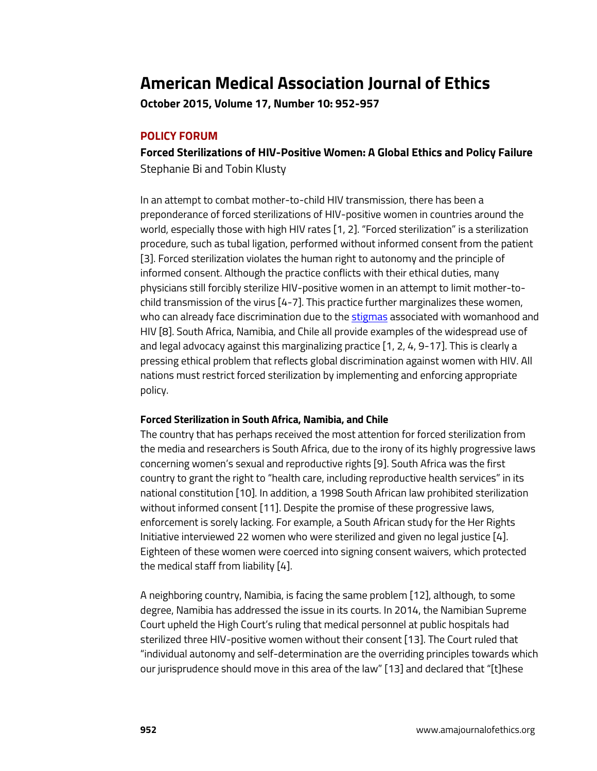# **American Medical Association Journal of Ethics**

**October 2015, Volume 17, Number 10: 952-957**

## **POLICY FORUM**

**Forced Sterilizations of HIV-Positive Women: A Global Ethics and Policy Failure** Stephanie Bi and Tobin Klusty

In an attempt to combat mother-to-child HIV transmission, there has been a preponderance of forced sterilizations of HIV-positive women in countries around the world, especially those with high HIV rates [1, 2]. "Forced sterilization" is a sterilization procedure, such as tubal ligation, performed without informed consent from the patient [3]. Forced sterilization violates the human right to autonomy and the principle of informed consent. Although the practice conflicts with their ethical duties, many physicians still forcibly sterilize HIV-positive women in an attempt to limit mother-tochild transmission of the virus [4-7]. This practice further marginalizes these women, who can already face discrimination due to the [stigmas](http://journalofethics.ama-assn.org/2009/12/oped1-0912.html) associated with womanhood and HIV [8]. South Africa, Namibia, and Chile all provide examples of the widespread use of and legal advocacy against this marginalizing practice [1, 2, 4, 9-17]. This is clearly a pressing ethical problem that reflects global discrimination against women with HIV. All nations must restrict forced sterilization by implementing and enforcing appropriate policy.

## **Forced Sterilization in South Africa, Namibia, and Chile**

The country that has perhaps received the most attention for forced sterilization from the media and researchers is South Africa, due to the irony of its highly progressive laws concerning women's sexual and reproductive rights [9]. South Africa was the first country to grant the right to "health care, including reproductive health services" in its national constitution [10]. In addition, a 1998 South African law prohibited sterilization without informed consent [11]. Despite the promise of these progressive laws, enforcement is sorely lacking. For example, a South African study for the Her Rights Initiative interviewed 22 women who were sterilized and given no legal justice [4]. Eighteen of these women were coerced into signing consent waivers, which protected the medical staff from liability [4].

A neighboring country, Namibia, is facing the same problem [12], although, to some degree, Namibia has addressed the issue in its courts. In 2014, the Namibian Supreme Court upheld the High Court's ruling that medical personnel at public hospitals had sterilized three HIV-positive women without their consent [13]. The Court ruled that "individual autonomy and self-determination are the overriding principles towards which our jurisprudence should move in this area of the law" [13] and declared that "[t]hese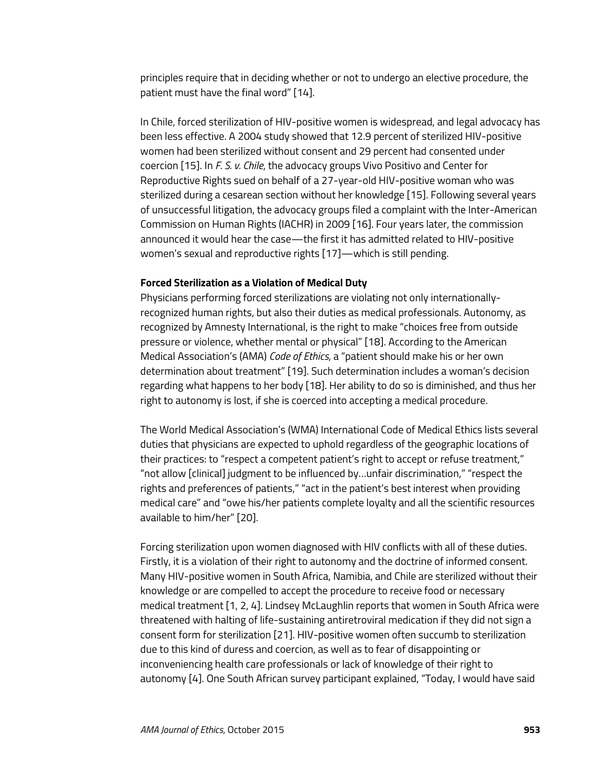principles require that in deciding whether or not to undergo an elective procedure, the patient must have the final word" [14].

In Chile, forced sterilization of HIV-positive women is widespread, and legal advocacy has been less effective. A 2004 study showed that 12.9 percent of sterilized HIV-positive women had been sterilized without consent and 29 percent had consented under coercion [15]. In *F. S. v. Chile*, the advocacy groups Vivo Positivo and Center for Reproductive Rights sued on behalf of a 27-year-old HIV-positive woman who was sterilized during a cesarean section without her knowledge [15]. Following several years of unsuccessful litigation, the advocacy groups filed a complaint with the Inter-American Commission on Human Rights (IACHR) in 2009 [16]. Four years later, the commission announced it would hear the case—the first it has admitted related to HIV-positive women's sexual and reproductive rights [17]—which is still pending.

### **Forced Sterilization as a Violation of Medical Duty**

Physicians performing forced sterilizations are violating not only internationallyrecognized human rights, but also their duties as medical professionals. Autonomy, as recognized by Amnesty International, is the right to make "choices free from outside pressure or violence, whether mental or physical" [18]. According to the American Medical Association's (AMA) *Code of Ethics*, a "patient should make his or her own determination about treatment" [19]. Such determination includes a woman's decision regarding what happens to her body [18]. Her ability to do so is diminished, and thus her right to autonomy is lost, if she is coerced into accepting a medical procedure.

The World Medical Association's (WMA) International Code of Medical Ethics lists several duties that physicians are expected to uphold regardless of the geographic locations of their practices: to "respect a competent patient's right to accept or refuse treatment," "not allow [clinical] judgment to be influenced by…unfair discrimination," "respect the rights and preferences of patients," "act in the patient's best interest when providing medical care" and "owe his/her patients complete loyalty and all the scientific resources available to him/her" [20].

Forcing sterilization upon women diagnosed with HIV conflicts with all of these duties. Firstly, it is a violation of their right to autonomy and the doctrine of informed consent. Many HIV-positive women in South Africa, Namibia, and Chile are sterilized without their knowledge or are compelled to accept the procedure to receive food or necessary medical treatment [1, 2, 4]. Lindsey McLaughlin reports that women in South Africa were threatened with halting of life-sustaining antiretroviral medication if they did not sign a consent form for sterilization [21]. HIV-positive women often succumb to sterilization due to this kind of duress and coercion, as well as to fear of disappointing or inconveniencing health care professionals or lack of knowledge of their right to autonomy [4]. One South African survey participant explained, "Today, I would have said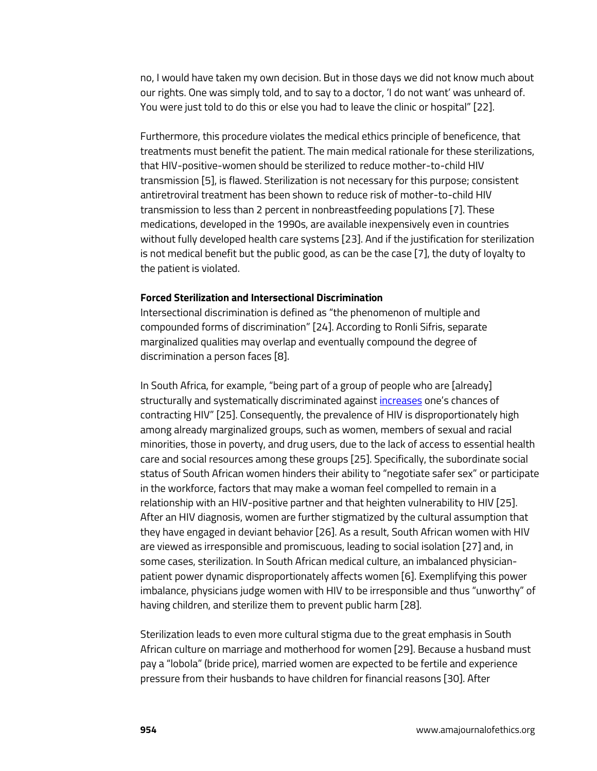no, I would have taken my own decision. But in those days we did not know much about our rights. One was simply told, and to say to a doctor, 'I do not want' was unheard of. You were just told to do this or else you had to leave the clinic or hospital" [22].

Furthermore, this procedure violates the medical ethics principle of beneficence, that treatments must benefit the patient. The main medical rationale for these sterilizations, that HIV-positive-women should be sterilized to reduce mother-to-child HIV transmission [5], is flawed. Sterilization is not necessary for this purpose; consistent antiretroviral treatment has been shown to reduce risk of mother-to-child HIV transmission to less than 2 percent in nonbreastfeeding populations [7]. These medications, developed in the 1990s, are available inexpensively even in countries without fully developed health care systems [23]. And if the justification for sterilization is not medical benefit but the public good, as can be the case [7], the duty of loyalty to the patient is violated.

### **Forced Sterilization and Intersectional Discrimination**

Intersectional discrimination is defined as "the phenomenon of multiple and compounded forms of discrimination" [24]. According to Ronli Sifris, separate marginalized qualities may overlap and eventually compound the degree of discrimination a person faces [8].

In South Africa, for example, "being part of a group of people who are [already] structurally and systematically discriminated agains[t increases](http://journalofethics.ama-assn.org/2008/07/pfor1-0807.html) one's chances of contracting HIV" [25]. Consequently, the prevalence of HIV is disproportionately high among already marginalized groups, such as women, members of sexual and racial minorities, those in poverty, and drug users, due to the lack of access to essential health care and social resources among these groups [25]. Specifically, the subordinate social status of South African women hinders their ability to "negotiate safer sex" or participate in the workforce, factors that may make a woman feel compelled to remain in a relationship with an HIV-positive partner and that heighten vulnerability to HIV [25]. After an HIV diagnosis, women are further stigmatized by the cultural assumption that they have engaged in deviant behavior [26]. As a result, South African women with HIV are viewed as irresponsible and promiscuous, leading to social isolation [27] and, in some cases, sterilization. In South African medical culture, an imbalanced physicianpatient power dynamic disproportionately affects women [6]. Exemplifying this power imbalance, physicians judge women with HIV to be irresponsible and thus "unworthy" of having children, and sterilize them to prevent public harm [28].

Sterilization leads to even more cultural stigma due to the great emphasis in South African culture on marriage and motherhood for women [29]. Because a husband must pay a "lobola" (bride price), married women are expected to be fertile and experience pressure from their husbands to have children for financial reasons [30]. After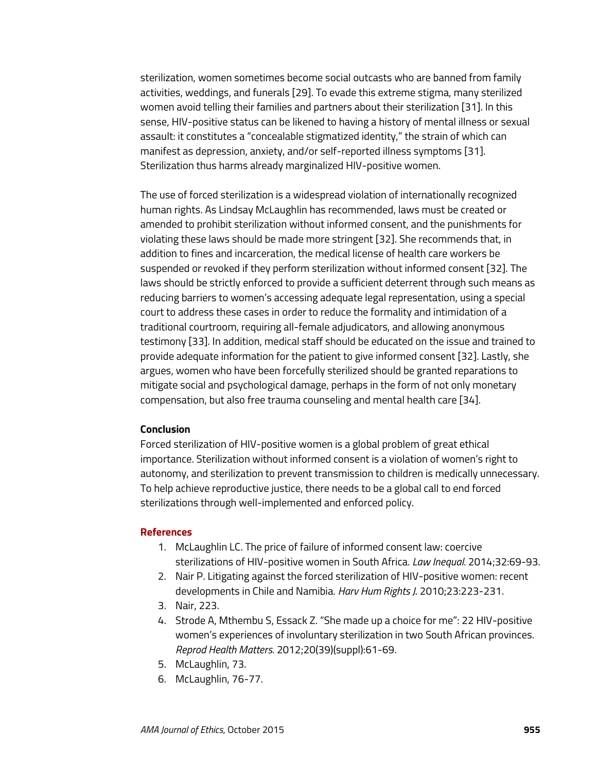sterilization, women sometimes become social outcasts who are banned from family activities, weddings, and funerals [29]. To evade this extreme stigma, many sterilized women avoid telling their families and partners about their sterilization [31]. In this sense, HIV-positive status can be likened to having a history of mental illness or sexual assault: it constitutes a "concealable stigmatized identity," the strain of which can manifest as depression, anxiety, and/or self-reported illness symptoms [31]. Sterilization thus harms already marginalized HIV-positive women.

The use of forced sterilization is a widespread violation of internationally recognized human rights. As Lindsay McLaughlin has recommended, laws must be created or amended to prohibit sterilization without informed consent, and the punishments for violating these laws should be made more stringent [32]. She recommends that, in addition to fines and incarceration, the medical license of health care workers be suspended or revoked if they perform sterilization without informed consent [32]. The laws should be strictly enforced to provide a sufficient deterrent through such means as reducing barriers to women's accessing adequate legal representation, using a special court to address these cases in order to reduce the formality and intimidation of a traditional courtroom, requiring all-female adjudicators, and allowing anonymous testimony [33]. In addition, medical staff should be educated on the issue and trained to provide adequate information for the patient to give informed consent [32]. Lastly, she argues, women who have been forcefully sterilized should be granted reparations to mitigate social and psychological damage, perhaps in the form of not only monetary compensation, but also free trauma counseling and mental health care [34].

#### **Conclusion**

Forced sterilization of HIV-positive women is a global problem of great ethical importance. Sterilization without informed consent is a violation of women's right to autonomy, and sterilization to prevent transmission to children is medically unnecessary. To help achieve reproductive justice, there needs to be a global call to end forced sterilizations through well-implemented and enforced policy.

#### **References**

- 1. McLaughlin LC. The price of failure of informed consent law: coercive sterilizations of HIV-positive women in South Africa. *Law Inequal*. 2014;32:69-93.
- 2. Nair P. Litigating against the forced sterilization of HIV-positive women: recent developments in Chile and Namibia. *Harv Hum Rights J*. 2010;23:223-231.
- 3. Nair, 223.
- 4. Strode A, Mthembu S, Essack Z. "She made up a choice for me": 22 HIV-positive women's experiences of involuntary sterilization in two South African provinces. *Reprod Health Matters*. 2012;20(39)(suppl):61-69.
- 5. McLaughlin, 73.
- 6. McLaughlin, 76-77.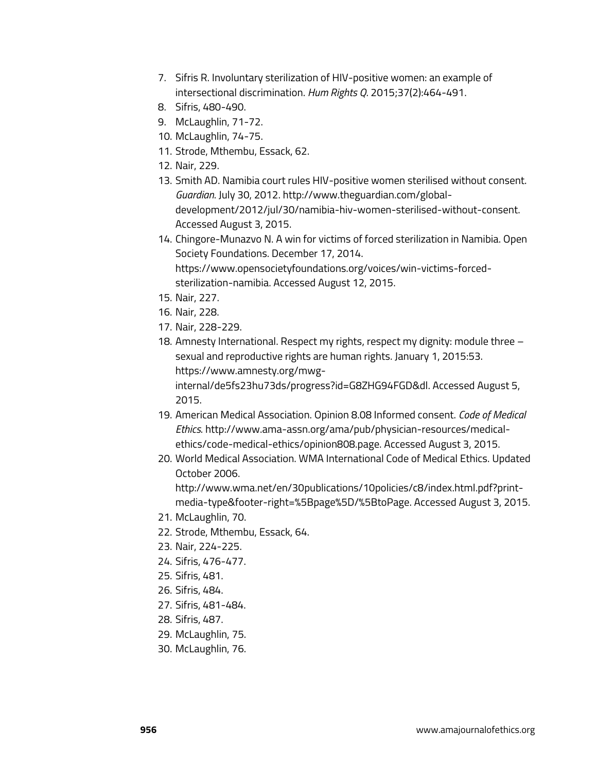- 7. Sifris R. Involuntary sterilization of HIV-positive women: an example of intersectional discrimination. *Hum Rights Q*. 2015;37(2):464-491.
- 8. Sifris, 480-490.
- 9. McLaughlin, 71-72.
- 10. McLaughlin, 74-75.
- 11. Strode, Mthembu, Essack, 62.
- 12. Nair, 229.
- 13. Smith AD. Namibia court rules HIV-positive women sterilised without consent. *Guardian*. July 30, 2012. http://www.theguardian.com/globaldevelopment/2012/jul/30/namibia-hiv-women-sterilised-without-consent. Accessed August 3, 2015.
- 14. Chingore-Munazvo N. A win for victims of forced sterilization in Namibia. Open Society Foundations. December 17, 2014. https://www.opensocietyfoundations.org/voices/win-victims-forcedsterilization-namibia. Accessed August 12, 2015.
- 15. Nair, 227.
- 16. Nair, 228.
- 17. Nair, 228-229.
- 18. Amnesty International. Respect my rights, respect my dignity: module three sexual and reproductive rights are human rights. January 1, 2015:53. https://www.amnesty.org/mwginternal/de5fs23hu73ds/progress?id=G8ZHG94FGD&dl. Accessed August 5,

2015.

- 19. American Medical Association. Opinion 8.08 Informed consent. *Code of Medical Ethics*. http://www.ama-assn.org/ama/pub/physician-resources/medicalethics/code-medical-ethics/opinion808.page. Accessed August 3, 2015.
- 20. World Medical Association. WMA International Code of Medical Ethics. Updated October 2006. http://www.wma.net/en/30publications/10policies/c8/index.html.pdf?print-

media-type&footer-right=%5Bpage%5D/%5BtoPage. Accessed August 3, 2015.

- 21. McLaughlin, 70.
- 22. Strode, Mthembu, Essack, 64.
- 23. Nair, 224-225.
- 24. Sifris, 476-477.
- 25. Sifris, 481.
- 26. Sifris, 484.
- 27. Sifris, 481-484.
- 28. Sifris, 487.
- 29. McLaughlin, 75.
- 30. McLaughlin, 76.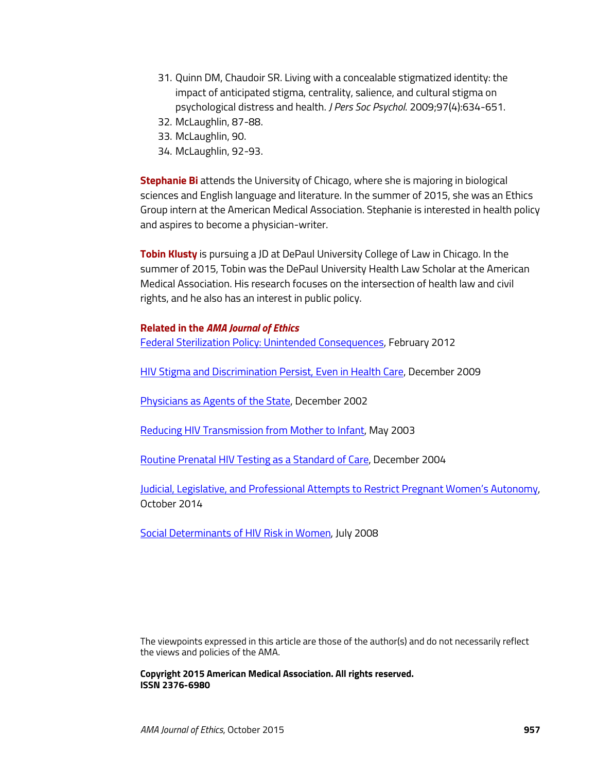- 31. Quinn DM, Chaudoir SR. Living with a concealable stigmatized identity: the impact of anticipated stigma, centrality, salience, and cultural stigma on psychological distress and health. *J Pers Soc Psychol*. 2009;97(4):634-651.
- 32. McLaughlin, 87-88.
- 33. McLaughlin, 90.
- 34. McLaughlin, 92-93.

**Stephanie Bi** attends the University of Chicago, where she is majoring in biological sciences and English language and literature. In the summer of 2015, she was an Ethics Group intern at the American Medical Association. Stephanie is interested in health policy and aspires to become a physician-writer.

**Tobin Klusty** is pursuing a JD at DePaul University College of Law in Chicago. In the summer of 2015, Tobin was the DePaul University Health Law Scholar at the American Medical Association. His research focuses on the intersection of health law and civil rights, and he also has an interest in public policy.

### **Related in the** *AMA Journal of Ethics*

[Federal Sterilization Policy: Unintended](http://journalofethics.ama-assn.org/2012/02/mhst1-1202.html) Consequences, February 2012

[HIV Stigma and Discrimination Persist, Even in Health Care,](http://journalofethics.ama-assn.org/2009/12/oped1-0912.html) December 2009

[Physicians as Agents of the State,](http://journalofethics.ama-assn.org/2002/12/medu1-0212.html) December 2002

[Reducing HIV Transmission from Mother to Infant,](http://journalofethics.ama-assn.org/2003/05/cprl2-0305.html) May 2003

[Routine Prenatal HIV Testing as a Standard of Care,](http://journalofethics.ama-assn.org/2004/12/msoc1-0412.html) December 2004

[Judicial, Legislative, and Professional Attempts to Restrict Pregnant](http://journalofethics.ama-assn.org/2014/10/msoc1-1410.html) Women's Autonomy, October 2014

[Social Determinants of HIV Risk in Women,](http://journalofethics.ama-assn.org/2008/07/pfor1-0807.html) July 2008

The viewpoints expressed in this article are those of the author(s) and do not necessarily reflect the views and policies of the AMA.

**Copyright 2015 American Medical Association. All rights reserved. ISSN 2376-6980**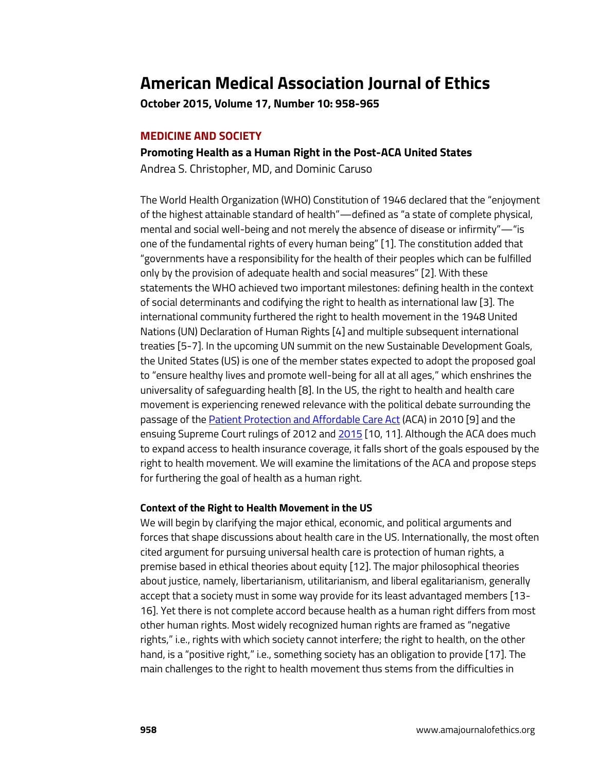# **American Medical Association Journal of Ethics**

**October 2015, Volume 17, Number 10: 958-965**

# **MEDICINE AND SOCIETY**

## **Promoting Health as a Human Right in the Post-ACA United States**

Andrea S. Christopher, MD, and Dominic Caruso

The World Health Organization (WHO) Constitution of 1946 declared that the "enjoyment of the highest attainable standard of health"—defined as "a state of complete physical, mental and social well-being and not merely the absence of disease or infirmity"—"is one of the fundamental rights of every human being" [1]. The constitution added that "governments have a responsibility for the health of their peoples which can be fulfilled only by the provision of adequate health and social measures" [2]. With these statements the WHO achieved two important milestones: defining health in the context of social determinants and codifying the right to health as international law [3]. The international community furthered the right to health movement in the 1948 United Nations (UN) Declaration of Human Rights [4] and multiple subsequent international treaties [5-7]. In the upcoming UN summit on the new Sustainable Development Goals, the United States (US) is one of the member states expected to adopt the proposed goal to "ensure healthy lives and promote well-being for all at all ages," which enshrines the universality of safeguarding health [8]. In the US, the right to health and health care movement is experiencing renewed relevance with the political debate surrounding the passage of the [Patient Protection and Affordable Care Act](http://journalofethics.ama-assn.org/2011/11/oped1-1111.html) (ACA) in 2010 [9] and the ensuing Supreme Court rulings of 2012 and [2015](http://journalofethics.ama-assn.org/2015/10/hlaw-1510.html) [10, 11]. Although the ACA does much to expand access to health insurance coverage, it falls short of the goals espoused by the right to health movement. We will examine the limitations of the ACA and propose steps for furthering the goal of health as a human right.

## **Context of the Right to Health Movement in the US**

We will begin by clarifying the major ethical, economic, and political arguments and forces that shape discussions about health care in the US. Internationally, the most often cited argument for pursuing universal health care is protection of human rights, a premise based in ethical theories about equity [12]. The major philosophical theories about justice, namely, libertarianism, utilitarianism, and liberal egalitarianism, generally accept that a society must in some way provide for its least advantaged members [13- 16]. Yet there is not complete accord because health as a human right differs from most other human rights. Most widely recognized human rights are framed as "negative rights," i.e., rights with which society cannot interfere; the right to health, on the other hand, is a "positive right," i.e., something society has an obligation to provide [17]. The main challenges to the right to health movement thus stems from the difficulties in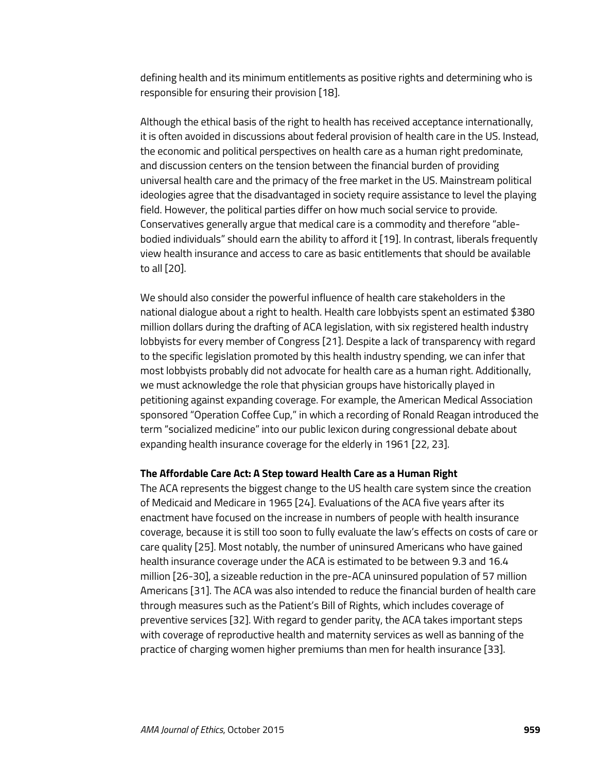defining health and its minimum entitlements as positive rights and determining who is responsible for ensuring their provision [18].

Although the ethical basis of the right to health has received acceptance internationally, it is often avoided in discussions about federal provision of health care in the US. Instead, the economic and political perspectives on health care as a human right predominate, and discussion centers on the tension between the financial burden of providing universal health care and the primacy of the free market in the US. Mainstream political ideologies agree that the disadvantaged in society require assistance to level the playing field. However, the political parties differ on how much social service to provide. Conservatives generally argue that medical care is a commodity and therefore "ablebodied individuals" should earn the ability to afford it [19]. In contrast, liberals frequently view health insurance and access to care as basic entitlements that should be available to all [20].

We should also consider the powerful influence of health care stakeholders in the national dialogue about a right to health. Health care lobbyists spent an estimated \$380 million dollars during the drafting of ACA legislation, with six registered health industry lobbyists for every member of Congress [21]. Despite a lack of transparency with regard to the specific legislation promoted by this health industry spending, we can infer that most lobbyists probably did not advocate for health care as a human right. Additionally, we must acknowledge the role that physician groups have historically played in petitioning against expanding coverage. For example, the American Medical Association sponsored "Operation Coffee Cup," in which a recording of Ronald Reagan introduced the term "socialized medicine" into our public lexicon during congressional debate about expanding health insurance coverage for the elderly in 1961 [22, 23].

#### **The Affordable Care Act: A Step toward Health Care as a Human Right**

The ACA represents the biggest change to the US health care system since the creation of Medicaid and Medicare in 1965 [24]. Evaluations of the ACA five years after its enactment have focused on the increase in numbers of people with health insurance coverage, because it is still too soon to fully evaluate the law's effects on costs of care or care quality [25]. Most notably, the number of uninsured Americans who have gained health insurance coverage under the ACA is estimated to be between 9.3 and 16.4 million [26-30], a sizeable reduction in the pre-ACA uninsured population of 57 million Americans [31]. The ACA was also intended to reduce the financial burden of health care through measures such as the Patient's Bill of Rights, which includes coverage of preventive services [32]. With regard to gender parity, the ACA takes important steps with coverage of reproductive health and maternity services as well as banning of the practice of charging women higher premiums than men for health insurance [33].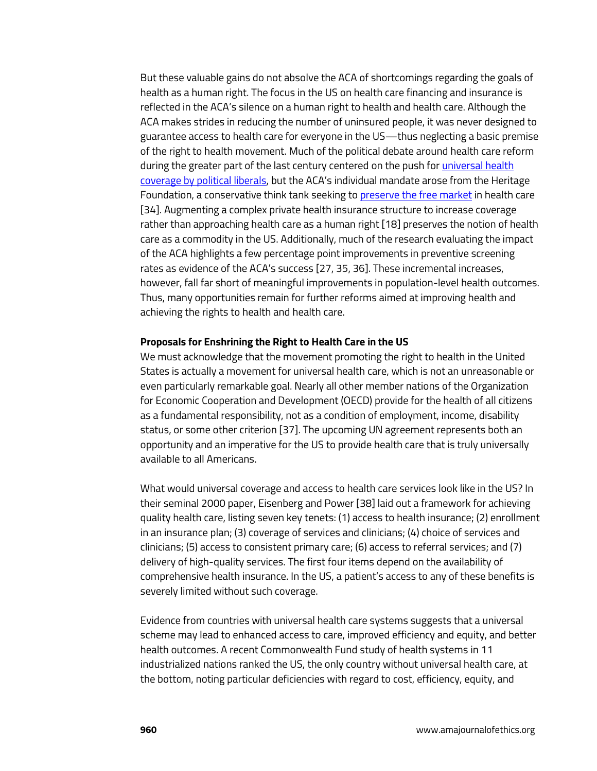But these valuable gains do not absolve the ACA of shortcomings regarding the goals of health as a human right. The focus in the US on health care financing and insurance is reflected in the ACA's silence on a human right to health and health care. Although the ACA makes strides in reducing the number of uninsured people, it was never designed to guarantee access to health care for everyone in the US—thus neglecting a basic premise of the right to health movement. Much of the political debate around health care reform during the greater part of the last century centered on the push for *universal health* [coverage by political liberals,](http://journalofethics.ama-assn.org/2012/11/oped1-1211.html) but the ACA's individual mandate arose from the Heritage Foundation, a conservative think tank seeking t[o preserve the free market](http://journalofethics.ama-assn.org/2015/07/msoc1-1507.html) in health care [34]. Augmenting a complex private health insurance structure to increase coverage rather than approaching health care as a human right [18] preserves the notion of health care as a commodity in the US. Additionally, much of the research evaluating the impact of the ACA highlights a few percentage point improvements in preventive screening rates as evidence of the ACA's success [27, 35, 36]. These incremental increases, however, fall far short of meaningful improvements in population-level health outcomes. Thus, many opportunities remain for further reforms aimed at improving health and achieving the rights to health and health care.

### **Proposals for Enshrining the Right to Health Care in the US**

We must acknowledge that the movement promoting the right to health in the United States is actually a movement for universal health care, which is not an unreasonable or even particularly remarkable goal. Nearly all other member nations of the Organization for Economic Cooperation and Development (OECD) provide for the health of all citizens as a fundamental responsibility, not as a condition of employment, income, disability status, or some other criterion [37]. The upcoming UN agreement represents both an opportunity and an imperative for the US to provide health care that is truly universally available to all Americans.

What would universal coverage and access to health care services look like in the US? In their seminal 2000 paper, Eisenberg and Power [38] laid out a framework for achieving quality health care, listing seven key tenets: (1) access to health insurance; (2) enrollment in an insurance plan; (3) coverage of services and clinicians; (4) choice of services and clinicians; (5) access to consistent primary care; (6) access to referral services; and (7) delivery of high-quality services. The first four items depend on the availability of comprehensive health insurance. In the US, a patient's access to any of these benefits is severely limited without such coverage.

Evidence from countries with universal health care systems suggests that a universal scheme may lead to enhanced access to care, improved efficiency and equity, and better health outcomes. A recent Commonwealth Fund study of health systems in 11 industrialized nations ranked the US, the only country without universal health care, at the bottom, noting particular deficiencies with regard to cost, efficiency, equity, and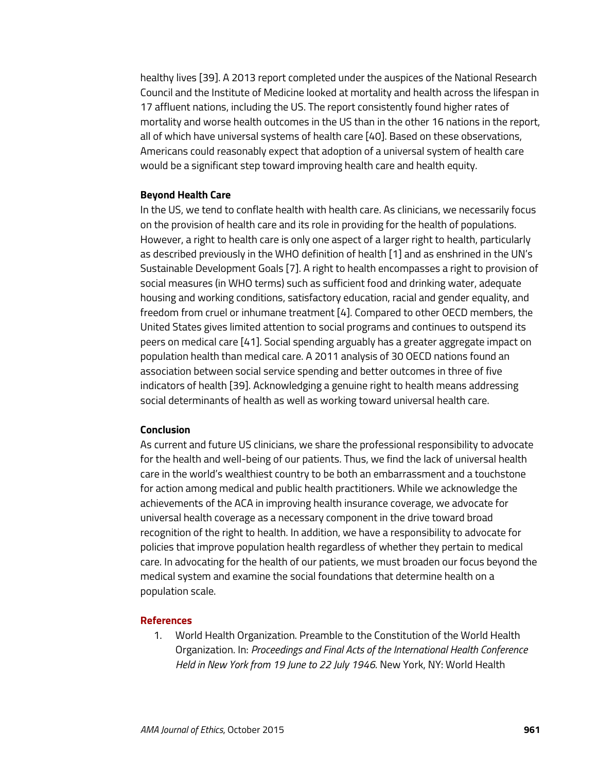healthy lives [39]. A 2013 report completed under the auspices of the National Research Council and the Institute of Medicine looked at mortality and health across the lifespan in 17 affluent nations, including the US. The report consistently found higher rates of mortality and worse health outcomes in the US than in the other 16 nations in the report, all of which have universal systems of health care [40]. Based on these observations, Americans could reasonably expect that adoption of a universal system of health care would be a significant step toward improving health care and health equity.

### **Beyond Health Care**

In the US, we tend to conflate health with health care. As clinicians, we necessarily focus on the provision of health care and its role in providing for the health of populations. However, a right to health care is only one aspect of a larger right to health, particularly as described previously in the WHO definition of health [1] and as enshrined in the UN's Sustainable Development Goals [7]. A right to health encompasses a right to provision of social measures (in WHO terms) such as sufficient food and drinking water, adequate housing and working conditions, satisfactory education, racial and gender equality, and freedom from cruel or inhumane treatment [4]. Compared to other OECD members, the United States gives limited attention to social programs and continues to outspend its peers on medical care [41]. Social spending arguably has a greater aggregate impact on population health than medical care. A 2011 analysis of 30 OECD nations found an association between social service spending and better outcomes in three of five indicators of health [39]. Acknowledging a genuine right to health means addressing social determinants of health as well as working toward universal health care.

## **Conclusion**

As current and future US clinicians, we share the professional responsibility to advocate for the health and well-being of our patients. Thus, we find the lack of universal health care in the world's wealthiest country to be both an embarrassment and a touchstone for action among medical and public health practitioners. While we acknowledge the achievements of the ACA in improving health insurance coverage, we advocate for universal health coverage as a necessary component in the drive toward broad recognition of the right to health. In addition, we have a responsibility to advocate for policies that improve population health regardless of whether they pertain to medical care. In advocating for the health of our patients, we must broaden our focus beyond the medical system and examine the social foundations that determine health on a population scale.

## **References**

1. World Health Organization. Preamble to the Constitution of the World Health Organization. In: *Proceedings and Final Acts of the International Health Conference Held in New York from 19 June to 22 July 1946*. New York, NY: World Health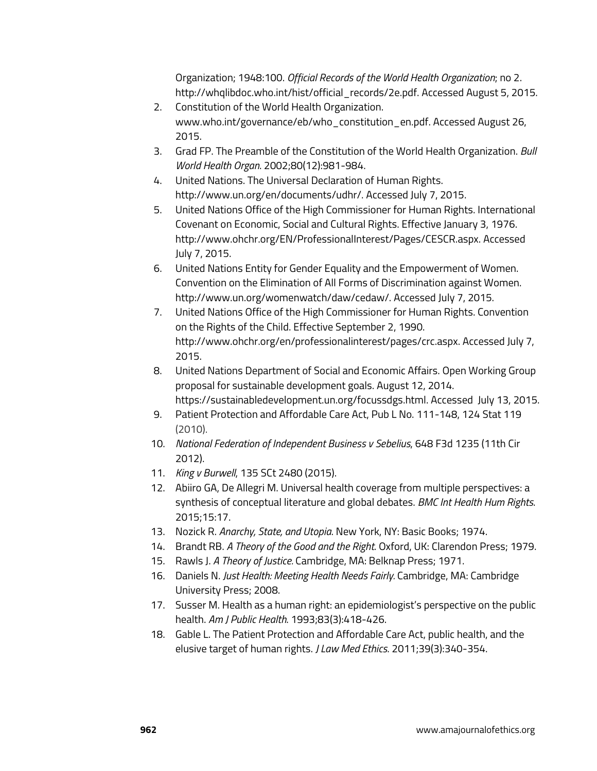Organization; 1948:100. *Official Records of the World Health Organization*; no 2. http://whqlibdoc.who.int/hist/official records/2e.pdf. Accessed August 5, 2015.

- 2. Constitution of the World Health Organization. www.who.int/governance/eb/who\_constitution\_en.pdf. Accessed August 26, 2015.
- 3. Grad FP. The Preamble of the Constitution of the World Health Organization. *Bull World Health Organ*. 2002;80(12):981-984.
- 4. United Nations. The Universal Declaration of Human Rights. http://www.un.org/en/documents/udhr/. Accessed July 7, 2015.
- 5. United Nations Office of the High Commissioner for Human Rights. International Covenant on Economic, Social and Cultural Rights. Effective January 3, 1976. http://www.ohchr.org/EN/ProfessionalInterest/Pages/CESCR.aspx. Accessed July 7, 2015.
- 6. United Nations Entity for Gender Equality and the Empowerment of Women. Convention on the Elimination of All Forms of Discrimination against Women. http://www.un.org/womenwatch/daw/cedaw/. Accessed July 7, 2015.
- 7. United Nations Office of the High Commissioner for Human Rights. Convention on the Rights of the Child. Effective September 2, 1990. http://www.ohchr.org/en/professionalinterest/pages/crc.aspx. Accessed July 7, 2015.
- 8. United Nations Department of Social and Economic Affairs. Open Working Group proposal for sustainable development goals. August 12, 2014. https://sustainabledevelopment.un.org/focussdgs.html. Accessed July 13, 2015.
- 9. Patient Protection and Affordable Care Act, Pub L No. 111-148, 124 Stat 119 (2010).
- 10. *National Federation of Independent Business v Sebelius*, 648 F3d 1235 (11th Cir 2012).
- 11. *King v Burwell*, 135 SCt 2480 (2015).
- 12. Abiiro GA, De Allegri M. Universal health coverage from multiple perspectives: a synthesis of conceptual literature and global debates. *BMC Int Health Hum Rights*. 2015;15:17.
- 13. Nozick R. *Anarchy, State, and Utopia*. New York, NY: Basic Books; 1974.
- 14. Brandt RB. *A Theory of the Good and the Right*. Oxford, UK: Clarendon Press; 1979.
- 15. Rawls J. *A Theory of Justice.* Cambridge, MA: Belknap Press; 1971.
- 16. Daniels N. *Just Health: Meeting Health Needs Fairly.* Cambridge, MA: Cambridge University Press; 2008.
- 17. Susser M. Health as a human right: an epidemiologist's perspective on the public health. *Am J Public Health*. 1993;83(3):418-426.
- 18. Gable L. The Patient Protection and Affordable Care Act, public health, and the elusive target of human rights. *J Law Med Ethics*. 2011;39(3):340-354.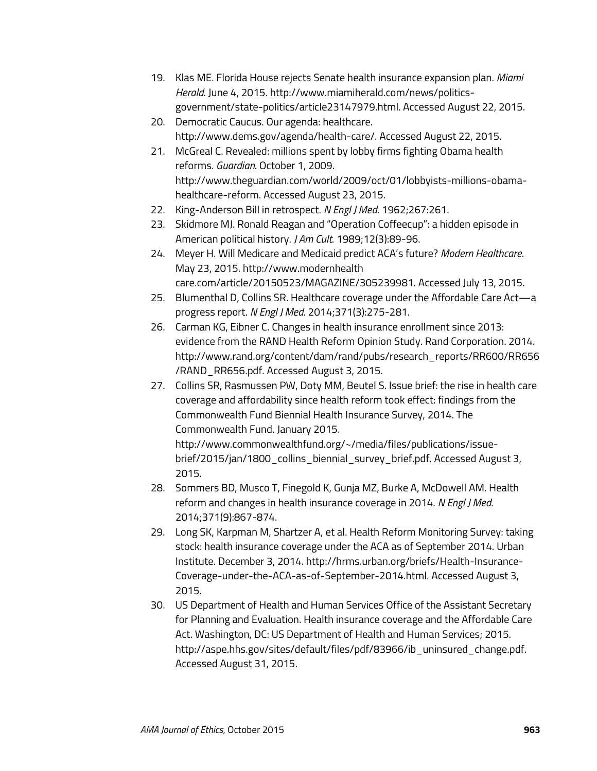- 19. Klas ME. Florida House rejects Senate health insurance expansion plan. *Miami Herald*. June 4, 2015. http://www.miamiherald.com/news/politicsgovernment/state-politics/article23147979.html. Accessed August 22, 2015.
- 20. Democratic Caucus. Our agenda: healthcare. http://www.dems.gov/agenda/health-care/. Accessed August 22, 2015.
- 21. McGreal C. Revealed: millions spent by lobby firms fighting Obama health reforms. *Guardian*. October 1, 2009. http://www.theguardian.com/world/2009/oct/01/lobbyists-millions-obamahealthcare-reform. Accessed August 23, 2015.
- 22. King-Anderson Bill in retrospect. *N Engl J Med*. 1962;267:261.
- 23. Skidmore MJ. Ronald Reagan and "Operation Coffeecup": a hidden episode in American political history. *J Am Cult*. 1989;12(3):89-96.
- 24. Meyer H. Will Medicare and Medicaid predict ACA's future? *Modern Healthcare*. May 23, 2015. http://www.modernhealth care.com/article/20150523/MAGAZINE/305239981. Accessed July 13, 2015.
- 25. Blumenthal D, Collins SR. Healthcare coverage under the Affordable Care Act—a progress report. *N Engl J Med*. 2014;371(3):275-281.
- 26. Carman KG, Eibner C. Changes in health insurance enrollment since 2013: evidence from the RAND Health Reform Opinion Study. Rand Corporation. 2014. http://www.rand.org/content/dam/rand/pubs/research\_reports/RR600/RR656 /RAND\_RR656.pdf. Accessed August 3, 2015.
- 27. Collins SR, Rasmussen PW, Doty MM, Beutel S. Issue brief: the rise in health care coverage and affordability since health reform took effect: findings from the Commonwealth Fund Biennial Health Insurance Survey, 2014. The Commonwealth Fund. January 2015. http://www.commonwealthfund.org/~/media/files/publications/issuebrief/2015/jan/1800\_collins\_biennial\_survey\_brief.pdf. Accessed August 3,
	- 2015.
- 28. Sommers BD, Musco T, Finegold K, Gunja MZ, Burke A, McDowell AM. Health reform and changes in health insurance coverage in 2014. *N Engl J Med*. 2014;371(9):867-874.
- 29. Long SK, Karpman M, Shartzer A, et al. Health Reform Monitoring Survey: taking stock: health insurance coverage under the ACA as of September 2014. Urban Institute. December 3, 2014. http://hrms.urban.org/briefs/Health-Insurance-Coverage-under-the-ACA-as-of-September-2014.html. Accessed August 3, 2015.
- 30. US Department of Health and Human Services Office of the Assistant Secretary for Planning and Evaluation. Health insurance coverage and the Affordable Care Act. Washington, DC: US Department of Health and Human Services; 2015. http://aspe.hhs.gov/sites/default/files/pdf/83966/ib\_uninsured\_change.pdf. Accessed August 31, 2015.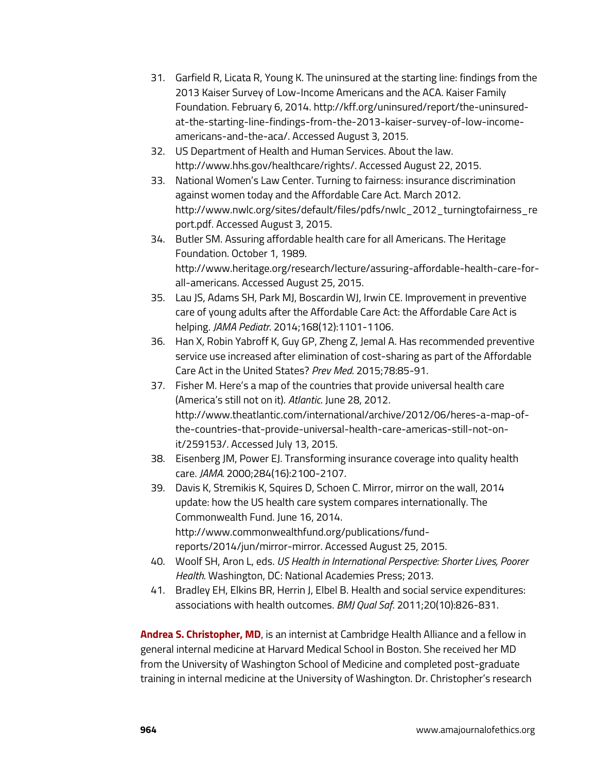- 31. Garfield R, Licata R, Young K. The uninsured at the starting line: findings from the 2013 Kaiser Survey of Low-Income Americans and the ACA. Kaiser Family Foundation. February 6, 2014. http://kff.org/uninsured/report/the-uninsuredat-the-starting-line-findings-from-the-2013-kaiser-survey-of-low-incomeamericans-and-the-aca/. Accessed August 3, 2015.
- 32. US Department of Health and Human Services. About the law. http://www.hhs.gov/healthcare/rights/. Accessed August 22, 2015.
- 33. National Women's Law Center. Turning to fairness: insurance discrimination against women today and the Affordable Care Act. March 2012. http://www.nwlc.org/sites/default/files/pdfs/nwlc\_2012\_turningtofairness\_re port.pdf. Accessed August 3, 2015.
- 34. Butler SM. Assuring affordable health care for all Americans. The Heritage Foundation. October 1, 1989. http://www.heritage.org/research/lecture/assuring-affordable-health-care-forall-americans. Accessed August 25, 2015.
- 35. Lau JS, Adams SH, Park MJ, Boscardin WJ, Irwin CE. Improvement in preventive care of young adults after the Affordable Care Act: the Affordable Care Act is helping. *JAMA Pediatr*. 2014;168(12):1101-1106.
- 36. Han X, Robin Yabroff K, Guy GP, Zheng Z, Jemal A. Has recommended preventive service use increased after elimination of cost-sharing as part of the Affordable Care Act in the United States? *Prev Med*. 2015;78:85-91.
- 37. Fisher M. Here's a map of the countries that provide universal health care (America's still not on it). *Atlantic*. June 28, 2012. http://www.theatlantic.com/international/archive/2012/06/heres-a-map-ofthe-countries-that-provide-universal-health-care-americas-still-not-onit/259153/. Accessed July 13, 2015.
- 38. Eisenberg JM, Power EJ. Transforming insurance coverage into quality health care. *JAMA.* 2000;284(16):2100-2107.
- 39. Davis K, Stremikis K, Squires D, Schoen C. Mirror, mirror on the wall, 2014 update: how the US health care system compares internationally. The Commonwealth Fund. June 16, 2014. http://www.commonwealthfund.org/publications/fundreports/2014/jun/mirror-mirror. Accessed August 25, 2015.
- 40. Woolf SH, Aron L, eds. *US Health in International Perspective: Shorter Lives, Poorer Health*. Washington, DC: National Academies Press; 2013.
- 41. Bradley EH, Elkins BR, Herrin J, Elbel B. Health and social service expenditures: associations with health outcomes. *BMJ Qual Saf*. 2011;20(10):826-831.

**Andrea S. Christopher, MD**, is an internist at Cambridge Health Alliance and a fellow in general internal medicine at Harvard Medical School in Boston. She received her MD from the University of Washington School of Medicine and completed post-graduate training in internal medicine at the University of Washington. Dr. Christopher's research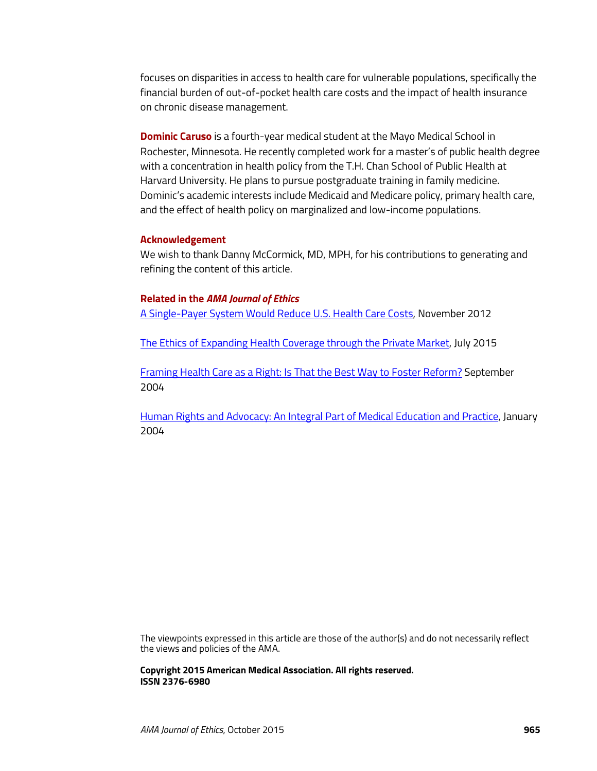focuses on disparities in access to health care for vulnerable populations, specifically the financial burden of out-of-pocket health care costs and the impact of health insurance on chronic disease management.

**Dominic Caruso** is a fourth-year medical student at the Mayo Medical School in Rochester, Minnesota. He recently completed work for a master's of public health degree with a concentration in health policy from the T.H. Chan School of Public Health at Harvard University. He plans to pursue postgraduate training in family medicine. Dominic's academic interests include Medicaid and Medicare policy, primary health care, and the effect of health policy on marginalized and low-income populations.

#### **Acknowledgement**

We wish to thank Danny McCormick, MD, MPH, for his contributions to generating and refining the content of this article.

#### **Related in the** *AMA Journal of Ethics*

[A Single-Payer System Would Reduce U.S. Health Care Costs,](http://journalofethics.ama-assn.org/2012/11/oped1-1211.html) November 2012

[The Ethics of Expanding Health Coverage through the Private Market,](http://journalofethics.ama-assn.org/2015/07/msoc1-1507.html) July 2015

[Framing Health Care as a Right: Is That the Best Way to Foster Reform?](http://journalofethics.ama-assn.org/2004/09/oped2-0409.html) September 2004

[Human Rights and Advocacy: An Integral Part of Medical Education and Practice,](http://journalofethics.ama-assn.org/2004/01/pfor2-0401.html) January 2004

The viewpoints expressed in this article are those of the author(s) and do not necessarily reflect the views and policies of the AMA.

**Copyright 2015 American Medical Association. All rights reserved. ISSN 2376-6980**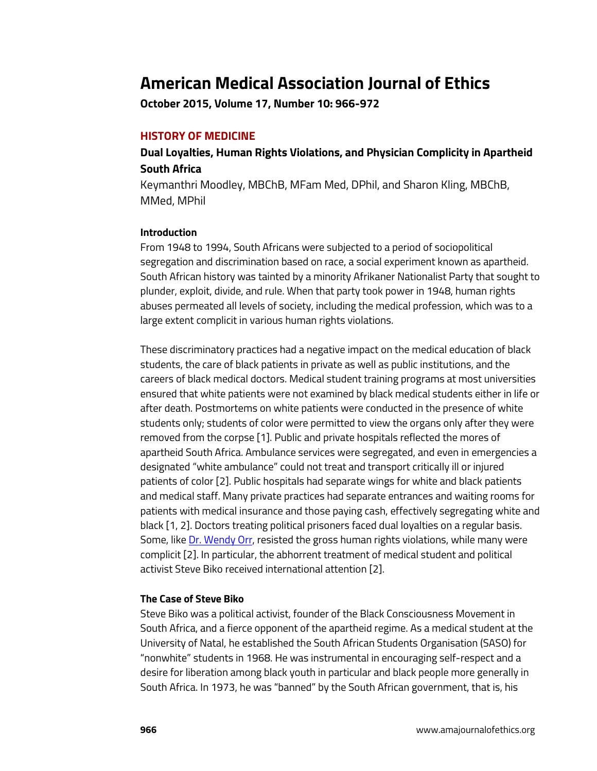# **American Medical Association Journal of Ethics**

**October 2015, Volume 17, Number 10: 966-972**

# **HISTORY OF MEDICINE**

# **Dual Loyalties, Human Rights Violations, and Physician Complicity in Apartheid South Africa**

Keymanthri Moodley, MBChB, MFam Med, DPhil, and Sharon Kling, MBChB, MMed, MPhil

## **Introduction**

From 1948 to 1994, South Africans were subjected to a period of sociopolitical segregation and discrimination based on race, a social experiment known as apartheid. South African history was tainted by a minority Afrikaner Nationalist Party that sought to plunder, exploit, divide, and rule. When that party took power in 1948, human rights abuses permeated all levels of society, including the medical profession, which was to a large extent complicit in various human rights violations.

These discriminatory practices had a negative impact on the medical education of black students, the care of black patients in private as well as public institutions, and the careers of black medical doctors. Medical student training programs at most universities ensured that white patients were not examined by black medical students either in life or after death. Postmortems on white patients were conducted in the presence of white students only; students of color were permitted to view the organs only after they were removed from the corpse [1]. Public and private hospitals reflected the mores of apartheid South Africa. Ambulance services were segregated, and even in emergencies a designated "white ambulance" could not treat and transport critically ill or injured patients of color [2]. Public hospitals had separate wings for white and black patients and medical staff. Many private practices had separate entrances and waiting rooms for patients with medical insurance and those paying cash, effectively segregating white and black [1, 2]. Doctors treating political prisoners faced dual loyalties on a regular basis. Some, lik[e Dr. Wendy Orr,](http://journalofethics.ama-assn.org/2015/10/mnar1-1510.html) resisted the gross human rights violations, while many were complicit [2]. In particular, the abhorrent treatment of medical student and political activist Steve Biko received international attention [2].

# **The Case of Steve Biko**

Steve Biko was a political activist, founder of the Black Consciousness Movement in South Africa, and a fierce opponent of the apartheid regime. As a medical student at the University of Natal, he established the South African Students Organisation (SASO) for "nonwhite" students in 1968. He was instrumental in encouraging self-respect and a desire for liberation among black youth in particular and black people more generally in South Africa. In 1973, he was "banned" by the South African government, that is, his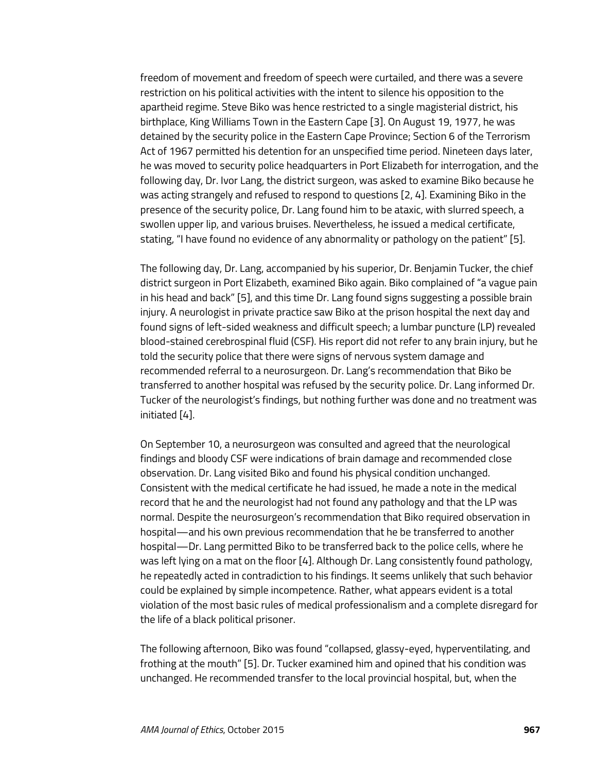freedom of movement and freedom of speech were curtailed, and there was a severe restriction on his political activities with the intent to silence his opposition to the apartheid regime. Steve Biko was hence restricted to a single magisterial district, his birthplace, King Williams Town in the Eastern Cape [3]. On August 19, 1977, he was detained by the security police in the Eastern Cape Province; Section 6 of the Terrorism Act of 1967 permitted his detention for an unspecified time period. Nineteen days later, he was moved to security police headquarters in Port Elizabeth for interrogation, and the following day, Dr. Ivor Lang, the district surgeon, was asked to examine Biko because he was acting strangely and refused to respond to questions [2, 4]. Examining Biko in the presence of the security police, Dr. Lang found him to be ataxic, with slurred speech, a swollen upper lip, and various bruises. Nevertheless, he issued a medical certificate, stating, "I have found no evidence of any abnormality or pathology on the patient" [5].

The following day, Dr. Lang, accompanied by his superior, Dr. Benjamin Tucker, the chief district surgeon in Port Elizabeth, examined Biko again. Biko complained of "a vague pain in his head and back" [5], and this time Dr. Lang found signs suggesting a possible brain injury. A neurologist in private practice saw Biko at the prison hospital the next day and found signs of left-sided weakness and difficult speech; a lumbar puncture (LP) revealed blood-stained cerebrospinal fluid (CSF). His report did not refer to any brain injury, but he told the security police that there were signs of nervous system damage and recommended referral to a neurosurgeon. Dr. Lang's recommendation that Biko be transferred to another hospital was refused by the security police. Dr. Lang informed Dr. Tucker of the neurologist's findings, but nothing further was done and no treatment was initiated [4].

On September 10, a neurosurgeon was consulted and agreed that the neurological findings and bloody CSF were indications of brain damage and recommended close observation. Dr. Lang visited Biko and found his physical condition unchanged. Consistent with the medical certificate he had issued, he made a note in the medical record that he and the neurologist had not found any pathology and that the LP was normal. Despite the neurosurgeon's recommendation that Biko required observation in hospital—and his own previous recommendation that he be transferred to another hospital—Dr. Lang permitted Biko to be transferred back to the police cells, where he was left lying on a mat on the floor [4]. Although Dr. Lang consistently found pathology, he repeatedly acted in contradiction to his findings. It seems unlikely that such behavior could be explained by simple incompetence. Rather, what appears evident is a total violation of the most basic rules of medical professionalism and a complete disregard for the life of a black political prisoner.

The following afternoon, Biko was found "collapsed, glassy-eyed, hyperventilating, and frothing at the mouth" [5]. Dr. Tucker examined him and opined that his condition was unchanged. He recommended transfer to the local provincial hospital, but, when the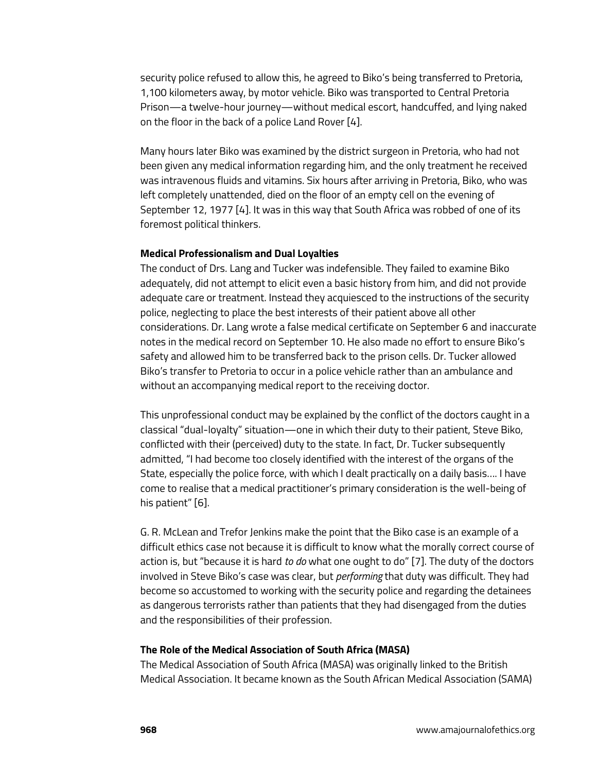security police refused to allow this, he agreed to Biko's being transferred to Pretoria, 1,100 kilometers away, by motor vehicle. Biko was transported to Central Pretoria Prison—a twelve-hour journey—without medical escort, handcuffed, and lying naked on the floor in the back of a police Land Rover [4].

Many hours later Biko was examined by the district surgeon in Pretoria, who had not been given any medical information regarding him, and the only treatment he received was intravenous fluids and vitamins. Six hours after arriving in Pretoria, Biko, who was left completely unattended, died on the floor of an empty cell on the evening of September 12, 1977 [4]. It was in this way that South Africa was robbed of one of its foremost political thinkers.

#### **Medical Professionalism and Dual Loyalties**

The conduct of Drs. Lang and Tucker was indefensible. They failed to examine Biko adequately, did not attempt to elicit even a basic history from him, and did not provide adequate care or treatment. Instead they acquiesced to the instructions of the security police, neglecting to place the best interests of their patient above all other considerations. Dr. Lang wrote a false medical certificate on September 6 and inaccurate notes in the medical record on September 10. He also made no effort to ensure Biko's safety and allowed him to be transferred back to the prison cells. Dr. Tucker allowed Biko's transfer to Pretoria to occur in a police vehicle rather than an ambulance and without an accompanying medical report to the receiving doctor.

This unprofessional conduct may be explained by the conflict of the doctors caught in a classical "dual-loyalty" situation—one in which their duty to their patient, Steve Biko, conflicted with their (perceived) duty to the state. In fact, Dr. Tucker subsequently admitted, "I had become too closely identified with the interest of the organs of the State, especially the police force, with which I dealt practically on a daily basis…. I have come to realise that a medical practitioner's primary consideration is the well-being of his patient" [6].

G. R. McLean and Trefor Jenkins make the point that the Biko case is an example of a difficult ethics case not because it is difficult to know what the morally correct course of action is, but "because it is hard *to do* what one ought to do" [7]. The duty of the doctors involved in Steve Biko's case was clear, but *performing* that duty was difficult. They had become so accustomed to working with the security police and regarding the detainees as dangerous terrorists rather than patients that they had disengaged from the duties and the responsibilities of their profession.

#### **The Role of the Medical Association of South Africa (MASA)**

The Medical Association of South Africa (MASA) was originally linked to the British Medical Association. It became known as the South African Medical Association (SAMA)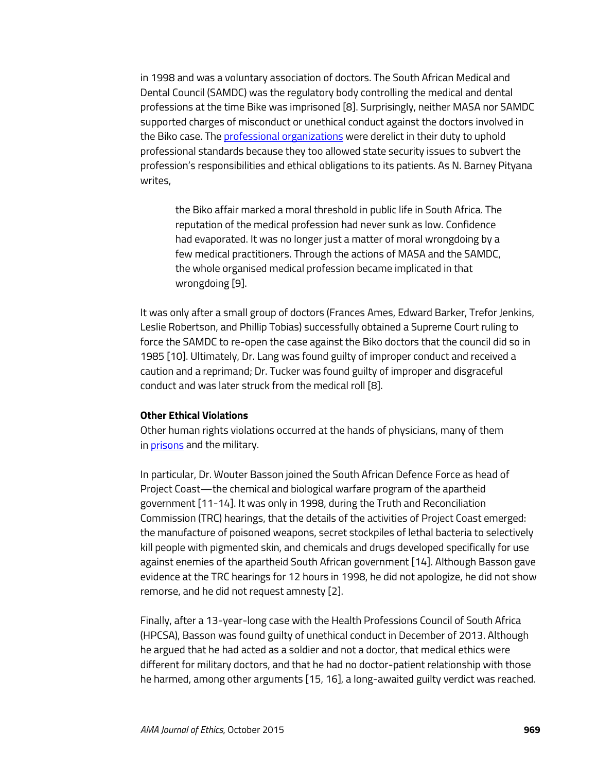in 1998 and was a voluntary association of doctors. The South African Medical and Dental Council (SAMDC) was the regulatory body controlling the medical and dental professions at the time Bike was imprisoned [8]. Surprisingly, neither MASA nor SAMDC supported charges of misconduct or unethical conduct against the doctors involved in the Biko case. The [professional organizations](http://journalofethics.ama-assn.org/2015/10/pfor1-1510.html) were derelict in their duty to uphold professional standards because they too allowed state security issues to subvert the profession's responsibilities and ethical obligations to its patients. As N. Barney Pityana writes,

the Biko affair marked a moral threshold in public life in South Africa. The reputation of the medical profession had never sunk as low. Confidence had evaporated. It was no longer just a matter of moral wrongdoing by a few medical practitioners. Through the actions of MASA and the SAMDC, the whole organised medical profession became implicated in that wrongdoing [9].

It was only after a small group of doctors (Frances Ames, Edward Barker, Trefor Jenkins, Leslie Robertson, and Phillip Tobias) successfully obtained a Supreme Court ruling to force the SAMDC to re-open the case against the Biko doctors that the council did so in 1985 [10]. Ultimately, Dr. Lang was found guilty of improper conduct and received a caution and a reprimand; Dr. Tucker was found guilty of improper and disgraceful conduct and was later struck from the medical roll [8].

## **Other Ethical Violations**

Other human rights violations occurred at the hands of physicians, many of them i[n prisons](http://journalofethics.ama-assn.org/2015/10/ecas2-1510.html) and the military.

In particular, Dr. Wouter Basson joined the South African Defence Force as head of Project Coast—the chemical and biological warfare program of the apartheid government [11-14]. It was only in 1998, during the Truth and Reconciliation Commission (TRC) hearings, that the details of the activities of Project Coast emerged: the manufacture of poisoned weapons, secret stockpiles of lethal bacteria to selectively kill people with pigmented skin, and chemicals and drugs developed specifically for use against enemies of the apartheid South African government [14]. Although Basson gave evidence at the TRC hearings for 12 hours in 1998, he did not apologize, he did not show remorse, and he did not request amnesty [2].

Finally, after a 13-year-long case with the Health Professions Council of South Africa (HPCSA), Basson was found guilty of unethical conduct in December of 2013. Although he argued that he had acted as a soldier and not a doctor, that medical ethics were different for military doctors, and that he had no doctor-patient relationship with those he harmed, among other arguments [15, 16], a long-awaited guilty verdict was reached.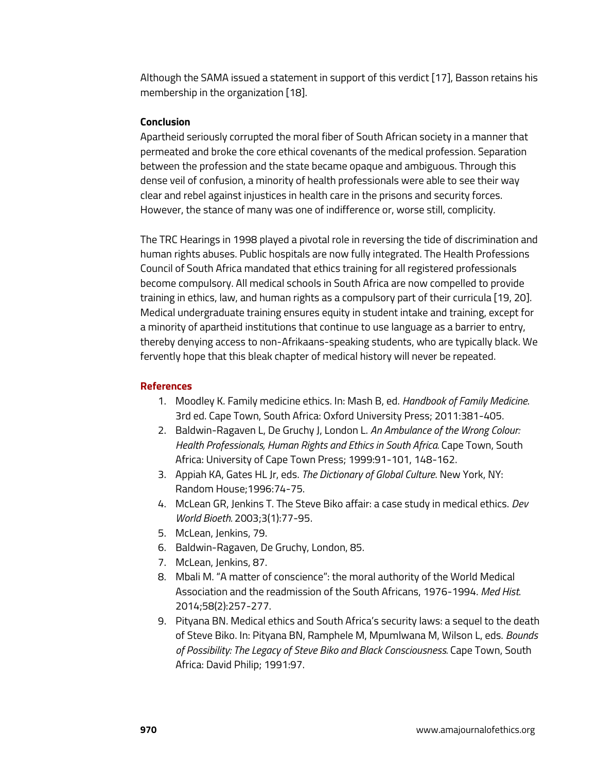Although the SAMA issued a statement in support of this verdict [17], Basson retains his membership in the organization [18].

#### **Conclusion**

Apartheid seriously corrupted the moral fiber of South African society in a manner that permeated and broke the core ethical covenants of the medical profession. Separation between the profession and the state became opaque and ambiguous. Through this dense veil of confusion, a minority of health professionals were able to see their way clear and rebel against injustices in health care in the prisons and security forces. However, the stance of many was one of indifference or, worse still, complicity.

The TRC Hearings in 1998 played a pivotal role in reversing the tide of discrimination and human rights abuses. Public hospitals are now fully integrated. The Health Professions Council of South Africa mandated that ethics training for all registered professionals become compulsory. All medical schools in South Africa are now compelled to provide training in ethics, law, and human rights as a compulsory part of their curricula [19, 20]. Medical undergraduate training ensures equity in student intake and training, except for a minority of apartheid institutions that continue to use language as a barrier to entry, thereby denying access to non-Afrikaans-speaking students, who are typically black. We fervently hope that this bleak chapter of medical history will never be repeated.

### **References**

- 1. Moodley K. Family medicine ethics. In: Mash B, ed. *Handbook of Family Medicine*. 3rd ed. Cape Town, South Africa: Oxford University Press; 2011:381-405.
- 2. Baldwin-Ragaven L, De Gruchy J, London L. *An Ambulance of the Wrong Colour: Health Professionals, Human Rights and Ethics in South Africa.* Cape Town, South Africa: University of Cape Town Press; 1999:91-101, 148-162.
- 3. Appiah KA, Gates HL Jr, eds. *The Dictionary of Global Culture*. New York, NY: Random House;1996:74-75.
- 4. McLean GR, Jenkins T. The Steve Biko affair: a case study in medical ethics. *Dev World Bioeth.* 2003;3(1):77-95.
- 5. McLean, Jenkins, 79.
- 6. Baldwin-Ragaven, De Gruchy, London, 85.
- 7. McLean, Jenkins, 87.
- 8. Mbali M. "A matter of conscience": the moral authority of the World Medical Association and the readmission of the South Africans, 1976-1994. *Med Hist*. 2014;58(2):257-277.
- 9. Pityana BN. Medical ethics and South Africa's security laws: a sequel to the death of Steve Biko. In: Pityana BN, Ramphele M, Mpumlwana M, Wilson L, eds. *Bounds of Possibility: The Legacy of Steve Biko and Black Consciousness.* Cape Town, South Africa: David Philip; 1991:97.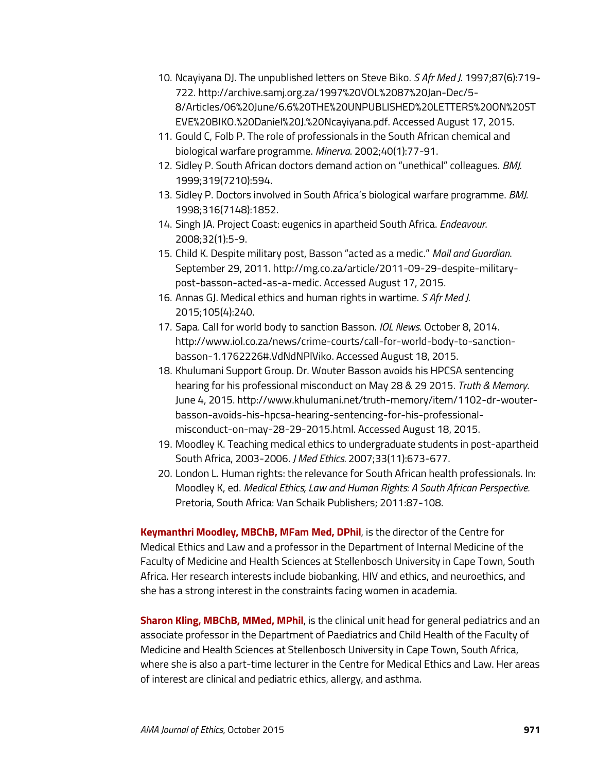- 10. Ncayiyana DJ. The unpublished letters on Steve Biko. *S Afr Med J*. 1997;87(6):719- 722. http://archive.samj.org.za/1997%20VOL%2087%20Jan-Dec/5- 8/Articles/06%20June/6.6%20THE%20UNPUBLISHED%20LETTERS%20ON%20ST EVE%20BIKO.%20Daniel%20J.%20Ncayiyana.pdf. Accessed August 17, 2015.
- 11. Gould C, Folb P. The role of professionals in the South African chemical and biological warfare programme. *Minerva*. 2002;40(1):77-91.
- 12. Sidley P. South African doctors demand action on "unethical" colleagues. *BMJ.* 1999;319(7210):594.
- 13. Sidley P. Doctors involved in South Africa's biological warfare programme. *BMJ*. 1998;316(7148):1852.
- 14. Singh JA. Project Coast: eugenics in apartheid South Africa. *Endeavour*. 2008;32(1):5-9.
- 15. Child K. Despite military post, Basson "acted as a medic." *Mail and Guardian*. September 29, 2011. http://mg.co.za/article/2011-09-29-despite-militarypost-basson-acted-as-a-medic. Accessed August 17, 2015.
- 16. Annas GJ. Medical ethics and human rights in wartime. *S Afr Med J*. 2015;105(4):240.
- 17. Sapa. Call for world body to sanction Basson. *IOL News*. October 8, 2014. http://www.iol.co.za/news/crime-courts/call-for-world-body-to-sanctionbasson-1.1762226#.VdNdNPlViko. Accessed August 18, 2015.
- 18. Khulumani Support Group. Dr. Wouter Basson avoids his HPCSA sentencing hearing for his professional misconduct on May 28 & 29 2015. *Truth & Memory*. June 4, 2015. http://www.khulumani.net/truth-memory/item/1102-dr-wouterbasson-avoids-his-hpcsa-hearing-sentencing-for-his-professionalmisconduct-on-may-28-29-2015.html. Accessed August 18, 2015.
- 19. Moodley K. Teaching medical ethics to undergraduate students in post-apartheid South Africa, 2003-2006. *J Med Ethics.* 2007;33(11):673-677.
- 20. London L. Human rights: the relevance for South African health professionals. In: Moodley K, ed. *Medical Ethics, Law and Human Rights: A South African Perspective.* Pretoria, South Africa: Van Schaik Publishers; 2011:87-108.

**Keymanthri Moodley, MBChB, MFam Med, DPhil**, is the director of the Centre for Medical Ethics and Law and a professor in the Department of Internal Medicine of the Faculty of Medicine and Health Sciences at Stellenbosch University in Cape Town, South Africa. Her research interests include biobanking, HIV and ethics, and neuroethics, and she has a strong interest in the constraints facing women in academia.

**Sharon Kling, MBChB, MMed, MPhil**, is the clinical unit head for general pediatrics and an associate professor in the Department of Paediatrics and Child Health of the Faculty of Medicine and Health Sciences at Stellenbosch University in Cape Town, South Africa, where she is also a part-time lecturer in the Centre for Medical Ethics and Law. Her areas of interest are clinical and pediatric ethics, allergy, and asthma.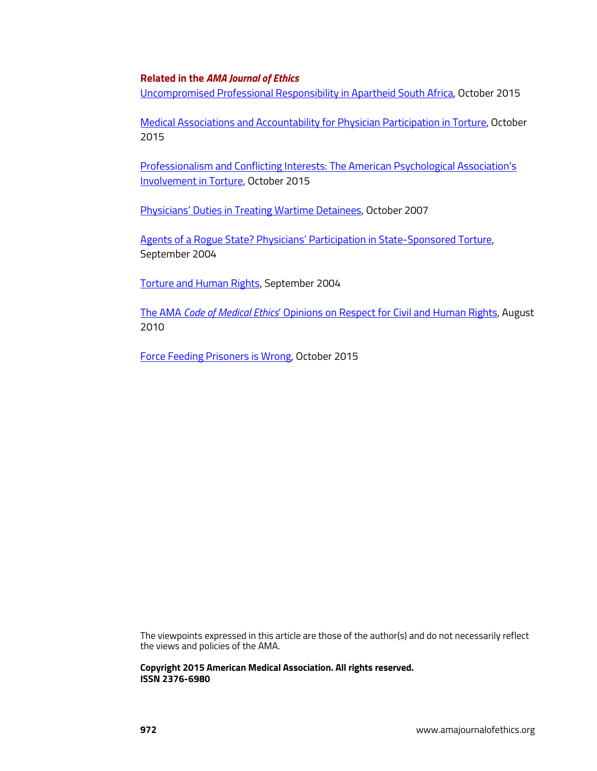## **Related in the** *AMA Journal of Ethics*

[Uncompromised Professional Responsibility in Apartheid South Africa,](http://journalofethics.ama-assn.org/2015/10/mnar1-1510.html) October 2015

[Medical Associations and Accountability for Physician Participation in Torture,](http://journalofethics.ama-assn.org/2015/10/pfor1-1510.html) October 2015

[Professionalism and Conflicting Interests: The American Psychological Association's](http://journalofethics.ama-assn.org/2015/10/nlit1-1510.html)  [Involvement in Torture,](http://journalofethics.ama-assn.org/2015/10/nlit1-1510.html) October 2015

[Physicians' Duties in Treating Wartime Detainees,](http://journalofethics.ama-assn.org/2007/10/ccas2-0710.html) October 2007

[Agents of a Rogue State? Physicians' Participation in State-Sponsored Torture,](http://journalofethics.ama-assn.org/2004/09/jdsc1-0409.html) September 2004

[Torture and Human Rights,](http://journalofethics.ama-assn.org/2004/09/oped1-0409.html) September 2004

The AMA *Code of Medical Ethics*[' Opinions on Respect for Civil and Human Rights,](http://journalofethics.ama-assn.org/2010/08/coet1-1008.html) August 2010

[Force Feeding Prisoners is Wrong,](http://journalofethics.ama-assn.org/2015/10/ecas2-1510.html) October 2015

The viewpoints expressed in this article are those of the author(s) and do not necessarily reflect the views and policies of the AMA.

**Copyright 2015 American Medical Association. All rights reserved. ISSN 2376-6980**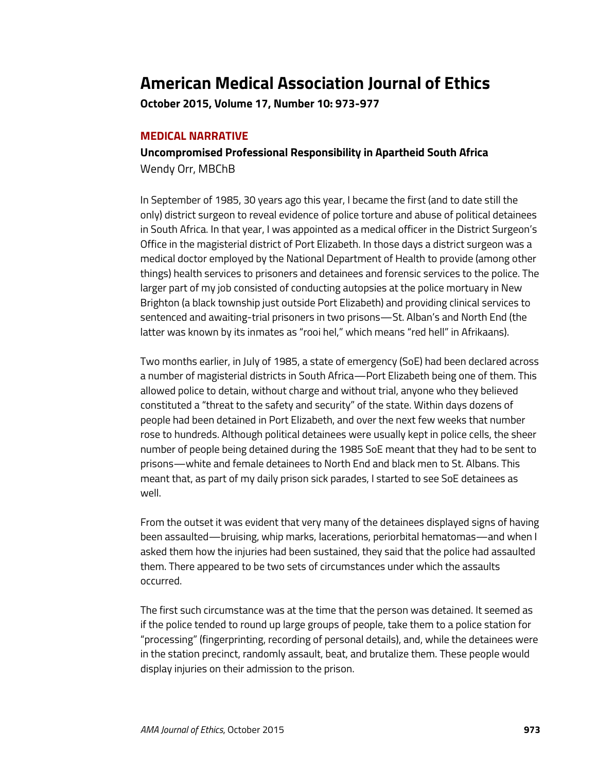# **American Medical Association Journal of Ethics**

**October 2015, Volume 17, Number 10: 973-977**

## **MEDICAL NARRATIVE**

**Uncompromised Professional Responsibility in Apartheid South Africa** Wendy Orr, MBChB

In September of 1985, 30 years ago this year, I became the first (and to date still the only) district surgeon to reveal evidence of police torture and abuse of political detainees in South Africa. In that year, I was appointed as a medical officer in the District Surgeon's Office in the magisterial district of Port Elizabeth. In those days a district surgeon was a medical doctor employed by the National Department of Health to provide (among other things) health services to prisoners and detainees and forensic services to the police. The larger part of my job consisted of conducting autopsies at the police mortuary in New Brighton (a black township just outside Port Elizabeth) and providing clinical services to sentenced and awaiting-trial prisoners in two prisons—St. Alban's and North End (the latter was known by its inmates as "rooi hel," which means "red hell" in Afrikaans).

Two months earlier, in July of 1985, a state of emergency (SoE) had been declared across a number of magisterial districts in South Africa—Port Elizabeth being one of them. This allowed police to detain, without charge and without trial, anyone who they believed constituted a "threat to the safety and security" of the state. Within days dozens of people had been detained in Port Elizabeth, and over the next few weeks that number rose to hundreds. Although political detainees were usually kept in police cells, the sheer number of people being detained during the 1985 SoE meant that they had to be sent to prisons—white and female detainees to North End and black men to St. Albans. This meant that, as part of my daily prison sick parades, I started to see SoE detainees as well.

From the outset it was evident that very many of the detainees displayed signs of having been assaulted—bruising, whip marks, lacerations, periorbital hematomas—and when I asked them how the injuries had been sustained, they said that the police had assaulted them. There appeared to be two sets of circumstances under which the assaults occurred.

The first such circumstance was at the time that the person was detained. It seemed as if the police tended to round up large groups of people, take them to a police station for "processing" (fingerprinting, recording of personal details), and, while the detainees were in the station precinct, randomly assault, beat, and brutalize them. These people would display injuries on their admission to the prison.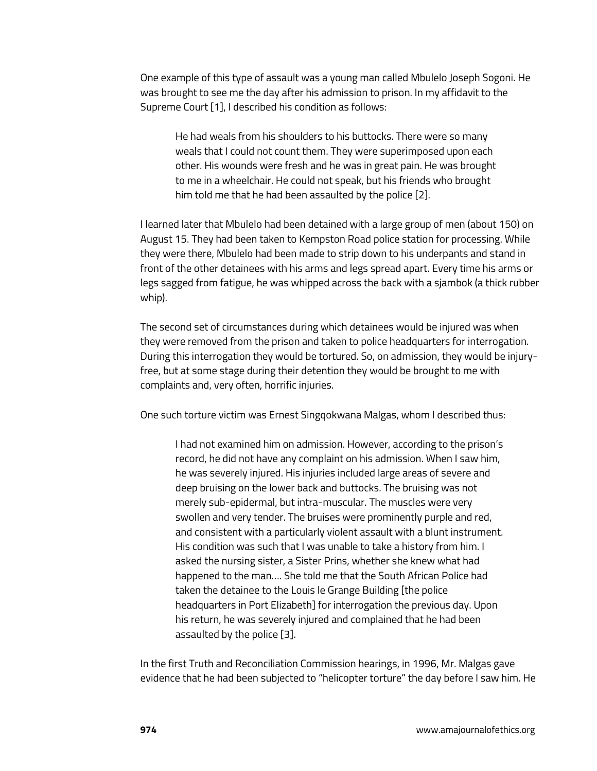One example of this type of assault was a young man called Mbulelo Joseph Sogoni. He was brought to see me the day after his admission to prison. In my affidavit to the Supreme Court [1], I described his condition as follows:

He had weals from his shoulders to his buttocks. There were so many weals that I could not count them. They were superimposed upon each other. His wounds were fresh and he was in great pain. He was brought to me in a wheelchair. He could not speak, but his friends who brought him told me that he had been assaulted by the police [2].

I learned later that Mbulelo had been detained with a large group of men (about 150) on August 15. They had been taken to Kempston Road police station for processing. While they were there, Mbulelo had been made to strip down to his underpants and stand in front of the other detainees with his arms and legs spread apart. Every time his arms or legs sagged from fatigue, he was whipped across the back with a sjambok (a thick rubber whip).

The second set of circumstances during which detainees would be injured was when they were removed from the prison and taken to police headquarters for interrogation. During this interrogation they would be tortured. So, on admission, they would be injuryfree, but at some stage during their detention they would be brought to me with complaints and, very often, horrific injuries.

One such torture victim was Ernest Singqokwana Malgas, whom I described thus:

I had not examined him on admission. However, according to the prison's record, he did not have any complaint on his admission. When I saw him, he was severely injured. His injuries included large areas of severe and deep bruising on the lower back and buttocks. The bruising was not merely sub-epidermal, but intra-muscular. The muscles were very swollen and very tender. The bruises were prominently purple and red, and consistent with a particularly violent assault with a blunt instrument. His condition was such that I was unable to take a history from him. I asked the nursing sister, a Sister Prins, whether she knew what had happened to the man…. She told me that the South African Police had taken the detainee to the Louis le Grange Building [the police headquarters in Port Elizabeth] for interrogation the previous day. Upon his return, he was severely injured and complained that he had been assaulted by the police [3].

In the first Truth and Reconciliation Commission hearings, in 1996, Mr. Malgas gave evidence that he had been subjected to "helicopter torture" the day before I saw him. He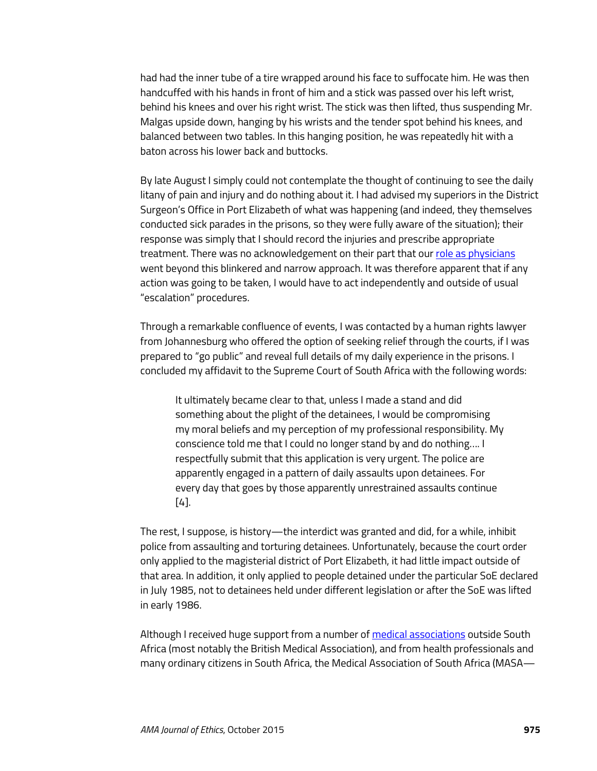had had the inner tube of a tire wrapped around his face to suffocate him. He was then handcuffed with his hands in front of him and a stick was passed over his left wrist, behind his knees and over his right wrist. The stick was then lifted, thus suspending Mr. Malgas upside down, hanging by his wrists and the tender spot behind his knees, and balanced between two tables. In this hanging position, he was repeatedly hit with a baton across his lower back and buttocks.

By late August I simply could not contemplate the thought of continuing to see the daily litany of pain and injury and do nothing about it. I had advised my superiors in the District Surgeon's Office in Port Elizabeth of what was happening (and indeed, they themselves conducted sick parades in the prisons, so they were fully aware of the situation); their response was simply that I should record the injuries and prescribe appropriate treatment. There was no acknowledgement on their part that our [role as physicians](http://journalofethics.ama-assn.org/2010/08/coet1-1008.html) went beyond this blinkered and narrow approach. It was therefore apparent that if any action was going to be taken, I would have to act independently and outside of usual "escalation" procedures.

Through a remarkable confluence of events, I was contacted by a human rights lawyer from Johannesburg who offered the option of seeking relief through the courts, if I was prepared to "go public" and reveal full details of my daily experience in the prisons. I concluded my affidavit to the Supreme Court of South Africa with the following words:

It ultimately became clear to that, unless I made a stand and did something about the plight of the detainees, I would be compromising my moral beliefs and my perception of my professional responsibility. My conscience told me that I could no longer stand by and do nothing…. I respectfully submit that this application is very urgent. The police are apparently engaged in a pattern of daily assaults upon detainees. For every day that goes by those apparently unrestrained assaults continue [4].

The rest, I suppose, is history—the interdict was granted and did, for a while, inhibit police from assaulting and torturing detainees. Unfortunately, because the court order only applied to the magisterial district of Port Elizabeth, it had little impact outside of that area. In addition, it only applied to people detained under the particular SoE declared in July 1985, not to detainees held under different legislation or after the SoE was lifted in early 1986.

Although I received huge support from a number of [medical associations](http://journalofethics.ama-assn.org/2015/10/pfor1-1510.html) outside South Africa (most notably the British Medical Association), and from health professionals and many ordinary citizens in South Africa, the Medical Association of South Africa (MASA—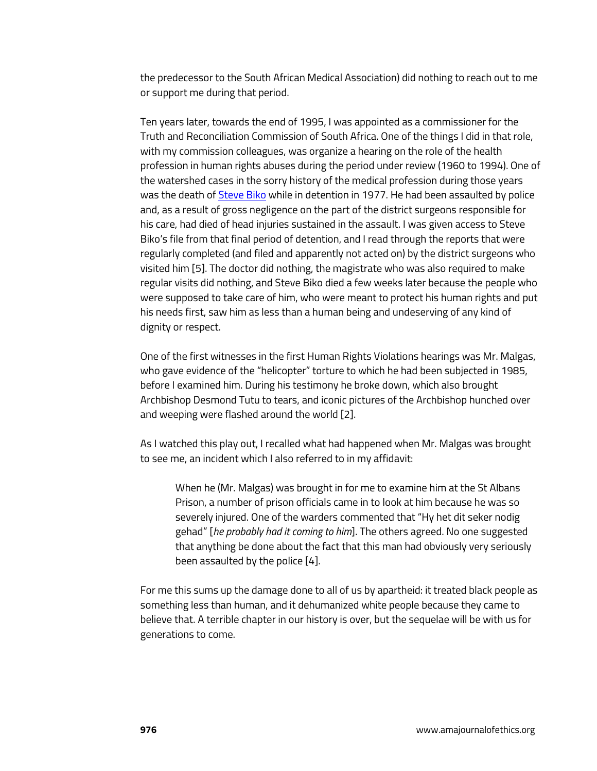the predecessor to the South African Medical Association) did nothing to reach out to me or support me during that period.

Ten years later, towards the end of 1995, I was appointed as a commissioner for the Truth and Reconciliation Commission of South Africa. One of the things I did in that role, with my commission colleagues, was organize a hearing on the role of the health profession in human rights abuses during the period under review (1960 to 1994). One of the watershed cases in the sorry history of the medical profession during those years was the death of **Steve Biko** while in detention in 1977. He had been assaulted by police and, as a result of gross negligence on the part of the district surgeons responsible for his care, had died of head injuries sustained in the assault. I was given access to Steve Biko's file from that final period of detention, and I read through the reports that were regularly completed (and filed and apparently not acted on) by the district surgeons who visited him [5]. The doctor did nothing, the magistrate who was also required to make regular visits did nothing, and Steve Biko died a few weeks later because the people who were supposed to take care of him, who were meant to protect his human rights and put his needs first, saw him as less than a human being and undeserving of any kind of dignity or respect.

One of the first witnesses in the first Human Rights Violations hearings was Mr. Malgas, who gave evidence of the "helicopter" torture to which he had been subjected in 1985, before I examined him. During his testimony he broke down, which also brought Archbishop Desmond Tutu to tears, and iconic pictures of the Archbishop hunched over and weeping were flashed around the world [2].

As I watched this play out, I recalled what had happened when Mr. Malgas was brought to see me, an incident which I also referred to in my affidavit:

When he (Mr. Malgas) was brought in for me to examine him at the St Albans Prison, a number of prison officials came in to look at him because he was so severely injured. One of the warders commented that "Hy het dit seker nodig gehad" [*he probably had it coming to him*]. The others agreed. No one suggested that anything be done about the fact that this man had obviously very seriously been assaulted by the police [4].

For me this sums up the damage done to all of us by apartheid: it treated black people as something less than human, and it dehumanized white people because they came to believe that. A terrible chapter in our history is over, but the sequelae will be with us for generations to come.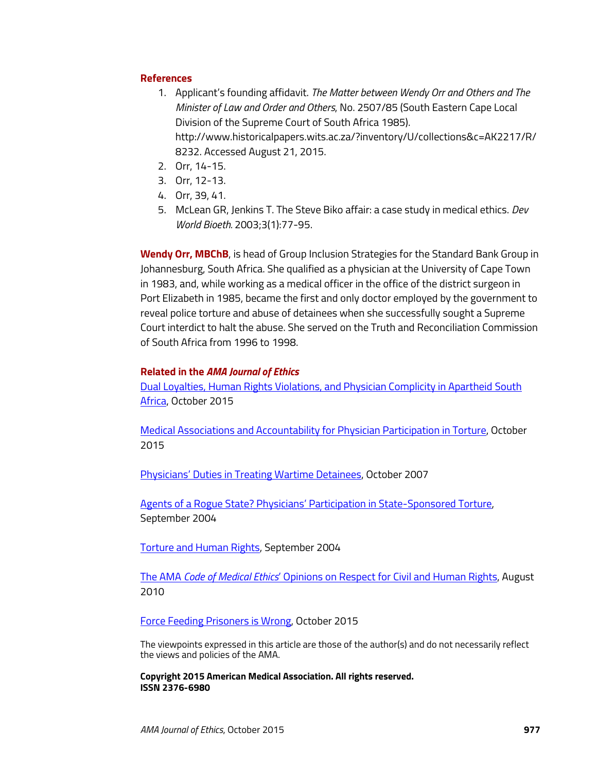## **References**

- 1. Applicant's founding affidavit. *The Matter between Wendy Orr and Others and The Minister of Law and Order and Others*, No. 2507/85 (South Eastern Cape Local Division of the Supreme Court of South Africa 1985). http://www.historicalpapers.wits.ac.za/?inventory/U/collections&c=AK2217/R/ 8232. Accessed August 21, 2015.
- 2. Orr, 14-15.
- 3. Orr, 12-13.
- 4. Orr, 39, 41.
- 5. McLean GR, Jenkins T. The Steve Biko affair: a case study in medical ethics. *Dev World Bioeth.* 2003;3(1):77-95.

**Wendy Orr, MBChB**, is head of Group Inclusion Strategies for the Standard Bank Group in Johannesburg, South Africa. She qualified as a physician at the University of Cape Town in 1983, and, while working as a medical officer in the office of the district surgeon in Port Elizabeth in 1985, became the first and only doctor employed by the government to reveal police torture and abuse of detainees when she successfully sought a Supreme Court interdict to halt the abuse. She served on the Truth and Reconciliation Commission of South Africa from 1996 to 1998.

# **Related in the** *AMA Journal of Ethics*

[Dual Loyalties, Human Rights Violations, and Physician Complicity in Apartheid South](http://journalofethics.ama-assn.org/2015/10/mhst1-1510.html)  [Africa,](http://journalofethics.ama-assn.org/2015/10/mhst1-1510.html) October 2015

[Medical Associations and Accountability for Physician Participation in Torture,](http://journalofethics.ama-assn.org/2015/10/pfor1-1510.html) October 2015

[Physicians' Duties in Treating Wartime Detainees,](http://journalofethics.ama-assn.org/2007/10/ccas2-0710.html) October 2007

[Agents of a Rogue State? Physicians' Participation in State-Sponsored Torture,](http://journalofethics.ama-assn.org/2004/09/jdsc1-0409.html) September 2004

[Torture and Human Rights,](http://journalofethics.ama-assn.org/2004/09/oped1-0409.html) September 2004

The AMA *Code of Medical Ethics*[' Opinions on Respect for Civil and Human Rights,](http://journalofethics.ama-assn.org/2010/08/coet1-1008.html) August 2010

Force Feeding [Prisoners is Wrong,](http://journalofethics.ama-assn.org/2015/10/ecas2-1510.html) October 2015

The viewpoints expressed in this article are those of the author(s) and do not necessarily reflect the views and policies of the AMA.

**Copyright 2015 American Medical Association. All rights reserved. ISSN 2376-6980**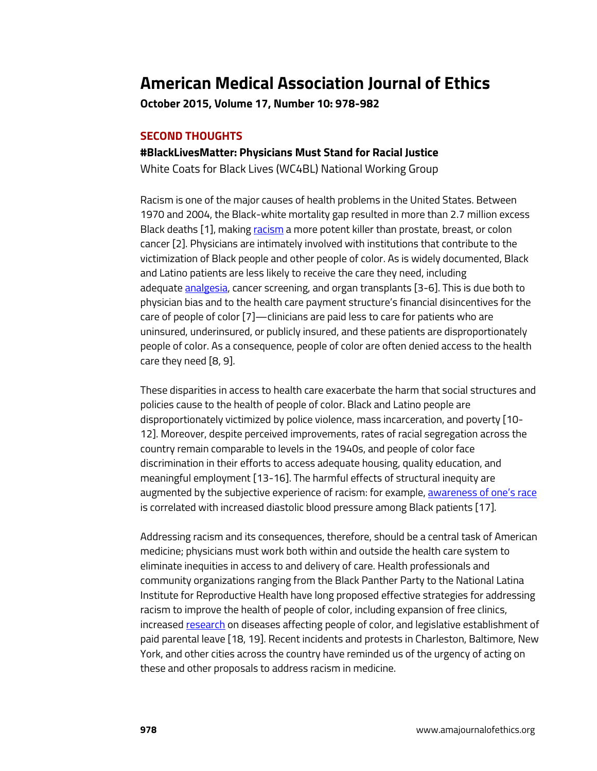# **American Medical Association Journal of Ethics**

**October 2015, Volume 17, Number 10: 978-982**

## **SECOND THOUGHTS**

## **#BlackLivesMatter: Physicians Must Stand for Racial Justice**

White Coats for Black Lives (WC4BL) National Working Group

Racism is one of the major causes of health problems in the United States. Between 1970 and 2004, the Black-white mortality gap resulted in more than 2.7 million excess Black deaths [1], making [racism](http://journalofethics.ama-assn.org/2011/02/msoc1-1102.html) a more potent killer than prostate, breast, or colon cancer [2]. Physicians are intimately involved with institutions that contribute to the victimization of Black people and other people of color. As is widely documented, Black and Latino patients are less likely to receive the care they need, including adequate [analgesia,](http://journalofethics.ama-assn.org/2015/03/medu1-1503.html) cancer screening, and organ transplants [3-6]. This is due both to physician bias and to the health care payment structure's financial disincentives for the care of people of color [7]—clinicians are paid less to care for patients who are uninsured, underinsured, or publicly insured, and these patients are disproportionately people of color. As a consequence, people of color are often denied access to the health care they need [8, 9].

These disparities in access to health care exacerbate the harm that social structures and policies cause to the health of people of color. Black and Latino people are disproportionately victimized by police violence, mass incarceration, and poverty [10- 12]. Moreover, despite perceived improvements, rates of racial segregation across the country remain comparable to levels in the 1940s, and people of color face discrimination in their efforts to access adequate housing, quality education, and meaningful employment [13-16]. The harmful effects of structural inequity are augmented by the subjective experience of racism: for example, [awareness of one's race](http://journalofethics.ama-assn.org/2014/06/stas2-1406.html) is correlated with increased diastolic blood pressure among Black patients [17].

Addressing racism and its consequences, therefore, should be a central task of American medicine; physicians must work both within and outside the health care system to eliminate inequities in access to and delivery of care. Health professionals and community organizations ranging from the Black Panther Party to the National Latina Institute for Reproductive Health have long proposed effective strategies for addressing racism to improve the health of people of color, including expansion of free clinics, increased [research](http://journalofethics.ama-assn.org/2014/06/stas1-1406.html) on diseases affecting people of color, and legislative establishment of paid parental leave [18, 19]. Recent incidents and protests in Charleston, Baltimore, New York, and other cities across the country have reminded us of the urgency of acting on these and other proposals to address racism in medicine.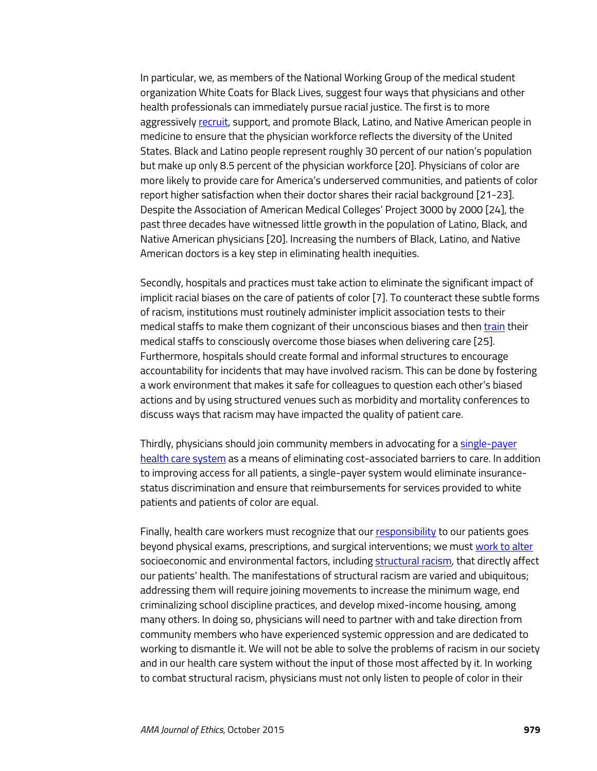In particular, we, as members of the National Working Group of the medical student organization White Coats for Black Lives, suggest four ways that physicians and other health professionals can immediately pursue racial justice. The first is to more aggressively [recruit,](http://journalofethics.ama-assn.org/2015/02/oped1-1502.html) support, and promote Black, Latino, and Native American people in medicine to ensure that the physician workforce reflects the diversity of the United States. Black and Latino people represent roughly 30 percent of our nation's population but make up only 8.5 percent of the physician workforce [20]. Physicians of color are more likely to provide care for America's underserved communities, and patients of color report higher satisfaction when their doctor shares their racial background [21-23]. Despite the Association of American Medical Colleges' Project 3000 by 2000 [24], the past three decades have witnessed little growth in the population of Latino, Black, and Native American physicians [20]. Increasing the numbers of Black, Latino, and Native American doctors is a key step in eliminating health inequities.

Secondly, hospitals and practices must take action to eliminate the significant impact of implicit racial biases on the care of patients of color [7]. To counteract these subtle forms of racism, institutions must routinely administer implicit association tests to their medical staffs to make them cognizant of their unconscious biases and the[n train](http://journalofethics.ama-assn.org/2014/06/medu1-1406.html) their medical staffs to consciously overcome those biases when delivering care [25]. Furthermore, hospitals should create formal and informal structures to encourage accountability for incidents that may have involved racism. This can be done by fostering a work environment that makes it safe for colleagues to question each other's biased actions and by using structured venues such as morbidity and mortality conferences to discuss ways that racism may have impacted the quality of patient care.

Thirdly, physicians should join community members in advocating for a single-payer [health care system](http://journalofethics.ama-assn.org/2012/11/oped1-1211.html) as a means of eliminating cost-associated barriers to care. In addition to improving access for all patients, a single-payer system would eliminate insurancestatus discrimination and ensure that reimbursements for services provided to white patients and patients of color are equal.

Finally, health care workers must recognize that ou[r responsibility](http://journalofethics.ama-assn.org/2014/09/oped1-1409.html) to our patients goes beyond physical exams, prescriptions, and surgical interventions; we must [work to alter](http://journalofethics.ama-assn.org/2014/09/ecas2-1409.html) socioeconomic and environmental factors, including [structural racism,](http://journalofethics.ama-assn.org/2014/09/spec1-1409.html) that directly affect our patients' health. The manifestations of structural racism are varied and ubiquitous; addressing them will require joining movements to increase the minimum wage, end criminalizing school discipline practices, and develop mixed-income housing, among many others. In doing so, physicians will need to partner with and take direction from community members who have experienced systemic oppression and are dedicated to working to dismantle it. We will not be able to solve the problems of racism in our society and in our health care system without the input of those most affected by it. In working to combat structural racism, physicians must not only listen to people of color in their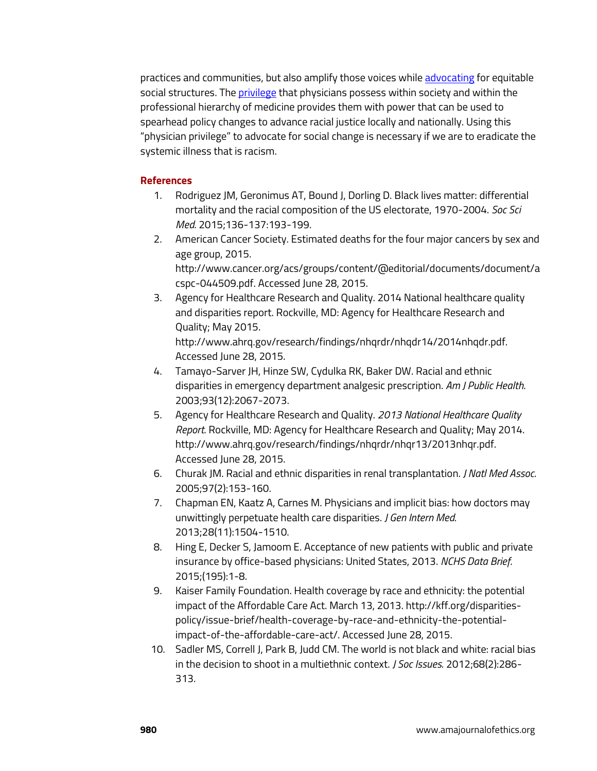practices and communities, but also amplify those voices while [advocating](http://journalofethics.ama-assn.org/2014/09/coet1-1409.html) for equitable social structures. Th[e privilege](http://journalofethics.ama-assn.org/2014/09/ecas1-1409.html) that physicians possess within society and within the professional hierarchy of medicine provides them with power that can be used to spearhead policy changes to advance racial justice locally and nationally. Using this "physician privilege" to advocate for social change is necessary if we are to eradicate the systemic illness that is racism.

## **References**

- 1. Rodriguez JM, Geronimus AT, Bound J, Dorling D. Black lives matter: differential mortality and the racial composition of the US electorate, 1970-2004. *Soc Sci Med*. 2015;136-137:193-199.
- 2. American Cancer Society. Estimated deaths for the four major cancers by sex and age group, 2015. http://www.cancer.org/acs/groups/content/@editorial/documents/document/a cspc-044509.pdf. Accessed June 28, 2015.
- 3. Agency for Healthcare Research and Quality. 2014 National healthcare quality and disparities report. Rockville, MD: Agency for Healthcare Research and Quality; May 2015. http://www.ahrq.gov/research/findings/nhqrdr/nhqdr14/2014nhqdr.pdf. Accessed June 28, 2015.
- 4. Tamayo-Sarver JH, Hinze SW, Cydulka RK, Baker DW. Racial and ethnic disparities in emergency department analgesic prescription. *Am J Public Health*. 2003;93(12):2067-2073.
- 5. Agency for Healthcare Research and Quality. *2013 National Healthcare Quality Report*. Rockville, MD: Agency for Healthcare Research and Quality; May 2014. http://www.ahrq.gov/research/findings/nhqrdr/nhqr13/2013nhqr.pdf. Accessed June 28, 2015.
- 6. Churak JM. Racial and ethnic disparities in renal transplantation. *J Natl Med Assoc*. 2005;97(2):153-160.
- 7. Chapman EN, Kaatz A, Carnes M. Physicians and implicit bias: how doctors may unwittingly perpetuate health care disparities. *J Gen Intern Med*. 2013;28(11):1504-1510.
- 8. Hing E, Decker S, Jamoom E. Acceptance of new patients with public and private insurance by office-based physicians: United States, 2013. *NCHS Data Brief*. 2015;(195):1-8.
- 9. Kaiser Family Foundation. Health coverage by race and ethnicity: the potential impact of the Affordable Care Act. March 13, 2013. http://kff.org/disparitiespolicy/issue-brief/health-coverage-by-race-and-ethnicity-the-potentialimpact-of-the-affordable-care-act/. Accessed June 28, 2015.
- 10. Sadler MS, Correll J, Park B, Judd CM. The world is not black and white: racial bias in the decision to shoot in a multiethnic context. *J Soc Issues*. 2012;68(2):286- 313.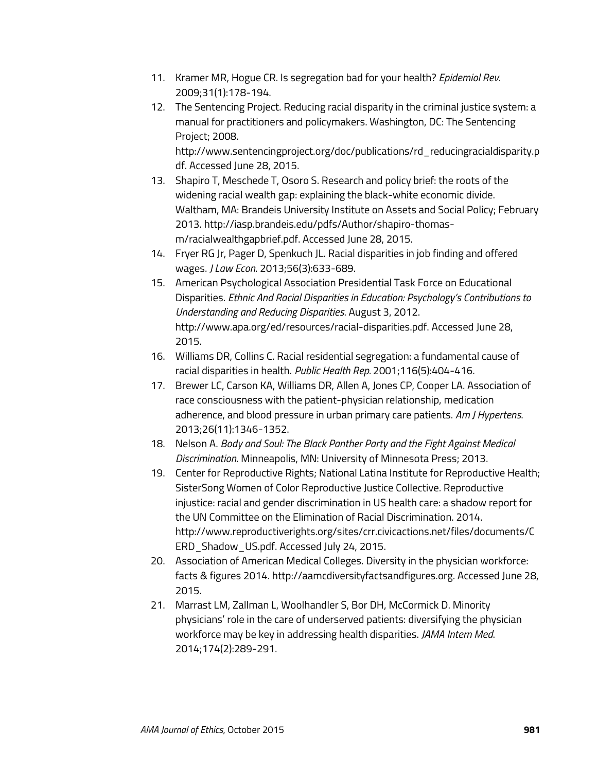- 11. Kramer MR, Hogue CR. Is segregation bad for your health? *Epidemiol Rev*. 2009;31(1):178-194.
- 12. The Sentencing Project. Reducing racial disparity in the criminal justice system: a manual for practitioners and policymakers. Washington, DC: The Sentencing Project; 2008.

http://www.sentencingproject.org/doc/publications/rd\_reducingracialdisparity.p df. Accessed June 28, 2015.

- 13. Shapiro T, Meschede T, Osoro S. Research and policy brief: the roots of the widening racial wealth gap: explaining the black-white economic divide. Waltham, MA: Brandeis University Institute on Assets and Social Policy; February 2013. http://iasp.brandeis.edu/pdfs/Author/shapiro-thomasm/racialwealthgapbrief.pdf. Accessed June 28, 2015.
- 14. Fryer RG Jr, Pager D, Spenkuch JL. Racial disparities in job finding and offered wages. *J Law Econ*. 2013;56(3):633-689.
- 15. American Psychological Association Presidential Task Force on Educational Disparities. *Ethnic And Racial Disparities in Education: Psychology's Contributions to Understanding and Reducing Disparities*. August 3, 2012. http://www.apa.org/ed/resources/racial-disparities.pdf. Accessed June 28, 2015.
- 16. Williams DR, Collins C. Racial residential segregation: a fundamental cause of racial disparities in health. *Public Health Rep.* 2001;116(5):404-416.
- 17. Brewer LC, Carson KA, Williams DR, Allen A, Jones CP, Cooper LA. Association of race consciousness with the patient-physician relationship, medication adherence, and blood pressure in urban primary care patients. *Am J Hypertens*. 2013;26(11):1346-1352.
- 18. Nelson A. *Body and Soul: The Black Panther Party and the Fight Against Medical Discrimination*. Minneapolis, MN: University of Minnesota Press; 2013.
- 19. Center for Reproductive Rights; National Latina Institute for Reproductive Health; SisterSong Women of Color Reproductive Justice Collective. Reproductive injustice: racial and gender discrimination in US health care: a shadow report for the UN Committee on the Elimination of Racial Discrimination. 2014. http://www.reproductiverights.org/sites/crr.civicactions.net/files/documents/C ERD\_Shadow\_US.pdf. Accessed July 24, 2015.
- 20. Association of American Medical Colleges. Diversity in the physician workforce: facts & figures 2014. http://aamcdiversityfactsandfigures.org. Accessed June 28, 2015.
- 21. Marrast LM, Zallman L, Woolhandler S, Bor DH, McCormick D. Minority physicians' role in the care of underserved patients: diversifying the physician workforce may be key in addressing health disparities. *JAMA Intern Med*. 2014;174(2):289-291.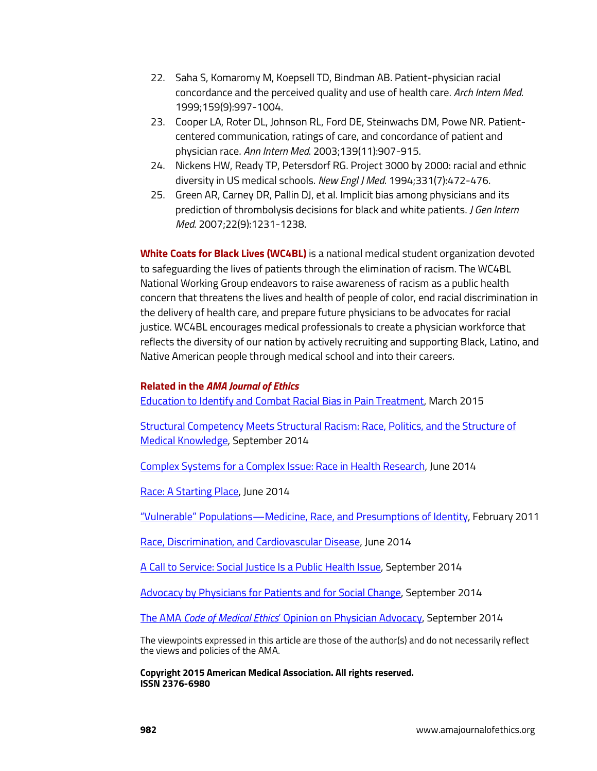- 22. Saha S, Komaromy M, Koepsell TD, Bindman AB. Patient-physician racial concordance and the perceived quality and use of health care. *Arch Intern Med*. 1999;159(9):997-1004.
- 23. Cooper LA, Roter DL, Johnson RL, Ford DE, Steinwachs DM, Powe NR. Patientcentered communication, ratings of care, and concordance of patient and physician race. *Ann Intern Med*. 2003;139(11):907-915.
- 24. Nickens HW, Ready TP, Petersdorf RG. Project 3000 by 2000: racial and ethnic diversity in US medical schools. *New Engl J Med*. 1994;331(7):472-476.
- 25. Green AR, Carney DR, Pallin DJ, et al. Implicit bias among physicians and its prediction of thrombolysis decisions for black and white patients. *J Gen Intern Med*. 2007;22(9):1231-1238.

**White Coats for Black Lives (WC4BL)** is a national medical student organization devoted to safeguarding the lives of patients through the elimination of racism. The WC4BL National Working Group endeavors to raise awareness of racism as a public health concern that threatens the lives and health of people of color, end racial discrimination in the delivery of health care, and prepare future physicians to be advocates for racial justice. WC4BL encourages medical professionals to create a physician workforce that reflects the diversity of our nation by actively recruiting and supporting Black, Latino, and Native American people through medical school and into their careers.

#### **Related in the** *AMA Journal of Ethics*

[Education to Identify and Combat Racial Bias in Pain Treatment,](http://journalofethics.ama-assn.org/2015/03/medu1-1503.html) March 2015

[Structural Competency Meets Structural Racism: Race, Politics, and the Structure of](http://journalofethics.ama-assn.org/2014/09/spec1-1409.html)  [Medical Knowledge,](http://journalofethics.ama-assn.org/2014/09/spec1-1409.html) September 2014

[Complex Systems for a Complex Issue: Race in Health Research,](http://journalofethics.ama-assn.org/2014/06/stas1-1406.html) June 2014

[Race: A Starting Place,](http://journalofethics.ama-assn.org/2014/06/msoc1-1406.html) June 2014

["Vulnerable" Populations—Medicine, Race, and Presumptions of Identity,](http://journalofethics.ama-assn.org/2011/02/msoc1-1102.html) February 2011

[Race, Discrimination, and Cardiovascular Disease,](http://journalofethics.ama-assn.org/2014/06/stas2-1406.html) June 2014

[A Call to Service: Social Justice Is a Public Health Issue,](http://journalofethics.ama-assn.org/2014/09/ecas2-1409.html) September 2014

[Advocacy by Physicians for Patients and for Social Change,](http://journalofethics.ama-assn.org/2014/09/jdsc1-1409.html) September 2014

The AMA *Code of Medical Ethics*[' Opinion on Physician Advocacy,](http://journalofethics.ama-assn.org/2014/09/coet1-1409.html) September 2014

The viewpoints expressed in this article are those of the author(s) and do not necessarily reflect the views and policies of the AMA.

**Copyright 2015 American Medical Association. All rights reserved. ISSN 2376-6980**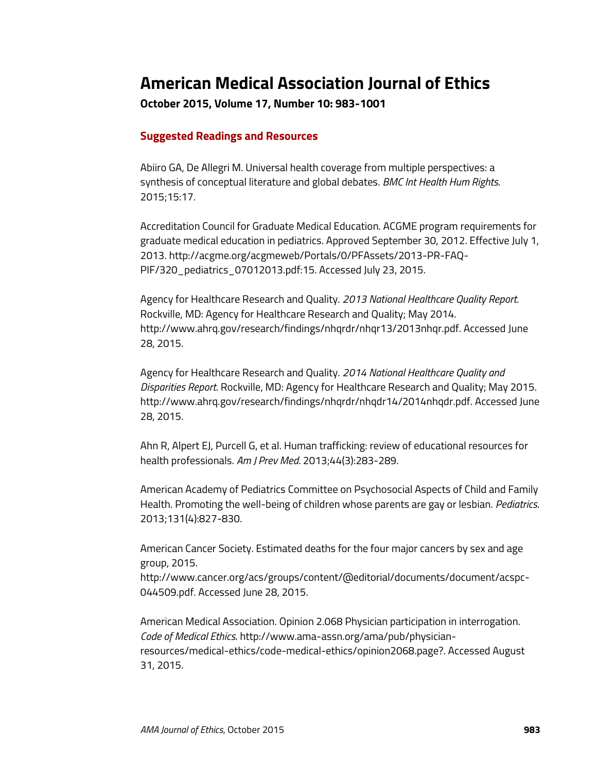# **American Medical Association Journal of Ethics**

**October 2015, Volume 17, Number 10: 983-1001**

# **Suggested Readings and Resources**

Abiiro GA, De Allegri M. Universal health coverage from multiple perspectives: a synthesis of conceptual literature and global debates. *BMC Int Health Hum Rights*. 2015;15:17.

Accreditation Council for Graduate Medical Education. ACGME program requirements for graduate medical education in pediatrics. Approved September 30, 2012. Effective July 1, 2013. http://acgme.org/acgmeweb/Portals/0/PFAssets/2013-PR-FAQ-PIF/320\_pediatrics\_07012013.pdf:15. Accessed July 23, 2015.

Agency for Healthcare Research and Quality. *2013 National Healthcare Quality Report*. Rockville, MD: Agency for Healthcare Research and Quality; May 2014. http://www.ahrq.gov/research/findings/nhqrdr/nhqr13/2013nhqr.pdf. Accessed June 28, 2015.

Agency for Healthcare Research and Quality. *2014 National Healthcare Quality and Disparities Report*. Rockville, MD: Agency for Healthcare Research and Quality; May 2015. http://www.ahrq.gov/research/findings/nhqrdr/nhqdr14/2014nhqdr.pdf. Accessed June 28, 2015.

Ahn R, Alpert EJ, Purcell G, et al. Human trafficking: review of educational resources for health professionals. *Am J Prev Med*. 2013;44(3):283-289.

American Academy of Pediatrics Committee on Psychosocial Aspects of Child and Family Health. Promoting the well-being of children whose parents are gay or lesbian. *Pediatrics*. 2013;131(4):827-830.

American Cancer Society. Estimated deaths for the four major cancers by sex and age group, 2015.

http://www.cancer.org/acs/groups/content/@editorial/documents/document/acspc-044509.pdf. Accessed June 28, 2015.

American Medical Association. Opinion 2.068 Physician participation in interrogation. *Code of Medical Ethics*. http://www.ama-assn.org/ama/pub/physicianresources/medical-ethics/code-medical-ethics/opinion2068.page?. Accessed August 31, 2015.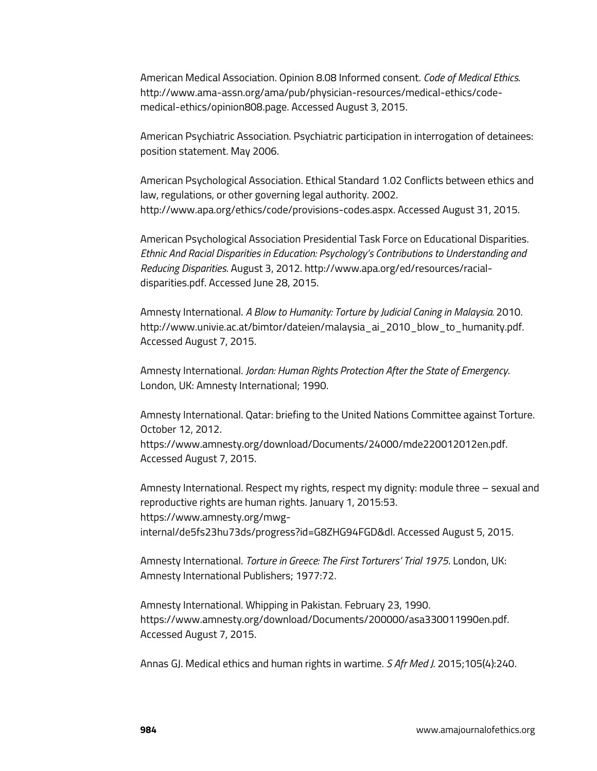American Medical Association. Opinion 8.08 Informed consent. *Code of Medical Ethics*. http://www.ama-assn.org/ama/pub/physician-resources/medical-ethics/codemedical-ethics/opinion808.page. Accessed August 3, 2015.

American Psychiatric Association. Psychiatric participation in interrogation of detainees: position statement. May 2006.

American Psychological Association. Ethical Standard 1.02 Conflicts between ethics and law, regulations, or other governing legal authority. 2002. http://www.apa.org/ethics/code/provisions-codes.aspx. Accessed August 31, 2015.

American Psychological Association Presidential Task Force on Educational Disparities. *Ethnic And Racial Disparities in Education: Psychology's Contributions to Understanding and Reducing Disparities*. August 3, 2012. http://www.apa.org/ed/resources/racialdisparities.pdf. Accessed June 28, 2015.

Amnesty International. *A Blow to Humanity: Torture by Judicial Caning in Malaysia.* 2010. http://www.univie.ac.at/bimtor/dateien/malaysia\_ai\_2010\_blow\_to\_humanity.pdf. Accessed August 7, 2015.

Amnesty International. *Jordan: Human Rights Protection After the State of Emergency*. London, UK: Amnesty International; 1990.

Amnesty International. Qatar: briefing to the United Nations Committee against Torture. October 12, 2012.

https://www.amnesty.org/download/Documents/24000/mde220012012en.pdf. Accessed August 7, 2015.

Amnesty International. Respect my rights, respect my dignity: module three – sexual and reproductive rights are human rights. January 1, 2015:53. https://www.amnesty.org/mwginternal/de5fs23hu73ds/progress?id=G8ZHG94FGD&dl. Accessed August 5, 2015.

Amnesty International. *Torture in Greece: The First Torturers' Trial 1975*. London, UK: Amnesty International Publishers; 1977:72.

Amnesty International. Whipping in Pakistan. February 23, 1990. https://www.amnesty.org/download/Documents/200000/asa330011990en.pdf. Accessed August 7, 2015.

Annas GJ. Medical ethics and human rights in wartime. *S Afr Med J*. 2015;105(4):240.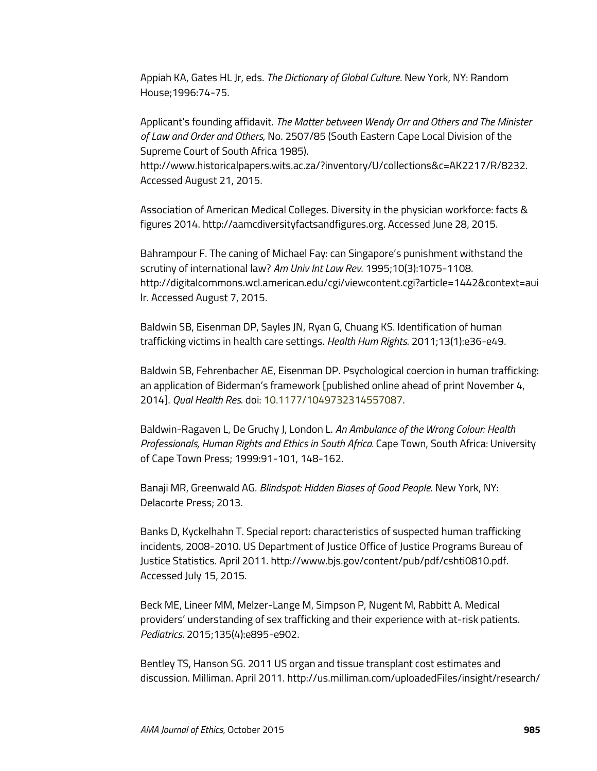Appiah KA, Gates HL Jr, eds. *The Dictionary of Global Culture*. New York, NY: Random House;1996:74-75.

Applicant's founding affidavit. *The Matter between Wendy Orr and Others and The Minister of Law and Order and Others*, No. 2507/85 (South Eastern Cape Local Division of the Supreme Court of South Africa 1985).

http://www.historicalpapers.wits.ac.za/?inventory/U/collections&c=AK2217/R/8232. Accessed August 21, 2015.

Association of American Medical Colleges. Diversity in the physician workforce: facts & figures 2014. http://aamcdiversityfactsandfigures.org. Accessed June 28, 2015.

Bahrampour F. The caning of Michael Fay: can Singapore's punishment withstand the scrutiny of international law? *Am Univ Int Law Rev*. 1995;10(3):1075-1108. http://digitalcommons.wcl.american.edu/cgi/viewcontent.cgi?article=1442&context=aui lr. Accessed August 7, 2015.

Baldwin SB, Eisenman DP, Sayles JN, Ryan G, Chuang KS. Identification of human trafficking victims in health care settings. *Health Hum Rights*. 2011;13(1):e36-e49.

Baldwin SB, Fehrenbacher AE, Eisenman DP. Psychological coercion in human trafficking: an application of Biderman's framework [published online ahead of print November 4, 2014]. *Qual Health Res*. doi: 10.1177/1049732314557087.

Baldwin-Ragaven L, De Gruchy J, London L. *An Ambulance of the Wrong Colour: Health Professionals, Human Rights and Ethics in South Africa.* Cape Town, South Africa: University of Cape Town Press; 1999:91-101, 148-162.

Banaji MR, Greenwald AG. *Blindspot: Hidden Biases of Good People*. New York, NY: Delacorte Press; 2013.

Banks D, Kyckelhahn T. Special report: characteristics of suspected human trafficking incidents, 2008-2010. US Department of Justice Office of Justice Programs Bureau of Justice Statistics. April 2011. http://www.bjs.gov/content/pub/pdf/cshti0810.pdf. Accessed July 15, 2015.

Beck ME, Lineer MM, Melzer-Lange M, Simpson P, Nugent M, Rabbitt A. Medical providers' understanding of sex trafficking and their experience with at-risk patients. *Pediatrics*. 2015;135(4):e895-e902.

Bentley TS, Hanson SG. 2011 US organ and tissue transplant cost estimates and discussion. Milliman. April 2011. http://us.milliman.com/uploadedFiles/insight/research/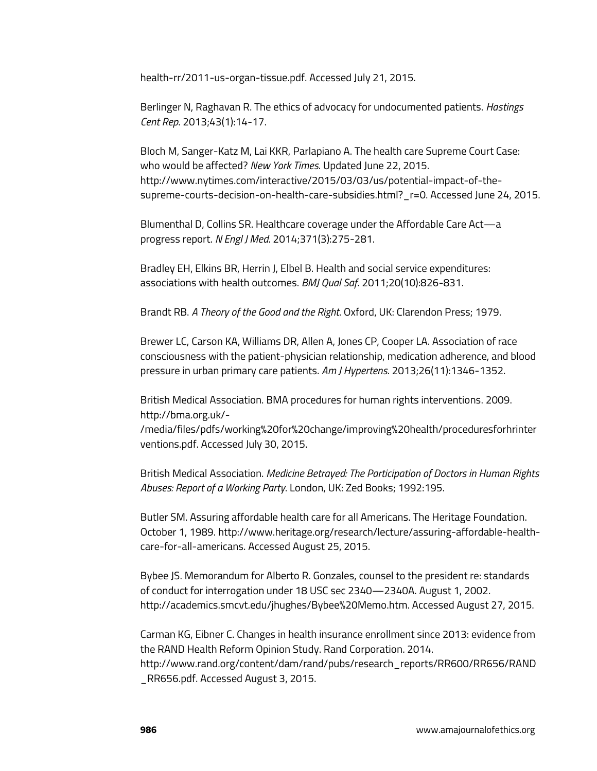health-rr/2011-us-organ-tissue.pdf. Accessed July 21, 2015.

Berlinger N, Raghavan R. The ethics of advocacy for undocumented patients. *Hastings Cent Rep*. 2013;43(1):14-17.

Bloch M, Sanger-Katz M, Lai KKR, Parlapiano A. The health care Supreme Court Case: who would be affected? *New York Times*. Updated June 22, 2015. http://www.nytimes.com/interactive/2015/03/03/us/potential-impact-of-thesupreme-courts-decision-on-health-care-subsidies.html?\_r=0. Accessed June 24, 2015.

Blumenthal D, Collins SR. Healthcare coverage under the Affordable Care Act—a progress report. *N Engl J Med*. 2014;371(3):275-281.

Bradley EH, Elkins BR, Herrin J, Elbel B. Health and social service expenditures: associations with health outcomes. *BMJ Qual Saf*. 2011;20(10):826-831.

Brandt RB. *A Theory of the Good and the Right*. Oxford, UK: Clarendon Press; 1979.

Brewer LC, Carson KA, Williams DR, Allen A, Jones CP, Cooper LA. Association of race consciousness with the patient-physician relationship, medication adherence, and blood pressure in urban primary care patients. *Am J Hypertens*. 2013;26(11):1346-1352.

British Medical Association. BMA procedures for human rights interventions. 2009. http://bma.org.uk/-

/media/files/pdfs/working%20for%20change/improving%20health/proceduresforhrinter ventions.pdf. Accessed July 30, 2015.

British Medical Association. *Medicine Betrayed: The Participation of Doctors in Human Rights Abuses: Report of a Working Party*. London, UK: Zed Books; 1992:195.

Butler SM. Assuring affordable health care for all Americans. The Heritage Foundation. October 1, 1989. http://www.heritage.org/research/lecture/assuring-affordable-healthcare-for-all-americans. Accessed August 25, 2015.

Bybee JS. Memorandum for Alberto R. Gonzales, counsel to the president re: standards of conduct for interrogation under 18 USC sec 2340—2340A. August 1, 2002. http://academics.smcvt.edu/jhughes/Bybee%20Memo.htm. Accessed August 27, 2015.

Carman KG, Eibner C. Changes in health insurance enrollment since 2013: evidence from the RAND Health Reform Opinion Study. Rand Corporation. 2014.

http://www.rand.org/content/dam/rand/pubs/research\_reports/RR600/RR656/RAND \_RR656.pdf. Accessed August 3, 2015.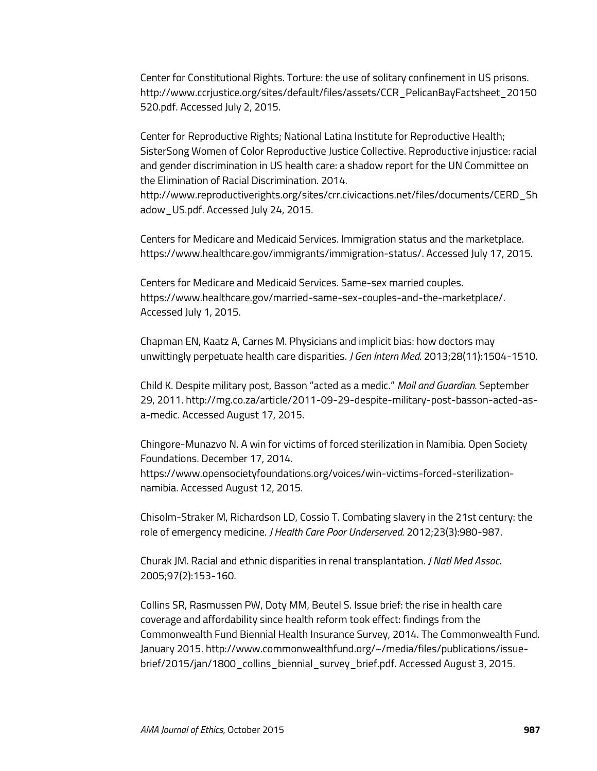Center for Constitutional Rights. Torture: the use of solitary confinement in US prisons. http://www.ccrjustice.org/sites/default/files/assets/CCR\_PelicanBayFactsheet\_20150 520.pdf. Accessed July 2, 2015.

Center for Reproductive Rights; National Latina Institute for Reproductive Health; SisterSong Women of Color Reproductive Justice Collective. Reproductive injustice: racial and gender discrimination in US health care: a shadow report for the UN Committee on the Elimination of Racial Discrimination. 2014.

http://www.reproductiverights.org/sites/crr.civicactions.net/files/documents/CERD\_Sh adow\_US.pdf. Accessed July 24, 2015.

Centers for Medicare and Medicaid Services. Immigration status and the marketplace. https://www.healthcare.gov/immigrants/immigration-status/. Accessed July 17, 2015.

Centers for Medicare and Medicaid Services. Same-sex married couples. https://www.healthcare.gov/married-same-sex-couples-and-the-marketplace/. Accessed July 1, 2015.

Chapman EN, Kaatz A, Carnes M. Physicians and implicit bias: how doctors may unwittingly perpetuate health care disparities. *J Gen Intern Med*. 2013;28(11):1504-1510.

Child K. Despite military post, Basson "acted as a medic." *Mail and Guardian*. September 29, 2011. http://mg.co.za/article/2011-09-29-despite-military-post-basson-acted-asa-medic. Accessed August 17, 2015.

Chingore-Munazvo N. A win for victims of forced sterilization in Namibia. Open Society Foundations. December 17, 2014. https://www.opensocietyfoundations.org/voices/win-victims-forced-sterilizationnamibia. Accessed August 12, 2015.

Chisolm-Straker M, Richardson LD, Cossio T. Combating slavery in the 21st century: the role of emergency medicine. *J Health Care Poor Underserved*. 2012;23(3):980-987.

Churak JM. Racial and ethnic disparities in renal transplantation. *J Natl Med Assoc*. 2005;97(2):153-160.

Collins SR, Rasmussen PW, Doty MM, Beutel S. Issue brief: the rise in health care coverage and affordability since health reform took effect: findings from the Commonwealth Fund Biennial Health Insurance Survey, 2014. The Commonwealth Fund. January 2015. http://www.commonwealthfund.org/~/media/files/publications/issuebrief/2015/jan/1800\_collins\_biennial\_survey\_brief.pdf. Accessed August 3, 2015.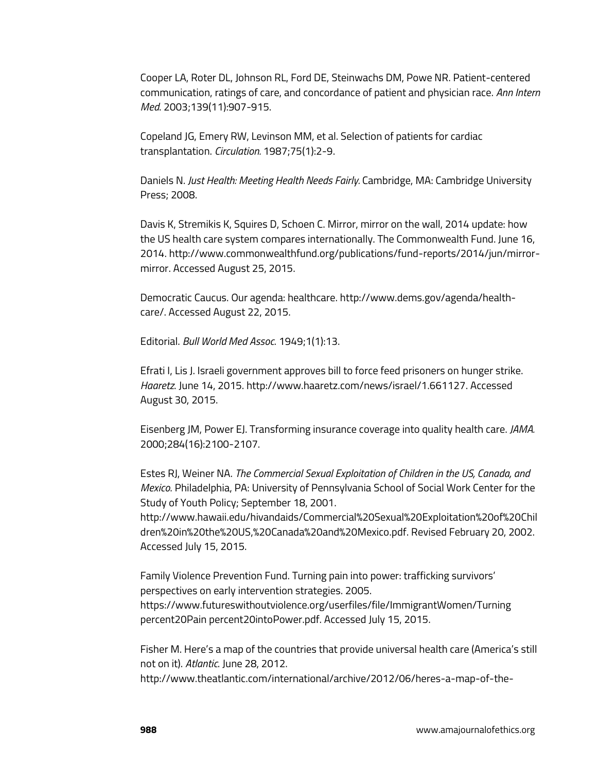Cooper LA, Roter DL, Johnson RL, Ford DE, Steinwachs DM, Powe NR. Patient-centered communication, ratings of care, and concordance of patient and physician race. *Ann Intern Med*. 2003;139(11):907-915.

Copeland JG, Emery RW, Levinson MM, et al. Selection of patients for cardiac transplantation. *Circulation.* 1987;75(1):2-9.

Daniels N. *Just Health: Meeting Health Needs Fairly.* Cambridge, MA: Cambridge University Press; 2008.

Davis K, Stremikis K, Squires D, Schoen C. Mirror, mirror on the wall, 2014 update: how the US health care system compares internationally. The Commonwealth Fund. June 16, 2014. http://www.commonwealthfund.org/publications/fund-reports/2014/jun/mirrormirror. Accessed August 25, 2015.

Democratic Caucus. Our agenda: healthcare. http://www.dems.gov/agenda/healthcare/. Accessed August 22, 2015.

Editorial. *Bull World Med Assoc*. 1949;1(1):13.

Efrati I, Lis J. Israeli government approves bill to force feed prisoners on hunger strike. *Haaretz*. June 14, 2015. http://www.haaretz.com/news/israel/1.661127. Accessed August 30, 2015.

Eisenberg JM, Power EJ. Transforming insurance coverage into quality health care. *JAMA.* 2000;284(16):2100-2107.

Estes RJ, Weiner NA. *The Commercial Sexual Exploitation of Children in the US, Canada, and Mexico*. Philadelphia, PA: University of Pennsylvania School of Social Work Center for the Study of Youth Policy; September 18, 2001.

http://www.hawaii.edu/hivandaids/Commercial%20Sexual%20Exploitation%20of%20Chil dren%20in%20the%20US,%20Canada%20and%20Mexico.pdf. Revised February 20, 2002. Accessed July 15, 2015.

Family Violence Prevention Fund. Turning pain into power: trafficking survivors' perspectives on early intervention strategies. 2005. https://www.futureswithoutviolence.org/userfiles/file/ImmigrantWomen/Turning percent20Pain percent20intoPower.pdf. Accessed July 15, 2015.

Fisher M. Here's a map of the countries that provide universal health care (America's still not on it). *Atlantic*. June 28, 2012.

http://www.theatlantic.com/international/archive/2012/06/heres-a-map-of-the-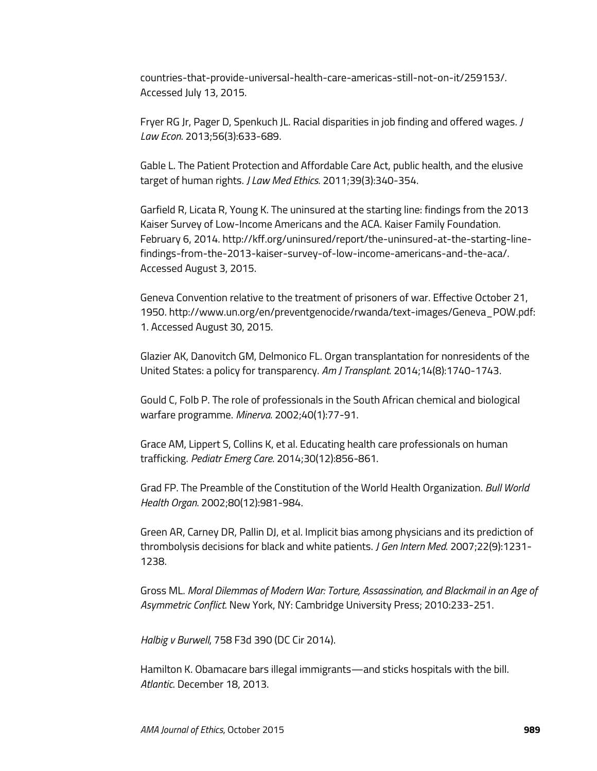countries-that-provide-universal-health-care-americas-still-not-on-it/259153/. Accessed July 13, 2015.

Fryer RG Jr, Pager D, Spenkuch JL. Racial disparities in job finding and offered wages. *J Law Econ*. 2013;56(3):633-689.

Gable L. The Patient Protection and Affordable Care Act, public health, and the elusive target of human rights. *J Law Med Ethics*. 2011;39(3):340-354.

Garfield R, Licata R, Young K. The uninsured at the starting line: findings from the 2013 Kaiser Survey of Low-Income Americans and the ACA. Kaiser Family Foundation. February 6, 2014. http://kff.org/uninsured/report/the-uninsured-at-the-starting-linefindings-from-the-2013-kaiser-survey-of-low-income-americans-and-the-aca/. Accessed August 3, 2015.

Geneva Convention relative to the treatment of prisoners of war. Effective October 21, 1950[. http://www.un.org/en/preventgenocide/rwanda/text-images/Geneva\\_POW.pdf:](http://www.un.org/en/preventgenocide/rwanda/text-images/Geneva_POW.pdf) 1. Accessed August 30, 2015.

Glazier AK, Danovitch GM, Delmonico FL. Organ transplantation for nonresidents of the United States: a policy for transparency. *Am J Transplant*. 2014;14(8):1740-1743.

Gould C, Folb P. The role of professionals in the South African chemical and biological warfare programme. *Minerva*. 2002;40(1):77-91.

Grace AM, Lippert S, Collins K, et al. Educating health care professionals on human trafficking. *Pediatr Emerg Care*. 2014;30(12):856-861.

Grad FP. The Preamble of the Constitution of the World Health Organization. *Bull World Health Organ*. 2002;80(12):981-984.

Green AR, Carney DR, Pallin DJ, et al. Implicit bias among physicians and its prediction of thrombolysis decisions for black and white patients. *J Gen Intern Med*. 2007;22(9):1231- 1238.

Gross ML. *Moral Dilemmas of Modern War: Torture, Assassination, and Blackmail in an Age of Asymmetric Conflict*. New York, NY: Cambridge University Press; 2010:233-251.

*Halbig v Burwell*, 758 F3d 390 (DC Cir 2014).

Hamilton K. Obamacare bars illegal immigrants—and sticks hospitals with the bill. *Atlantic*. December 18, 2013.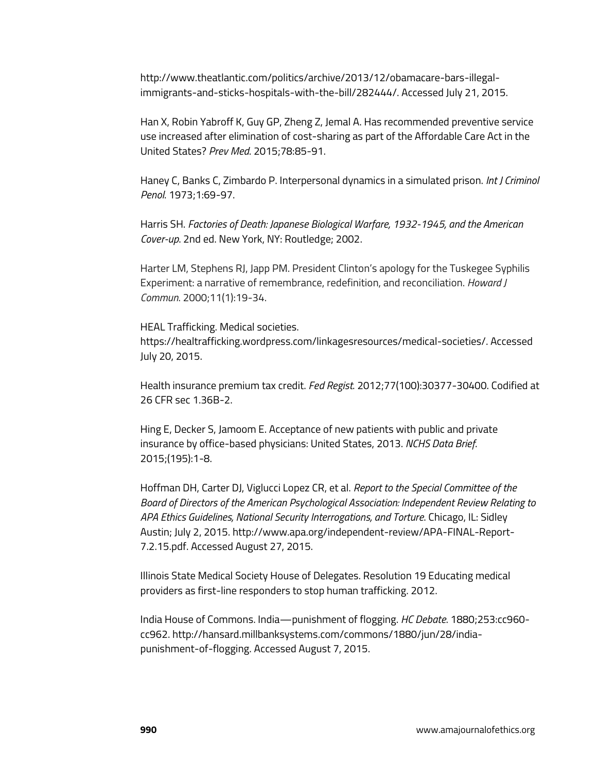http://www.theatlantic.com/politics/archive/2013/12/obamacare-bars-illegalimmigrants-and-sticks-hospitals-with-the-bill/282444/. Accessed July 21, 2015.

Han X, Robin Yabroff K, Guy GP, Zheng Z, Jemal A. Has recommended preventive service use increased after elimination of cost-sharing as part of the Affordable Care Act in the United States? *Prev Med*. 2015;78:85-91.

Haney C, Banks C, Zimbardo P. Interpersonal dynamics in a simulated prison. *Int J Criminol Penol*. 1973;1:69-97.

Harris SH. *Factories of Death: Japanese Biological Warfare, 1932-1945, and the American Cover-up*. 2nd ed. New York, NY: Routledge; 2002.

Harter LM, Stephens RJ, Japp PM. President Clinton's apology for the Tuskegee Syphilis Experiment: a narrative of remembrance, redefinition, and reconciliation. *Howard J Commun*. 2000;11(1):19-34.

HEAL Trafficking. Medical societies. https://healtrafficking.wordpress.com/linkagesresources/medical-societies/. Accessed July 20, 2015.

Health insurance premium tax credit. *Fed Regist*. 2012;77(100):30377-30400. Codified at 26 CFR sec 1.36B-2.

Hing E, Decker S, Jamoom E. Acceptance of new patients with public and private insurance by office-based physicians: United States, 2013. *NCHS Data Brief*. 2015;(195):1-8.

Hoffman DH, Carter DJ, Viglucci Lopez CR, et al. *Report to the Special Committee of the Board of Directors of the American Psychological Association: Independent Review Relating to APA Ethics Guidelines, National Security Interrogations, and Torture*. Chicago, IL: Sidley Austin; July 2, 2015. http://www.apa.org/independent-review/APA-FINAL-Report-7.2.15.pdf. Accessed August 27, 2015.

Illinois State Medical Society House of Delegates. Resolution 19 Educating medical providers as first-line responders to stop human trafficking. 2012.

India House of Commons. India—punishment of flogging. *HC Debate*. 1880;253:cc960 cc962. http://hansard.millbanksystems.com/commons/1880/jun/28/indiapunishment-of-flogging. Accessed August 7, 2015.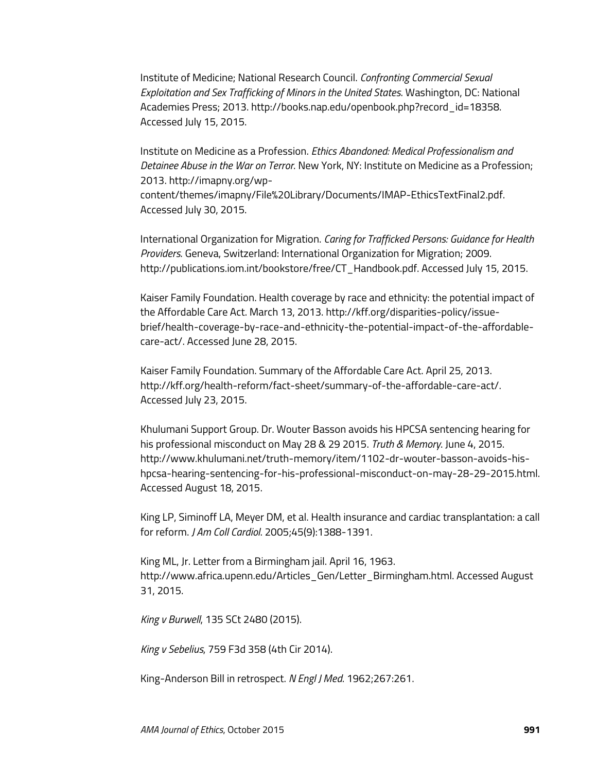Institute of Medicine; National Research Council. *Confronting Commercial Sexual Exploitation and Sex Trafficking of Minors in the United States*. Washington, DC: National Academies Press; 2013. http://books.nap.edu/openbook.php?record\_id=18358. Accessed July 15, 2015.

Institute on Medicine as a Profession. *Ethics Abandoned: Medical Professionalism and Detainee Abuse in the War on Terror*. New York, NY: Institute on Medicine as a Profession; 2013. http://imapny.org/wpcontent/themes/imapny/File%20Library/Documents/IMAP-EthicsTextFinal2.pdf. Accessed July 30, 2015.

International Organization for Migration. *Caring for Trafficked Persons: Guidance for Health Providers*. Geneva, Switzerland: International Organization for Migration; 2009. http://publications.iom.int/bookstore/free/CT\_Handbook.pdf. Accessed July 15, 2015.

Kaiser Family Foundation. Health coverage by race and ethnicity: the potential impact of the Affordable Care Act. March 13, 2013. http://kff.org/disparities-policy/issuebrief/health-coverage-by-race-and-ethnicity-the-potential-impact-of-the-affordablecare-act/. Accessed June 28, 2015.

Kaiser Family Foundation. Summary of the Affordable Care Act. April 25, 2013. http://kff.org/health-reform/fact-sheet/summary-of-the-affordable-care-act/. Accessed July 23, 2015.

Khulumani Support Group. Dr. Wouter Basson avoids his HPCSA sentencing hearing for his professional misconduct on May 28 & 29 2015. *Truth & Memory*. June 4, 2015. http://www.khulumani.net/truth-memory/item/1102-dr-wouter-basson-avoids-hishpcsa-hearing-sentencing-for-his-professional-misconduct-on-may-28-29-2015.html. Accessed August 18, 2015.

King LP, Siminoff LA, Meyer DM, et al. Health insurance and cardiac transplantation: a call for reform. *J Am Coll Cardiol*. 2005;45(9):1388-1391.

King ML, Jr. Letter from a Birmingham jail. April 16, 1963. http://www.africa.upenn.edu/Articles\_Gen/Letter\_Birmingham.html. Accessed August 31, 2015.

*King v Burwell*, 135 SCt 2480 (2015).

*King v Sebelius*, 759 F3d 358 (4th Cir 2014).

King-Anderson Bill in retrospect. *N Engl J Med*. 1962;267:261.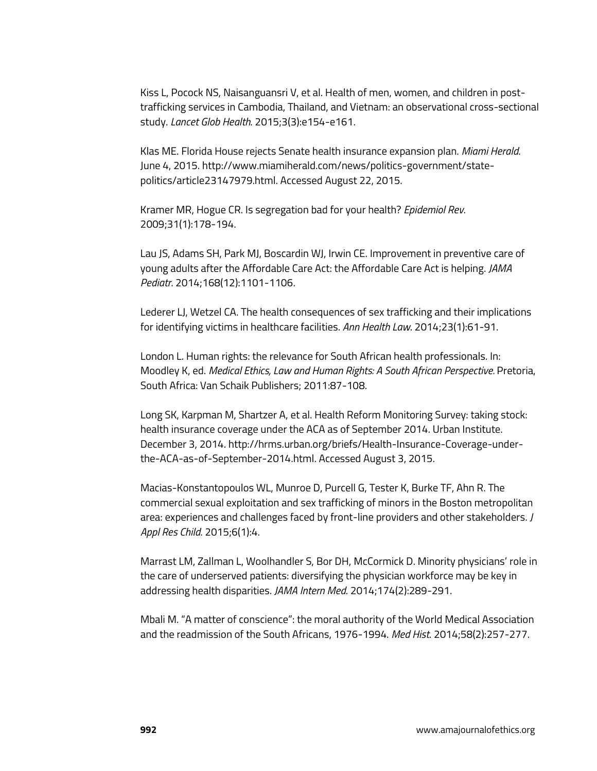Kiss L, Pocock NS, Naisanguansri V, et al. Health of men, women, and children in posttrafficking services in Cambodia, Thailand, and Vietnam: an observational cross-sectional study. *Lancet Glob Health*. 2015;3(3):e154-e161.

Klas ME. Florida House rejects Senate health insurance expansion plan. *Miami Herald*. June 4, 2015. http://www.miamiherald.com/news/politics-government/statepolitics/article23147979.html. Accessed August 22, 2015.

Kramer MR, Hogue CR. Is segregation bad for your health? *Epidemiol Rev*. 2009;31(1):178-194.

Lau JS, Adams SH, Park MJ, Boscardin WJ, Irwin CE. Improvement in preventive care of young adults after the Affordable Care Act: the Affordable Care Act is helping. *JAMA Pediatr*. 2014;168(12):1101-1106.

Lederer LJ, Wetzel CA. The health consequences of sex trafficking and their implications for identifying victims in healthcare facilities. *Ann Health Law*. 2014;23(1):61-91.

London L. Human rights: the relevance for South African health professionals. In: Moodley K, ed. *Medical Ethics, Law and Human Rights: A South African Perspective.* Pretoria, South Africa: Van Schaik Publishers; 2011:87-108.

Long SK, Karpman M, Shartzer A, et al. Health Reform Monitoring Survey: taking stock: health insurance coverage under the ACA as of September 2014. Urban Institute. December 3, 2014. http://hrms.urban.org/briefs/Health-Insurance-Coverage-underthe-ACA-as-of-September-2014.html. Accessed August 3, 2015.

Macias-Konstantopoulos WL, Munroe D, Purcell G, Tester K, Burke TF, Ahn R. The commercial sexual exploitation and sex trafficking of minors in the Boston metropolitan area: experiences and challenges faced by front-line providers and other stakeholders. *J Appl Res Child*. 2015;6(1):4.

Marrast LM, Zallman L, Woolhandler S, Bor DH, McCormick D. Minority physicians' role in the care of underserved patients: diversifying the physician workforce may be key in addressing health disparities. *JAMA Intern Med*. 2014;174(2):289-291.

Mbali M. "A matter of conscience": the moral authority of the World Medical Association and the readmission of the South Africans, 1976-1994. *Med Hist*. 2014;58(2):257-277.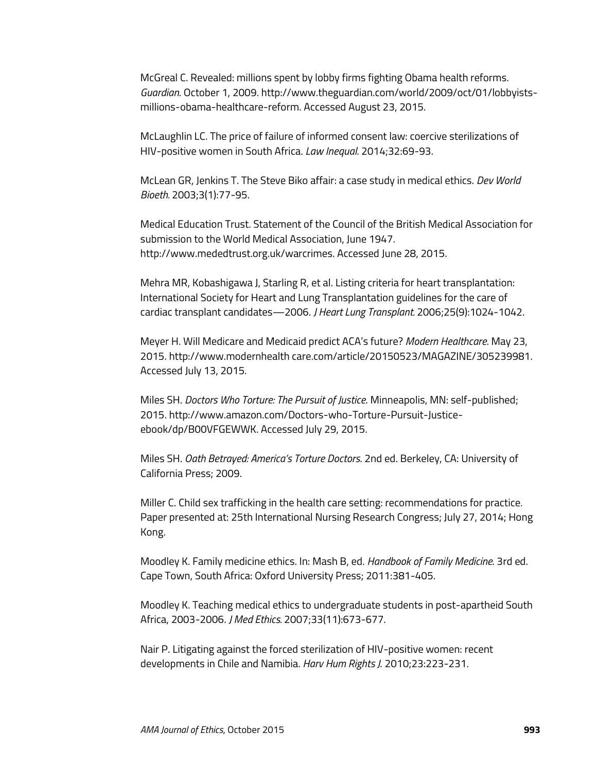McGreal C. Revealed: millions spent by lobby firms fighting Obama health reforms. *Guardian*. October 1, 2009. http://www.theguardian.com/world/2009/oct/01/lobbyistsmillions-obama-healthcare-reform. Accessed August 23, 2015.

McLaughlin LC. The price of failure of informed consent law: coercive sterilizations of HIV-positive women in South Africa. *Law Inequal*. 2014;32:69-93.

McLean GR, Jenkins T. The Steve Biko affair: a case study in medical ethics. *Dev World Bioeth.* 2003;3(1):77-95.

Medical Education Trust. Statement of the Council of the British Medical Association for submission to the World Medical Association, June 1947. http://www.mededtrust.org.uk/warcrimes. Accessed June 28, 2015.

Mehra MR, Kobashigawa J, Starling R, et al. Listing criteria for heart transplantation: International Society for Heart and Lung Transplantation guidelines for the care of cardiac transplant candidates—2006. *J Heart Lung Transplant.* 2006;25(9):1024-1042.

Meyer H. Will Medicare and Medicaid predict ACA's future? *Modern Healthcare*. May 23, 2015. http://www.modernhealth care.com/article/20150523/MAGAZINE/305239981. Accessed July 13, 2015.

Miles SH. *Doctors Who Torture: The Pursuit of Justice*. Minneapolis, MN: self-published; 2015. http://www.amazon.com/Doctors-who-Torture-Pursuit-Justiceebook/dp/B00VFGEWWK. Accessed July 29, 2015.

Miles SH. *Oath Betrayed: America's Torture Doctors*. 2nd ed. Berkeley, CA: University of California Press; 2009.

Miller C. Child sex trafficking in the health care setting: recommendations for practice*.* Paper presented at: 25th International Nursing Research Congress; July 27, 2014; Hong Kong.

Moodley K. Family medicine ethics. In: Mash B, ed. *Handbook of Family Medicine*. 3rd ed. Cape Town, South Africa: Oxford University Press; 2011:381-405.

Moodley K. Teaching medical ethics to undergraduate students in post-apartheid South Africa, 2003-2006. *J Med Ethics.* 2007;33(11):673-677.

Nair P. Litigating against the forced sterilization of HIV-positive women: recent developments in Chile and Namibia. *Harv Hum Rights J*. 2010;23:223-231.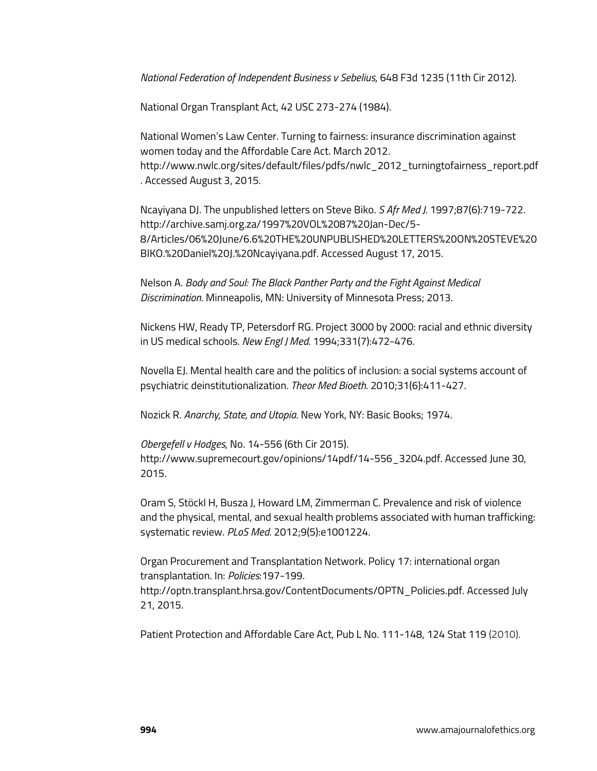*National Federation of Independent Business v Sebelius*, 648 F3d 1235 (11th Cir 2012).

National Organ Transplant Act, 42 USC 273-274 (1984).

National Women's Law Center. Turning to fairness: insurance discrimination against women today and the Affordable Care Act. March 2012. http://www.nwlc.org/sites/default/files/pdfs/nwlc\_2012\_turningtofairness\_report.pdf . Accessed August 3, 2015.

Ncayiyana DJ. The unpublished letters on Steve Biko. *S Afr Med J*. 1997;87(6):719-722. http://archive.samj.org.za/1997%20VOL%2087%20Jan-Dec/5- 8/Articles/06%20June/6.6%20THE%20UNPUBLISHED%20LETTERS%20ON%20STEVE%20 BIKO.%20Daniel%20J.%20Ncayiyana.pdf. Accessed August 17, 2015.

Nelson A. *Body and Soul: The Black Panther Party and the Fight Against Medical Discrimination*. Minneapolis, MN: University of Minnesota Press; 2013.

Nickens HW, Ready TP, Petersdorf RG. Project 3000 by 2000: racial and ethnic diversity in US medical schools. *New Engl J Med*. 1994;331(7):472-476.

Novella EJ. Mental health care and the politics of inclusion: a social systems account of psychiatric deinstitutionalization. *Theor Med Bioeth*. 2010;31(6):411-427.

Nozick R. *Anarchy, State, and Utopia*. New York, NY: Basic Books; 1974.

*Obergefell v Hodges*, No. 14-556 (6th Cir 2015). http://www.supremecourt.gov/opinions/14pdf/14-556\_3204.pdf. Accessed June 30, 2015.

Oram S, Stöckl H, Busza J, Howard LM, Zimmerman C. Prevalence and risk of violence and the physical, mental, and sexual health problems associated with human trafficking: systematic review. *PLoS Med*. 2012;9(5):e1001224.

Organ Procurement and Transplantation Network. Policy 17: international organ transplantation. In: *Policies*:197-199. http://optn.transplant.hrsa.gov/ContentDocuments/OPTN\_Policies.pdf. Accessed July 21, 2015.

Patient Protection and Affordable Care Act, Pub L No. 111-148, 124 Stat 119 (2010).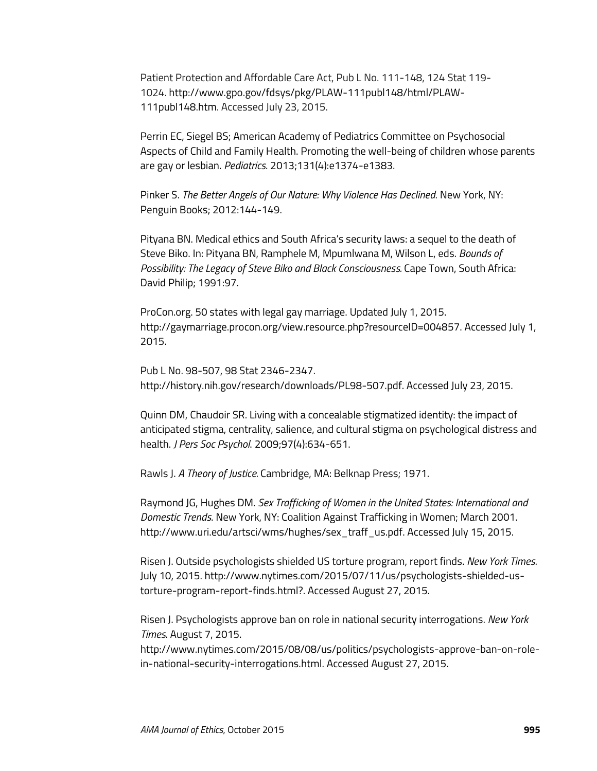Patient Protection and Affordable Care Act, Pub L No. 111-148, 124 Stat 119- 1024. http://www.gpo.gov/fdsys/pkg/PLAW-111publ148/html/PLAW-111publ148.htm. Accessed July 23, 2015.

Perrin EC, Siegel BS; American Academy of Pediatrics Committee on Psychosocial Aspects of Child and Family Health. Promoting the well-being of children whose parents are gay or lesbian. *Pediatrics*. 2013;131(4):e1374-e1383.

Pinker S. *The Better Angels of Our Nature: Why Violence Has Declined*. New York, NY: Penguin Books; 2012:144-149.

Pityana BN. Medical ethics and South Africa's security laws: a sequel to the death of Steve Biko. In: Pityana BN, Ramphele M, Mpumlwana M, Wilson L, eds. *Bounds of Possibility: The Legacy of Steve Biko and Black Consciousness.* Cape Town, South Africa: David Philip; 1991:97.

ProCon.org. 50 states with legal gay marriage. Updated July 1, 2015. http://gaymarriage.procon.org/view.resource.php?resourceID=004857. Accessed July 1, 2015.

Pub L No. 98-507, 98 Stat 2346-2347. http://history.nih.gov/research/downloads/PL98-507.pdf. Accessed July 23, 2015.

Quinn DM, Chaudoir SR. Living with a concealable stigmatized identity: the impact of anticipated stigma, centrality, salience, and cultural stigma on psychological distress and health. *J Pers Soc Psychol*. 2009;97(4):634-651.

Rawls J. *A Theory of Justice.* Cambridge, MA: Belknap Press; 1971.

Raymond JG, Hughes DM. *Sex Trafficking of Women in the United States: International and Domestic Trends*. New York, NY: Coalition Against Trafficking in Women; March 2001. http://www.uri.edu/artsci/wms/hughes/sex\_traff\_us.pdf. Accessed July 15, 2015.

Risen J. Outside psychologists shielded US torture program, report finds. *New York Times*. July 10, 2015. http://www.nytimes.com/2015/07/11/us/psychologists-shielded-ustorture-program-report-finds.html?. Accessed August 27, 2015.

Risen J. Psychologists approve ban on role in national security interrogations. *New York Times*. August 7, 2015.

http://www.nytimes.com/2015/08/08/us/politics/psychologists-approve-ban-on-rolein-national-security-interrogations.html. Accessed August 27, 2015.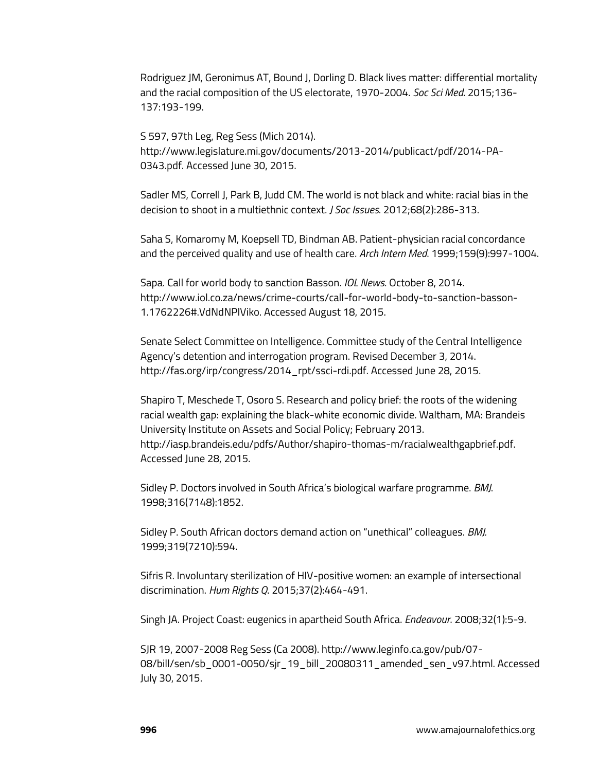Rodriguez JM, Geronimus AT, Bound J, Dorling D. Black lives matter: differential mortality and the racial composition of the US electorate, 1970-2004. *Soc Sci Med*. 2015;136- 137:193-199.

S 597, 97th Leg, Reg Sess (Mich 2014). http://www.legislature.mi.gov/documents/2013-2014/publicact/pdf/2014-PA-0343.pdf. Accessed June 30, 2015.

Sadler MS, Correll J, Park B, Judd CM. The world is not black and white: racial bias in the decision to shoot in a multiethnic context. *J Soc Issues*. 2012;68(2):286-313.

Saha S, Komaromy M, Koepsell TD, Bindman AB. Patient-physician racial concordance and the perceived quality and use of health care. *Arch Intern Med*. 1999;159(9):997-1004.

Sapa. Call for world body to sanction Basson. *IOL News*. October 8, 2014. http://www.iol.co.za/news/crime-courts/call-for-world-body-to-sanction-basson-1.1762226#.VdNdNPlViko. Accessed August 18, 2015.

Senate Select Committee on Intelligence. Committee study of the Central Intelligence Agency's detention and interrogation program. Revised December 3, 2014. http://fas.org/irp/congress/2014\_rpt/ssci-rdi.pdf. Accessed June 28, 2015.

Shapiro T, Meschede T, Osoro S. Research and policy brief: the roots of the widening racial wealth gap: explaining the black-white economic divide. Waltham, MA: Brandeis University Institute on Assets and Social Policy; February 2013. http://iasp.brandeis.edu/pdfs/Author/shapiro-thomas-m/racialwealthgapbrief.pdf. Accessed June 28, 2015.

Sidley P. Doctors involved in South Africa's biological warfare programme. *BMJ*. 1998;316(7148):1852.

Sidley P. South African doctors demand action on "unethical" colleagues. *BMJ.* 1999;319(7210):594.

Sifris R. Involuntary sterilization of HIV-positive women: an example of intersectional discrimination. *Hum Rights Q*. 2015;37(2):464-491.

Singh JA. Project Coast: eugenics in apartheid South Africa. *Endeavour*. 2008;32(1):5-9.

SJR 19, 2007-2008 Reg Sess (Ca 2008). http://www.leginfo.ca.gov/pub/07- 08/bill/sen/sb\_0001-0050/sjr\_19\_bill\_20080311\_amended\_sen\_v97.html. Accessed July 30, 2015.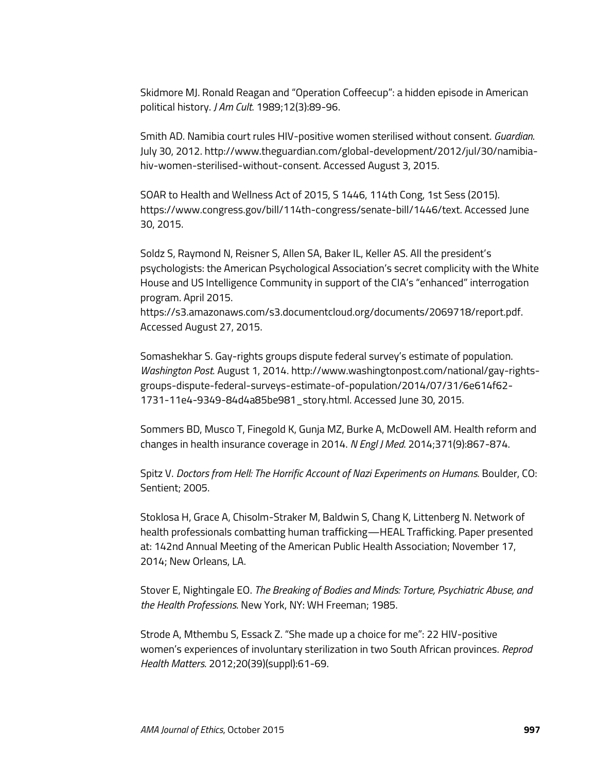Skidmore MJ. Ronald Reagan and "Operation Coffeecup": a hidden episode in American political history. *J Am Cult*. 1989;12(3):89-96.

Smith AD. Namibia court rules HIV-positive women sterilised without consent. *Guardian*. July 30, 2012. http://www.theguardian.com/global-development/2012/jul/30/namibiahiv-women-sterilised-without-consent. Accessed August 3, 2015.

SOAR to Health and Wellness Act of 2015, S 1446, 114th Cong, 1st Sess (2015). https://www.congress.gov/bill/114th-congress/senate-bill/1446/text. Accessed June 30, 2015.

Soldz S, Raymond N, Reisner S, Allen SA, Baker IL, Keller AS. All the president's psychologists: the American Psychological Association's secret complicity with the White House and US Intelligence Community in support of the CIA's "enhanced" interrogation program. April 2015.

https://s3.amazonaws.com/s3.documentcloud.org/documents/2069718/report.pdf. Accessed August 27, 2015.

Somashekhar S. Gay-rights groups dispute federal survey's estimate of population. *Washington Post*. August 1, 2014. http://www.washingtonpost.com/national/gay-rightsgroups-dispute-federal-surveys-estimate-of-population/2014/07/31/6e614f62- 1731-11e4-9349-84d4a85be981\_story.html. Accessed June 30, 2015.

Sommers BD, Musco T, Finegold K, Gunja MZ, Burke A, McDowell AM. Health reform and changes in health insurance coverage in 2014. *N Engl J Med*. 2014;371(9):867-874.

Spitz V. *Doctors from Hell: The Horrific Account of Nazi Experiments on Humans*. Boulder, CO: Sentient; 2005.

Stoklosa H, Grace A, Chisolm-Straker M, Baldwin S, Chang K, Littenberg N. Network of health professionals combatting human trafficking—HEAL Trafficking*.* Paper presented at: 142nd Annual Meeting of the American Public Health Association; November 17, 2014; New Orleans, LA.

Stover E, Nightingale EO. *The Breaking of Bodies and Minds: Torture, Psychiatric Abuse, and the Health Professions*. New York, NY: WH Freeman; 1985.

Strode A, Mthembu S, Essack Z. "She made up a choice for me": 22 HIV-positive women's experiences of involuntary sterilization in two South African provinces. *Reprod Health Matters*. 2012;20(39)(suppl):61-69.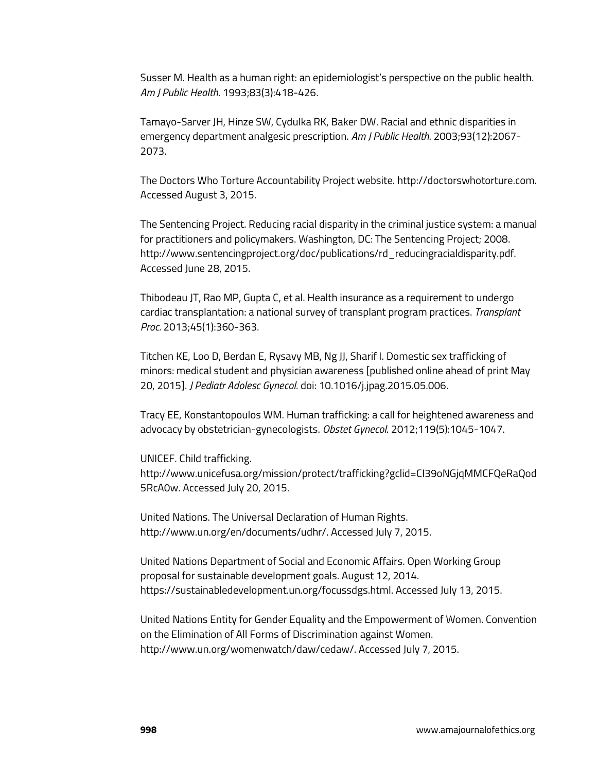Susser M. Health as a human right: an epidemiologist's perspective on the public health. *Am J Public Health*. 1993;83(3):418-426.

Tamayo-Sarver JH, Hinze SW, Cydulka RK, Baker DW. Racial and ethnic disparities in emergency department analgesic prescription. *Am J Public Health*. 2003;93(12):2067- 2073.

The Doctors Who Torture Accountability Project website. http://doctorswhotorture.com. Accessed August 3, 2015.

The Sentencing Project. Reducing racial disparity in the criminal justice system: a manual for practitioners and policymakers. Washington, DC: The Sentencing Project; 2008. http://www.sentencingproject.org/doc/publications/rd\_reducingracialdisparity.pdf. Accessed June 28, 2015.

Thibodeau JT, Rao MP, Gupta C, et al. Health insurance as a requirement to undergo cardiac transplantation: a national survey of transplant program practices. *Transplant Proc.* 2013;45(1):360-363.

Titchen KE, Loo D, Berdan E, Rysavy MB, Ng JJ, Sharif I. Domestic sex trafficking of minors: medical student and physician awareness [published online ahead of print May 20, 2015]. *J Pediatr Adolesc Gynecol*. doi: 10.1016/j.jpag.2015.05.006.

Tracy EE, Konstantopoulos WM. Human trafficking: a call for heightened awareness and advocacy by obstetrician-gynecologists. *Obstet Gynecol*. 2012;119(5):1045-1047.

UNICEF. Child trafficking.

http://www.unicefusa.org/mission/protect/trafficking?gclid=CI39oNGjqMMCFQeRaQod 5RcA0w. Accessed July 20, 2015.

United Nations. The Universal Declaration of Human Rights. http://www.un.org/en/documents/udhr/. Accessed July 7, 2015.

United Nations Department of Social and Economic Affairs. Open Working Group proposal for sustainable development goals. August 12, 2014. https://sustainabledevelopment.un.org/focussdgs.html. Accessed July 13, 2015.

United Nations Entity for Gender Equality and the Empowerment of Women. Convention on the Elimination of All Forms of Discrimination against Women. http://www.un.org/womenwatch/daw/cedaw/. Accessed July 7, 2015.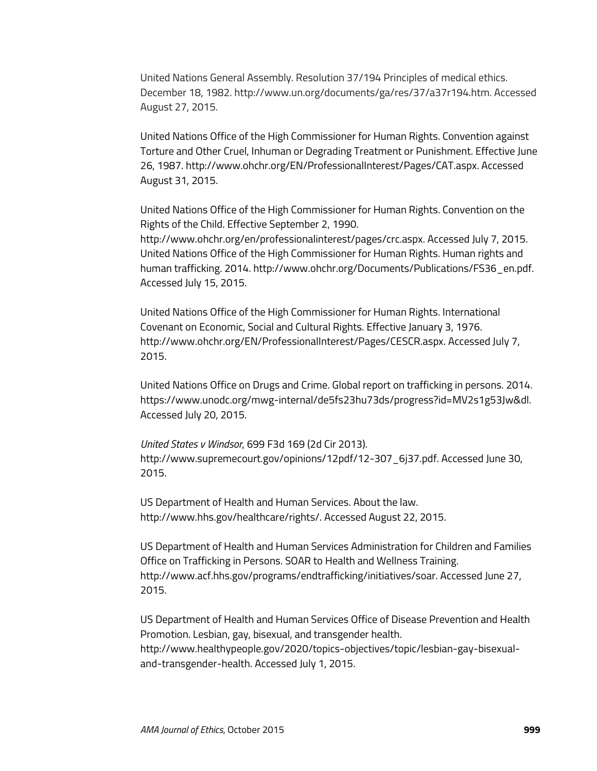United Nations General Assembly. Resolution 37/194 Principles of medical ethics. December 18, 1982. http://www.un.org/documents/ga/res/37/a37r194.htm. Accessed August 27, 2015.

United Nations Office of the High Commissioner for Human Rights. Convention against Torture and Other Cruel, Inhuman or Degrading Treatment or Punishment. Effective June 26, 1987. http://www.ohchr.org/EN/ProfessionalInterest/Pages/CAT.aspx. Accessed August 31, 2015.

United Nations Office of the High Commissioner for Human Rights. Convention on the Rights of the Child. Effective September 2, 1990. http://www.ohchr.org/en/professionalinterest/pages/crc.aspx. Accessed July 7, 2015. United Nations Office of the High Commissioner for Human Rights. Human rights and human trafficking. 2014. http://www.ohchr.org/Documents/Publications/FS36\_en.pdf. Accessed July 15, 2015.

United Nations Office of the High Commissioner for Human Rights. International Covenant on Economic, Social and Cultural Rights. Effective January 3, 1976. http://www.ohchr.org/EN/ProfessionalInterest/Pages/CESCR.aspx. Accessed July 7, 2015.

United Nations Office on Drugs and Crime. Global report on trafficking in persons. 2014. https://www.unodc.org/mwg-internal/de5fs23hu73ds/progress?id=MV2s1g53Jw&dl. Accessed July 20, 2015.

*United States v Windsor*, 699 F3d 169 (2d Cir 2013). http://www.supremecourt.gov/opinions/12pdf/12-307\_6j37.pdf. Accessed June 30, 2015.

US Department of Health and Human Services. About the law. http://www.hhs.gov/healthcare/rights/. Accessed August 22, 2015.

US Department of Health and Human Services Administration for Children and Families Office on Trafficking in Persons. SOAR to Health and Wellness Training. http://www.acf.hhs.gov/programs/endtrafficking/initiatives/soar. Accessed June 27, 2015.

US Department of Health and Human Services Office of Disease Prevention and Health Promotion. Lesbian, gay, bisexual, and transgender health. http://www.healthypeople.gov/2020/topics-objectives/topic/lesbian-gay-bisexualand-transgender-health. Accessed July 1, 2015.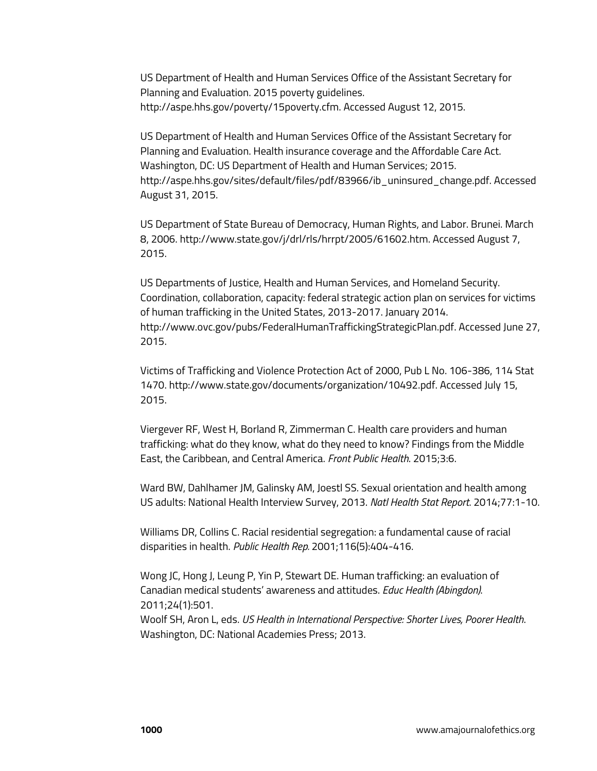US Department of Health and Human Services Office of the Assistant Secretary for Planning and Evaluation. 2015 poverty guidelines. http://aspe.hhs.gov/poverty/15poverty.cfm. Accessed August 12, 2015.

US Department of Health and Human Services Office of the Assistant Secretary for Planning and Evaluation. Health insurance coverage and the Affordable Care Act. Washington, DC: US Department of Health and Human Services; 2015. http://aspe.hhs.gov/sites/default/files/pdf/83966/ib\_uninsured\_change.pdf. Accessed August 31, 2015.

US Department of State Bureau of Democracy, Human Rights, and Labor. Brunei. March 8, 2006. http://www.state.gov/j/drl/rls/hrrpt/2005/61602.htm. Accessed August 7, 2015.

US Departments of Justice, Health and Human Services, and Homeland Security. Coordination, collaboration, capacity: federal strategic action plan on services for victims of human trafficking in the United States, 2013-2017. January 2014. http://www.ovc.gov/pubs/FederalHumanTraffickingStrategicPlan.pdf. Accessed June 27, 2015.

Victims of Trafficking and Violence Protection Act of 2000, Pub L No. 106-386, 114 Stat 1470. http://www.state.gov/documents/organization/10492.pdf. Accessed July 15, 2015.

Viergever RF, West H, Borland R, Zimmerman C. Health care providers and human trafficking: what do they know, what do they need to know? Findings from the Middle East, the Caribbean, and Central America. *Front Public Health*. 2015;3:6.

Ward BW, Dahlhamer JM, Galinsky AM, Joestl SS. Sexual orientation and health among US adults: National Health Interview Survey, 2013. *Natl Health Stat Report*. 2014;77:1-10.

Williams DR, Collins C. Racial residential segregation: a fundamental cause of racial disparities in health. *Public Health Rep.* 2001;116(5):404-416.

Wong JC, Hong J, Leung P, Yin P, Stewart DE. Human trafficking: an evaluation of Canadian medical students' awareness and attitudes. *Educ Health (Abingdon)*. 2011;24(1):501.

Woolf SH, Aron L, eds. *US Health in International Perspective: Shorter Lives, Poorer Health*. Washington, DC: National Academies Press; 2013.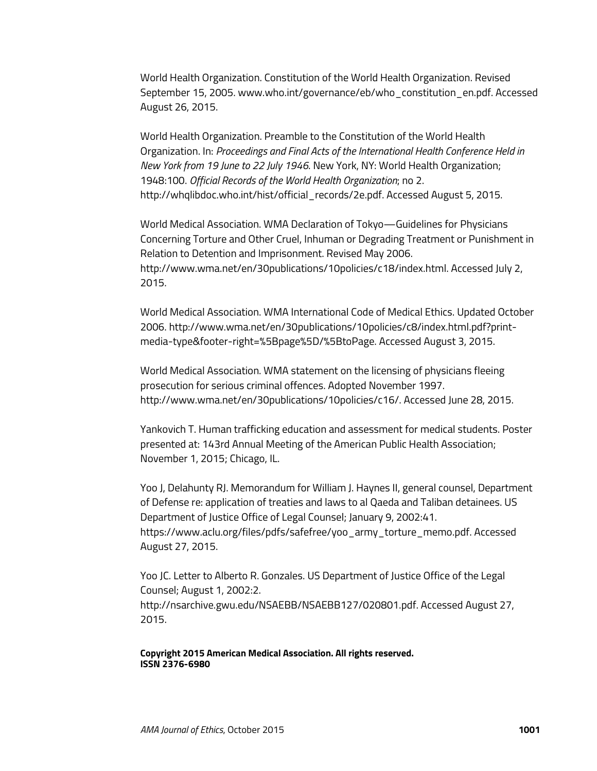World Health Organization. Constitution of the World Health Organization. Revised September 15, 2005. www.who.int/governance/eb/who\_constitution\_en.pdf. Accessed August 26, 2015.

World Health Organization. Preamble to the Constitution of the World Health Organization. In: *Proceedings and Final Acts of the International Health Conference Held in New York from 19 June to 22 July 1946*. New York, NY: World Health Organization; 1948:100. *Official Records of the World Health Organization*; no 2. http://whqlibdoc.who.int/hist/official\_records/2e.pdf. Accessed August 5, 2015.

World Medical Association. WMA Declaration of Tokyo—Guidelines for Physicians Concerning Torture and Other Cruel, Inhuman or Degrading Treatment or Punishment in Relation to Detention and Imprisonment. Revised May 2006. http://www.wma.net/en/30publications/10policies/c18/index.html. Accessed July 2, 2015.

World Medical Association. WMA International Code of Medical Ethics. Updated October 2006. http://www.wma.net/en/30publications/10policies/c8/index.html.pdf?printmedia-type&footer-right=%5Bpage%5D/%5BtoPage. Accessed August 3, 2015.

World Medical Association. WMA statement on the licensing of physicians fleeing prosecution for serious criminal offences. Adopted November 1997. http://www.wma.net/en/30publications/10policies/c16/. Accessed June 28, 2015.

Yankovich T. Human trafficking education and assessment for medical students. Poster presented at: 143rd Annual Meeting of the American Public Health Association; November 1, 2015; Chicago, IL.

Yoo J, Delahunty RJ. Memorandum for William J. Haynes II, general counsel, Department of Defense re: application of treaties and laws to al Qaeda and Taliban detainees. US Department of Justice Office of Legal Counsel; January 9, 2002:41. https://www.aclu.org/files/pdfs/safefree/yoo\_army\_torture\_memo.pdf. Accessed August 27, 2015.

Yoo JC. Letter to Alberto R. Gonzales. US Department of Justice Office of the Legal Counsel; August 1, 2002:2. http://nsarchive.gwu.edu/NSAEBB/NSAEBB127/020801.pdf. Accessed August 27, 2015.

#### **Copyright 2015 American Medical Association. All rights reserved. ISSN 2376-6980**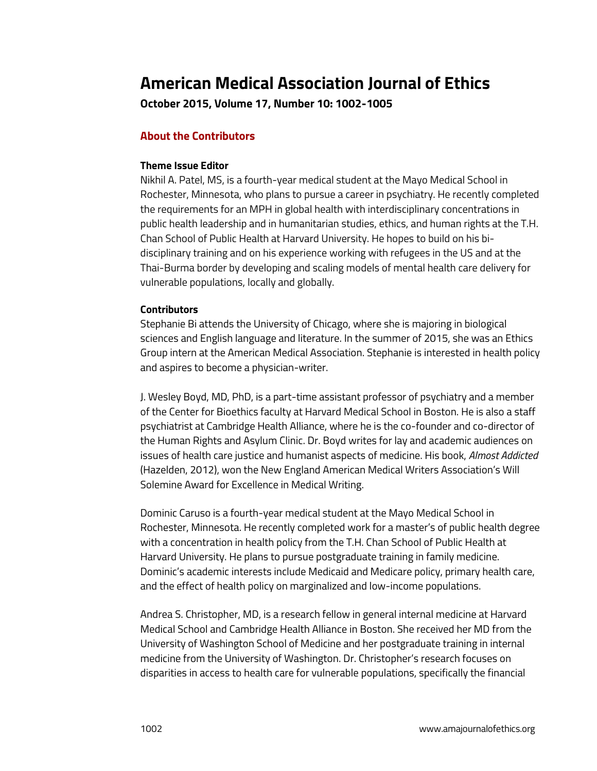# **American Medical Association Journal of Ethics**

**October 2015, Volume 17, Number 10: 1002-1005**

# **About the Contributors**

## **Theme Issue Editor**

Nikhil A. Patel, MS, is a fourth-year medical student at the Mayo Medical School in Rochester, Minnesota, who plans to pursue a career in psychiatry. He recently completed the requirements for an MPH in global health with interdisciplinary concentrations in public health leadership and in humanitarian studies, ethics, and human rights at the T.H. Chan School of Public Health at Harvard University. He hopes to build on his bidisciplinary training and on his experience working with refugees in the US and at the Thai-Burma border by developing and scaling models of mental health care delivery for vulnerable populations, locally and globally.

## **Contributors**

Stephanie Bi attends the University of Chicago, where she is majoring in biological sciences and English language and literature. In the summer of 2015, she was an Ethics Group intern at the American Medical Association. Stephanie is interested in health policy and aspires to become a physician-writer.

J. Wesley Boyd, MD, PhD, is a part-time assistant professor of psychiatry and a member of the Center for Bioethics faculty at Harvard Medical School in Boston. He is also a staff psychiatrist at Cambridge Health Alliance, where he is the co-founder and co-director of the Human Rights and Asylum Clinic. Dr. Boyd writes for lay and academic audiences on issues of health care justice and humanist aspects of medicine. His book, *Almost Addicted* (Hazelden, 2012), won the New England American Medical Writers Association's Will Solemine Award for Excellence in Medical Writing.

Dominic Caruso is a fourth-year medical student at the Mayo Medical School in Rochester, Minnesota. He recently completed work for a master's of public health degree with a concentration in health policy from the T.H. Chan School of Public Health at Harvard University. He plans to pursue postgraduate training in family medicine. Dominic's academic interests include Medicaid and Medicare policy, primary health care, and the effect of health policy on marginalized and low-income populations.

Andrea S. Christopher, MD, is a research fellow in general internal medicine at Harvard Medical School and Cambridge Health Alliance in Boston. She received her MD from the University of Washington School of Medicine and her postgraduate training in internal medicine from the University of Washington. Dr. Christopher's research focuses on disparities in access to health care for vulnerable populations, specifically the financial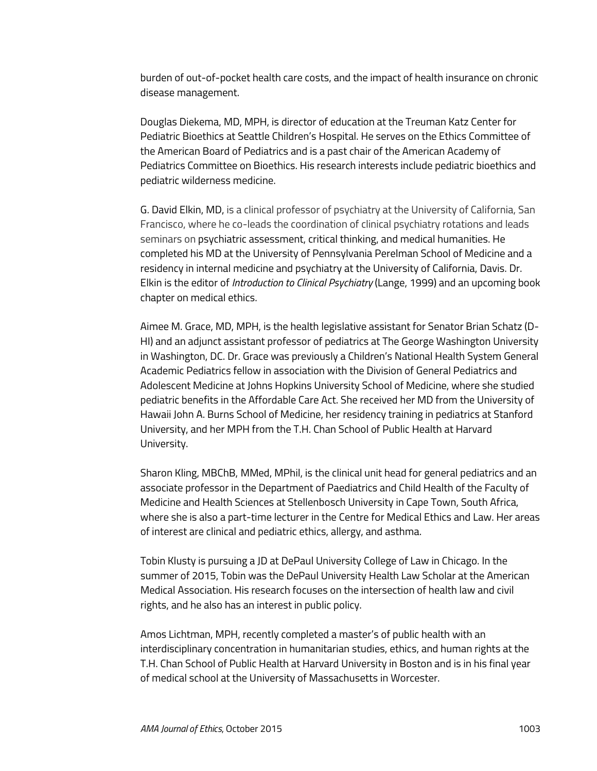burden of out-of-pocket health care costs, and the impact of health insurance on chronic disease management.

Douglas Diekema, MD, MPH, is director of education at the Treuman Katz Center for Pediatric Bioethics at Seattle Children's Hospital. He serves on the Ethics Committee of the American Board of Pediatrics and is a past chair of the American Academy of Pediatrics Committee on Bioethics. His research interests include pediatric bioethics and pediatric wilderness medicine.

G. David Elkin, MD, is a clinical professor of psychiatry at the University of California, San Francisco, where he co-leads the coordination of clinical psychiatry rotations and leads seminars on psychiatric assessment, critical thinking, and medical humanities. He completed his MD at the University of Pennsylvania Perelman School of Medicine and a residency in internal medicine and psychiatry at the University of California, Davis. Dr. Elkin is the editor of *Introduction to Clinical Psychiatry* (Lange, 1999) and an upcoming book chapter on medical ethics.

Aimee M. Grace, MD, MPH, is the health legislative assistant for Senator Brian Schatz (D-HI) and an adjunct assistant professor of pediatrics at The George Washington University in Washington, DC. Dr. Grace was previously a Children's National Health System General Academic Pediatrics fellow in association with the Division of General Pediatrics and Adolescent Medicine at Johns Hopkins University School of Medicine, where she studied pediatric benefits in the Affordable Care Act. She received her MD from the University of Hawaii John A. Burns School of Medicine, her residency training in pediatrics at Stanford University, and her MPH from the T.H. Chan School of Public Health at Harvard University.

Sharon Kling, MBChB, MMed, MPhil, is the clinical unit head for general pediatrics and an associate professor in the Department of Paediatrics and Child Health of the Faculty of Medicine and Health Sciences at Stellenbosch University in Cape Town, South Africa, where she is also a part-time lecturer in the Centre for Medical Ethics and Law. Her areas of interest are clinical and pediatric ethics, allergy, and asthma.

Tobin Klusty is pursuing a JD at DePaul University College of Law in Chicago. In the summer of 2015, Tobin was the DePaul University Health Law Scholar at the American Medical Association. His research focuses on the intersection of health law and civil rights, and he also has an interest in public policy.

Amos Lichtman, MPH, recently completed a master's of public health with an interdisciplinary concentration in humanitarian studies, ethics, and human rights at the T.H. Chan School of Public Health at Harvard University in Boston and is in his final year of medical school at the University of Massachusetts in Worcester.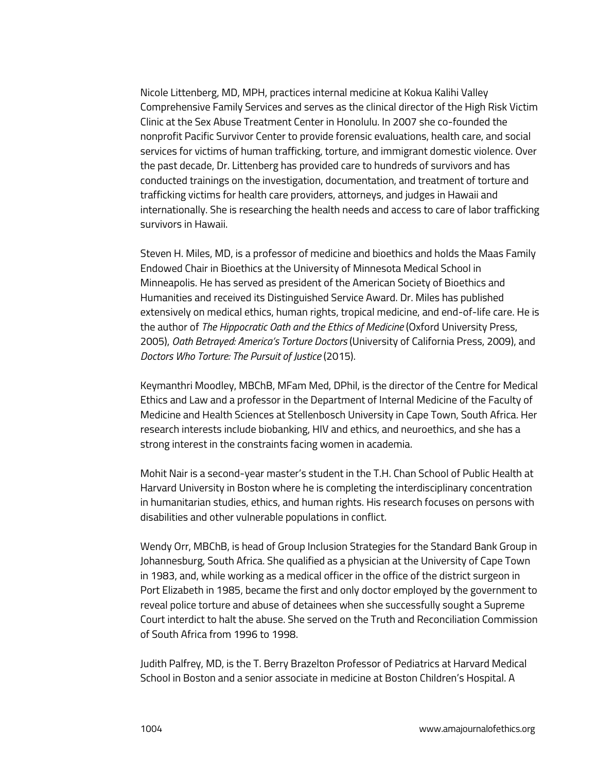Nicole Littenberg, MD, MPH, practices internal medicine at Kokua Kalihi Valley Comprehensive Family Services and serves as the clinical director of the High Risk Victim Clinic at the Sex Abuse Treatment Center in Honolulu. In 2007 she co-founded the nonprofit Pacific Survivor Center to provide forensic evaluations, health care, and social services for victims of human trafficking, torture, and immigrant domestic violence. Over the past decade, Dr. Littenberg has provided care to hundreds of survivors and has conducted trainings on the investigation, documentation, and treatment of torture and trafficking victims for health care providers, attorneys, and judges in Hawaii and internationally. She is researching the health needs and access to care of labor trafficking survivors in Hawaii.

Steven H. Miles, MD, is a professor of medicine and bioethics and holds the Maas Family Endowed Chair in Bioethics at the University of Minnesota Medical School in Minneapolis. He has served as president of the American Society of Bioethics and Humanities and received its Distinguished Service Award. Dr. Miles has published extensively on medical ethics, human rights, tropical medicine, and end-of-life care. He is the author of *The Hippocratic Oath and the Ethics of Medicine* (Oxford University Press, 2005), *Oath Betrayed: America's Torture Doctors* (University of California Press, 2009), and *Doctors Who Torture: The Pursuit of Justice* (2015).

Keymanthri Moodley, MBChB, MFam Med, DPhil, is the director of the Centre for Medical Ethics and Law and a professor in the Department of Internal Medicine of the Faculty of Medicine and Health Sciences at Stellenbosch University in Cape Town, South Africa. Her research interests include biobanking, HIV and ethics, and neuroethics, and she has a strong interest in the constraints facing women in academia.

Mohit Nair is a second-year master's student in the T.H. Chan School of Public Health at Harvard University in Boston where he is completing the interdisciplinary concentration in humanitarian studies, ethics, and human rights. His research focuses on persons with disabilities and other vulnerable populations in conflict.

Wendy Orr, MBChB, is head of Group Inclusion Strategies for the Standard Bank Group in Johannesburg, South Africa. She qualified as a physician at the University of Cape Town in 1983, and, while working as a medical officer in the office of the district surgeon in Port Elizabeth in 1985, became the first and only doctor employed by the government to reveal police torture and abuse of detainees when she successfully sought a Supreme Court interdict to halt the abuse. She served on the Truth and Reconciliation Commission of South Africa from 1996 to 1998.

Judith Palfrey, MD, is the T. Berry Brazelton Professor of Pediatrics at Harvard Medical School in Boston and a senior associate in medicine at Boston Children's Hospital. A